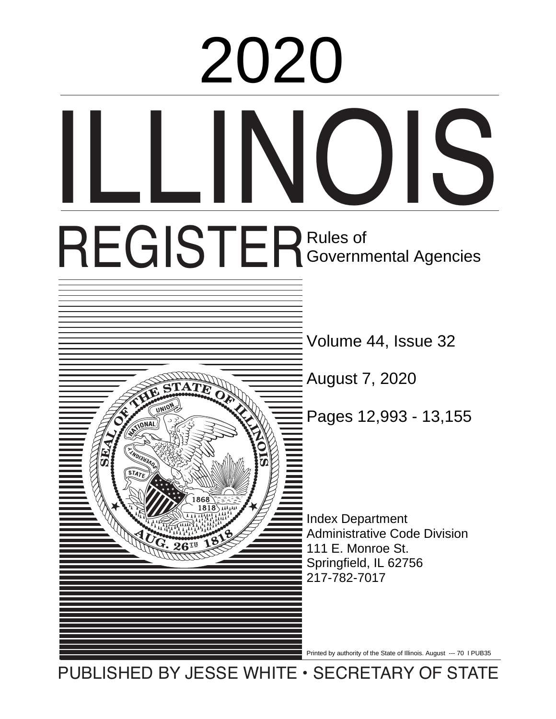# ILLI REGISTER Rules of ares or<br>Covernmental Agoncies Overmichtar Index Department Administrative Code Division 111 E. Monroe St. Springfield, IL 62756  $\frac{1}{2}$  iverse linearly compared to  $\frac{1}{2}$ Volume 44, Issue 32 August 7, 2020  $\begin{array}{r} \n 2020 \\
\hline \n 97ER \n *g g g g g g g g g g g g g g h g h g g h g h g h g h g h*$ Governmental Agencies 217-782-7017

Printed by authority of the State of Illinois. August --- 70 I PUB35

PUBLISHED BY JESSE WHITE • SECRETARY OF STATE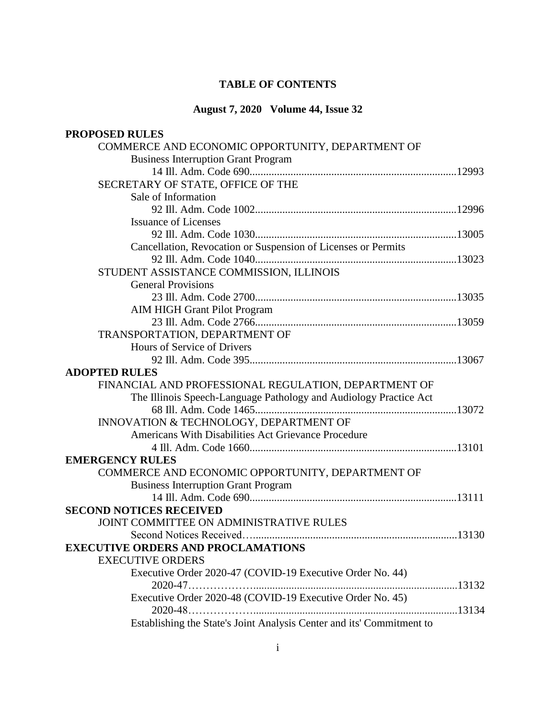# **TABLE OF CONTENTS**

# **August 7, 2020 Volume 44, Issue 32**

| <b>PROPOSED RULES</b>                                                 |  |
|-----------------------------------------------------------------------|--|
| COMMERCE AND ECONOMIC OPPORTUNITY, DEPARTMENT OF                      |  |
| <b>Business Interruption Grant Program</b>                            |  |
|                                                                       |  |
| SECRETARY OF STATE, OFFICE OF THE                                     |  |
| Sale of Information                                                   |  |
|                                                                       |  |
| <b>Issuance of Licenses</b>                                           |  |
|                                                                       |  |
| Cancellation, Revocation or Suspension of Licenses or Permits         |  |
|                                                                       |  |
| STUDENT ASSISTANCE COMMISSION, ILLINOIS                               |  |
| <b>General Provisions</b>                                             |  |
|                                                                       |  |
| <b>AIM HIGH Grant Pilot Program</b>                                   |  |
|                                                                       |  |
| TRANSPORTATION, DEPARTMENT OF                                         |  |
| Hours of Service of Drivers                                           |  |
|                                                                       |  |
| <b>ADOPTED RULES</b>                                                  |  |
| FINANCIAL AND PROFESSIONAL REGULATION, DEPARTMENT OF                  |  |
| The Illinois Speech-Language Pathology and Audiology Practice Act     |  |
|                                                                       |  |
| INNOVATION & TECHNOLOGY, DEPARTMENT OF                                |  |
| Americans With Disabilities Act Grievance Procedure                   |  |
|                                                                       |  |
| <b>EMERGENCY RULES</b>                                                |  |
| COMMERCE AND ECONOMIC OPPORTUNITY, DEPARTMENT OF                      |  |
| <b>Business Interruption Grant Program</b>                            |  |
|                                                                       |  |
| <b>SECOND NOTICES RECEIVED</b>                                        |  |
| JOINT COMMITTEE ON ADMINISTRATIVE RULES                               |  |
|                                                                       |  |
| <b>EXECUTIVE ORDERS AND PROCLAMATIONS</b>                             |  |
| <b>EXECUTIVE ORDERS</b>                                               |  |
| Executive Order 2020-47 (COVID-19 Executive Order No. 44)             |  |
|                                                                       |  |
| Executive Order 2020-48 (COVID-19 Executive Order No. 45)             |  |
|                                                                       |  |
| Establishing the State's Joint Analysis Center and its' Commitment to |  |
|                                                                       |  |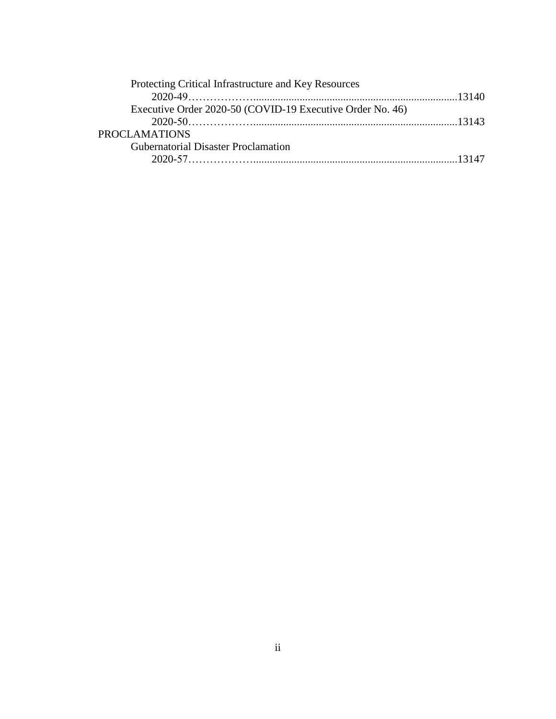| Protecting Critical Infrastructure and Key Resources      |  |
|-----------------------------------------------------------|--|
|                                                           |  |
| Executive Order 2020-50 (COVID-19 Executive Order No. 46) |  |
|                                                           |  |
| <b>PROCLAMATIONS</b>                                      |  |
| <b>Gubernatorial Disaster Proclamation</b>                |  |
|                                                           |  |
|                                                           |  |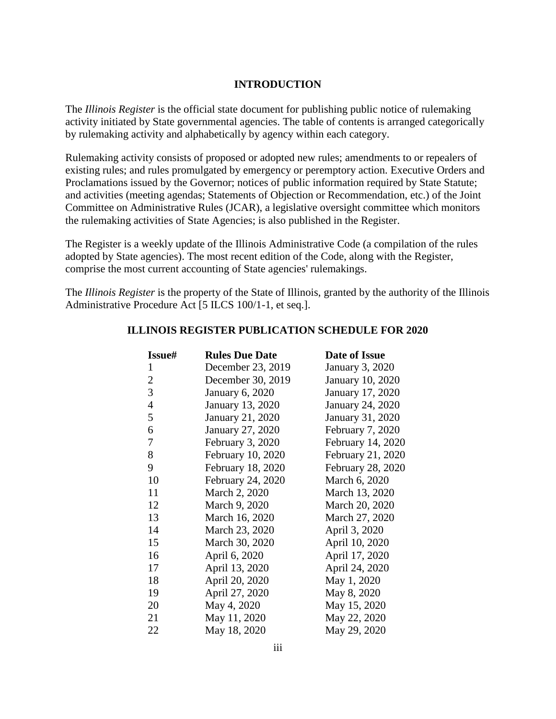#### **INTRODUCTION**

The *Illinois Register* is the official state document for publishing public notice of rulemaking activity initiated by State governmental agencies. The table of contents is arranged categorically by rulemaking activity and alphabetically by agency within each category.

Rulemaking activity consists of proposed or adopted new rules; amendments to or repealers of existing rules; and rules promulgated by emergency or peremptory action. Executive Orders and Proclamations issued by the Governor; notices of public information required by State Statute; and activities (meeting agendas; Statements of Objection or Recommendation, etc.) of the Joint Committee on Administrative Rules (JCAR), a legislative oversight committee which monitors the rulemaking activities of State Agencies; is also published in the Register.

The Register is a weekly update of the Illinois Administrative Code (a compilation of the rules adopted by State agencies). The most recent edition of the Code, along with the Register, comprise the most current accounting of State agencies' rulemakings.

The *Illinois Register* is the property of the State of Illinois, granted by the authority of the Illinois Administrative Procedure Act [5 ILCS 100/1-1, et seq.].

| Issue#         | <b>Rules Due Date</b>   | Date of Issue           |
|----------------|-------------------------|-------------------------|
| $\mathbf{1}$   | December 23, 2019       | January 3, 2020         |
| $\overline{2}$ | December 30, 2019       | <b>January 10, 2020</b> |
| $\overline{3}$ | <b>January 6, 2020</b>  | <b>January 17, 2020</b> |
| $\overline{4}$ | <b>January 13, 2020</b> | <b>January 24, 2020</b> |
| 5              | January 21, 2020        | January 31, 2020        |
| 6              | January 27, 2020        | February 7, 2020        |
| $\tau$         | February 3, 2020        | February 14, 2020       |
| 8              | February 10, 2020       | February 21, 2020       |
| 9              | February 18, 2020       | February 28, 2020       |
| 10             | February 24, 2020       | March 6, 2020           |
| 11             | March 2, 2020           | March 13, 2020          |
| 12             | March 9, 2020           | March 20, 2020          |
| 13             | March 16, 2020          | March 27, 2020          |
| 14             | March 23, 2020          | April 3, 2020           |
| 15             | March 30, 2020          | April 10, 2020          |
| 16             | April 6, 2020           | April 17, 2020          |
| 17             | April 13, 2020          | April 24, 2020          |
| 18             | April 20, 2020          | May 1, 2020             |
| 19             | April 27, 2020          | May 8, 2020             |
| 20             | May 4, 2020             | May 15, 2020            |
| 21             | May 11, 2020            | May 22, 2020            |
| 22             | May 18, 2020            | May 29, 2020            |

#### **ILLINOIS REGISTER PUBLICATION SCHEDULE FOR 2020**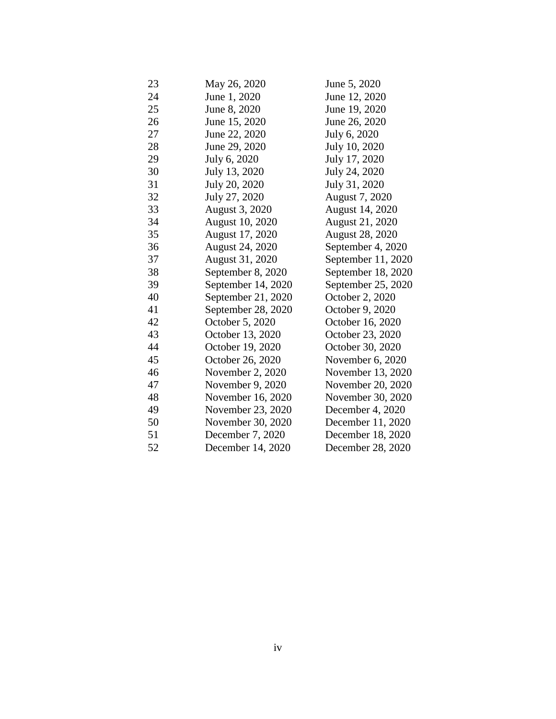| 23 | May 26, 2020           | June 5, 2020           |
|----|------------------------|------------------------|
| 24 | June 1, 2020           | June 12, 2020          |
| 25 | June 8, 2020           | June 19, 2020          |
| 26 | June 15, 2020          | June 26, 2020          |
| 27 | June 22, 2020          | July 6, 2020           |
| 28 | June 29, 2020          | July 10, 2020          |
| 29 | July 6, 2020           | July 17, 2020          |
| 30 | July 13, 2020          | July 24, 2020          |
| 31 | July 20, 2020          | July 31, 2020          |
| 32 | July 27, 2020          | August 7, 2020         |
| 33 | August 3, 2020         | August 14, 2020        |
| 34 | <b>August 10, 2020</b> | <b>August 21, 2020</b> |
| 35 | August 17, 2020        | <b>August 28, 2020</b> |
| 36 | August 24, 2020        | September 4, 2020      |
| 37 | August 31, 2020        | September 11, 2020     |
| 38 | September 8, 2020      | September 18, 2020     |
| 39 | September 14, 2020     | September 25, 2020     |
| 40 | September 21, 2020     | October 2, 2020        |
| 41 | September 28, 2020     | October 9, 2020        |
| 42 | October 5, 2020        | October 16, 2020       |
| 43 | October 13, 2020       | October 23, 2020       |
| 44 | October 19, 2020       | October 30, 2020       |
| 45 | October 26, 2020       | November $6, 2020$     |
| 46 | November 2, 2020       | November 13, 2020      |
| 47 | November 9, 2020       | November 20, 2020      |
| 48 | November 16, 2020      | November 30, 2020      |
| 49 | November 23, 2020      | December 4, 2020       |
| 50 | November 30, 2020      | December 11, 2020      |
| 51 | December 7, 2020       | December 18, 2020      |
| 52 | December 14, 2020      | December 28, 2020      |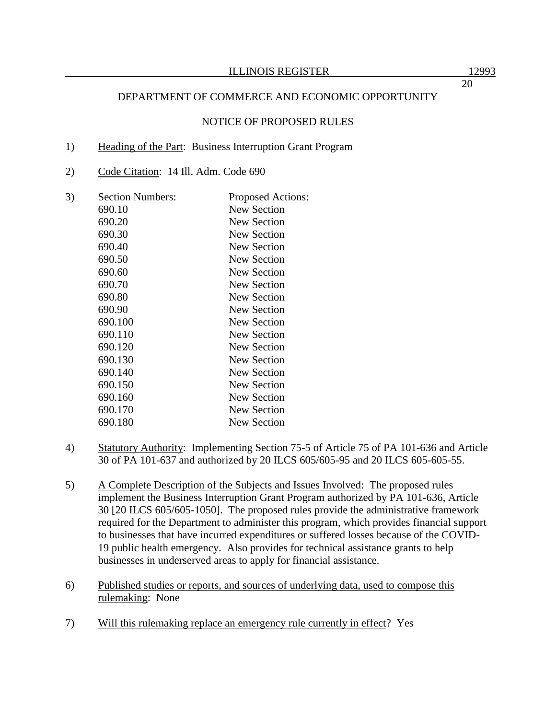# DEPARTMENT OF COMMERCE AND ECONOMIC OPPORTUNITY

## NOTICE OF PROPOSED RULES

#### 1) Heading of the Part: Business Interruption Grant Program

2) Code Citation: 14 Ill. Adm. Code 690

| 3) | <b>Section Numbers:</b> | <u>Proposed Actions:</u> |
|----|-------------------------|--------------------------|
|    | 690.10                  | New Section              |
|    | 690.20                  | New Section              |
|    | 690.30                  | New Section              |
|    | 690.40                  | New Section              |
|    | 690.50                  | New Section              |
|    | 690.60                  | <b>New Section</b>       |
|    | 690.70                  | New Section              |
|    | 690.80                  | <b>New Section</b>       |
|    | 690.90                  | <b>New Section</b>       |
|    | 690.100                 | New Section              |
|    | 690.110                 | New Section              |
|    | 690.120                 | New Section              |
|    | 690.130                 | New Section              |
|    | 690.140                 | New Section              |
|    | 690.150                 | New Section              |
|    | 690.160                 | <b>New Section</b>       |
|    | 690.170                 | New Section              |
|    | 690.180                 | New Section              |
|    |                         |                          |

- 4) Statutory Authority: Implementing Section 75-5 of Article 75 of PA 101-636 and Article 30 of PA 101-637 and authorized by 20 ILCS 605/605-95 and 20 ILCS 605-605-55.
- 5) A Complete Description of the Subjects and Issues Involved: The proposed rules implement the Business Interruption Grant Program authorized by PA 101-636, Article 30 [20 ILCS 605/605-1050]. The proposed rules provide the administrative framework required for the Department to administer this program, which provides financial support to businesses that have incurred expenditures or suffered losses because of the COVID-19 public health emergency. Also provides for technical assistance grants to help businesses in underserved areas to apply for financial assistance.
- 6) Published studies or reports, and sources of underlying data, used to compose this rulemaking: None
- 7) Will this rulemaking replace an emergency rule currently in effect? Yes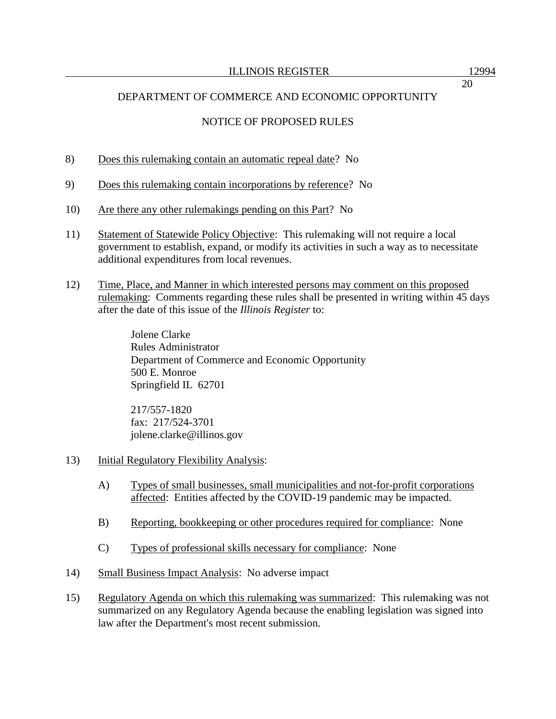# DEPARTMENT OF COMMERCE AND ECONOMIC OPPORTUNITY

# NOTICE OF PROPOSED RULES

- 8) Does this rulemaking contain an automatic repeal date? No
- 9) Does this rulemaking contain incorporations by reference? No
- 10) Are there any other rulemakings pending on this Part? No
- 11) Statement of Statewide Policy Objective: This rulemaking will not require a local government to establish, expand, or modify its activities in such a way as to necessitate additional expenditures from local revenues.
- 12) Time, Place, and Manner in which interested persons may comment on this proposed rulemaking: Comments regarding these rules shall be presented in writing within 45 days after the date of this issue of the *Illinois Register* to:

Jolene Clarke Rules Administrator Department of Commerce and Economic Opportunity 500 E. Monroe Springfield IL 62701

217/557-1820 fax: 217/524-3701 jolene.clarke@illinos.gov

- 13) Initial Regulatory Flexibility Analysis:
	- A) Types of small businesses, small municipalities and not-for-profit corporations affected: Entities affected by the COVID-19 pandemic may be impacted.
	- B) Reporting, bookkeeping or other procedures required for compliance: None
	- C) Types of professional skills necessary for compliance: None
- 14) Small Business Impact Analysis: No adverse impact
- 15) Regulatory Agenda on which this rulemaking was summarized: This rulemaking was not summarized on any Regulatory Agenda because the enabling legislation was signed into law after the Department's most recent submission.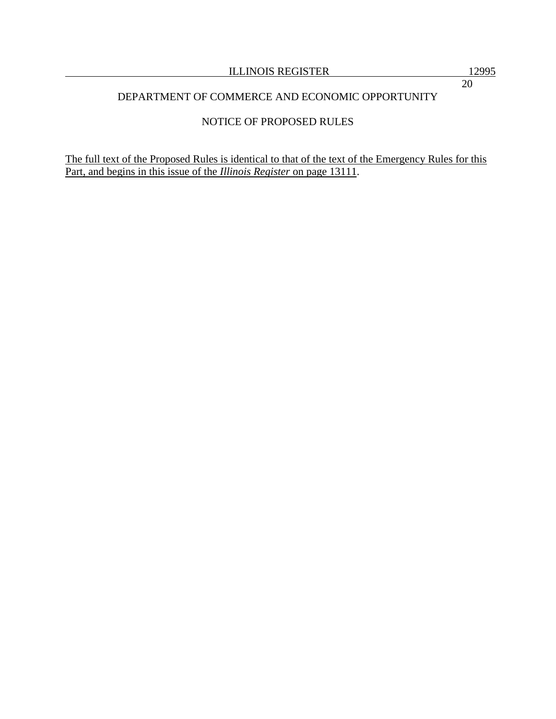# DEPARTMENT OF COMMERCE AND ECONOMIC OPPORTUNITY

# NOTICE OF PROPOSED RULES

The full text of the Proposed Rules is identical to that of the text of the Emergency Rules for this Part, and begins in this issue of the *Illinois Register* on page 13111.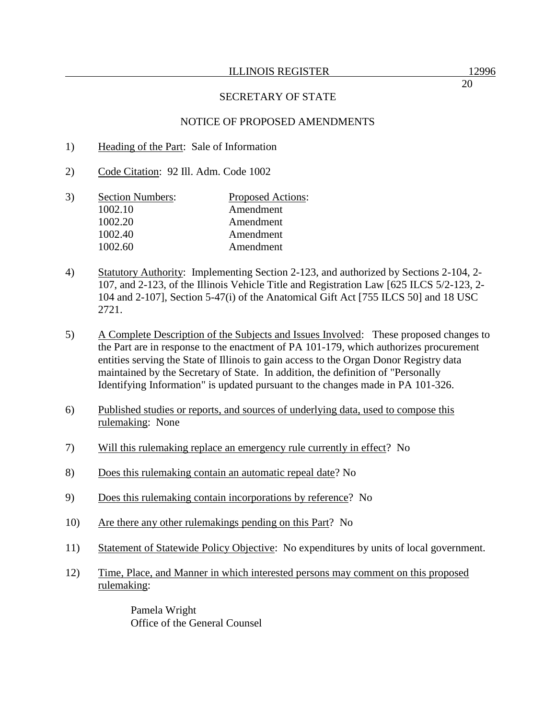## NOTICE OF PROPOSED AMENDMENTS

- 1) Heading of the Part: Sale of Information
- 2) Code Citation: 92 Ill. Adm. Code 1002
- 3) Section Numbers: Proposed Actions: 1002.10 Amendment 1002.20 Amendment 1002.40 Amendment 1002.60 Amendment
- 4) Statutory Authority: Implementing Section 2-123, and authorized by Sections 2-104, 2- 107, and 2-123, of the Illinois Vehicle Title and Registration Law [625 ILCS 5/2-123, 2- 104 and 2-107], Section 5-47(i) of the Anatomical Gift Act [755 ILCS 50] and 18 USC 2721.
- 5) A Complete Description of the Subjects and Issues Involved: These proposed changes to the Part are in response to the enactment of PA 101-179, which authorizes procurement entities serving the State of Illinois to gain access to the Organ Donor Registry data maintained by the Secretary of State. In addition, the definition of "Personally Identifying Information" is updated pursuant to the changes made in PA 101-326.
- 6) Published studies or reports, and sources of underlying data, used to compose this rulemaking: None
- 7) Will this rulemaking replace an emergency rule currently in effect? No
- 8) Does this rulemaking contain an automatic repeal date? No
- 9) Does this rulemaking contain incorporations by reference? No
- 10) Are there any other rulemakings pending on this Part? No
- 11) Statement of Statewide Policy Objective: No expenditures by units of local government.
- 12) Time, Place, and Manner in which interested persons may comment on this proposed rulemaking:

Pamela Wright Office of the General Counsel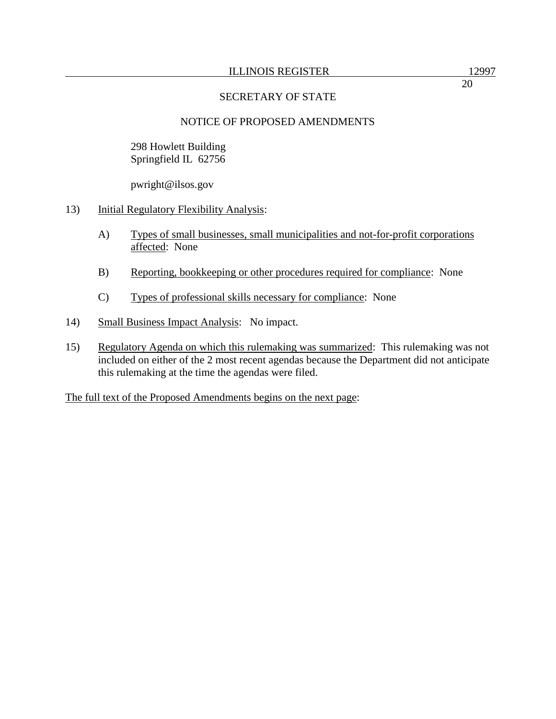# NOTICE OF PROPOSED AMENDMENTS

298 Howlett Building Springfield IL 62756

pwright@ilsos.gov

- 13) Initial Regulatory Flexibility Analysis:
	- A) Types of small businesses, small municipalities and not-for-profit corporations affected: None
	- B) Reporting, bookkeeping or other procedures required for compliance: None
	- C) Types of professional skills necessary for compliance: None
- 14) Small Business Impact Analysis: No impact.
- 15) Regulatory Agenda on which this rulemaking was summarized: This rulemaking was not included on either of the 2 most recent agendas because the Department did not anticipate this rulemaking at the time the agendas were filed.

The full text of the Proposed Amendments begins on the next page: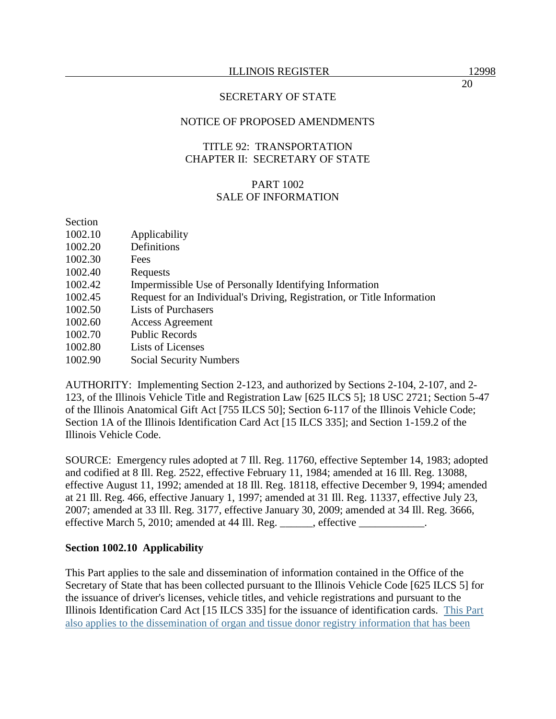# NOTICE OF PROPOSED AMENDMENTS

# TITLE 92: TRANSPORTATION CHAPTER II: SECRETARY OF STATE

## PART 1002 SALE OF INFORMATION

#### Section

| 1002.10 | Applicability                                                           |
|---------|-------------------------------------------------------------------------|
| 1002.20 | Definitions                                                             |
| 1002.30 | Fees                                                                    |
| 1002.40 | Requests                                                                |
| 1002.42 | Impermissible Use of Personally Identifying Information                 |
| 1002.45 | Request for an Individual's Driving, Registration, or Title Information |
| 1002.50 | <b>Lists of Purchasers</b>                                              |
| 1002.60 | <b>Access Agreement</b>                                                 |
| 1002.70 | <b>Public Records</b>                                                   |
| 1002.80 | Lists of Licenses                                                       |
| 1002.90 | <b>Social Security Numbers</b>                                          |

AUTHORITY: Implementing Section 2-123, and authorized by Sections 2-104, 2-107, and 2- 123, of the Illinois Vehicle Title and Registration Law [625 ILCS 5]; 18 USC 2721; Section 5-47 of the Illinois Anatomical Gift Act [755 ILCS 50]; Section 6-117 of the Illinois Vehicle Code; Section 1A of the Illinois Identification Card Act [15 ILCS 335]; and Section 1-159.2 of the Illinois Vehicle Code.

SOURCE: Emergency rules adopted at 7 Ill. Reg. 11760, effective September 14, 1983; adopted and codified at 8 Ill. Reg. 2522, effective February 11, 1984; amended at 16 Ill. Reg. 13088, effective August 11, 1992; amended at 18 Ill. Reg. 18118, effective December 9, 1994; amended at 21 Ill. Reg. 466, effective January 1, 1997; amended at 31 Ill. Reg. 11337, effective July 23, 2007; amended at 33 Ill. Reg. 3177, effective January 30, 2009; amended at 34 Ill. Reg. 3666, effective March 5, 2010; amended at 44 Ill. Reg. \_\_\_\_\_\_, effective \_\_\_\_\_\_\_\_\_\_\_.

## **Section 1002.10 Applicability**

This Part applies to the sale and dissemination of information contained in the Office of the Secretary of State that has been collected pursuant to the Illinois Vehicle Code [625 ILCS 5] for the issuance of driver's licenses, vehicle titles, and vehicle registrations and pursuant to the Illinois Identification Card Act [15 ILCS 335] for the issuance of identification cards. This Part also applies to the dissemination of organ and tissue donor registry information that has been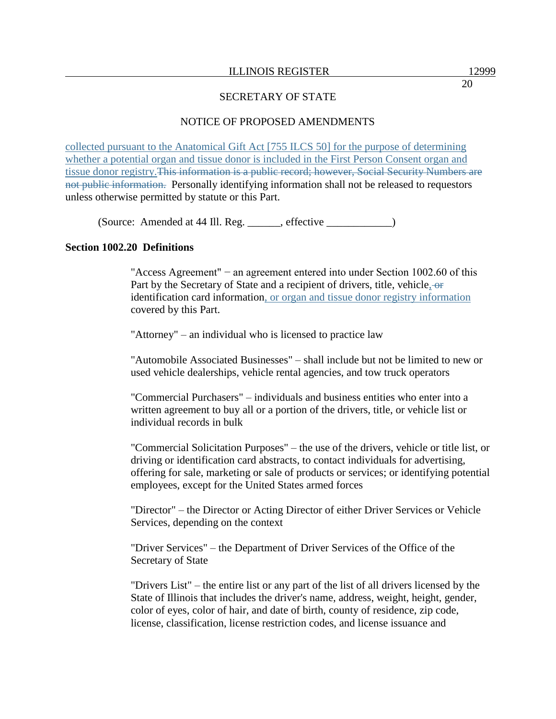# NOTICE OF PROPOSED AMENDMENTS

collected pursuant to the Anatomical Gift Act [755 ILCS 50] for the purpose of determining whether a potential organ and tissue donor is included in the First Person Consent organ and tissue donor registry.This information is a public record; however, Social Security Numbers are not public information. Personally identifying information shall not be released to requestors unless otherwise permitted by statute or this Part.

(Source: Amended at 44 Ill. Reg. \_\_\_\_\_\_, effective \_\_\_\_\_\_\_\_\_\_\_\_)

## **Section 1002.20 Definitions**

"Access Agreement" − an agreement entered into under Section 1002.60 of this Part by the Secretary of State and a recipient of drivers, title, vehicle, or identification card information, or organ and tissue donor registry information covered by this Part.

"Attorney" – an individual who is licensed to practice law

"Automobile Associated Businesses" – shall include but not be limited to new or used vehicle dealerships, vehicle rental agencies, and tow truck operators

"Commercial Purchasers" – individuals and business entities who enter into a written agreement to buy all or a portion of the drivers, title, or vehicle list or individual records in bulk

"Commercial Solicitation Purposes" – the use of the drivers, vehicle or title list, or driving or identification card abstracts, to contact individuals for advertising, offering for sale, marketing or sale of products or services; or identifying potential employees, except for the United States armed forces

"Director" – the Director or Acting Director of either Driver Services or Vehicle Services, depending on the context

"Driver Services" – the Department of Driver Services of the Office of the Secretary of State

"Drivers List" – the entire list or any part of the list of all drivers licensed by the State of Illinois that includes the driver's name, address, weight, height, gender, color of eyes, color of hair, and date of birth, county of residence, zip code, license, classification, license restriction codes, and license issuance and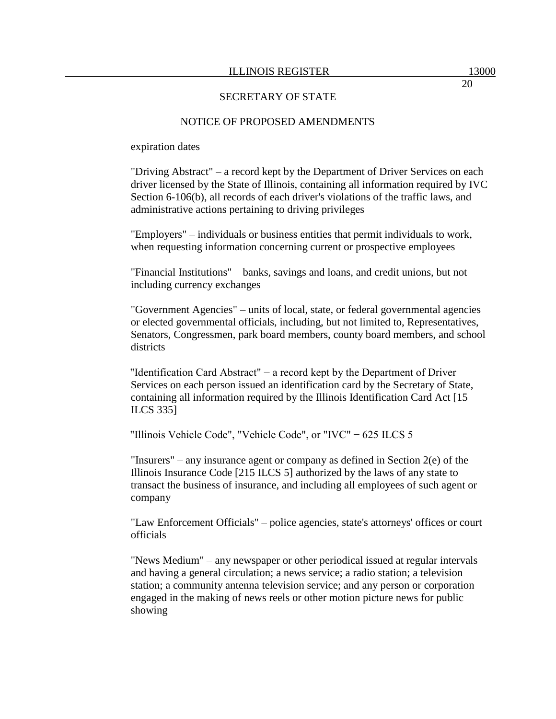#### NOTICE OF PROPOSED AMENDMENTS

expiration dates

"Driving Abstract" – a record kept by the Department of Driver Services on each driver licensed by the State of Illinois, containing all information required by IVC Section 6-106(b), all records of each driver's violations of the traffic laws, and administrative actions pertaining to driving privileges

"Employers" – individuals or business entities that permit individuals to work, when requesting information concerning current or prospective employees

"Financial Institutions" – banks, savings and loans, and credit unions, but not including currency exchanges

"Government Agencies" – units of local, state, or federal governmental agencies or elected governmental officials, including, but not limited to, Representatives, Senators, Congressmen, park board members, county board members, and school districts

"Identification Card Abstract" − a record kept by the Department of Driver Services on each person issued an identification card by the Secretary of State, containing all information required by the Illinois Identification Card Act [15 ILCS 335]

"Illinois Vehicle Code", "Vehicle Code", or "IVC" − 625 ILCS 5

"Insurers" – any insurance agent or company as defined in Section 2(e) of the Illinois Insurance Code [215 ILCS 5] authorized by the laws of any state to transact the business of insurance, and including all employees of such agent or company

"Law Enforcement Officials" – police agencies, state's attorneys' offices or court officials

"News Medium" – any newspaper or other periodical issued at regular intervals and having a general circulation; a news service; a radio station; a television station; a community antenna television service; and any person or corporation engaged in the making of news reels or other motion picture news for public showing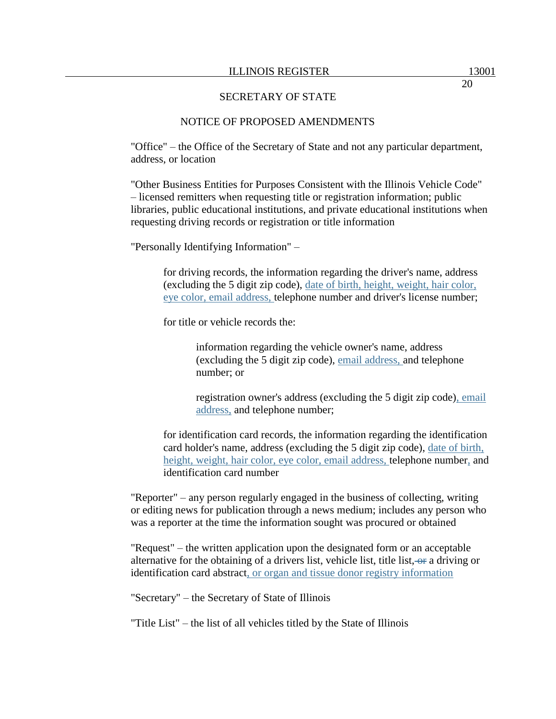#### NOTICE OF PROPOSED AMENDMENTS

"Office" – the Office of the Secretary of State and not any particular department, address, or location

"Other Business Entities for Purposes Consistent with the Illinois Vehicle Code" – licensed remitters when requesting title or registration information; public libraries, public educational institutions, and private educational institutions when requesting driving records or registration or title information

"Personally Identifying Information" –

for driving records, the information regarding the driver's name, address (excluding the 5 digit zip code), date of birth, height, weight, hair color, eye color, email address, telephone number and driver's license number;

for title or vehicle records the:

information regarding the vehicle owner's name, address (excluding the 5 digit zip code), email address, and telephone number; or

registration owner's address (excluding the 5 digit zip code), email address, and telephone number;

for identification card records, the information regarding the identification card holder's name, address (excluding the 5 digit zip code), date of birth, height, weight, hair color, eye color, email address, telephone number, and identification card number

"Reporter" – any person regularly engaged in the business of collecting, writing or editing news for publication through a news medium; includes any person who was a reporter at the time the information sought was procured or obtained

"Request" – the written application upon the designated form or an acceptable alternative for the obtaining of a drivers list, vehicle list, title list,  $-\omega$  a driving or identification card abstract, or organ and tissue donor registry information

"Secretary" – the Secretary of State of Illinois

"Title List" – the list of all vehicles titled by the State of Illinois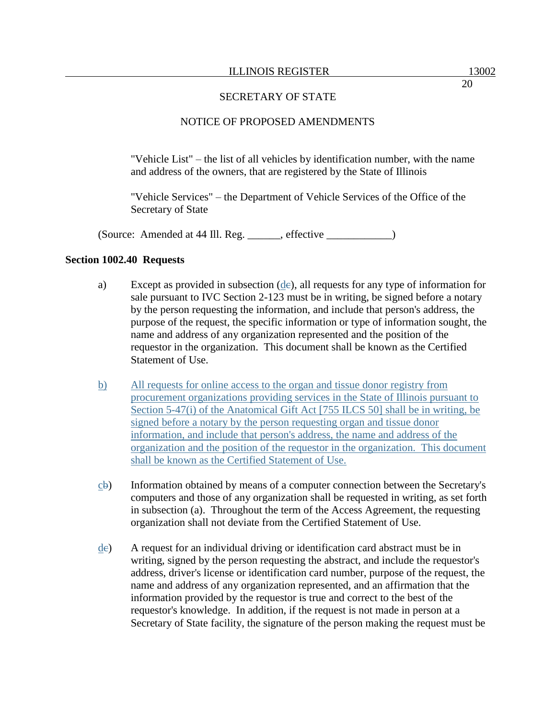## NOTICE OF PROPOSED AMENDMENTS

"Vehicle List" – the list of all vehicles by identification number, with the name and address of the owners, that are registered by the State of Illinois

"Vehicle Services" – the Department of Vehicle Services of the Office of the Secretary of State

(Source: Amended at 44 Ill. Reg. \_\_\_\_\_\_, effective \_\_\_\_\_\_\_\_\_\_\_\_)

#### **Section 1002.40 Requests**

- a) Except as provided in subsection  $(de)$ , all requests for any type of information for sale pursuant to IVC Section 2-123 must be in writing, be signed before a notary by the person requesting the information, and include that person's address, the purpose of the request, the specific information or type of information sought, the name and address of any organization represented and the position of the requestor in the organization. This document shall be known as the Certified Statement of Use.
- b) All requests for online access to the organ and tissue donor registry from procurement organizations providing services in the State of Illinois pursuant to Section 5-47(i) of the Anatomical Gift Act [755 ILCS 50] shall be in writing, be signed before a notary by the person requesting organ and tissue donor information, and include that person's address, the name and address of the organization and the position of the requestor in the organization. This document shall be known as the Certified Statement of Use.
- cb) Information obtained by means of a computer connection between the Secretary's computers and those of any organization shall be requested in writing, as set forth in subsection (a). Throughout the term of the Access Agreement, the requesting organization shall not deviate from the Certified Statement of Use.
- dc) A request for an individual driving or identification card abstract must be in writing, signed by the person requesting the abstract, and include the requestor's address, driver's license or identification card number, purpose of the request, the name and address of any organization represented, and an affirmation that the information provided by the requestor is true and correct to the best of the requestor's knowledge. In addition, if the request is not made in person at a Secretary of State facility, the signature of the person making the request must be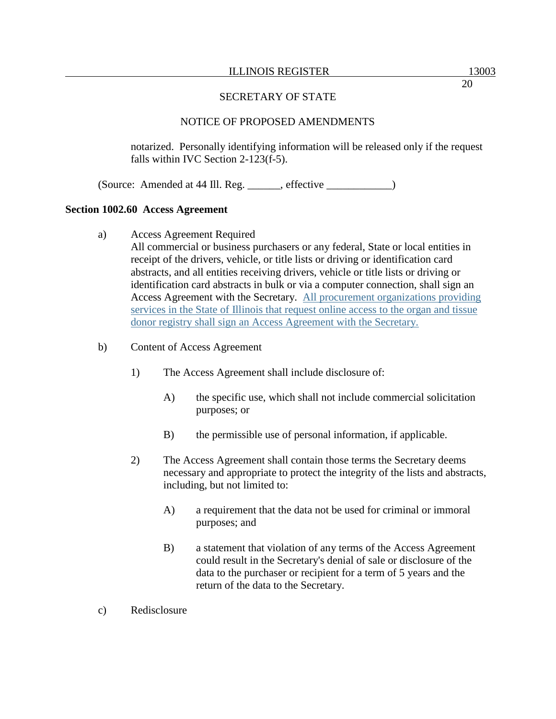# NOTICE OF PROPOSED AMENDMENTS

notarized. Personally identifying information will be released only if the request falls within IVC Section 2-123(f-5).

(Source: Amended at 44 Ill. Reg. \_\_\_\_\_\_, effective \_\_\_\_\_\_\_\_\_\_\_\_)

# **Section 1002.60 Access Agreement**

a) Access Agreement Required

All commercial or business purchasers or any federal, State or local entities in receipt of the drivers, vehicle, or title lists or driving or identification card abstracts, and all entities receiving drivers, vehicle or title lists or driving or identification card abstracts in bulk or via a computer connection, shall sign an Access Agreement with the Secretary. All procurement organizations providing services in the State of Illinois that request online access to the organ and tissue donor registry shall sign an Access Agreement with the Secretary.

- b) Content of Access Agreement
	- 1) The Access Agreement shall include disclosure of:
		- A) the specific use, which shall not include commercial solicitation purposes; or
		- B) the permissible use of personal information, if applicable.
	- 2) The Access Agreement shall contain those terms the Secretary deems necessary and appropriate to protect the integrity of the lists and abstracts, including, but not limited to:
		- A) a requirement that the data not be used for criminal or immoral purposes; and
		- B) a statement that violation of any terms of the Access Agreement could result in the Secretary's denial of sale or disclosure of the data to the purchaser or recipient for a term of 5 years and the return of the data to the Secretary.
- c) Redisclosure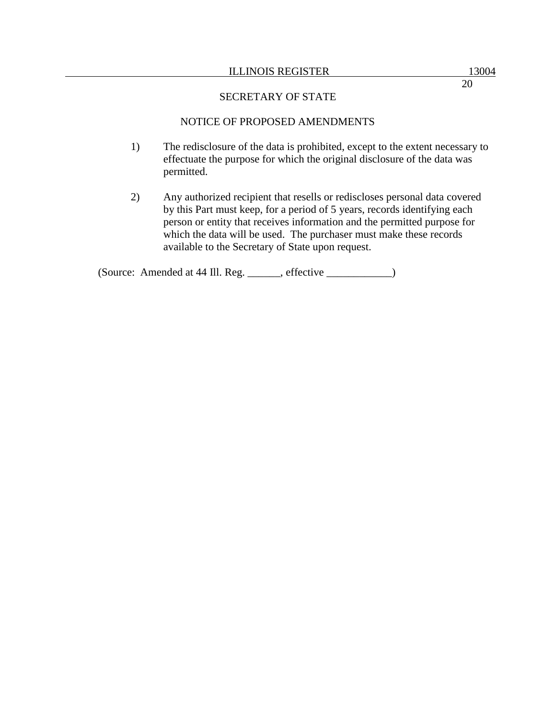#### ILLINOIS REGISTER 13004

20

## SECRETARY OF STATE

## NOTICE OF PROPOSED AMENDMENTS

- 1) The redisclosure of the data is prohibited, except to the extent necessary to effectuate the purpose for which the original disclosure of the data was permitted.
- 2) Any authorized recipient that resells or rediscloses personal data covered by this Part must keep, for a period of 5 years, records identifying each person or entity that receives information and the permitted purpose for which the data will be used. The purchaser must make these records available to the Secretary of State upon request.

(Source: Amended at 44 Ill. Reg. \_\_\_\_\_\_, effective \_\_\_\_\_\_\_\_\_\_\_\_)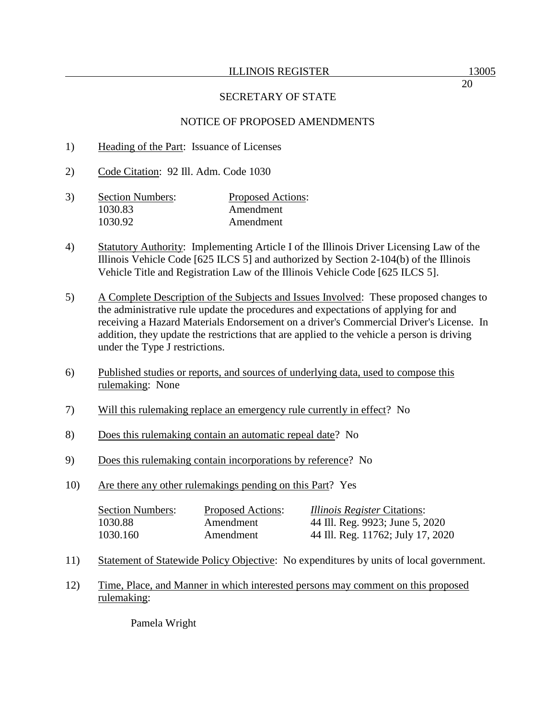## NOTICE OF PROPOSED AMENDMENTS

- 1) Heading of the Part: Issuance of Licenses
- 2) Code Citation: 92 Ill. Adm. Code 1030
- 3) Section Numbers: Proposed Actions: 1030.83 Amendment 1030.92 Amendment
- 4) Statutory Authority: Implementing Article I of the Illinois Driver Licensing Law of the Illinois Vehicle Code [625 ILCS 5] and authorized by Section 2-104(b) of the Illinois Vehicle Title and Registration Law of the Illinois Vehicle Code [625 ILCS 5].
- 5) A Complete Description of the Subjects and Issues Involved: These proposed changes to the administrative rule update the procedures and expectations of applying for and receiving a Hazard Materials Endorsement on a driver's Commercial Driver's License. In addition, they update the restrictions that are applied to the vehicle a person is driving under the Type J restrictions.
- 6) Published studies or reports, and sources of underlying data, used to compose this rulemaking: None
- 7) Will this rulemaking replace an emergency rule currently in effect? No
- 8) Does this rulemaking contain an automatic repeal date? No
- 9) Does this rulemaking contain incorporations by reference? No
- 10) Are there any other rulemakings pending on this Part? Yes

| <b>Section Numbers:</b> | <b>Proposed Actions:</b> | <i>Illinois Register</i> Citations: |
|-------------------------|--------------------------|-------------------------------------|
| 1030.88                 | Amendment                | 44 Ill. Reg. 9923; June 5, 2020     |
| 1030.160                | Amendment                | 44 Ill. Reg. 11762; July 17, 2020   |

- 11) Statement of Statewide Policy Objective: No expenditures by units of local government.
- 12) Time, Place, and Manner in which interested persons may comment on this proposed rulemaking:

Pamela Wright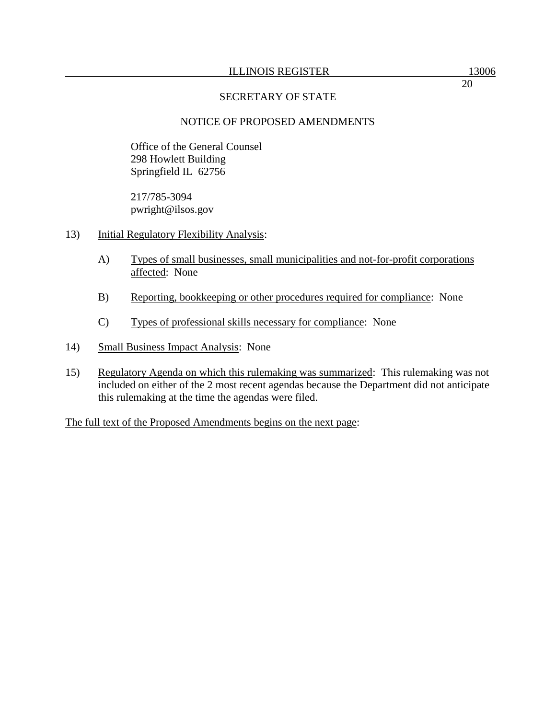# NOTICE OF PROPOSED AMENDMENTS

Office of the General Counsel 298 Howlett Building Springfield IL 62756

217/785-3094 pwright@ilsos.gov

- 13) Initial Regulatory Flexibility Analysis:
	- A) Types of small businesses, small municipalities and not-for-profit corporations affected: None
	- B) Reporting, bookkeeping or other procedures required for compliance: None
	- C) Types of professional skills necessary for compliance: None
- 14) Small Business Impact Analysis: None
- 15) Regulatory Agenda on which this rulemaking was summarized: This rulemaking was not included on either of the 2 most recent agendas because the Department did not anticipate this rulemaking at the time the agendas were filed.

The full text of the Proposed Amendments begins on the next page: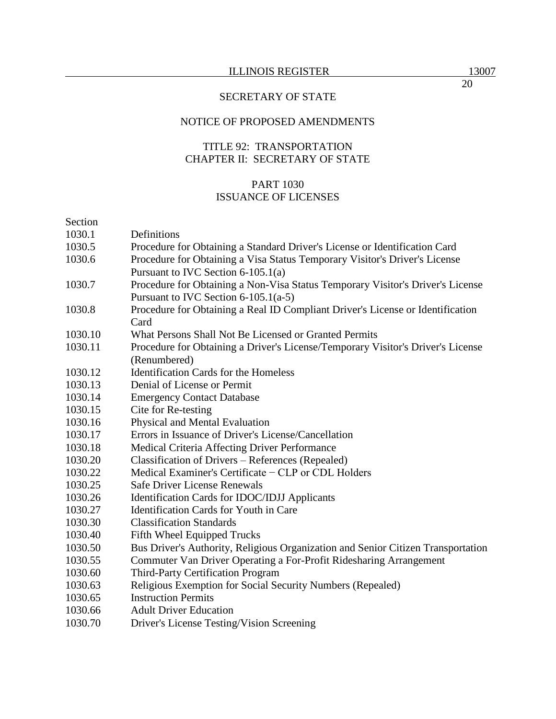# NOTICE OF PROPOSED AMENDMENTS

# TITLE 92: TRANSPORTATION CHAPTER II: SECRETARY OF STATE

# PART 1030 ISSUANCE OF LICENSES

#### Section

| pecuon  |                                                                                  |
|---------|----------------------------------------------------------------------------------|
| 1030.1  | Definitions                                                                      |
| 1030.5  | Procedure for Obtaining a Standard Driver's License or Identification Card       |
| 1030.6  | Procedure for Obtaining a Visa Status Temporary Visitor's Driver's License       |
|         | Pursuant to IVC Section 6-105.1(a)                                               |
| 1030.7  | Procedure for Obtaining a Non-Visa Status Temporary Visitor's Driver's License   |
|         | Pursuant to IVC Section $6-105.1(a-5)$                                           |
| 1030.8  | Procedure for Obtaining a Real ID Compliant Driver's License or Identification   |
|         | Card                                                                             |
| 1030.10 | What Persons Shall Not Be Licensed or Granted Permits                            |
| 1030.11 | Procedure for Obtaining a Driver's License/Temporary Visitor's Driver's License  |
|         | (Renumbered)                                                                     |
| 1030.12 | <b>Identification Cards for the Homeless</b>                                     |
| 1030.13 | Denial of License or Permit                                                      |
| 1030.14 | <b>Emergency Contact Database</b>                                                |
| 1030.15 | Cite for Re-testing                                                              |
| 1030.16 | Physical and Mental Evaluation                                                   |
| 1030.17 | Errors in Issuance of Driver's License/Cancellation                              |
| 1030.18 | Medical Criteria Affecting Driver Performance                                    |
| 1030.20 | Classification of Drivers - References (Repealed)                                |
| 1030.22 | Medical Examiner's Certificate – CLP or CDL Holders                              |
| 1030.25 | <b>Safe Driver License Renewals</b>                                              |
| 1030.26 | Identification Cards for IDOC/IDJJ Applicants                                    |
| 1030.27 | Identification Cards for Youth in Care                                           |
| 1030.30 | <b>Classification Standards</b>                                                  |
| 1030.40 | Fifth Wheel Equipped Trucks                                                      |
| 1030.50 | Bus Driver's Authority, Religious Organization and Senior Citizen Transportation |
| 1030.55 | Commuter Van Driver Operating a For-Profit Ridesharing Arrangement               |
| 1030.60 | Third-Party Certification Program                                                |
| 1030.63 | Religious Exemption for Social Security Numbers (Repealed)                       |
| 1030.65 | <b>Instruction Permits</b>                                                       |
| 1030.66 | <b>Adult Driver Education</b>                                                    |
| 1030.70 | Driver's License Testing/Vision Screening                                        |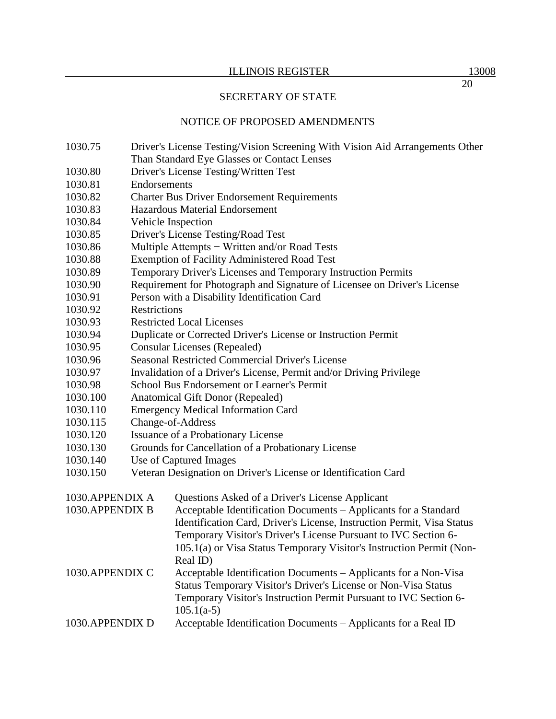## NOTICE OF PROPOSED AMENDMENTS

- 1030.75 Driver's License Testing/Vision Screening With Vision Aid Arrangements Other Than Standard Eye Glasses or Contact Lenses
- 1030.80 Driver's License Testing/Written Test
- 1030.81 Endorsements
- 1030.82 Charter Bus Driver Endorsement Requirements
- 1030.83 Hazardous Material Endorsement
- 1030.84 Vehicle Inspection
- 1030.85 Driver's License Testing/Road Test
- 1030.86 Multiple Attempts − Written and/or Road Tests
- 1030.88 Exemption of Facility Administered Road Test
- 1030.89 Temporary Driver's Licenses and Temporary Instruction Permits
- 1030.90 Requirement for Photograph and Signature of Licensee on Driver's License
- 1030.91 Person with a Disability Identification Card
- 1030.92 Restrictions
- 1030.93 Restricted Local Licenses
- 1030.94 Duplicate or Corrected Driver's License or Instruction Permit
- 1030.95 Consular Licenses (Repealed)
- 1030.96 Seasonal Restricted Commercial Driver's License
- 1030.97 Invalidation of a Driver's License, Permit and/or Driving Privilege
- 1030.98 School Bus Endorsement or Learner's Permit
- 1030.100 Anatomical Gift Donor (Repealed)
- 1030.110 Emergency Medical Information Card
- 1030.115 Change-of-Address
- 1030.120 Issuance of a Probationary License
- 1030.130 Grounds for Cancellation of a Probationary License
- 1030.140 Use of Captured Images
- 1030.150 Veteran Designation on Driver's License or Identification Card

| 1030.APPENDIX A  | Questions Asked of a Driver's License Applicant                        |  |
|------------------|------------------------------------------------------------------------|--|
| 1030. APPENDIX B | Acceptable Identification Documents – Applicants for a Standard        |  |
|                  | Identification Card, Driver's License, Instruction Permit, Visa Status |  |
|                  | Temporary Visitor's Driver's License Pursuant to IVC Section 6-        |  |
|                  | 105.1(a) or Visa Status Temporary Visitor's Instruction Permit (Non-   |  |
|                  | Real ID)                                                               |  |
| 1030. APPENDIX C | Acceptable Identification Documents – Applicants for a Non-Visa        |  |
|                  | Status Temporary Visitor's Driver's License or Non-Visa Status         |  |
|                  | Temporary Visitor's Instruction Permit Pursuant to IVC Section 6-      |  |
|                  | $105.1(a-5)$                                                           |  |
| 1030. APPENDIX D | Acceptable Identification Documents – Applicants for a Real ID         |  |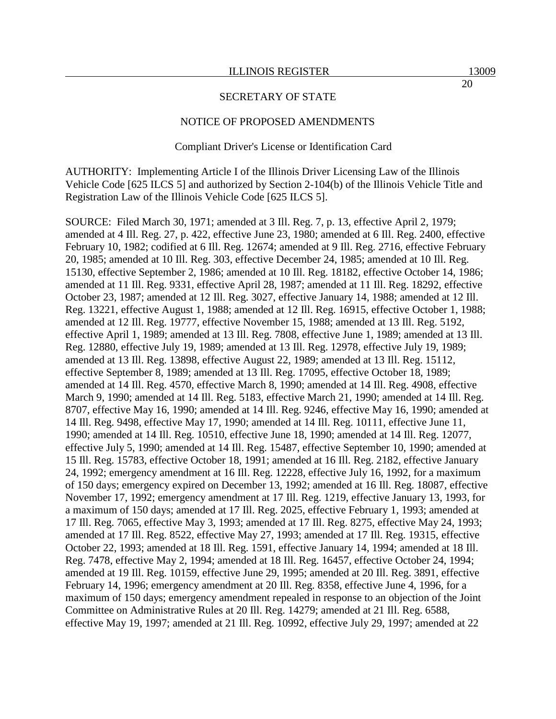#### NOTICE OF PROPOSED AMENDMENTS

#### Compliant Driver's License or Identification Card

AUTHORITY: Implementing Article I of the Illinois Driver Licensing Law of the Illinois Vehicle Code [625 ILCS 5] and authorized by Section 2-104(b) of the Illinois Vehicle Title and Registration Law of the Illinois Vehicle Code [625 ILCS 5].

SOURCE: Filed March 30, 1971; amended at 3 Ill. Reg. 7, p. 13, effective April 2, 1979; amended at 4 Ill. Reg. 27, p. 422, effective June 23, 1980; amended at 6 Ill. Reg. 2400, effective February 10, 1982; codified at 6 Ill. Reg. 12674; amended at 9 Ill. Reg. 2716, effective February 20, 1985; amended at 10 Ill. Reg. 303, effective December 24, 1985; amended at 10 Ill. Reg. 15130, effective September 2, 1986; amended at 10 Ill. Reg. 18182, effective October 14, 1986; amended at 11 Ill. Reg. 9331, effective April 28, 1987; amended at 11 Ill. Reg. 18292, effective October 23, 1987; amended at 12 Ill. Reg. 3027, effective January 14, 1988; amended at 12 Ill. Reg. 13221, effective August 1, 1988; amended at 12 Ill. Reg. 16915, effective October 1, 1988; amended at 12 Ill. Reg. 19777, effective November 15, 1988; amended at 13 Ill. Reg. 5192, effective April 1, 1989; amended at 13 Ill. Reg. 7808, effective June 1, 1989; amended at 13 Ill. Reg. 12880, effective July 19, 1989; amended at 13 Ill. Reg. 12978, effective July 19, 1989; amended at 13 Ill. Reg. 13898, effective August 22, 1989; amended at 13 Ill. Reg. 15112, effective September 8, 1989; amended at 13 Ill. Reg. 17095, effective October 18, 1989; amended at 14 Ill. Reg. 4570, effective March 8, 1990; amended at 14 Ill. Reg. 4908, effective March 9, 1990; amended at 14 Ill. Reg. 5183, effective March 21, 1990; amended at 14 Ill. Reg. 8707, effective May 16, 1990; amended at 14 Ill. Reg. 9246, effective May 16, 1990; amended at 14 Ill. Reg. 9498, effective May 17, 1990; amended at 14 Ill. Reg. 10111, effective June 11, 1990; amended at 14 Ill. Reg. 10510, effective June 18, 1990; amended at 14 Ill. Reg. 12077, effective July 5, 1990; amended at 14 Ill. Reg. 15487, effective September 10, 1990; amended at 15 Ill. Reg. 15783, effective October 18, 1991; amended at 16 Ill. Reg. 2182, effective January 24, 1992; emergency amendment at 16 Ill. Reg. 12228, effective July 16, 1992, for a maximum of 150 days; emergency expired on December 13, 1992; amended at 16 Ill. Reg. 18087, effective November 17, 1992; emergency amendment at 17 Ill. Reg. 1219, effective January 13, 1993, for a maximum of 150 days; amended at 17 Ill. Reg. 2025, effective February 1, 1993; amended at 17 Ill. Reg. 7065, effective May 3, 1993; amended at 17 Ill. Reg. 8275, effective May 24, 1993; amended at 17 Ill. Reg. 8522, effective May 27, 1993; amended at 17 Ill. Reg. 19315, effective October 22, 1993; amended at 18 Ill. Reg. 1591, effective January 14, 1994; amended at 18 Ill. Reg. 7478, effective May 2, 1994; amended at 18 Ill. Reg. 16457, effective October 24, 1994; amended at 19 Ill. Reg. 10159, effective June 29, 1995; amended at 20 Ill. Reg. 3891, effective February 14, 1996; emergency amendment at 20 Ill. Reg. 8358, effective June 4, 1996, for a maximum of 150 days; emergency amendment repealed in response to an objection of the Joint Committee on Administrative Rules at 20 Ill. Reg. 14279; amended at 21 Ill. Reg. 6588, effective May 19, 1997; amended at 21 Ill. Reg. 10992, effective July 29, 1997; amended at 22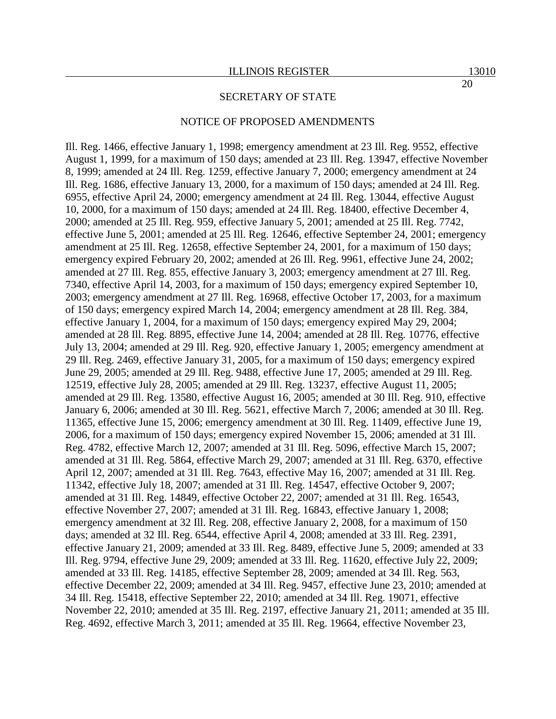#### NOTICE OF PROPOSED AMENDMENTS

Ill. Reg. 1466, effective January 1, 1998; emergency amendment at 23 Ill. Reg. 9552, effective August 1, 1999, for a maximum of 150 days; amended at 23 Ill. Reg. 13947, effective November 8, 1999; amended at 24 Ill. Reg. 1259, effective January 7, 2000; emergency amendment at 24 Ill. Reg. 1686, effective January 13, 2000, for a maximum of 150 days; amended at 24 Ill. Reg. 6955, effective April 24, 2000; emergency amendment at 24 Ill. Reg. 13044, effective August 10, 2000, for a maximum of 150 days; amended at 24 Ill. Reg. 18400, effective December 4, 2000; amended at 25 Ill. Reg. 959, effective January 5, 2001; amended at 25 Ill. Reg. 7742, effective June 5, 2001; amended at 25 Ill. Reg. 12646, effective September 24, 2001; emergency amendment at 25 Ill. Reg. 12658, effective September 24, 2001, for a maximum of 150 days; emergency expired February 20, 2002; amended at 26 Ill. Reg. 9961, effective June 24, 2002; amended at 27 Ill. Reg. 855, effective January 3, 2003; emergency amendment at 27 Ill. Reg. 7340, effective April 14, 2003, for a maximum of 150 days; emergency expired September 10, 2003; emergency amendment at 27 Ill. Reg. 16968, effective October 17, 2003, for a maximum of 150 days; emergency expired March 14, 2004; emergency amendment at 28 Ill. Reg. 384, effective January 1, 2004, for a maximum of 150 days; emergency expired May 29, 2004; amended at 28 Ill. Reg. 8895, effective June 14, 2004; amended at 28 Ill. Reg. 10776, effective July 13, 2004; amended at 29 Ill. Reg. 920, effective January 1, 2005; emergency amendment at 29 Ill. Reg. 2469, effective January 31, 2005, for a maximum of 150 days; emergency expired June 29, 2005; amended at 29 Ill. Reg. 9488, effective June 17, 2005; amended at 29 Ill. Reg. 12519, effective July 28, 2005; amended at 29 Ill. Reg. 13237, effective August 11, 2005; amended at 29 Ill. Reg. 13580, effective August 16, 2005; amended at 30 Ill. Reg. 910, effective January 6, 2006; amended at 30 Ill. Reg. 5621, effective March 7, 2006; amended at 30 Ill. Reg. 11365, effective June 15, 2006; emergency amendment at 30 Ill. Reg. 11409, effective June 19, 2006, for a maximum of 150 days; emergency expired November 15, 2006; amended at 31 Ill. Reg. 4782, effective March 12, 2007; amended at 31 Ill. Reg. 5096, effective March 15, 2007; amended at 31 Ill. Reg. 5864, effective March 29, 2007; amended at 31 Ill. Reg. 6370, effective April 12, 2007; amended at 31 Ill. Reg. 7643, effective May 16, 2007; amended at 31 Ill. Reg. 11342, effective July 18, 2007; amended at 31 Ill. Reg. 14547, effective October 9, 2007; amended at 31 Ill. Reg. 14849, effective October 22, 2007; amended at 31 Ill. Reg. 16543, effective November 27, 2007; amended at 31 Ill. Reg. 16843, effective January 1, 2008; emergency amendment at 32 Ill. Reg. 208, effective January 2, 2008, for a maximum of 150 days; amended at 32 Ill. Reg. 6544, effective April 4, 2008; amended at 33 Ill. Reg. 2391, effective January 21, 2009; amended at 33 Ill. Reg. 8489, effective June 5, 2009; amended at 33 Ill. Reg. 9794, effective June 29, 2009; amended at 33 Ill. Reg. 11620, effective July 22, 2009; amended at 33 Ill. Reg. 14185, effective September 28, 2009; amended at 34 Ill. Reg. 563, effective December 22, 2009; amended at 34 Ill. Reg. 9457, effective June 23, 2010; amended at 34 Ill. Reg. 15418, effective September 22, 2010; amended at 34 Ill. Reg. 19071, effective November 22, 2010; amended at 35 Ill. Reg. 2197, effective January 21, 2011; amended at 35 Ill. Reg. 4692, effective March 3, 2011; amended at 35 Ill. Reg. 19664, effective November 23,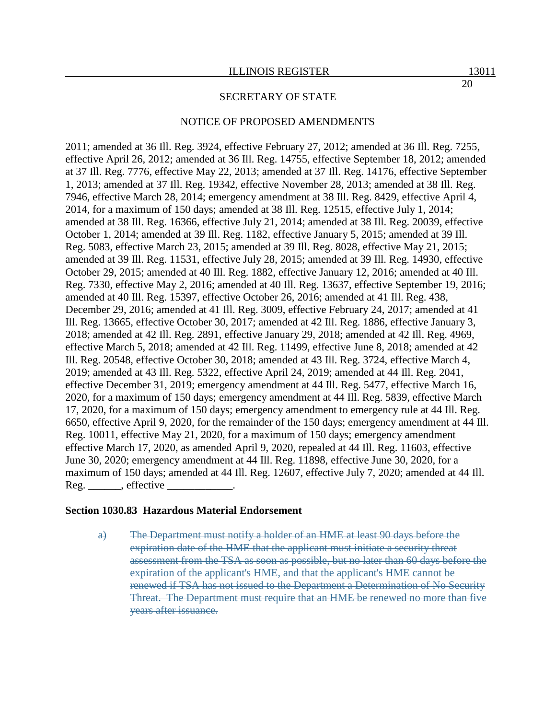#### NOTICE OF PROPOSED AMENDMENTS

2011; amended at 36 Ill. Reg. 3924, effective February 27, 2012; amended at 36 Ill. Reg. 7255, effective April 26, 2012; amended at 36 Ill. Reg. 14755, effective September 18, 2012; amended at 37 Ill. Reg. 7776, effective May 22, 2013; amended at 37 Ill. Reg. 14176, effective September 1, 2013; amended at 37 Ill. Reg. 19342, effective November 28, 2013; amended at 38 Ill. Reg. 7946, effective March 28, 2014; emergency amendment at 38 Ill. Reg. 8429, effective April 4, 2014, for a maximum of 150 days; amended at 38 Ill. Reg. 12515, effective July 1, 2014; amended at 38 Ill. Reg. 16366, effective July 21, 2014; amended at 38 Ill. Reg. 20039, effective October 1, 2014; amended at 39 Ill. Reg. 1182, effective January 5, 2015; amended at 39 Ill. Reg. 5083, effective March 23, 2015; amended at 39 Ill. Reg. 8028, effective May 21, 2015; amended at 39 Ill. Reg. 11531, effective July 28, 2015; amended at 39 Ill. Reg. 14930, effective October 29, 2015; amended at 40 Ill. Reg. 1882, effective January 12, 2016; amended at 40 Ill. Reg. 7330, effective May 2, 2016; amended at 40 Ill. Reg. 13637, effective September 19, 2016; amended at 40 Ill. Reg. 15397, effective October 26, 2016; amended at 41 Ill. Reg. 438, December 29, 2016; amended at 41 Ill. Reg. 3009, effective February 24, 2017; amended at 41 Ill. Reg. 13665, effective October 30, 2017; amended at 42 Ill. Reg. 1886, effective January 3, 2018; amended at 42 Ill. Reg. 2891, effective January 29, 2018; amended at 42 Ill. Reg. 4969, effective March 5, 2018; amended at 42 Ill. Reg. 11499, effective June 8, 2018; amended at 42 Ill. Reg. 20548, effective October 30, 2018; amended at 43 Ill. Reg. 3724, effective March 4, 2019; amended at 43 Ill. Reg. 5322, effective April 24, 2019; amended at 44 Ill. Reg. 2041, effective December 31, 2019; emergency amendment at 44 Ill. Reg. 5477, effective March 16, 2020, for a maximum of 150 days; emergency amendment at 44 Ill. Reg. 5839, effective March 17, 2020, for a maximum of 150 days; emergency amendment to emergency rule at 44 Ill. Reg. 6650, effective April 9, 2020, for the remainder of the 150 days; emergency amendment at 44 Ill. Reg. 10011, effective May 21, 2020, for a maximum of 150 days; emergency amendment effective March 17, 2020, as amended April 9, 2020, repealed at 44 Ill. Reg. 11603, effective June 30, 2020; emergency amendment at 44 Ill. Reg. 11898, effective June 30, 2020, for a maximum of 150 days; amended at 44 Ill. Reg. 12607, effective July 7, 2020; amended at 44 Ill.  $Reg.$ , effective  $\overline{\phantom{a}}$ 

#### **Section 1030.83 Hazardous Material Endorsement**

a) The Department must notify a holder of an HME at least 90 days before the expiration date of the HME that the applicant must initiate a security threat assessment from the TSA as soon as possible, but no later than 60 days before the expiration of the applicant's HME, and that the applicant's HME cannot be renewed if TSA has not issued to the Department a Determination of No Security Threat. The Department must require that an HME be renewed no more than five years after issuance.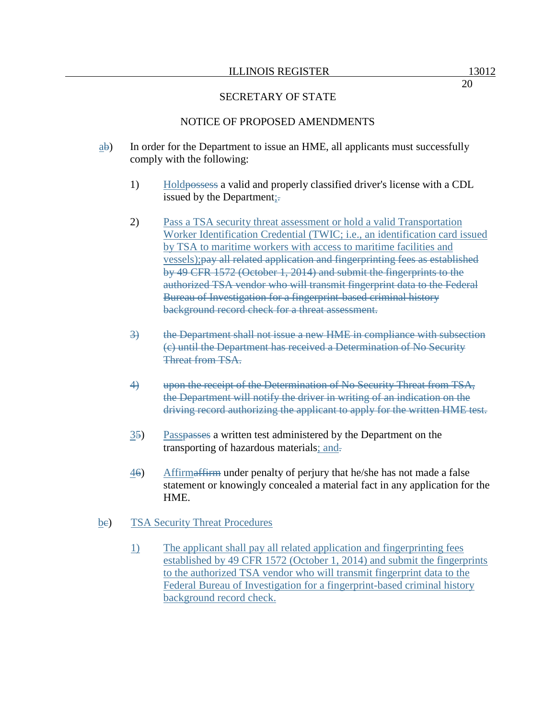# NOTICE OF PROPOSED AMENDMENTS

- $\frac{a}{b}$  In order for the Department to issue an HME, all applicants must successfully comply with the following:
	- 1) Holdpossess a valid and properly classified driver's license with a CDL issued by the Department;.
	- 2) Pass a TSA security threat assessment or hold a valid Transportation Worker Identification Credential (TWIC; i.e., an identification card issued by TSA to maritime workers with access to maritime facilities and vessels);pay all related application and fingerprinting fees as established by 49 CFR 1572 (October 1, 2014) and submit the fingerprints to the authorized TSA vendor who will transmit fingerprint data to the Federal Bureau of Investigation for a fingerprint-based criminal history background record check for a threat assessment.
	- 3) the Department shall not issue a new HME in compliance with subsection (c) until the Department has received a Determination of No Security Threat from TSA.
	- 4) upon the receipt of the Determination of No Security Threat from TSA, the Department will notify the driver in writing of an indication on the driving record authorizing the applicant to apply for the written HME test.
	- 35) Passpasses a written test administered by the Department on the transporting of hazardous materials; and.
	- 46) Affirmaffirm under penalty of perjury that he/she has not made a false statement or knowingly concealed a material fact in any application for the HME.
- be) TSA Security Threat Procedures
	- 1) The applicant shall pay all related application and fingerprinting fees established by 49 CFR 1572 (October 1, 2014) and submit the fingerprints to the authorized TSA vendor who will transmit fingerprint data to the Federal Bureau of Investigation for a fingerprint-based criminal history background record check.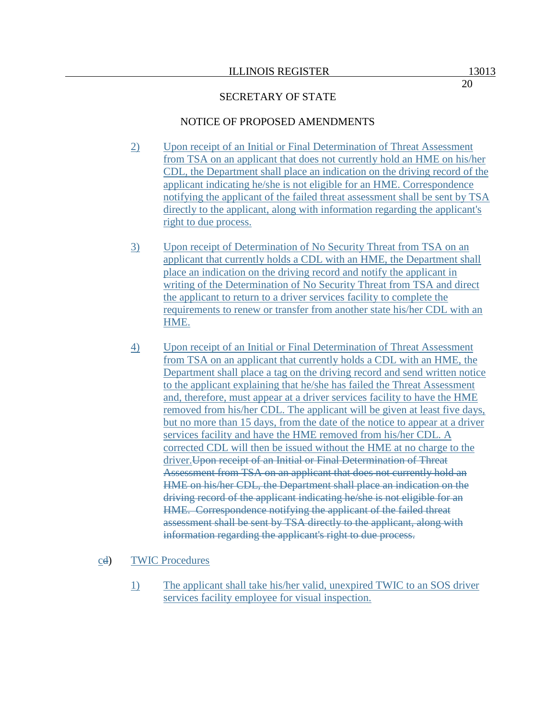# NOTICE OF PROPOSED AMENDMENTS

- 2) Upon receipt of an Initial or Final Determination of Threat Assessment from TSA on an applicant that does not currently hold an HME on his/her CDL, the Department shall place an indication on the driving record of the applicant indicating he/she is not eligible for an HME. Correspondence notifying the applicant of the failed threat assessment shall be sent by TSA directly to the applicant, along with information regarding the applicant's right to due process.
- 3) Upon receipt of Determination of No Security Threat from TSA on an applicant that currently holds a CDL with an HME, the Department shall place an indication on the driving record and notify the applicant in writing of the Determination of No Security Threat from TSA and direct the applicant to return to a driver services facility to complete the requirements to renew or transfer from another state his/her CDL with an HME.
- 4) Upon receipt of an Initial or Final Determination of Threat Assessment from TSA on an applicant that currently holds a CDL with an HME, the Department shall place a tag on the driving record and send written notice to the applicant explaining that he/she has failed the Threat Assessment and, therefore, must appear at a driver services facility to have the HME removed from his/her CDL. The applicant will be given at least five days, but no more than 15 days, from the date of the notice to appear at a driver services facility and have the HME removed from his/her CDL. A corrected CDL will then be issued without the HME at no charge to the driver.Upon receipt of an Initial or Final Determination of Threat Assessment from TSA on an applicant that does not currently hold an HME on his/her CDL, the Department shall place an indication on the driving record of the applicant indicating he/she is not eligible for an HME. Correspondence notifying the applicant of the failed threat assessment shall be sent by TSA directly to the applicant, along with information regarding the applicant's right to due process.

## cd) TWIC Procedures

1) The applicant shall take his/her valid, unexpired TWIC to an SOS driver services facility employee for visual inspection.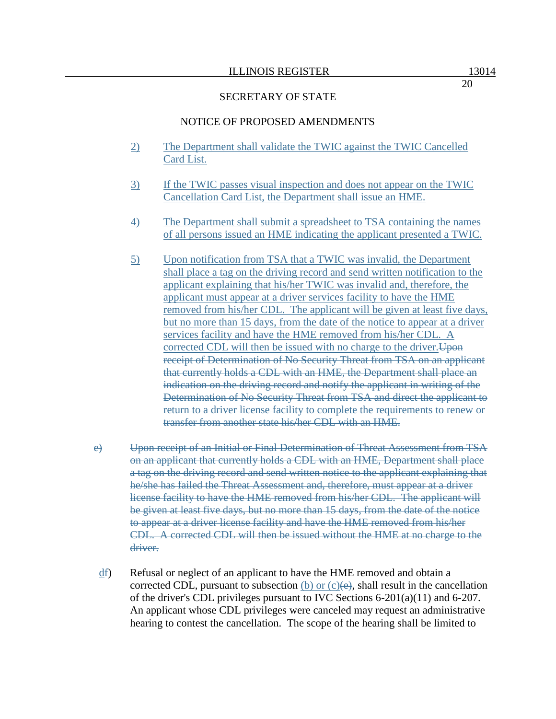#### NOTICE OF PROPOSED AMENDMENTS

- 2) The Department shall validate the TWIC against the TWIC Cancelled Card List.
- 3) If the TWIC passes visual inspection and does not appear on the TWIC Cancellation Card List, the Department shall issue an HME.
- 4) The Department shall submit a spreadsheet to TSA containing the names of all persons issued an HME indicating the applicant presented a TWIC.
- 5) Upon notification from TSA that a TWIC was invalid, the Department shall place a tag on the driving record and send written notification to the applicant explaining that his/her TWIC was invalid and, therefore, the applicant must appear at a driver services facility to have the HME removed from his/her CDL. The applicant will be given at least five days, but no more than 15 days, from the date of the notice to appear at a driver services facility and have the HME removed from his/her CDL. A corrected CDL will then be issued with no charge to the driver. Upon receipt of Determination of No Security Threat from TSA on an applicant that currently holds a CDL with an HME, the Department shall place an indication on the driving record and notify the applicant in writing of the Determination of No Security Threat from TSA and direct the applicant to return to a driver license facility to complete the requirements to renew or transfer from another state his/her CDL with an HME.
- e) Upon receipt of an Initial or Final Determination of Threat Assessment from TSA on an applicant that currently holds a CDL with an HME, Department shall place a tag on the driving record and send written notice to the applicant explaining that he/she has failed the Threat Assessment and, therefore, must appear at a driver license facility to have the HME removed from his/her CDL. The applicant will be given at least five days, but no more than 15 days, from the date of the notice to appear at a driver license facility and have the HME removed from his/her CDL. A corrected CDL will then be issued without the HME at no charge to the driver.
- $\frac{df}{dt}$  Refusal or neglect of an applicant to have the HME removed and obtain a corrected CDL, pursuant to subsection (b) or  $(c)(e)$ , shall result in the cancellation of the driver's CDL privileges pursuant to IVC Sections  $6-201(a)(11)$  and  $6-207$ . An applicant whose CDL privileges were canceled may request an administrative hearing to contest the cancellation. The scope of the hearing shall be limited to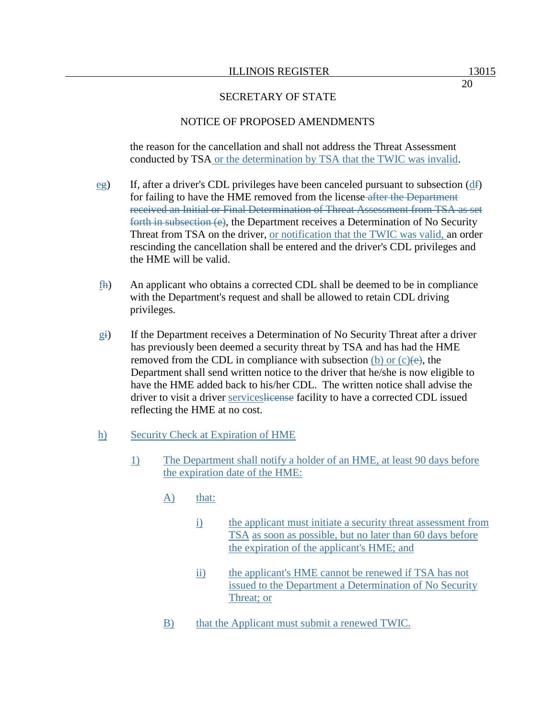## NOTICE OF PROPOSED AMENDMENTS

the reason for the cancellation and shall not address the Threat Assessment conducted by TSA or the determination by TSA that the TWIC was invalid.

- $eg)$  If, after a driver's CDL privileges have been canceled pursuant to subsection ( $df$ ) for failing to have the HME removed from the license after the Department received an Initial or Final Determination of Threat Assessment from TSA as set forth in subsection (e), the Department receives a Determination of No Security Threat from TSA on the driver, or notification that the TWIC was valid, an order rescinding the cancellation shall be entered and the driver's CDL privileges and the HME will be valid.
- fh) An applicant who obtains a corrected CDL shall be deemed to be in compliance with the Department's request and shall be allowed to retain CDL driving privileges.
- gi) If the Department receives a Determination of No Security Threat after a driver has previously been deemed a security threat by TSA and has had the HME removed from the CDL in compliance with subsection  $(b)$  or  $(c)(e)$ , the Department shall send written notice to the driver that he/she is now eligible to have the HME added back to his/her CDL. The written notice shall advise the driver to visit a driver serviceslicense facility to have a corrected CDL issued reflecting the HME at no cost.

## h) Security Check at Expiration of HME

- 1) The Department shall notify a holder of an HME, at least 90 days before the expiration date of the HME:
	- A) that:
		- i) the applicant must initiate a security threat assessment from TSA as soon as possible, but no later than 60 days before the expiration of the applicant's HME; and
		- ii) the applicant's HME cannot be renewed if TSA has not issued to the Department a Determination of No Security Threat; or
	- B) that the Applicant must submit a renewed TWIC.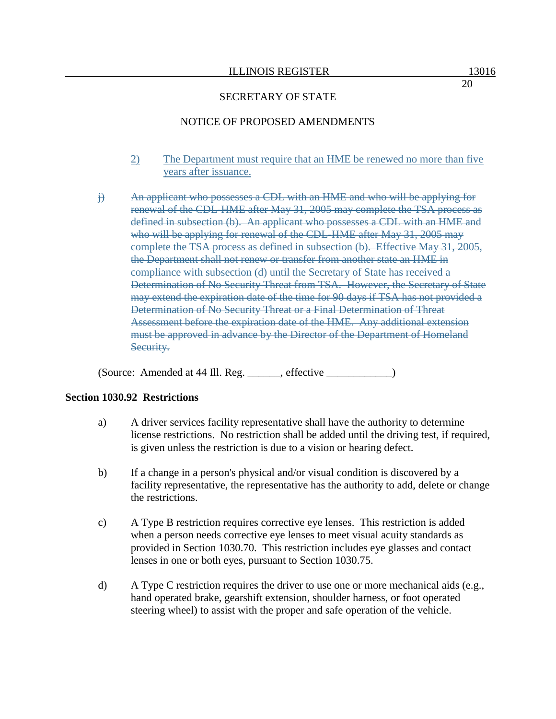## NOTICE OF PROPOSED AMENDMENTS

- 2) The Department must require that an HME be renewed no more than five years after issuance.
- j) An applicant who possesses a CDL with an HME and who will be applying for renewal of the CDL-HME after May 31, 2005 may complete the TSA process as defined in subsection (b). An applicant who possesses a CDL with an HME and who will be applying for renewal of the CDL-HME after May 31, 2005 may complete the TSA process as defined in subsection (b). Effective May 31, 2005, the Department shall not renew or transfer from another state an HME in compliance with subsection (d) until the Secretary of State has received a Determination of No Security Threat from TSA. However, the Secretary of State may extend the expiration date of the time for 90 days if TSA has not provided a Determination of No Security Threat or a Final Determination of Threat Assessment before the expiration date of the HME. Any additional extension must be approved in advance by the Director of the Department of Homeland Security.

(Source: Amended at 44 Ill. Reg. \_\_\_\_\_\_, effective \_\_\_\_\_\_\_\_\_\_\_\_)

## **Section 1030.92 Restrictions**

- a) A driver services facility representative shall have the authority to determine license restrictions. No restriction shall be added until the driving test, if required, is given unless the restriction is due to a vision or hearing defect.
- b) If a change in a person's physical and/or visual condition is discovered by a facility representative, the representative has the authority to add, delete or change the restrictions.
- c) A Type B restriction requires corrective eye lenses. This restriction is added when a person needs corrective eye lenses to meet visual acuity standards as provided in Section 1030.70. This restriction includes eye glasses and contact lenses in one or both eyes, pursuant to Section 1030.75.
- d) A Type C restriction requires the driver to use one or more mechanical aids (e.g., hand operated brake, gearshift extension, shoulder harness, or foot operated steering wheel) to assist with the proper and safe operation of the vehicle.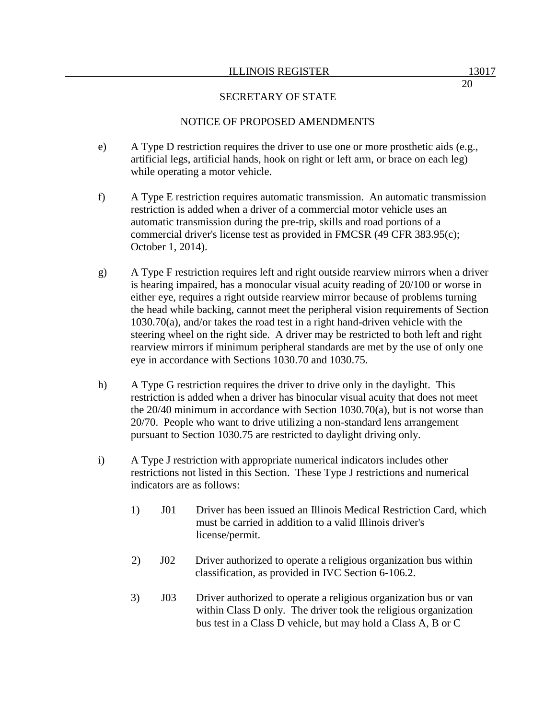# NOTICE OF PROPOSED AMENDMENTS

- e) A Type D restriction requires the driver to use one or more prosthetic aids (e.g., artificial legs, artificial hands, hook on right or left arm, or brace on each leg) while operating a motor vehicle.
- f) A Type E restriction requires automatic transmission. An automatic transmission restriction is added when a driver of a commercial motor vehicle uses an automatic transmission during the pre-trip, skills and road portions of a commercial driver's license test as provided in FMCSR (49 CFR 383.95(c); October 1, 2014).
- g) A Type F restriction requires left and right outside rearview mirrors when a driver is hearing impaired, has a monocular visual acuity reading of 20/100 or worse in either eye, requires a right outside rearview mirror because of problems turning the head while backing, cannot meet the peripheral vision requirements of Section 1030.70(a), and/or takes the road test in a right hand-driven vehicle with the steering wheel on the right side. A driver may be restricted to both left and right rearview mirrors if minimum peripheral standards are met by the use of only one eye in accordance with Sections 1030.70 and 1030.75.
- h) A Type G restriction requires the driver to drive only in the daylight. This restriction is added when a driver has binocular visual acuity that does not meet the 20/40 minimum in accordance with Section 1030.70(a), but is not worse than 20/70. People who want to drive utilizing a non-standard lens arrangement pursuant to Section 1030.75 are restricted to daylight driving only.
- i) A Type J restriction with appropriate numerical indicators includes other restrictions not listed in this Section. These Type J restrictions and numerical indicators are as follows:
	- 1) J01 Driver has been issued an Illinois Medical Restriction Card, which must be carried in addition to a valid Illinois driver's license/permit.
	- 2) J02 Driver authorized to operate a religious organization bus within classification, as provided in IVC Section 6-106.2.
	- 3) J03 Driver authorized to operate a religious organization bus or van within Class D only. The driver took the religious organization bus test in a Class D vehicle, but may hold a Class A, B or C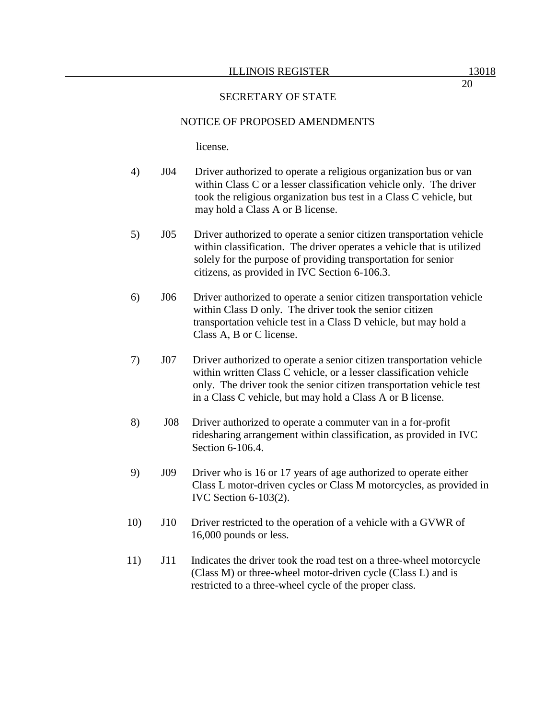## NOTICE OF PROPOSED AMENDMENTS

license.

- 4) J04 Driver authorized to operate a religious organization bus or van within Class C or a lesser classification vehicle only. The driver took the religious organization bus test in a Class C vehicle, but may hold a Class A or B license.
- 5) J05 Driver authorized to operate a senior citizen transportation vehicle within classification. The driver operates a vehicle that is utilized solely for the purpose of providing transportation for senior citizens, as provided in IVC Section 6-106.3.
- 6) J06 Driver authorized to operate a senior citizen transportation vehicle within Class D only. The driver took the senior citizen transportation vehicle test in a Class D vehicle, but may hold a Class A, B or C license.
- 7) J07 Driver authorized to operate a senior citizen transportation vehicle within written Class C vehicle, or a lesser classification vehicle only. The driver took the senior citizen transportation vehicle test in a Class C vehicle, but may hold a Class A or B license.
- 8) J08 Driver authorized to operate a commuter van in a for-profit ridesharing arrangement within classification, as provided in IVC Section 6-106.4.
- 9) J09 Driver who is 16 or 17 years of age authorized to operate either Class L motor-driven cycles or Class M motorcycles, as provided in IVC Section 6-103(2).
- 10) J10 Driver restricted to the operation of a vehicle with a GVWR of 16,000 pounds or less.
- 11) J11 Indicates the driver took the road test on a three-wheel motorcycle (Class M) or three-wheel motor-driven cycle (Class L) and is restricted to a three-wheel cycle of the proper class.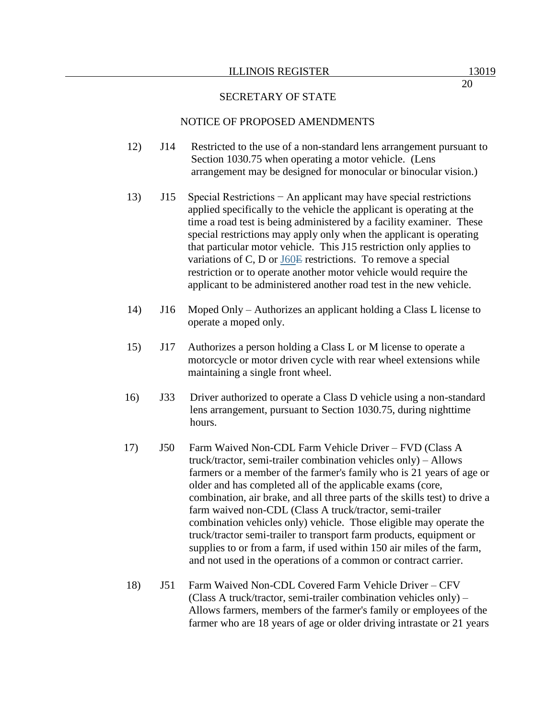#### ILLINOIS REGISTER 13019

#### SECRETARY OF STATE

#### NOTICE OF PROPOSED AMENDMENTS

- 12) J14 Restricted to the use of a non-standard lens arrangement pursuant to Section 1030.75 when operating a motor vehicle. (Lens arrangement may be designed for monocular or binocular vision.)
- 13) J15 Special Restrictions − An applicant may have special restrictions applied specifically to the vehicle the applicant is operating at the time a road test is being administered by a facility examiner. These special restrictions may apply only when the applicant is operating that particular motor vehicle. This J15 restriction only applies to variations of C, D or J60E restrictions. To remove a special restriction or to operate another motor vehicle would require the applicant to be administered another road test in the new vehicle.
- 14) J16 Moped Only Authorizes an applicant holding a Class L license to operate a moped only.
- 15) J17 Authorizes a person holding a Class L or M license to operate a motorcycle or motor driven cycle with rear wheel extensions while maintaining a single front wheel.
- 16) J33 Driver authorized to operate a Class D vehicle using a non-standard lens arrangement, pursuant to Section 1030.75, during nighttime hours.
- 17) J50 Farm Waived Non-CDL Farm Vehicle Driver FVD (Class A truck/tractor, semi-trailer combination vehicles only) – Allows farmers or a member of the farmer's family who is 21 years of age or older and has completed all of the applicable exams (core, combination, air brake, and all three parts of the skills test) to drive a farm waived non-CDL (Class A truck/tractor, semi-trailer combination vehicles only) vehicle. Those eligible may operate the truck/tractor semi-trailer to transport farm products, equipment or supplies to or from a farm, if used within 150 air miles of the farm, and not used in the operations of a common or contract carrier.
- 18) J51 Farm Waived Non-CDL Covered Farm Vehicle Driver CFV (Class A truck/tractor, semi-trailer combination vehicles only) – Allows farmers, members of the farmer's family or employees of the farmer who are 18 years of age or older driving intrastate or 21 years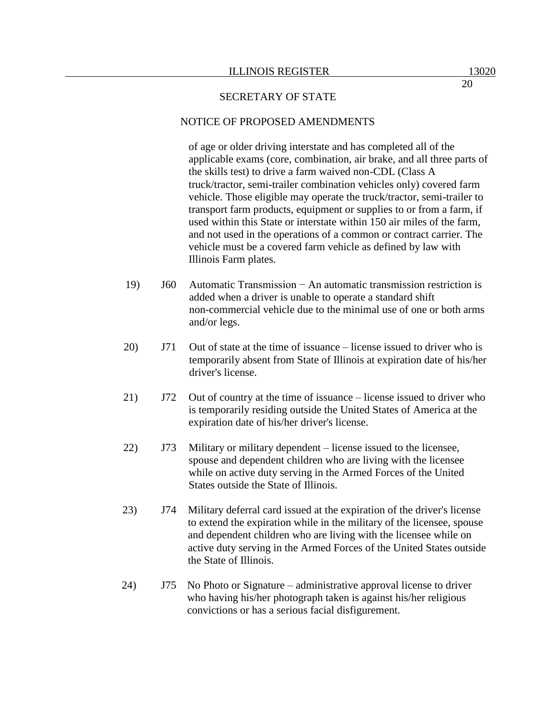#### NOTICE OF PROPOSED AMENDMENTS

of age or older driving interstate and has completed all of the applicable exams (core, combination, air brake, and all three parts of the skills test) to drive a farm waived non-CDL (Class A truck/tractor, semi-trailer combination vehicles only) covered farm vehicle. Those eligible may operate the truck/tractor, semi-trailer to transport farm products, equipment or supplies to or from a farm, if used within this State or interstate within 150 air miles of the farm, and not used in the operations of a common or contract carrier. The vehicle must be a covered farm vehicle as defined by law with Illinois Farm plates.

- 19) J60 Automatic Transmission − An automatic transmission restriction is added when a driver is unable to operate a standard shift non-commercial vehicle due to the minimal use of one or both arms and/or legs.
- 20) J71 Out of state at the time of issuance license issued to driver who is temporarily absent from State of Illinois at expiration date of his/her driver's license.
- 21) J72 Out of country at the time of issuance license issued to driver who is temporarily residing outside the United States of America at the expiration date of his/her driver's license.
- 22) J73 Military or military dependent license issued to the licensee, spouse and dependent children who are living with the licensee while on active duty serving in the Armed Forces of the United States outside the State of Illinois.
- 23) J74 Military deferral card issued at the expiration of the driver's license to extend the expiration while in the military of the licensee, spouse and dependent children who are living with the licensee while on active duty serving in the Armed Forces of the United States outside the State of Illinois.
- 24) J75 No Photo or Signature administrative approval license to driver who having his/her photograph taken is against his/her religious convictions or has a serious facial disfigurement.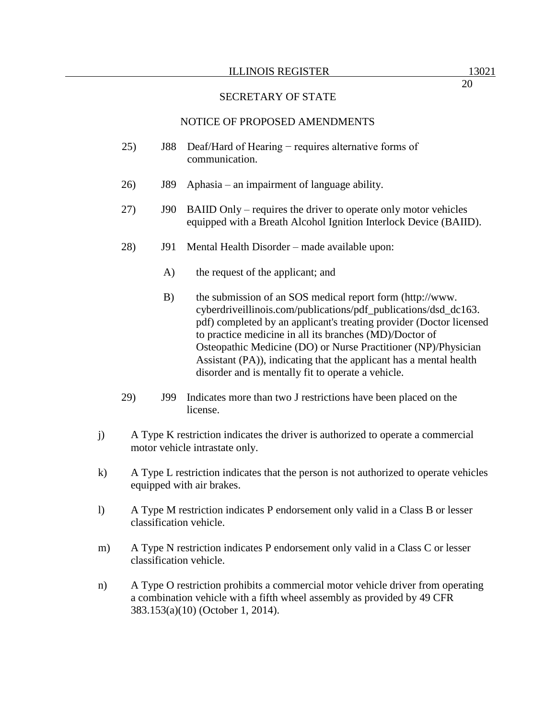## NOTICE OF PROPOSED AMENDMENTS

- 25) J88 Deaf/Hard of Hearing − requires alternative forms of communication.
- 26) J89 Aphasia an impairment of language ability.
- 27) J90 BAIID Only requires the driver to operate only motor vehicles equipped with a Breath Alcohol Ignition Interlock Device (BAIID).
- 28) J91 Mental Health Disorder made available upon:
	- A) the request of the applicant; and
	- B) the submission of an SOS medical report form (http://www. cyberdriveillinois.com/publications/pdf\_publications/dsd\_dc163. pdf) completed by an applicant's treating provider (Doctor licensed to practice medicine in all its branches (MD)/Doctor of Osteopathic Medicine (DO) or Nurse Practitioner (NP)/Physician Assistant (PA)), indicating that the applicant has a mental health disorder and is mentally fit to operate a vehicle.
- 29) J99 Indicates more than two J restrictions have been placed on the license.
- j) A Type K restriction indicates the driver is authorized to operate a commercial motor vehicle intrastate only.
- k) A Type L restriction indicates that the person is not authorized to operate vehicles equipped with air brakes.
- l) A Type M restriction indicates P endorsement only valid in a Class B or lesser classification vehicle.
- m) A Type N restriction indicates P endorsement only valid in a Class C or lesser classification vehicle.
- n) A Type O restriction prohibits a commercial motor vehicle driver from operating a combination vehicle with a fifth wheel assembly as provided by 49 CFR 383.153(a)(10) (October 1, 2014).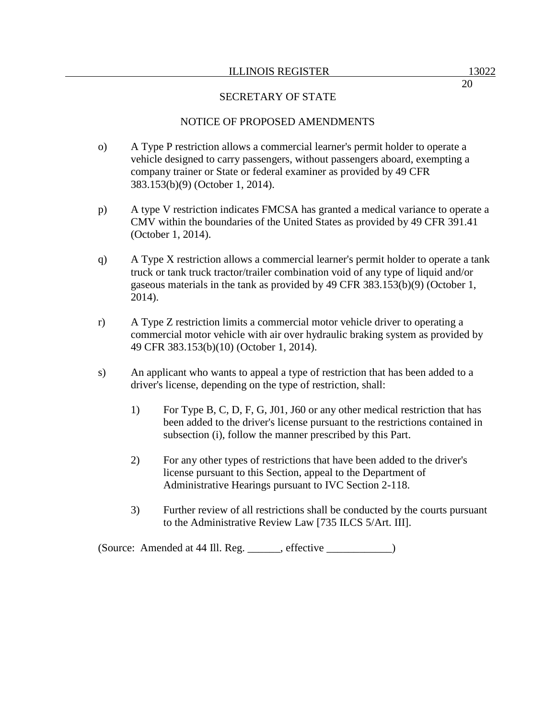# NOTICE OF PROPOSED AMENDMENTS

- o) A Type P restriction allows a commercial learner's permit holder to operate a vehicle designed to carry passengers, without passengers aboard, exempting a company trainer or State or federal examiner as provided by 49 CFR 383.153(b)(9) (October 1, 2014).
- p) A type V restriction indicates FMCSA has granted a medical variance to operate a CMV within the boundaries of the United States as provided by 49 CFR 391.41 (October 1, 2014).
- q) A Type X restriction allows a commercial learner's permit holder to operate a tank truck or tank truck tractor/trailer combination void of any type of liquid and/or gaseous materials in the tank as provided by 49 CFR 383.153(b)(9) (October 1, 2014).
- r) A Type Z restriction limits a commercial motor vehicle driver to operating a commercial motor vehicle with air over hydraulic braking system as provided by 49 CFR 383.153(b)(10) (October 1, 2014).
- s) An applicant who wants to appeal a type of restriction that has been added to a driver's license, depending on the type of restriction, shall:
	- 1) For Type B, C, D, F, G, J01, J60 or any other medical restriction that has been added to the driver's license pursuant to the restrictions contained in subsection (i), follow the manner prescribed by this Part.
	- 2) For any other types of restrictions that have been added to the driver's license pursuant to this Section, appeal to the Department of Administrative Hearings pursuant to IVC Section 2-118.
	- 3) Further review of all restrictions shall be conducted by the courts pursuant to the Administrative Review Law [735 ILCS 5/Art. III].

(Source: Amended at 44 Ill. Reg. \_\_\_\_\_\_, effective \_\_\_\_\_\_\_\_\_\_\_\_)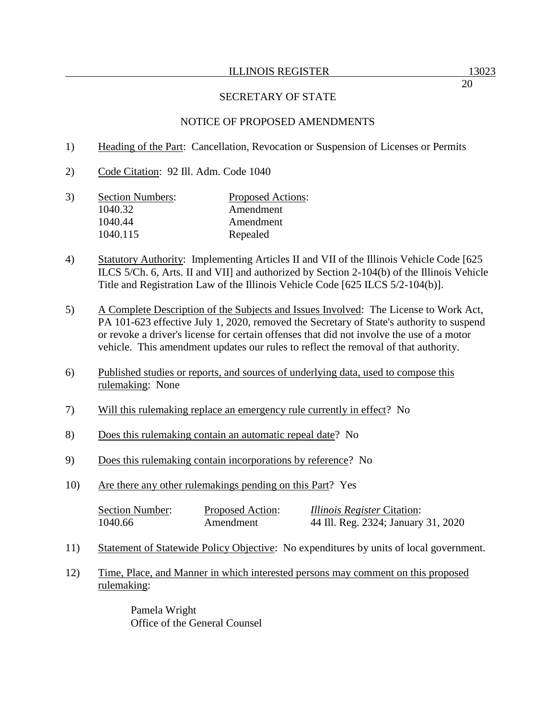## NOTICE OF PROPOSED AMENDMENTS

- 1) Heading of the Part: Cancellation, Revocation or Suspension of Licenses or Permits
- 2) Code Citation: 92 Ill. Adm. Code 1040
- 3) Section Numbers: Proposed Actions: 1040.32 Amendment 1040.44 Amendment 1040.115 Repealed
- 4) Statutory Authority: Implementing Articles II and VII of the Illinois Vehicle Code [625 ILCS 5/Ch. 6, Arts. II and VII] and authorized by Section 2-104(b) of the Illinois Vehicle Title and Registration Law of the Illinois Vehicle Code [625 ILCS 5/2-104(b)].
- 5) A Complete Description of the Subjects and Issues Involved: The License to Work Act, PA 101-623 effective July 1, 2020, removed the Secretary of State's authority to suspend or revoke a driver's license for certain offenses that did not involve the use of a motor vehicle. This amendment updates our rules to reflect the removal of that authority.
- 6) Published studies or reports, and sources of underlying data, used to compose this rulemaking: None
- 7) Will this rulemaking replace an emergency rule currently in effect? No
- 8) Does this rulemaking contain an automatic repeal date? No
- 9) Does this rulemaking contain incorporations by reference? No
- 10) Are there any other rulemakings pending on this Part? Yes

| <b>Section Number:</b> | Proposed Action: | <i>Illinois Register Citation:</i>  |
|------------------------|------------------|-------------------------------------|
| 1040.66                | Amendment        | 44 Ill. Reg. 2324; January 31, 2020 |

- 11) Statement of Statewide Policy Objective: No expenditures by units of local government.
- 12) Time, Place, and Manner in which interested persons may comment on this proposed rulemaking:

Pamela Wright Office of the General Counsel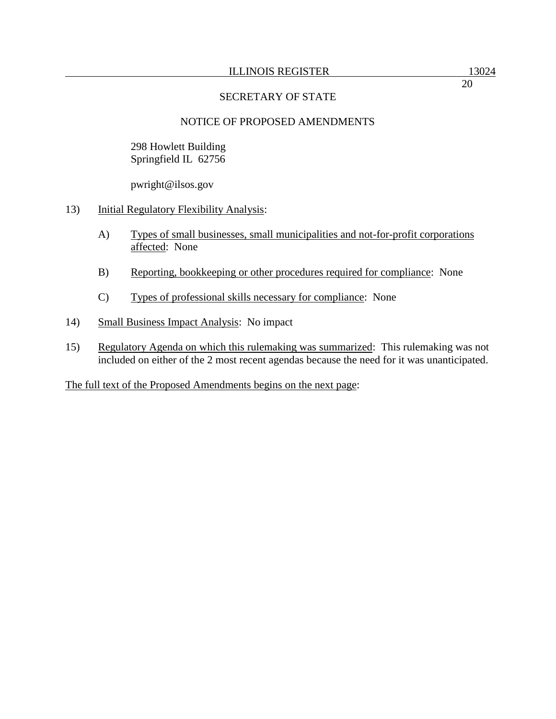298 Howlett Building Springfield IL 62756

pwright@ilsos.gov

- 13) Initial Regulatory Flexibility Analysis:
	- A) Types of small businesses, small municipalities and not-for-profit corporations affected: None
	- B) Reporting, bookkeeping or other procedures required for compliance: None
	- C) Types of professional skills necessary for compliance: None
- 14) Small Business Impact Analysis: No impact
- 15) Regulatory Agenda on which this rulemaking was summarized: This rulemaking was not included on either of the 2 most recent agendas because the need for it was unanticipated.

The full text of the Proposed Amendments begins on the next page: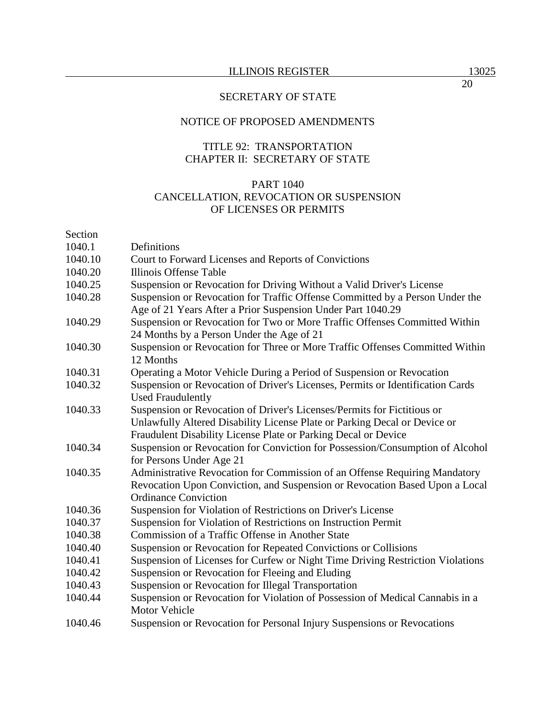## NOTICE OF PROPOSED AMENDMENTS

## TITLE 92: TRANSPORTATION CHAPTER II: SECRETARY OF STATE

## PART 1040 CANCELLATION, REVOCATION OR SUSPENSION OF LICENSES OR PERMITS

## Section

| 1040.1  | Definitions                                                                                                                                 |
|---------|---------------------------------------------------------------------------------------------------------------------------------------------|
| 1040.10 | Court to Forward Licenses and Reports of Convictions                                                                                        |
| 1040.20 | Illinois Offense Table                                                                                                                      |
| 1040.25 | Suspension or Revocation for Driving Without a Valid Driver's License                                                                       |
| 1040.28 | Suspension or Revocation for Traffic Offense Committed by a Person Under the<br>Age of 21 Years After a Prior Suspension Under Part 1040.29 |
| 1040.29 | Suspension or Revocation for Two or More Traffic Offenses Committed Within<br>24 Months by a Person Under the Age of 21                     |
| 1040.30 | Suspension or Revocation for Three or More Traffic Offenses Committed Within<br>12 Months                                                   |
| 1040.31 | Operating a Motor Vehicle During a Period of Suspension or Revocation                                                                       |
| 1040.32 | Suspension or Revocation of Driver's Licenses, Permits or Identification Cards<br><b>Used Fraudulently</b>                                  |
| 1040.33 | Suspension or Revocation of Driver's Licenses/Permits for Fictitious or                                                                     |
|         | Unlawfully Altered Disability License Plate or Parking Decal or Device or                                                                   |
|         | Fraudulent Disability License Plate or Parking Decal or Device                                                                              |
| 1040.34 | Suspension or Revocation for Conviction for Possession/Consumption of Alcohol                                                               |
|         | for Persons Under Age 21                                                                                                                    |
| 1040.35 | Administrative Revocation for Commission of an Offense Requiring Mandatory                                                                  |
|         | Revocation Upon Conviction, and Suspension or Revocation Based Upon a Local                                                                 |
|         | <b>Ordinance Conviction</b>                                                                                                                 |
| 1040.36 | Suspension for Violation of Restrictions on Driver's License                                                                                |
| 1040.37 | Suspension for Violation of Restrictions on Instruction Permit                                                                              |
| 1040.38 | Commission of a Traffic Offense in Another State                                                                                            |
| 1040.40 | Suspension or Revocation for Repeated Convictions or Collisions                                                                             |
| 1040.41 | Suspension of Licenses for Curfew or Night Time Driving Restriction Violations                                                              |
| 1040.42 | Suspension or Revocation for Fleeing and Eluding                                                                                            |
| 1040.43 | Suspension or Revocation for Illegal Transportation                                                                                         |
| 1040.44 | Suspension or Revocation for Violation of Possession of Medical Cannabis in a<br><b>Motor Vehicle</b>                                       |
| 1040.46 | Suspension or Revocation for Personal Injury Suspensions or Revocations                                                                     |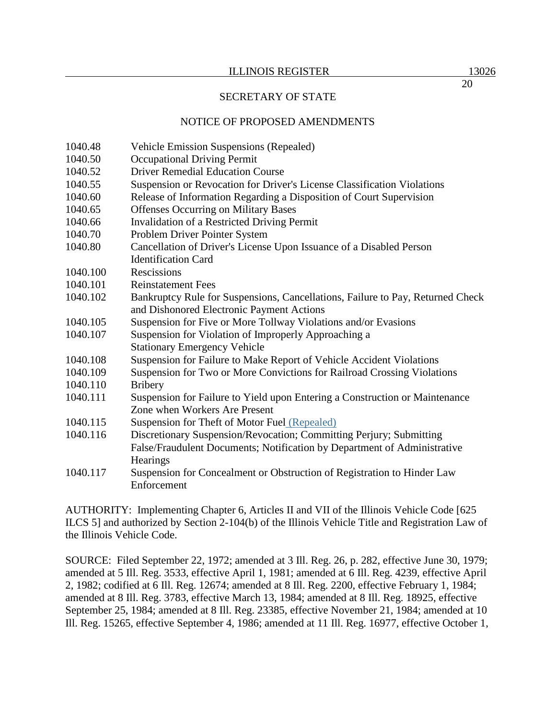# NOTICE OF PROPOSED AMENDMENTS

- 1040.48 Vehicle Emission Suspensions (Repealed)
- 1040.50 Occupational Driving Permit
- 1040.52 Driver Remedial Education Course
- 1040.55 Suspension or Revocation for Driver's License Classification Violations
- 1040.60 Release of Information Regarding a Disposition of Court Supervision
- 1040.65 Offenses Occurring on Military Bases
- 1040.66 Invalidation of a Restricted Driving Permit
- 1040.70 Problem Driver Pointer System
- 1040.80 Cancellation of Driver's License Upon Issuance of a Disabled Person Identification Card
- 1040.100 Rescissions
- 1040.101 Reinstatement Fees
- 1040.102 Bankruptcy Rule for Suspensions, Cancellations, Failure to Pay, Returned Check and Dishonored Electronic Payment Actions
- 1040.105 Suspension for Five or More Tollway Violations and/or Evasions
- 1040.107 Suspension for Violation of Improperly Approaching a Stationary Emergency Vehicle
- 1040.108 Suspension for Failure to Make Report of Vehicle Accident Violations
- 1040.109 Suspension for Two or More Convictions for Railroad Crossing Violations 1040.110 Bribery
- 1040.111 Suspension for Failure to Yield upon Entering a Construction or Maintenance Zone when Workers Are Present
- 1040.115 Suspension for Theft of Motor Fuel (Repealed)
- 1040.116 Discretionary Suspension/Revocation; Committing Perjury; Submitting False/Fraudulent Documents; Notification by Department of Administrative **Hearings**
- 1040.117 Suspension for Concealment or Obstruction of Registration to Hinder Law Enforcement

AUTHORITY: Implementing Chapter 6, Articles II and VII of the Illinois Vehicle Code [625 ILCS 5] and authorized by Section 2-104(b) of the Illinois Vehicle Title and Registration Law of the Illinois Vehicle Code.

SOURCE: Filed September 22, 1972; amended at 3 Ill. Reg. 26, p. 282, effective June 30, 1979; amended at 5 Ill. Reg. 3533, effective April 1, 1981; amended at 6 Ill. Reg. 4239, effective April 2, 1982; codified at 6 Ill. Reg. 12674; amended at 8 Ill. Reg. 2200, effective February 1, 1984; amended at 8 Ill. Reg. 3783, effective March 13, 1984; amended at 8 Ill. Reg. 18925, effective September 25, 1984; amended at 8 Ill. Reg. 23385, effective November 21, 1984; amended at 10 Ill. Reg. 15265, effective September 4, 1986; amended at 11 Ill. Reg. 16977, effective October 1,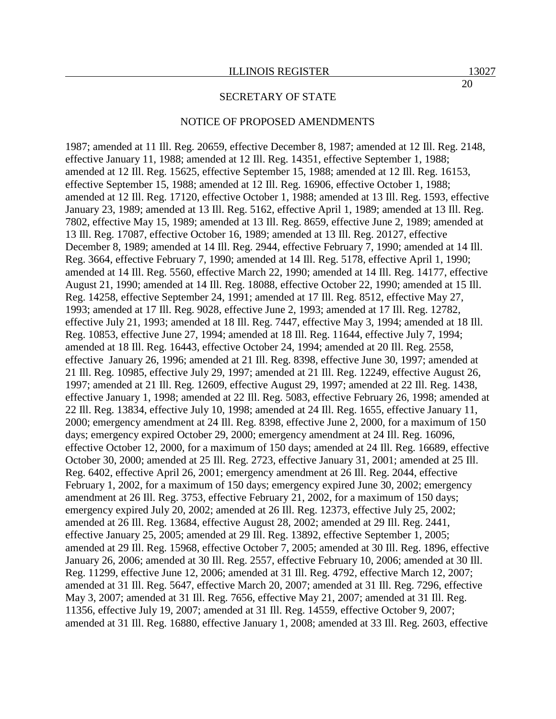#### NOTICE OF PROPOSED AMENDMENTS

1987; amended at 11 Ill. Reg. 20659, effective December 8, 1987; amended at 12 Ill. Reg. 2148, effective January 11, 1988; amended at 12 Ill. Reg. 14351, effective September 1, 1988; amended at 12 Ill. Reg. 15625, effective September 15, 1988; amended at 12 Ill. Reg. 16153, effective September 15, 1988; amended at 12 Ill. Reg. 16906, effective October 1, 1988; amended at 12 Ill. Reg. 17120, effective October 1, 1988; amended at 13 Ill. Reg. 1593, effective January 23, 1989; amended at 13 Ill. Reg. 5162, effective April 1, 1989; amended at 13 Ill. Reg. 7802, effective May 15, 1989; amended at 13 Ill. Reg. 8659, effective June 2, 1989; amended at 13 Ill. Reg. 17087, effective October 16, 1989; amended at 13 Ill. Reg. 20127, effective December 8, 1989; amended at 14 Ill. Reg. 2944, effective February 7, 1990; amended at 14 Ill. Reg. 3664, effective February 7, 1990; amended at 14 Ill. Reg. 5178, effective April 1, 1990; amended at 14 Ill. Reg. 5560, effective March 22, 1990; amended at 14 Ill. Reg. 14177, effective August 21, 1990; amended at 14 Ill. Reg. 18088, effective October 22, 1990; amended at 15 Ill. Reg. 14258, effective September 24, 1991; amended at 17 Ill. Reg. 8512, effective May 27, 1993; amended at 17 Ill. Reg. 9028, effective June 2, 1993; amended at 17 Ill. Reg. 12782, effective July 21, 1993; amended at 18 Ill. Reg. 7447, effective May 3, 1994; amended at 18 Ill. Reg. 10853, effective June 27, 1994; amended at 18 Ill. Reg. 11644, effective July 7, 1994; amended at 18 Ill. Reg. 16443, effective October 24, 1994; amended at 20 Ill. Reg. 2558, effective January 26, 1996; amended at 21 Ill. Reg. 8398, effective June 30, 1997; amended at 21 Ill. Reg. 10985, effective July 29, 1997; amended at 21 Ill. Reg. 12249, effective August 26, 1997; amended at 21 Ill. Reg. 12609, effective August 29, 1997; amended at 22 Ill. Reg. 1438, effective January 1, 1998; amended at 22 Ill. Reg. 5083, effective February 26, 1998; amended at 22 Ill. Reg. 13834, effective July 10, 1998; amended at 24 Ill. Reg. 1655, effective January 11, 2000; emergency amendment at 24 Ill. Reg. 8398, effective June 2, 2000, for a maximum of 150 days; emergency expired October 29, 2000; emergency amendment at 24 Ill. Reg. 16096, effective October 12, 2000, for a maximum of 150 days; amended at 24 Ill. Reg. 16689, effective October 30, 2000; amended at 25 Ill. Reg. 2723, effective January 31, 2001; amended at 25 Ill. Reg. 6402, effective April 26, 2001; emergency amendment at 26 Ill. Reg. 2044, effective February 1, 2002, for a maximum of 150 days; emergency expired June 30, 2002; emergency amendment at 26 Ill. Reg. 3753, effective February 21, 2002, for a maximum of 150 days; emergency expired July 20, 2002; amended at 26 Ill. Reg. 12373, effective July 25, 2002; amended at 26 Ill. Reg. 13684, effective August 28, 2002; amended at 29 Ill. Reg. 2441, effective January 25, 2005; amended at 29 Ill. Reg. 13892, effective September 1, 2005; amended at 29 Ill. Reg. 15968, effective October 7, 2005; amended at 30 Ill. Reg. 1896, effective January 26, 2006; amended at 30 Ill. Reg. 2557, effective February 10, 2006; amended at 30 Ill. Reg. 11299, effective June 12, 2006; amended at 31 Ill. Reg. 4792, effective March 12, 2007; amended at 31 Ill. Reg. 5647, effective March 20, 2007; amended at 31 Ill. Reg. 7296, effective May 3, 2007; amended at 31 Ill. Reg. 7656, effective May 21, 2007; amended at 31 Ill. Reg. 11356, effective July 19, 2007; amended at 31 Ill. Reg. 14559, effective October 9, 2007; amended at 31 Ill. Reg. 16880, effective January 1, 2008; amended at 33 Ill. Reg. 2603, effective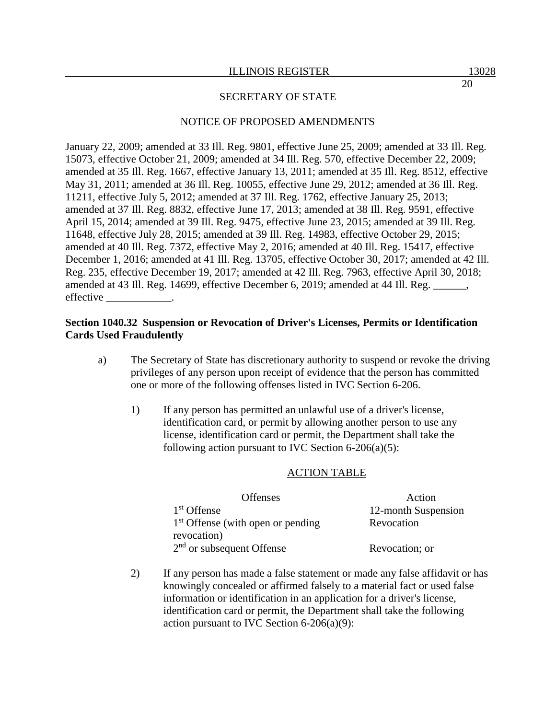## NOTICE OF PROPOSED AMENDMENTS

January 22, 2009; amended at 33 Ill. Reg. 9801, effective June 25, 2009; amended at 33 Ill. Reg. 15073, effective October 21, 2009; amended at 34 Ill. Reg. 570, effective December 22, 2009; amended at 35 Ill. Reg. 1667, effective January 13, 2011; amended at 35 Ill. Reg. 8512, effective May 31, 2011; amended at 36 Ill. Reg. 10055, effective June 29, 2012; amended at 36 Ill. Reg. 11211, effective July 5, 2012; amended at 37 Ill. Reg. 1762, effective January 25, 2013; amended at 37 Ill. Reg. 8832, effective June 17, 2013; amended at 38 Ill. Reg. 9591, effective April 15, 2014; amended at 39 Ill. Reg. 9475, effective June 23, 2015; amended at 39 Ill. Reg. 11648, effective July 28, 2015; amended at 39 Ill. Reg. 14983, effective October 29, 2015; amended at 40 Ill. Reg. 7372, effective May 2, 2016; amended at 40 Ill. Reg. 15417, effective December 1, 2016; amended at 41 Ill. Reg. 13705, effective October 30, 2017; amended at 42 Ill. Reg. 235, effective December 19, 2017; amended at 42 Ill. Reg. 7963, effective April 30, 2018; amended at 43 Ill. Reg. 14699, effective December 6, 2019; amended at 44 Ill. Reg. \_\_\_\_\_\_, effective

## **Section 1040.32 Suspension or Revocation of Driver's Licenses, Permits or Identification Cards Used Fraudulently**

- a) The Secretary of State has discretionary authority to suspend or revoke the driving privileges of any person upon receipt of evidence that the person has committed one or more of the following offenses listed in IVC Section 6-206.
	- 1) If any person has permitted an unlawful use of a driver's license, identification card, or permit by allowing another person to use any license, identification card or permit, the Department shall take the following action pursuant to IVC Section  $6-206(a)(5)$ :

# ACTION TABLE

| <b>Offenses</b>                     | Action              |
|-------------------------------------|---------------------|
| 1 <sup>st</sup> Offense             | 12-month Suspension |
| $1st$ Offense (with open or pending | Revocation          |
| revocation)                         |                     |
| $2nd$ or subsequent Offense         | Revocation; or      |

2) If any person has made a false statement or made any false affidavit or has knowingly concealed or affirmed falsely to a material fact or used false information or identification in an application for a driver's license, identification card or permit, the Department shall take the following action pursuant to IVC Section 6-206(a)(9):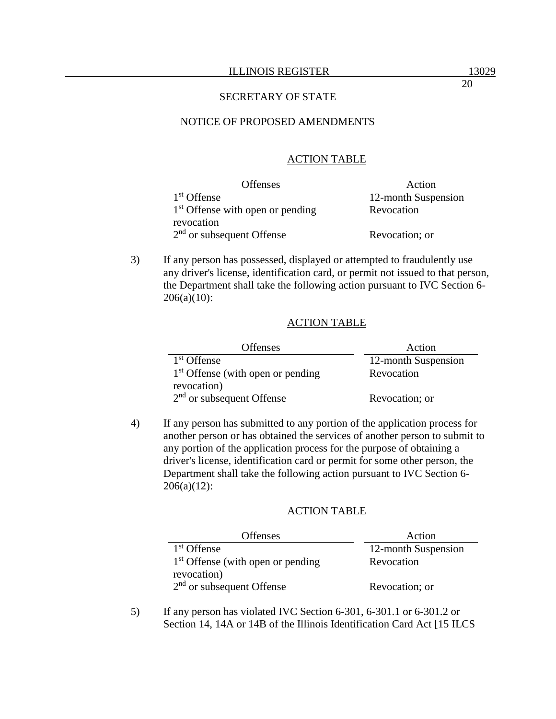### NOTICE OF PROPOSED AMENDMENTS

#### ACTION TABLE

| <b>Offenses</b>                    | Action              |
|------------------------------------|---------------------|
| 1 <sup>st</sup> Offense            | 12-month Suspension |
| $1st$ Offense with open or pending | Revocation          |
| revocation                         |                     |
| $2nd$ or subsequent Offense        | Revocation; or      |

3) If any person has possessed, displayed or attempted to fraudulently use any driver's license, identification card, or permit not issued to that person, the Department shall take the following action pursuant to IVC Section 6-  $206(a)(10)$ :

#### ACTION TABLE

| <b>Offenses</b>                     | Action              |
|-------------------------------------|---------------------|
| 1 <sup>st</sup> Offense             | 12-month Suspension |
| $1st$ Offense (with open or pending | Revocation          |
| revocation)                         |                     |
| $2nd$ or subsequent Offense         | Revocation; or      |

4) If any person has submitted to any portion of the application process for another person or has obtained the services of another person to submit to any portion of the application process for the purpose of obtaining a driver's license, identification card or permit for some other person, the Department shall take the following action pursuant to IVC Section 6- 206(a)(12):

### ACTION TABLE

| <b>Offenses</b>                     | Action              |
|-------------------------------------|---------------------|
| 1 <sup>st</sup> Offense             | 12-month Suspension |
| $1st$ Offense (with open or pending | Revocation          |
| revocation)                         |                     |
| $2nd$ or subsequent Offense         | Revocation; or      |

5) If any person has violated IVC Section 6-301, 6-301.1 or 6-301.2 or Section 14, 14A or 14B of the Illinois Identification Card Act [15 ILCS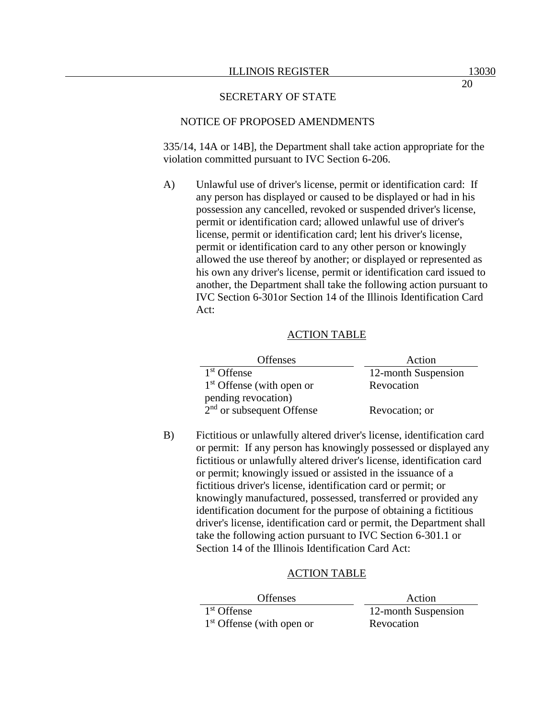### NOTICE OF PROPOSED AMENDMENTS

335/14, 14A or 14B], the Department shall take action appropriate for the violation committed pursuant to IVC Section 6-206.

A) Unlawful use of driver's license, permit or identification card: If any person has displayed or caused to be displayed or had in his possession any cancelled, revoked or suspended driver's license, permit or identification card; allowed unlawful use of driver's license, permit or identification card; lent his driver's license, permit or identification card to any other person or knowingly allowed the use thereof by another; or displayed or represented as his own any driver's license, permit or identification card issued to another, the Department shall take the following action pursuant to IVC Section 6-301or Section 14 of the Illinois Identification Card Act:

### ACTION TABLE

| <b>Offenses</b>             | Action              |
|-----------------------------|---------------------|
| 1 <sup>st</sup> Offense     | 12-month Suspension |
| $1st$ Offense (with open or | Revocation          |
| pending revocation)         |                     |
| $2nd$ or subsequent Offense | Revocation; or      |

B) Fictitious or unlawfully altered driver's license, identification card or permit: If any person has knowingly possessed or displayed any fictitious or unlawfully altered driver's license, identification card or permit; knowingly issued or assisted in the issuance of a fictitious driver's license, identification card or permit; or knowingly manufactured, possessed, transferred or provided any identification document for the purpose of obtaining a fictitious driver's license, identification card or permit, the Department shall take the following action pursuant to IVC Section 6-301.1 or Section 14 of the Illinois Identification Card Act:

#### ACTION TABLE

| <b>Offenses</b>             | Action              |
|-----------------------------|---------------------|
| 1 <sup>st</sup> Offense     | 12-month Suspension |
| $1st$ Offense (with open or | Revocation          |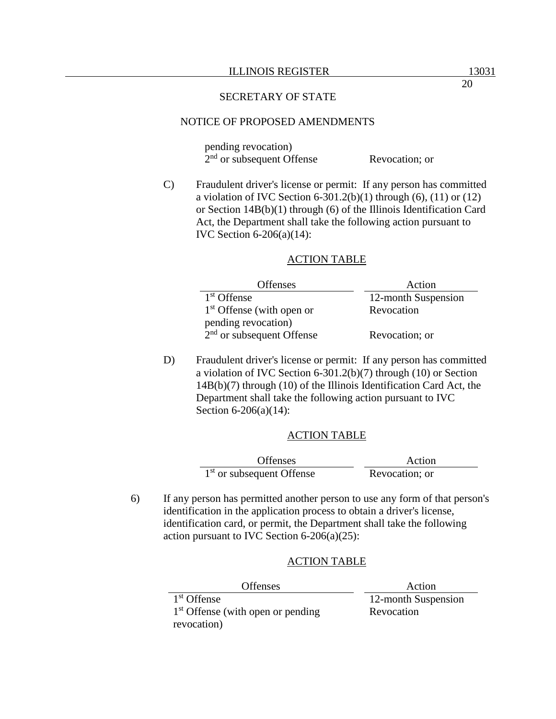### NOTICE OF PROPOSED AMENDMENTS

pending revocation) 2<sup>nd</sup> or subsequent Offense Revocation; or

C) Fraudulent driver's license or permit: If any person has committed a violation of IVC Section 6-301.2(b)(1) through (6), (11) or (12) or Section 14B(b)(1) through (6) of the Illinois Identification Card Act, the Department shall take the following action pursuant to IVC Section 6-206(a)(14):

#### ACTION TABLE

| <b>Offenses</b>             | Action              |
|-----------------------------|---------------------|
| $1st$ Offense               | 12-month Suspension |
| $1st$ Offense (with open or | Revocation          |
| pending revocation)         |                     |
| $2nd$ or subsequent Offense | Revocation; or      |

D) Fraudulent driver's license or permit: If any person has committed a violation of IVC Section 6-301.2(b)(7) through (10) or Section 14B(b)(7) through (10) of the Illinois Identification Card Act, the Department shall take the following action pursuant to IVC Section 6-206(a)(14):

#### ACTION TABLE

| <b>Offenses</b>                       | Action         |
|---------------------------------------|----------------|
| 1 <sup>st</sup> or subsequent Offense | Revocation; or |

6) If any person has permitted another person to use any form of that person's identification in the application process to obtain a driver's license, identification card, or permit, the Department shall take the following action pursuant to IVC Section 6-206(a)(25):

#### ACTION TABLE

| Offenses                            | Action              |
|-------------------------------------|---------------------|
| 1 <sup>st</sup> Offense             | 12-month Suspension |
| $1st$ Offense (with open or pending | Revocation          |
| revocation)                         |                     |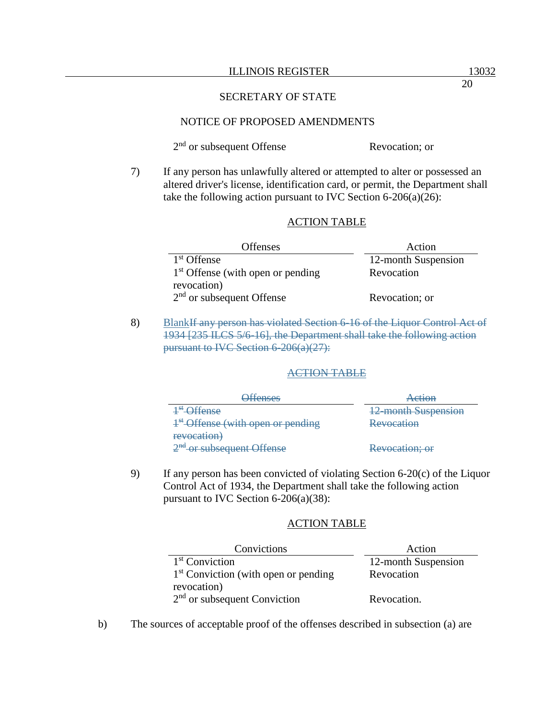#### NOTICE OF PROPOSED AMENDMENTS

2<sup>nd</sup> or subsequent Offense Revocation; or

7) If any person has unlawfully altered or attempted to alter or possessed an altered driver's license, identification card, or permit, the Department shall take the following action pursuant to IVC Section 6-206(a)(26):

#### ACTION TABLE

| <b>Offenses</b>                     | Action              |
|-------------------------------------|---------------------|
| 1 <sup>st</sup> Offense             | 12-month Suspension |
| $1st$ Offense (with open or pending | Revocation          |
| revocation)                         |                     |
| $2nd$ or subsequent Offense         | Revocation; or      |

8) BlankIf any person has violated Section 6-16 of the Liquor Control Act of 1934 [235 ILCS 5/6-16], the Department shall take the following action pursuant to IVC Section 6-206(a)(27):

#### ACTION TABLE

| <b>Offenses</b>                        | Action                     |
|----------------------------------------|----------------------------|
| <sup>4st</sup> -Offense                | <b>12-month Suspension</b> |
| $4st$ Offense (with open or pending    | <b>Revocation</b>          |
| revocation)                            |                            |
| 2 <sup>nd</sup> -or subsequent Offense | Revocation; or             |

9) If any person has been convicted of violating Section 6-20(c) of the Liquor Control Act of 1934, the Department shall take the following action pursuant to IVC Section 6-206(a)(38):

### ACTION TABLE

| Convictions                            | Action              |
|----------------------------------------|---------------------|
| $1st$ Conviction                       | 12-month Suspension |
| $1st$ Conviction (with open or pending | Revocation          |
| revocation)                            |                     |
| $2nd$ or subsequent Conviction         | Revocation.         |

b) The sources of acceptable proof of the offenses described in subsection (a) are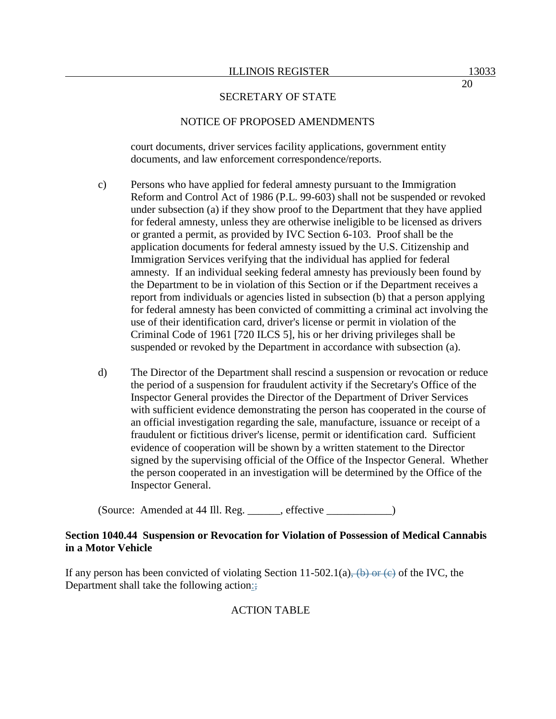## NOTICE OF PROPOSED AMENDMENTS

court documents, driver services facility applications, government entity documents, and law enforcement correspondence/reports.

- c) Persons who have applied for federal amnesty pursuant to the Immigration Reform and Control Act of 1986 (P.L. 99-603) shall not be suspended or revoked under subsection (a) if they show proof to the Department that they have applied for federal amnesty, unless they are otherwise ineligible to be licensed as drivers or granted a permit, as provided by IVC Section 6-103. Proof shall be the application documents for federal amnesty issued by the U.S. Citizenship and Immigration Services verifying that the individual has applied for federal amnesty. If an individual seeking federal amnesty has previously been found by the Department to be in violation of this Section or if the Department receives a report from individuals or agencies listed in subsection (b) that a person applying for federal amnesty has been convicted of committing a criminal act involving the use of their identification card, driver's license or permit in violation of the Criminal Code of 1961 [720 ILCS 5], his or her driving privileges shall be suspended or revoked by the Department in accordance with subsection (a).
- d) The Director of the Department shall rescind a suspension or revocation or reduce the period of a suspension for fraudulent activity if the Secretary's Office of the Inspector General provides the Director of the Department of Driver Services with sufficient evidence demonstrating the person has cooperated in the course of an official investigation regarding the sale, manufacture, issuance or receipt of a fraudulent or fictitious driver's license, permit or identification card. Sufficient evidence of cooperation will be shown by a written statement to the Director signed by the supervising official of the Office of the Inspector General. Whether the person cooperated in an investigation will be determined by the Office of the Inspector General.

(Source: Amended at 44 Ill. Reg. effective )

## **Section 1040.44 Suspension or Revocation for Violation of Possession of Medical Cannabis in a Motor Vehicle**

If any person has been convicted of violating Section 11-502.1(a), (b) or (e) of the IVC, the Department shall take the following action:;

# ACTION TABLE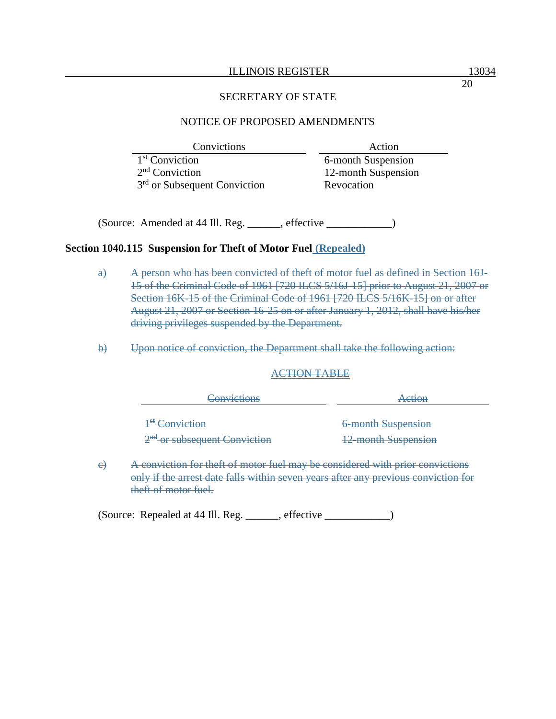#### ILLINOIS REGISTER 13034

#### SECRETARY OF STATE

## NOTICE OF PROPOSED AMENDMENTS

| <b>Convictions</b>             | Action              |
|--------------------------------|---------------------|
| $1st$ Conviction               | 6-month Suspension  |
| $2nd$ Conviction               | 12-month Suspension |
| $3rd$ or Subsequent Conviction | Revocation          |

(Source: Amended at 44 Ill. Reg. \_\_\_\_\_\_, effective \_\_\_\_\_\_\_\_\_\_\_\_)

#### **Section 1040.115 Suspension for Theft of Motor Fuel (Repealed)**

- a) A person who has been convicted of theft of motor fuel as defined in Section 16J-15 of the Criminal Code of 1961 [720 ILCS 5/16J-15] prior to August 21, 2007 or Section 16K-15 of the Criminal Code of 1961 [720 ILCS 5/16K-15] on or after August 21, 2007 or Section 16-25 on or after January 1, 2012, shall have his/her driving privileges suspended by the Department.
- b) Upon notice of conviction, the Department shall take the following action:

#### ACTION TABLE

| Action                     |
|----------------------------|
| 6-month Suspension         |
| <b>12-month Suspension</b> |
|                            |

c) A conviction for theft of motor fuel may be considered with prior convictions only if the arrest date falls within seven years after any previous conviction for theft of motor fuel.

(Source: Repealed at 44 Ill. Reg. \_\_\_\_\_\_, effective \_\_\_\_\_\_\_\_\_\_\_\_)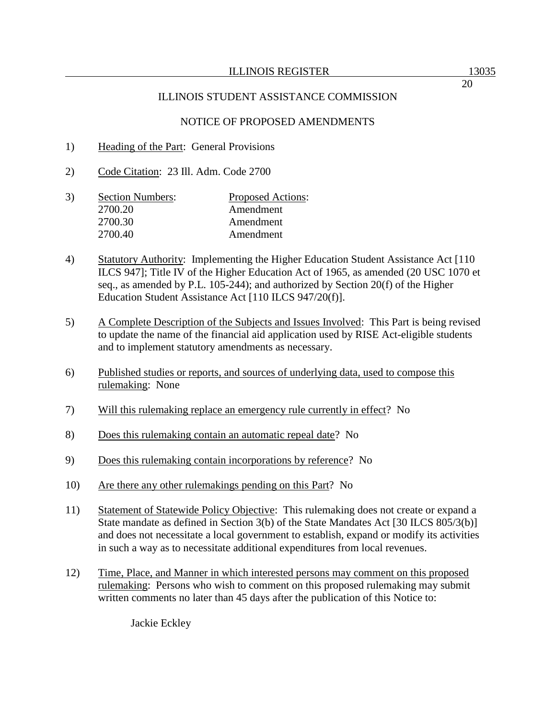- 1) Heading of the Part: General Provisions
- 2) Code Citation: 23 Ill. Adm. Code 2700
- 3) Section Numbers: Proposed Actions: 2700.20 Amendment 2700.30 Amendment 2700.40 Amendment
- 4) Statutory Authority: Implementing the Higher Education Student Assistance Act [110 ILCS 947]; Title IV of the Higher Education Act of 1965, as amended (20 USC 1070 et seq., as amended by P.L. 105-244); and authorized by Section 20(f) of the Higher Education Student Assistance Act [110 ILCS 947/20(f)].
- 5) A Complete Description of the Subjects and Issues Involved: This Part is being revised to update the name of the financial aid application used by RISE Act-eligible students and to implement statutory amendments as necessary.
- 6) Published studies or reports, and sources of underlying data, used to compose this rulemaking: None
- 7) Will this rulemaking replace an emergency rule currently in effect? No
- 8) Does this rulemaking contain an automatic repeal date? No
- 9) Does this rulemaking contain incorporations by reference? No
- 10) Are there any other rulemakings pending on this Part? No
- 11) Statement of Statewide Policy Objective: This rulemaking does not create or expand a State mandate as defined in Section 3(b) of the State Mandates Act [30 ILCS 805/3(b)] and does not necessitate a local government to establish, expand or modify its activities in such a way as to necessitate additional expenditures from local revenues.
- 12) Time, Place, and Manner in which interested persons may comment on this proposed rulemaking: Persons who wish to comment on this proposed rulemaking may submit written comments no later than 45 days after the publication of this Notice to:

Jackie Eckley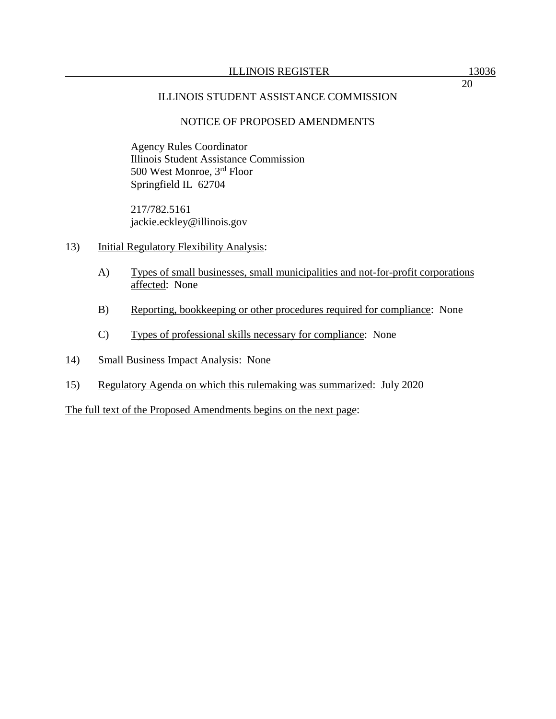Agency Rules Coordinator Illinois Student Assistance Commission 500 West Monroe, 3rd Floor Springfield IL 62704

217/782.5161 jackie.eckley@illinois.gov

- 13) Initial Regulatory Flexibility Analysis:
	- A) Types of small businesses, small municipalities and not-for-profit corporations affected: None
	- B) Reporting, bookkeeping or other procedures required for compliance: None
	- C) Types of professional skills necessary for compliance: None
- 14) Small Business Impact Analysis: None
- 15) Regulatory Agenda on which this rulemaking was summarized: July 2020

The full text of the Proposed Amendments begins on the next page: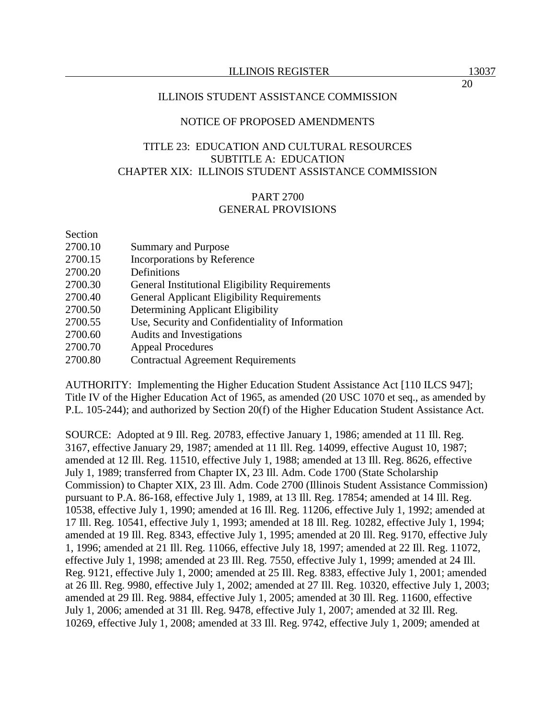# TITLE 23: EDUCATION AND CULTURAL RESOURCES SUBTITLE A: EDUCATION CHAPTER XIX: ILLINOIS STUDENT ASSISTANCE COMMISSION

# PART 2700

## GENERAL PROVISIONS

Section

- 2700.10 Summary and Purpose
- 2700.15 Incorporations by Reference
- 2700.20 Definitions
- 2700.30 General Institutional Eligibility Requirements
- 2700.40 General Applicant Eligibility Requirements
- 2700.50 Determining Applicant Eligibility
- 2700.55 Use, Security and Confidentiality of Information
- 2700.60 Audits and Investigations
- 2700.70 Appeal Procedures
- 2700.80 Contractual Agreement Requirements

AUTHORITY: Implementing the Higher Education Student Assistance Act [110 ILCS 947]; Title IV of the Higher Education Act of 1965, as amended (20 USC 1070 et seq., as amended by P.L. 105-244); and authorized by Section 20(f) of the Higher Education Student Assistance Act.

SOURCE: Adopted at 9 Ill. Reg. 20783, effective January 1, 1986; amended at 11 Ill. Reg. 3167, effective January 29, 1987; amended at 11 Ill. Reg. 14099, effective August 10, 1987; amended at 12 Ill. Reg. 11510, effective July 1, 1988; amended at 13 Ill. Reg. 8626, effective July 1, 1989; transferred from Chapter IX, 23 Ill. Adm. Code 1700 (State Scholarship Commission) to Chapter XIX, 23 Ill. Adm. Code 2700 (Illinois Student Assistance Commission) pursuant to P.A. 86-168, effective July 1, 1989, at 13 Ill. Reg. 17854; amended at 14 Ill. Reg. 10538, effective July 1, 1990; amended at 16 Ill. Reg. 11206, effective July 1, 1992; amended at 17 Ill. Reg. 10541, effective July 1, 1993; amended at 18 Ill. Reg. 10282, effective July 1, 1994; amended at 19 Ill. Reg. 8343, effective July 1, 1995; amended at 20 Ill. Reg. 9170, effective July 1, 1996; amended at 21 Ill. Reg. 11066, effective July 18, 1997; amended at 22 Ill. Reg. 11072, effective July 1, 1998; amended at 23 Ill. Reg. 7550, effective July 1, 1999; amended at 24 Ill. Reg. 9121, effective July 1, 2000; amended at 25 Ill. Reg. 8383, effective July 1, 2001; amended at 26 Ill. Reg. 9980, effective July 1, 2002; amended at 27 Ill. Reg. 10320, effective July 1, 2003; amended at 29 Ill. Reg. 9884, effective July 1, 2005; amended at 30 Ill. Reg. 11600, effective July 1, 2006; amended at 31 Ill. Reg. 9478, effective July 1, 2007; amended at 32 Ill. Reg. 10269, effective July 1, 2008; amended at 33 Ill. Reg. 9742, effective July 1, 2009; amended at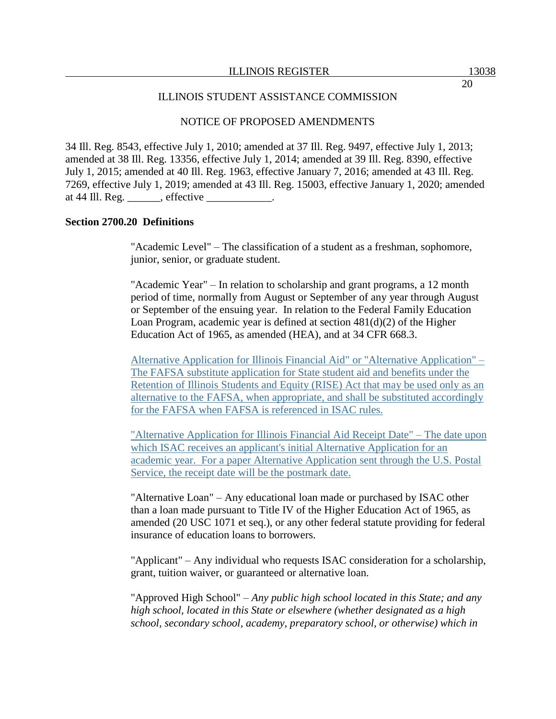34 Ill. Reg. 8543, effective July 1, 2010; amended at 37 Ill. Reg. 9497, effective July 1, 2013; amended at 38 Ill. Reg. 13356, effective July 1, 2014; amended at 39 Ill. Reg. 8390, effective July 1, 2015; amended at 40 Ill. Reg. 1963, effective January 7, 2016; amended at 43 Ill. Reg. 7269, effective July 1, 2019; amended at 43 Ill. Reg. 15003, effective January 1, 2020; amended at 44 Ill. Reg. \_\_\_\_\_\_, effective \_\_\_\_\_\_\_\_\_\_\_\_.

#### **Section 2700.20 Definitions**

"Academic Level" – The classification of a student as a freshman, sophomore, junior, senior, or graduate student.

"Academic Year" – In relation to scholarship and grant programs, a 12 month period of time, normally from August or September of any year through August or September of the ensuing year. In relation to the Federal Family Education Loan Program, academic year is defined at section 481(d)(2) of the Higher Education Act of 1965, as amended (HEA), and at 34 CFR 668.3.

Alternative Application for Illinois Financial Aid" or "Alternative Application" – The FAFSA substitute application for State student aid and benefits under the Retention of Illinois Students and Equity (RISE) Act that may be used only as an alternative to the FAFSA, when appropriate, and shall be substituted accordingly for the FAFSA when FAFSA is referenced in ISAC rules.

"Alternative Application for Illinois Financial Aid Receipt Date" – The date upon which ISAC receives an applicant's initial Alternative Application for an academic year. For a paper Alternative Application sent through the U.S. Postal Service, the receipt date will be the postmark date.

"Alternative Loan" – Any educational loan made or purchased by ISAC other than a loan made pursuant to Title IV of the Higher Education Act of 1965, as amended (20 USC 1071 et seq.), or any other federal statute providing for federal insurance of education loans to borrowers.

"Applicant" – Any individual who requests ISAC consideration for a scholarship, grant, tuition waiver, or guaranteed or alternative loan.

"Approved High School" – *Any public high school located in this State; and any high school, located in this State or elsewhere (whether designated as a high school, secondary school, academy, preparatory school, or otherwise) which in*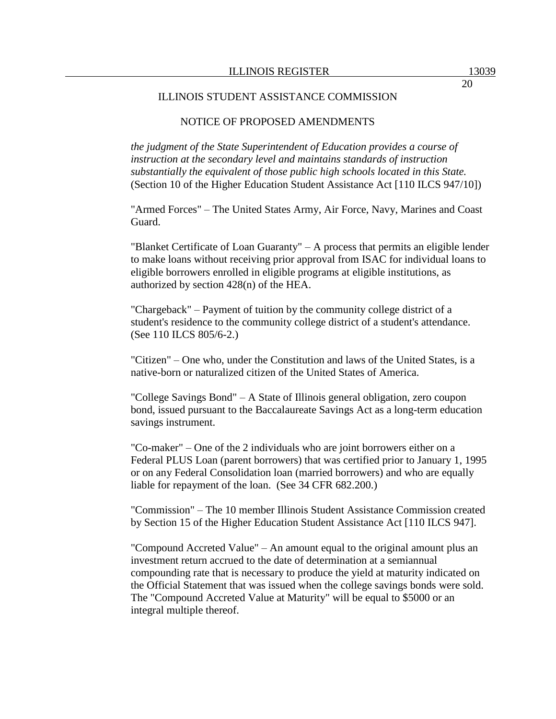#### ILLINOIS STUDENT ASSISTANCE COMMISSION

## NOTICE OF PROPOSED AMENDMENTS

*the judgment of the State Superintendent of Education provides a course of instruction at the secondary level and maintains standards of instruction substantially the equivalent of those public high schools located in this State.* (Section 10 of the Higher Education Student Assistance Act [110 ILCS 947/10])

"Armed Forces" – The United States Army, Air Force, Navy, Marines and Coast Guard.

"Blanket Certificate of Loan Guaranty" – A process that permits an eligible lender to make loans without receiving prior approval from ISAC for individual loans to eligible borrowers enrolled in eligible programs at eligible institutions, as authorized by section 428(n) of the HEA.

"Chargeback" – Payment of tuition by the community college district of a student's residence to the community college district of a student's attendance. (See 110 ILCS 805/6-2.)

"Citizen" – One who, under the Constitution and laws of the United States, is a native-born or naturalized citizen of the United States of America.

"College Savings Bond" – A State of Illinois general obligation, zero coupon bond, issued pursuant to the Baccalaureate Savings Act as a long-term education savings instrument.

"Co-maker" – One of the 2 individuals who are joint borrowers either on a Federal PLUS Loan (parent borrowers) that was certified prior to January 1, 1995 or on any Federal Consolidation loan (married borrowers) and who are equally liable for repayment of the loan. (See 34 CFR 682.200.)

"Commission" – The 10 member Illinois Student Assistance Commission created by Section 15 of the Higher Education Student Assistance Act [110 ILCS 947].

"Compound Accreted Value" – An amount equal to the original amount plus an investment return accrued to the date of determination at a semiannual compounding rate that is necessary to produce the yield at maturity indicated on the Official Statement that was issued when the college savings bonds were sold. The "Compound Accreted Value at Maturity" will be equal to \$5000 or an integral multiple thereof.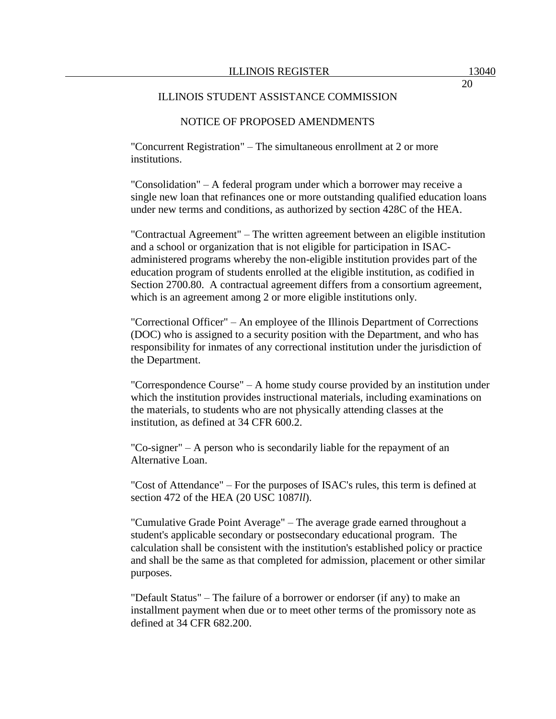"Concurrent Registration" – The simultaneous enrollment at 2 or more institutions.

"Consolidation" – A federal program under which a borrower may receive a single new loan that refinances one or more outstanding qualified education loans under new terms and conditions, as authorized by section 428C of the HEA.

"Contractual Agreement" – The written agreement between an eligible institution and a school or organization that is not eligible for participation in ISACadministered programs whereby the non-eligible institution provides part of the education program of students enrolled at the eligible institution, as codified in Section 2700.80. A contractual agreement differs from a consortium agreement, which is an agreement among 2 or more eligible institutions only.

"Correctional Officer" – An employee of the Illinois Department of Corrections (DOC) who is assigned to a security position with the Department, and who has responsibility for inmates of any correctional institution under the jurisdiction of the Department.

"Correspondence Course" – A home study course provided by an institution under which the institution provides instructional materials, including examinations on the materials, to students who are not physically attending classes at the institution, as defined at 34 CFR 600.2.

"Co-signer" – A person who is secondarily liable for the repayment of an Alternative Loan.

"Cost of Attendance" – For the purposes of ISAC's rules, this term is defined at section 472 of the HEA (20 USC 1087*ll*).

"Cumulative Grade Point Average" – The average grade earned throughout a student's applicable secondary or postsecondary educational program. The calculation shall be consistent with the institution's established policy or practice and shall be the same as that completed for admission, placement or other similar purposes.

"Default Status" – The failure of a borrower or endorser (if any) to make an installment payment when due or to meet other terms of the promissory note as defined at 34 CFR 682.200.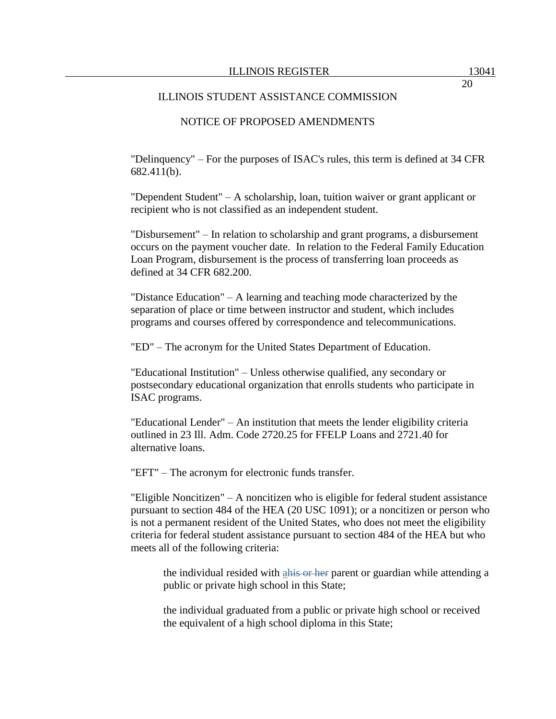"Delinquency" – For the purposes of ISAC's rules, this term is defined at 34 CFR 682.411(b).

"Dependent Student" – A scholarship, loan, tuition waiver or grant applicant or recipient who is not classified as an independent student.

"Disbursement" – In relation to scholarship and grant programs, a disbursement occurs on the payment voucher date. In relation to the Federal Family Education Loan Program, disbursement is the process of transferring loan proceeds as defined at 34 CFR 682.200.

"Distance Education" – A learning and teaching mode characterized by the separation of place or time between instructor and student, which includes programs and courses offered by correspondence and telecommunications.

"ED" – The acronym for the United States Department of Education.

"Educational Institution" – Unless otherwise qualified, any secondary or postsecondary educational organization that enrolls students who participate in ISAC programs.

"Educational Lender" – An institution that meets the lender eligibility criteria outlined in 23 Ill. Adm. Code 2720.25 for FFELP Loans and 2721.40 for alternative loans.

"EFT" – The acronym for electronic funds transfer.

"Eligible Noncitizen" – A noncitizen who is eligible for federal student assistance pursuant to section 484 of the HEA (20 USC 1091); or a noncitizen or person who is not a permanent resident of the United States, who does not meet the eligibility criteria for federal student assistance pursuant to section 484 of the HEA but who meets all of the following criteria:

the individual resided with a his or her parent or guardian while attending a public or private high school in this State;

the individual graduated from a public or private high school or received the equivalent of a high school diploma in this State;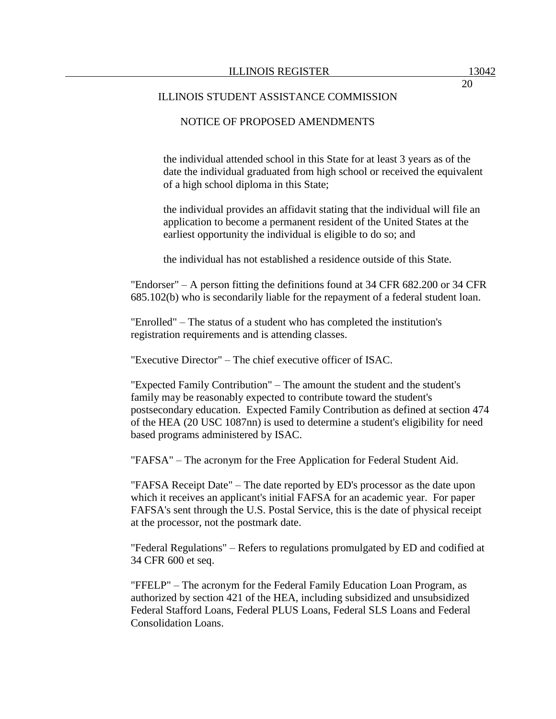### ILLINOIS STUDENT ASSISTANCE COMMISSION

## NOTICE OF PROPOSED AMENDMENTS

the individual attended school in this State for at least 3 years as of the date the individual graduated from high school or received the equivalent of a high school diploma in this State;

the individual provides an affidavit stating that the individual will file an application to become a permanent resident of the United States at the earliest opportunity the individual is eligible to do so; and

the individual has not established a residence outside of this State.

"Endorser" – A person fitting the definitions found at 34 CFR 682.200 or 34 CFR 685.102(b) who is secondarily liable for the repayment of a federal student loan.

"Enrolled" – The status of a student who has completed the institution's registration requirements and is attending classes.

"Executive Director" – The chief executive officer of ISAC.

"Expected Family Contribution" – The amount the student and the student's family may be reasonably expected to contribute toward the student's postsecondary education. Expected Family Contribution as defined at section 474 of the HEA (20 USC 1087nn) is used to determine a student's eligibility for need based programs administered by ISAC.

"FAFSA" – The acronym for the Free Application for Federal Student Aid.

"FAFSA Receipt Date" – The date reported by ED's processor as the date upon which it receives an applicant's initial FAFSA for an academic year. For paper FAFSA's sent through the U.S. Postal Service, this is the date of physical receipt at the processor, not the postmark date.

"Federal Regulations" – Refers to regulations promulgated by ED and codified at 34 CFR 600 et seq.

"FFELP" – The acronym for the Federal Family Education Loan Program, as authorized by section 421 of the HEA, including subsidized and unsubsidized Federal Stafford Loans, Federal PLUS Loans, Federal SLS Loans and Federal Consolidation Loans.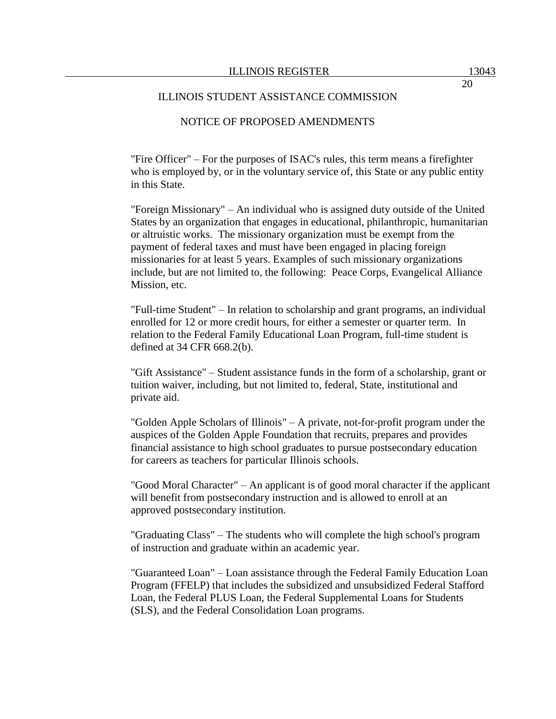"Fire Officer" – For the purposes of ISAC's rules, this term means a firefighter who is employed by, or in the voluntary service of, this State or any public entity in this State.

"Foreign Missionary" – An individual who is assigned duty outside of the United States by an organization that engages in educational, philanthropic, humanitarian or altruistic works. The missionary organization must be exempt from the payment of federal taxes and must have been engaged in placing foreign missionaries for at least 5 years. Examples of such missionary organizations include, but are not limited to, the following: Peace Corps, Evangelical Alliance Mission, etc.

"Full-time Student" – In relation to scholarship and grant programs, an individual enrolled for 12 or more credit hours, for either a semester or quarter term. In relation to the Federal Family Educational Loan Program, full-time student is defined at 34 CFR 668.2(b).

"Gift Assistance" – Student assistance funds in the form of a scholarship, grant or tuition waiver, including, but not limited to, federal, State, institutional and private aid.

"Golden Apple Scholars of Illinois" – A private, not-for-profit program under the auspices of the Golden Apple Foundation that recruits, prepares and provides financial assistance to high school graduates to pursue postsecondary education for careers as teachers for particular Illinois schools.

"Good Moral Character" – An applicant is of good moral character if the applicant will benefit from postsecondary instruction and is allowed to enroll at an approved postsecondary institution.

"Graduating Class" – The students who will complete the high school's program of instruction and graduate within an academic year.

"Guaranteed Loan" – Loan assistance through the Federal Family Education Loan Program (FFELP) that includes the subsidized and unsubsidized Federal Stafford Loan, the Federal PLUS Loan, the Federal Supplemental Loans for Students (SLS), and the Federal Consolidation Loan programs.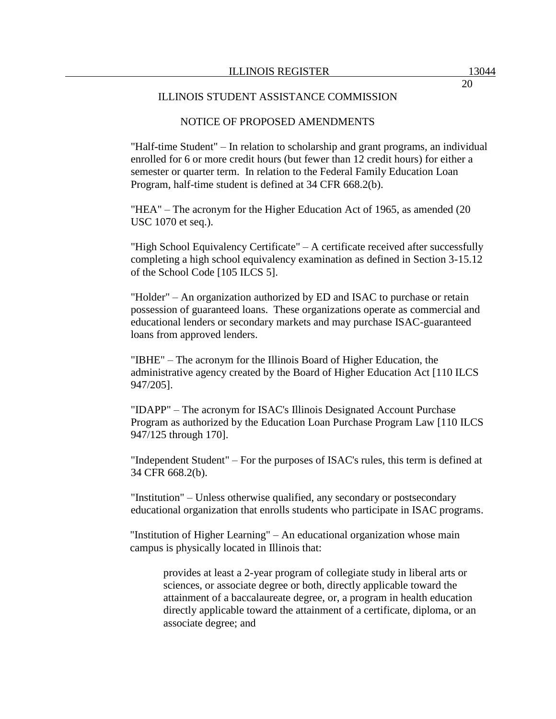"Half-time Student" – In relation to scholarship and grant programs, an individual enrolled for 6 or more credit hours (but fewer than 12 credit hours) for either a semester or quarter term. In relation to the Federal Family Education Loan Program, half-time student is defined at 34 CFR 668.2(b).

"HEA" – The acronym for the Higher Education Act of 1965, as amended (20 USC 1070 et seq.).

"High School Equivalency Certificate" – A certificate received after successfully completing a high school equivalency examination as defined in Section 3-15.12 of the School Code [105 ILCS 5].

"Holder" – An organization authorized by ED and ISAC to purchase or retain possession of guaranteed loans. These organizations operate as commercial and educational lenders or secondary markets and may purchase ISAC-guaranteed loans from approved lenders.

"IBHE" – The acronym for the Illinois Board of Higher Education, the administrative agency created by the Board of Higher Education Act [110 ILCS 947/205].

"IDAPP" – The acronym for ISAC's Illinois Designated Account Purchase Program as authorized by the Education Loan Purchase Program Law [110 ILCS 947/125 through 170].

"Independent Student" – For the purposes of ISAC's rules, this term is defined at 34 CFR 668.2(b).

"Institution" – Unless otherwise qualified, any secondary or postsecondary educational organization that enrolls students who participate in ISAC programs.

"Institution of Higher Learning" – An educational organization whose main campus is physically located in Illinois that:

provides at least a 2-year program of collegiate study in liberal arts or sciences, or associate degree or both, directly applicable toward the attainment of a baccalaureate degree, or, a program in health education directly applicable toward the attainment of a certificate, diploma, or an associate degree; and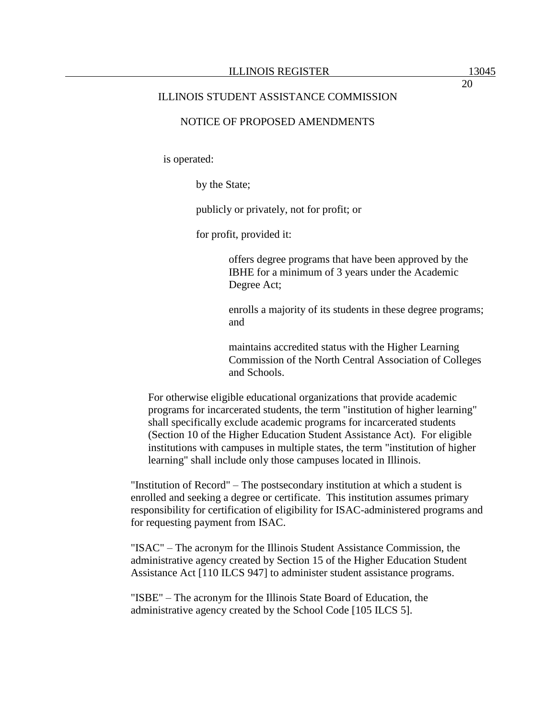20

#### ILLINOIS STUDENT ASSISTANCE COMMISSION

## NOTICE OF PROPOSED AMENDMENTS

is operated:

by the State;

publicly or privately, not for profit; or

for profit, provided it:

offers degree programs that have been approved by the IBHE for a minimum of 3 years under the Academic Degree Act;

enrolls a majority of its students in these degree programs; and

maintains accredited status with the Higher Learning Commission of the North Central Association of Colleges and Schools.

For otherwise eligible educational organizations that provide academic programs for incarcerated students, the term "institution of higher learning" shall specifically exclude academic programs for incarcerated students (Section 10 of the Higher Education Student Assistance Act). For eligible institutions with campuses in multiple states, the term "institution of higher learning" shall include only those campuses located in Illinois.

"Institution of Record" – The postsecondary institution at which a student is enrolled and seeking a degree or certificate. This institution assumes primary responsibility for certification of eligibility for ISAC-administered programs and for requesting payment from ISAC.

"ISAC" – The acronym for the Illinois Student Assistance Commission, the administrative agency created by Section 15 of the Higher Education Student Assistance Act [110 ILCS 947] to administer student assistance programs.

"ISBE" – The acronym for the Illinois State Board of Education, the administrative agency created by the School Code [105 ILCS 5].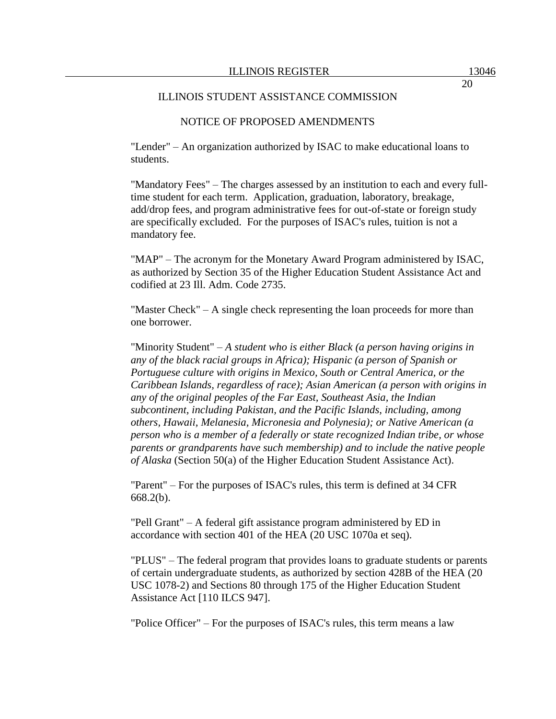"Lender" – An organization authorized by ISAC to make educational loans to students.

"Mandatory Fees" – The charges assessed by an institution to each and every fulltime student for each term. Application, graduation, laboratory, breakage, add/drop fees, and program administrative fees for out-of-state or foreign study are specifically excluded. For the purposes of ISAC's rules, tuition is not a mandatory fee.

"MAP" – The acronym for the Monetary Award Program administered by ISAC, as authorized by Section 35 of the Higher Education Student Assistance Act and codified at 23 Ill. Adm. Code 2735.

"Master Check" – A single check representing the loan proceeds for more than one borrower.

"Minority Student" – *A student who is either Black (a person having origins in any of the black racial groups in Africa); Hispanic (a person of Spanish or Portuguese culture with origins in Mexico, South or Central America, or the Caribbean Islands, regardless of race); Asian American (a person with origins in any of the original peoples of the Far East, Southeast Asia, the Indian subcontinent, including Pakistan, and the Pacific Islands, including, among others, Hawaii, Melanesia, Micronesia and Polynesia); or Native American (a person who is a member of a federally or state recognized Indian tribe, or whose parents or grandparents have such membership) and to include the native people of Alaska* (Section 50(a) of the Higher Education Student Assistance Act).

"Parent" – For the purposes of ISAC's rules, this term is defined at 34 CFR 668.2(b).

"Pell Grant" – A federal gift assistance program administered by ED in accordance with section 401 of the HEA (20 USC 1070a et seq).

"PLUS" – The federal program that provides loans to graduate students or parents of certain undergraduate students, as authorized by section 428B of the HEA (20 USC 1078-2) and Sections 80 through 175 of the Higher Education Student Assistance Act [110 ILCS 947].

"Police Officer" – For the purposes of ISAC's rules, this term means a law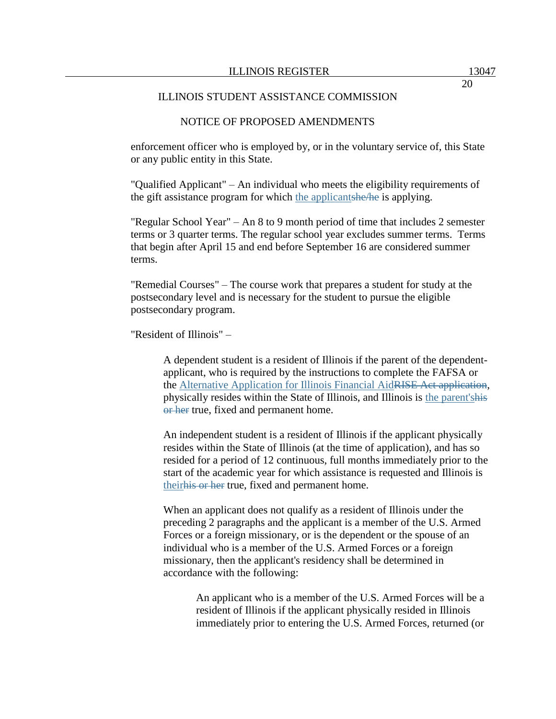enforcement officer who is employed by, or in the voluntary service of, this State or any public entity in this State.

"Qualified Applicant" – An individual who meets the eligibility requirements of the gift assistance program for which the applicantshe/he is applying.

"Regular School Year" – An 8 to 9 month period of time that includes 2 semester terms or 3 quarter terms. The regular school year excludes summer terms. Terms that begin after April 15 and end before September 16 are considered summer terms.

"Remedial Courses" – The course work that prepares a student for study at the postsecondary level and is necessary for the student to pursue the eligible postsecondary program.

"Resident of Illinois" –

A dependent student is a resident of Illinois if the parent of the dependentapplicant, who is required by the instructions to complete the FAFSA or the Alternative Application for Illinois Financial AidRISE Act application, physically resides within the State of Illinois, and Illinois is the parent'shis or her true, fixed and permanent home.

An independent student is a resident of Illinois if the applicant physically resides within the State of Illinois (at the time of application), and has so resided for a period of 12 continuous, full months immediately prior to the start of the academic year for which assistance is requested and Illinois is theirhis or her true, fixed and permanent home.

When an applicant does not qualify as a resident of Illinois under the preceding 2 paragraphs and the applicant is a member of the U.S. Armed Forces or a foreign missionary, or is the dependent or the spouse of an individual who is a member of the U.S. Armed Forces or a foreign missionary, then the applicant's residency shall be determined in accordance with the following:

> An applicant who is a member of the U.S. Armed Forces will be a resident of Illinois if the applicant physically resided in Illinois immediately prior to entering the U.S. Armed Forces, returned (or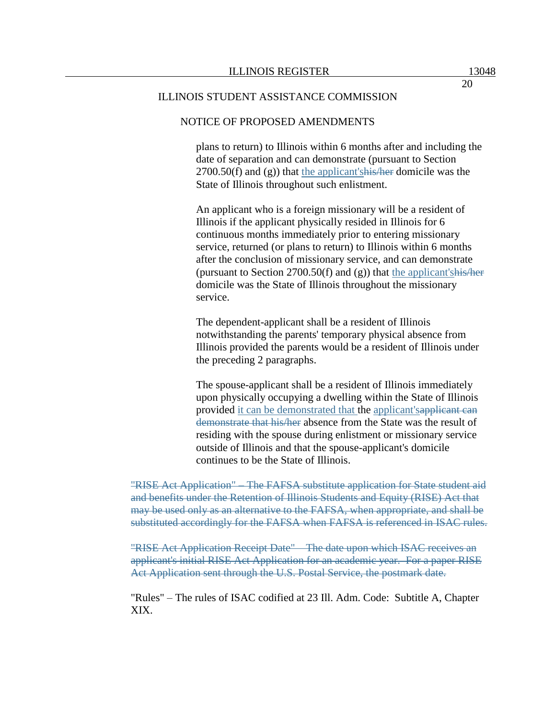#### ILLINOIS STUDENT ASSISTANCE COMMISSION

### NOTICE OF PROPOSED AMENDMENTS

plans to return) to Illinois within 6 months after and including the date of separation and can demonstrate (pursuant to Section  $2700.50(f)$  and (g)) that the applicant's his heart domicile was the State of Illinois throughout such enlistment.

An applicant who is a foreign missionary will be a resident of Illinois if the applicant physically resided in Illinois for 6 continuous months immediately prior to entering missionary service, returned (or plans to return) to Illinois within 6 months after the conclusion of missionary service, and can demonstrate (pursuant to Section 2700.50(f) and  $(g)$ ) that the applicant's his/her domicile was the State of Illinois throughout the missionary service.

The dependent-applicant shall be a resident of Illinois notwithstanding the parents' temporary physical absence from Illinois provided the parents would be a resident of Illinois under the preceding 2 paragraphs.

The spouse-applicant shall be a resident of Illinois immediately upon physically occupying a dwelling within the State of Illinois provided it can be demonstrated that the applicant's applicant can demonstrate that his/her absence from the State was the result of residing with the spouse during enlistment or missionary service outside of Illinois and that the spouse-applicant's domicile continues to be the State of Illinois.

"RISE Act Application" – The FAFSA substitute application for State student aid and benefits under the Retention of Illinois Students and Equity (RISE) Act that may be used only as an alternative to the FAFSA, when appropriate, and shall be substituted accordingly for the FAFSA when FAFSA is referenced in ISAC rules.

"RISE Act Application Receipt Date" – The date upon which ISAC receives an applicant's initial RISE Act Application for an academic year. For a paper RISE Act Application sent through the U.S. Postal Service, the postmark date.

"Rules" – The rules of ISAC codified at 23 Ill. Adm. Code: Subtitle A, Chapter XIX.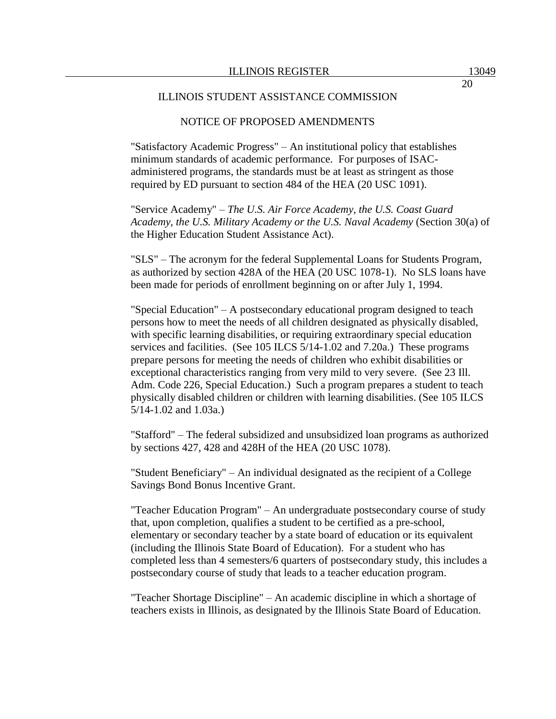"Satisfactory Academic Progress" – An institutional policy that establishes minimum standards of academic performance. For purposes of ISACadministered programs, the standards must be at least as stringent as those required by ED pursuant to section 484 of the HEA (20 USC 1091).

"Service Academy" – *The U.S. Air Force Academy, the U.S. Coast Guard Academy, the U.S. Military Academy or the U.S. Naval Academy* (Section 30(a) of the Higher Education Student Assistance Act).

"SLS" – The acronym for the federal Supplemental Loans for Students Program, as authorized by section 428A of the HEA (20 USC 1078-1). No SLS loans have been made for periods of enrollment beginning on or after July 1, 1994.

"Special Education" – A postsecondary educational program designed to teach persons how to meet the needs of all children designated as physically disabled, with specific learning disabilities, or requiring extraordinary special education services and facilities. (See 105 ILCS 5/14-1.02 and 7.20a.) These programs prepare persons for meeting the needs of children who exhibit disabilities or exceptional characteristics ranging from very mild to very severe. (See 23 Ill. Adm. Code 226, Special Education.) Such a program prepares a student to teach physically disabled children or children with learning disabilities. (See 105 ILCS 5/14-1.02 and 1.03a.)

"Stafford" – The federal subsidized and unsubsidized loan programs as authorized by sections 427, 428 and 428H of the HEA (20 USC 1078).

"Student Beneficiary" – An individual designated as the recipient of a College Savings Bond Bonus Incentive Grant.

"Teacher Education Program" – An undergraduate postsecondary course of study that, upon completion, qualifies a student to be certified as a pre-school, elementary or secondary teacher by a state board of education or its equivalent (including the Illinois State Board of Education). For a student who has completed less than 4 semesters/6 quarters of postsecondary study, this includes a postsecondary course of study that leads to a teacher education program.

"Teacher Shortage Discipline" – An academic discipline in which a shortage of teachers exists in Illinois, as designated by the Illinois State Board of Education.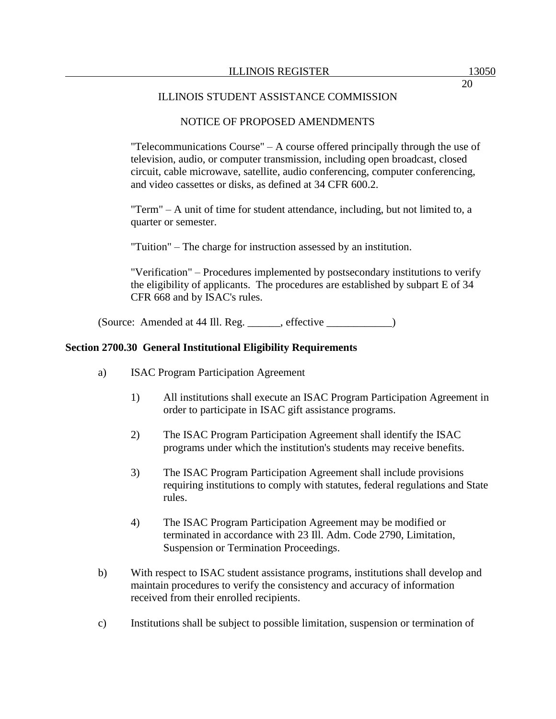"Telecommunications Course" – A course offered principally through the use of television, audio, or computer transmission, including open broadcast, closed circuit, cable microwave, satellite, audio conferencing, computer conferencing, and video cassettes or disks, as defined at 34 CFR 600.2.

"Term" – A unit of time for student attendance, including, but not limited to, a quarter or semester.

"Tuition" – The charge for instruction assessed by an institution.

"Verification" – Procedures implemented by postsecondary institutions to verify the eligibility of applicants. The procedures are established by subpart E of 34 CFR 668 and by ISAC's rules.

(Source: Amended at 44 Ill. Reg. \_\_\_\_\_\_, effective \_\_\_\_\_\_\_\_\_\_\_\_)

# **Section 2700.30 General Institutional Eligibility Requirements**

- a) ISAC Program Participation Agreement
	- 1) All institutions shall execute an ISAC Program Participation Agreement in order to participate in ISAC gift assistance programs.
	- 2) The ISAC Program Participation Agreement shall identify the ISAC programs under which the institution's students may receive benefits.
	- 3) The ISAC Program Participation Agreement shall include provisions requiring institutions to comply with statutes, federal regulations and State rules.
	- 4) The ISAC Program Participation Agreement may be modified or terminated in accordance with 23 Ill. Adm. Code 2790, Limitation, Suspension or Termination Proceedings.
- b) With respect to ISAC student assistance programs, institutions shall develop and maintain procedures to verify the consistency and accuracy of information received from their enrolled recipients.
- c) Institutions shall be subject to possible limitation, suspension or termination of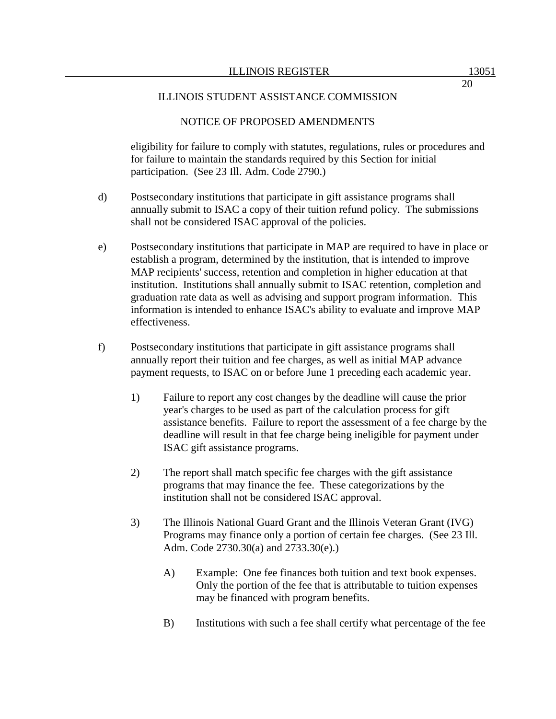eligibility for failure to comply with statutes, regulations, rules or procedures and for failure to maintain the standards required by this Section for initial participation. (See 23 Ill. Adm. Code 2790.)

- d) Postsecondary institutions that participate in gift assistance programs shall annually submit to ISAC a copy of their tuition refund policy. The submissions shall not be considered ISAC approval of the policies.
- e) Postsecondary institutions that participate in MAP are required to have in place or establish a program, determined by the institution, that is intended to improve MAP recipients' success, retention and completion in higher education at that institution. Institutions shall annually submit to ISAC retention, completion and graduation rate data as well as advising and support program information. This information is intended to enhance ISAC's ability to evaluate and improve MAP effectiveness.
- f) Postsecondary institutions that participate in gift assistance programs shall annually report their tuition and fee charges, as well as initial MAP advance payment requests, to ISAC on or before June 1 preceding each academic year.
	- 1) Failure to report any cost changes by the deadline will cause the prior year's charges to be used as part of the calculation process for gift assistance benefits. Failure to report the assessment of a fee charge by the deadline will result in that fee charge being ineligible for payment under ISAC gift assistance programs.
	- 2) The report shall match specific fee charges with the gift assistance programs that may finance the fee. These categorizations by the institution shall not be considered ISAC approval.
	- 3) The Illinois National Guard Grant and the Illinois Veteran Grant (IVG) Programs may finance only a portion of certain fee charges. (See 23 Ill. Adm. Code 2730.30(a) and 2733.30(e).)
		- A) Example: One fee finances both tuition and text book expenses. Only the portion of the fee that is attributable to tuition expenses may be financed with program benefits.
		- B) Institutions with such a fee shall certify what percentage of the fee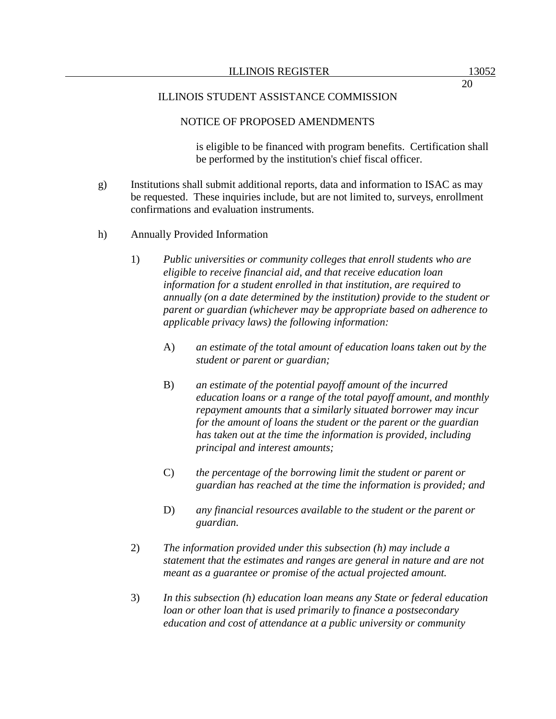20

### ILLINOIS STUDENT ASSISTANCE COMMISSION

## NOTICE OF PROPOSED AMENDMENTS

is eligible to be financed with program benefits. Certification shall be performed by the institution's chief fiscal officer.

- g) Institutions shall submit additional reports, data and information to ISAC as may be requested. These inquiries include, but are not limited to, surveys, enrollment confirmations and evaluation instruments.
- h) Annually Provided Information
	- 1) *Public universities or community colleges that enroll students who are eligible to receive financial aid, and that receive education loan information for a student enrolled in that institution, are required to annually (on a date determined by the institution) provide to the student or parent or guardian (whichever may be appropriate based on adherence to applicable privacy laws) the following information:*
		- A) *an estimate of the total amount of education loans taken out by the student or parent or guardian;*
		- B) *an estimate of the potential payoff amount of the incurred education loans or a range of the total payoff amount, and monthly repayment amounts that a similarly situated borrower may incur for the amount of loans the student or the parent or the guardian has taken out at the time the information is provided, including principal and interest amounts;*
		- C) *the percentage of the borrowing limit the student or parent or guardian has reached at the time the information is provided; and*
		- D) *any financial resources available to the student or the parent or guardian.*
	- 2) *The information provided under this subsection (h) may include a statement that the estimates and ranges are general in nature and are not meant as a guarantee or promise of the actual projected amount.*
	- 3) *In this subsection (h) education loan means any State or federal education loan or other loan that is used primarily to finance a postsecondary education and cost of attendance at a public university or community*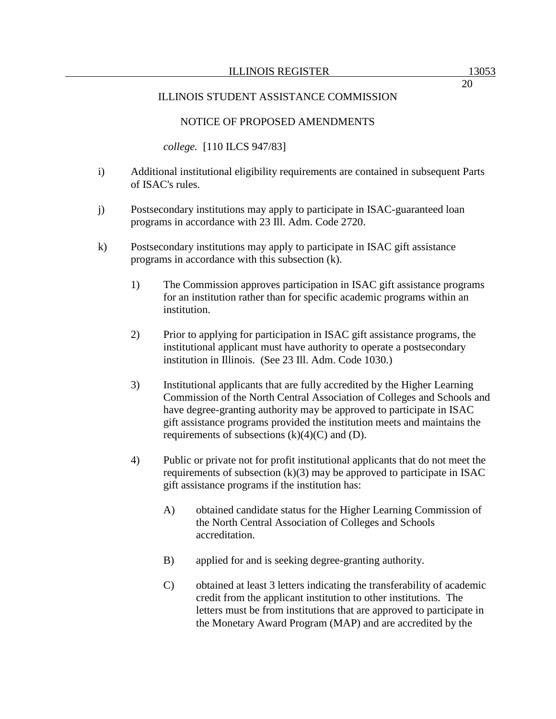*college.* [110 ILCS 947/83]

- i) Additional institutional eligibility requirements are contained in subsequent Parts of ISAC's rules.
- j) Postsecondary institutions may apply to participate in ISAC-guaranteed loan programs in accordance with 23 Ill. Adm. Code 2720.
- k) Postsecondary institutions may apply to participate in ISAC gift assistance programs in accordance with this subsection (k).
	- 1) The Commission approves participation in ISAC gift assistance programs for an institution rather than for specific academic programs within an institution.
	- 2) Prior to applying for participation in ISAC gift assistance programs, the institutional applicant must have authority to operate a postsecondary institution in Illinois. (See 23 Ill. Adm. Code 1030.)
	- 3) Institutional applicants that are fully accredited by the Higher Learning Commission of the North Central Association of Colleges and Schools and have degree-granting authority may be approved to participate in ISAC gift assistance programs provided the institution meets and maintains the requirements of subsections  $(k)(4)(C)$  and  $(D)$ .
	- 4) Public or private not for profit institutional applicants that do not meet the requirements of subsection  $(k)(3)$  may be approved to participate in ISAC gift assistance programs if the institution has:
		- A) obtained candidate status for the Higher Learning Commission of the North Central Association of Colleges and Schools accreditation.
		- B) applied for and is seeking degree-granting authority.
		- C) obtained at least 3 letters indicating the transferability of academic credit from the applicant institution to other institutions. The letters must be from institutions that are approved to participate in the Monetary Award Program (MAP) and are accredited by the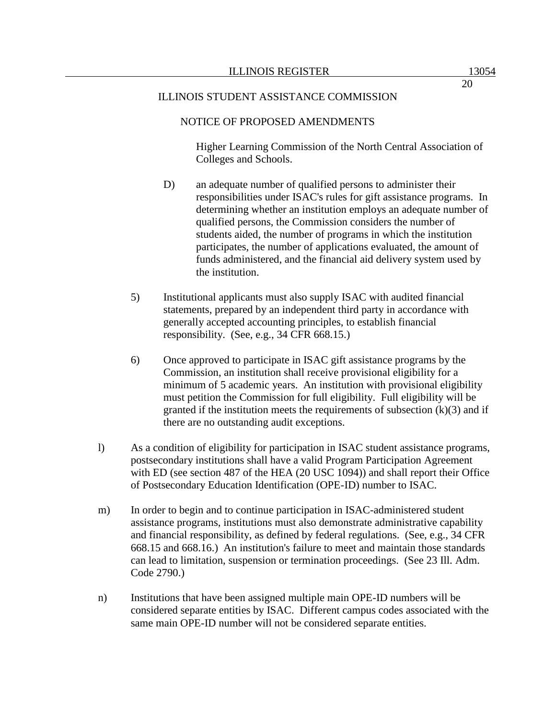## ILLINOIS STUDENT ASSISTANCE COMMISSION

## NOTICE OF PROPOSED AMENDMENTS

Higher Learning Commission of the North Central Association of Colleges and Schools.

- D) an adequate number of qualified persons to administer their responsibilities under ISAC's rules for gift assistance programs. In determining whether an institution employs an adequate number of qualified persons, the Commission considers the number of students aided, the number of programs in which the institution participates, the number of applications evaluated, the amount of funds administered, and the financial aid delivery system used by the institution.
- 5) Institutional applicants must also supply ISAC with audited financial statements, prepared by an independent third party in accordance with generally accepted accounting principles, to establish financial responsibility. (See, e.g., 34 CFR 668.15.)
- 6) Once approved to participate in ISAC gift assistance programs by the Commission, an institution shall receive provisional eligibility for a minimum of 5 academic years. An institution with provisional eligibility must petition the Commission for full eligibility. Full eligibility will be granted if the institution meets the requirements of subsection  $(k)(3)$  and if there are no outstanding audit exceptions.
- l) As a condition of eligibility for participation in ISAC student assistance programs, postsecondary institutions shall have a valid Program Participation Agreement with ED (see section 487 of the HEA (20 USC 1094)) and shall report their Office of Postsecondary Education Identification (OPE-ID) number to ISAC.
- m) In order to begin and to continue participation in ISAC-administered student assistance programs, institutions must also demonstrate administrative capability and financial responsibility, as defined by federal regulations. (See, e.g., 34 CFR 668.15 and 668.16.) An institution's failure to meet and maintain those standards can lead to limitation, suspension or termination proceedings. (See 23 Ill. Adm. Code 2790.)
- n) Institutions that have been assigned multiple main OPE-ID numbers will be considered separate entities by ISAC. Different campus codes associated with the same main OPE-ID number will not be considered separate entities.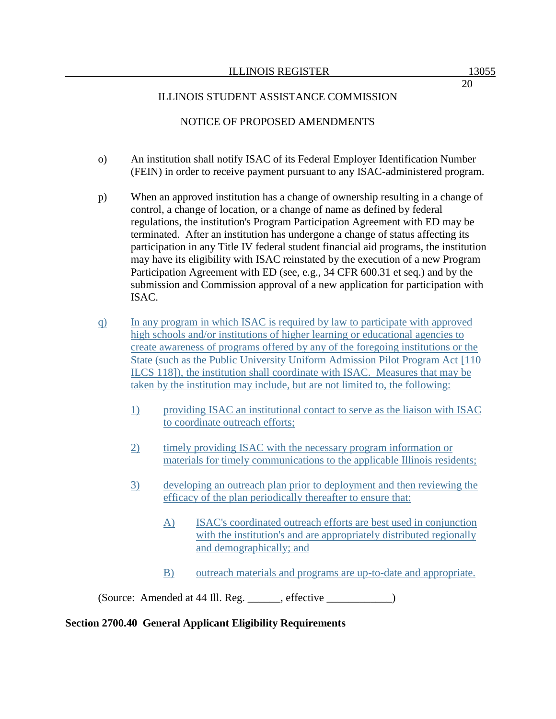- o) An institution shall notify ISAC of its Federal Employer Identification Number (FEIN) in order to receive payment pursuant to any ISAC-administered program.
- p) When an approved institution has a change of ownership resulting in a change of control, a change of location, or a change of name as defined by federal regulations, the institution's Program Participation Agreement with ED may be terminated. After an institution has undergone a change of status affecting its participation in any Title IV federal student financial aid programs, the institution may have its eligibility with ISAC reinstated by the execution of a new Program Participation Agreement with ED (see, e.g., 34 CFR 600.31 et seq.) and by the submission and Commission approval of a new application for participation with ISAC.
- q) In any program in which ISAC is required by law to participate with approved high schools and/or institutions of higher learning or educational agencies to create awareness of programs offered by any of the foregoing institutions or the State (such as the Public University Uniform Admission Pilot Program Act [110 ILCS 118]), the institution shall coordinate with ISAC. Measures that may be taken by the institution may include, but are not limited to, the following:
	- 1) providing ISAC an institutional contact to serve as the liaison with ISAC to coordinate outreach efforts;
	- 2) timely providing ISAC with the necessary program information or materials for timely communications to the applicable Illinois residents;
	- 3) developing an outreach plan prior to deployment and then reviewing the efficacy of the plan periodically thereafter to ensure that:
		- A) ISAC's coordinated outreach efforts are best used in conjunction with the institution's and are appropriately distributed regionally and demographically; and
		- B) outreach materials and programs are up-to-date and appropriate.

(Source: Amended at 44 Ill. Reg. \_\_\_\_\_\_, effective \_\_\_\_\_\_\_\_\_\_\_\_)

# **Section 2700.40 General Applicant Eligibility Requirements**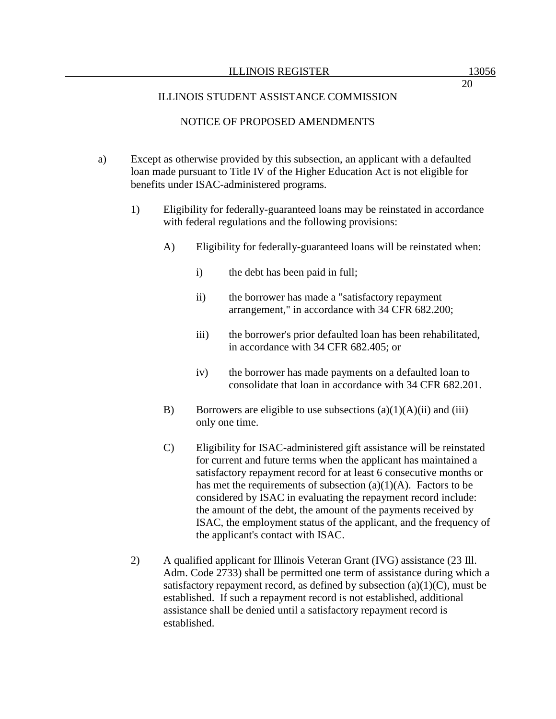20

## ILLINOIS STUDENT ASSISTANCE COMMISSION

## NOTICE OF PROPOSED AMENDMENTS

- a) Except as otherwise provided by this subsection, an applicant with a defaulted loan made pursuant to Title IV of the Higher Education Act is not eligible for benefits under ISAC-administered programs.
	- 1) Eligibility for federally-guaranteed loans may be reinstated in accordance with federal regulations and the following provisions:
		- A) Eligibility for federally-guaranteed loans will be reinstated when:
			- i) the debt has been paid in full;
			- ii) the borrower has made a "satisfactory repayment arrangement," in accordance with 34 CFR 682.200;
			- iii) the borrower's prior defaulted loan has been rehabilitated, in accordance with 34 CFR 682.405; or
			- iv) the borrower has made payments on a defaulted loan to consolidate that loan in accordance with 34 CFR 682.201.
		- B) Borrowers are eligible to use subsections  $(a)(1)(A)(ii)$  and  $(iii)$ only one time.
		- C) Eligibility for ISAC-administered gift assistance will be reinstated for current and future terms when the applicant has maintained a satisfactory repayment record for at least 6 consecutive months or has met the requirements of subsection  $(a)(1)(A)$ . Factors to be considered by ISAC in evaluating the repayment record include: the amount of the debt, the amount of the payments received by ISAC, the employment status of the applicant, and the frequency of the applicant's contact with ISAC.
	- 2) A qualified applicant for Illinois Veteran Grant (IVG) assistance (23 Ill. Adm. Code 2733) shall be permitted one term of assistance during which a satisfactory repayment record, as defined by subsection  $(a)(1)(C)$ , must be established. If such a repayment record is not established, additional assistance shall be denied until a satisfactory repayment record is established.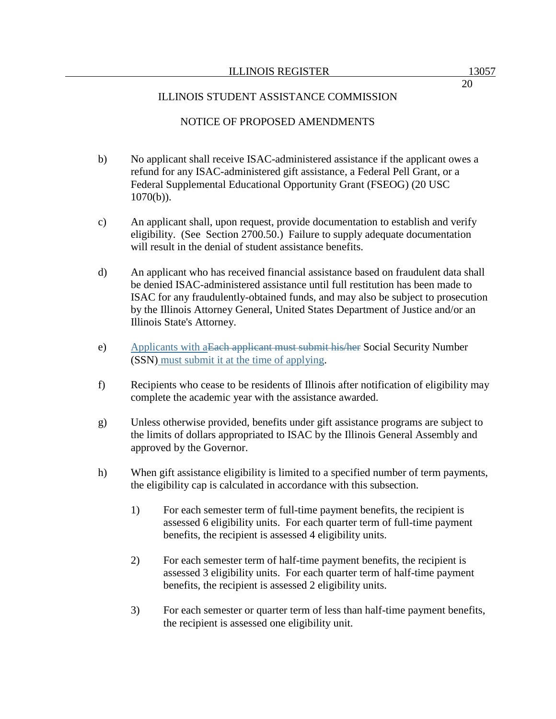- b) No applicant shall receive ISAC-administered assistance if the applicant owes a refund for any ISAC-administered gift assistance, a Federal Pell Grant, or a Federal Supplemental Educational Opportunity Grant (FSEOG) (20 USC  $1070(b)$ ).
- c) An applicant shall, upon request, provide documentation to establish and verify eligibility. (See Section 2700.50.) Failure to supply adequate documentation will result in the denial of student assistance benefits.
- d) An applicant who has received financial assistance based on fraudulent data shall be denied ISAC-administered assistance until full restitution has been made to ISAC for any fraudulently-obtained funds, and may also be subject to prosecution by the Illinois Attorney General, United States Department of Justice and/or an Illinois State's Attorney.
- e) Applicants with aEach applicant must submit his/her Social Security Number (SSN) must submit it at the time of applying.
- f) Recipients who cease to be residents of Illinois after notification of eligibility may complete the academic year with the assistance awarded.
- g) Unless otherwise provided, benefits under gift assistance programs are subject to the limits of dollars appropriated to ISAC by the Illinois General Assembly and approved by the Governor.
- h) When gift assistance eligibility is limited to a specified number of term payments, the eligibility cap is calculated in accordance with this subsection.
	- 1) For each semester term of full-time payment benefits, the recipient is assessed 6 eligibility units. For each quarter term of full-time payment benefits, the recipient is assessed 4 eligibility units.
	- 2) For each semester term of half-time payment benefits, the recipient is assessed 3 eligibility units. For each quarter term of half-time payment benefits, the recipient is assessed 2 eligibility units.
	- 3) For each semester or quarter term of less than half-time payment benefits, the recipient is assessed one eligibility unit.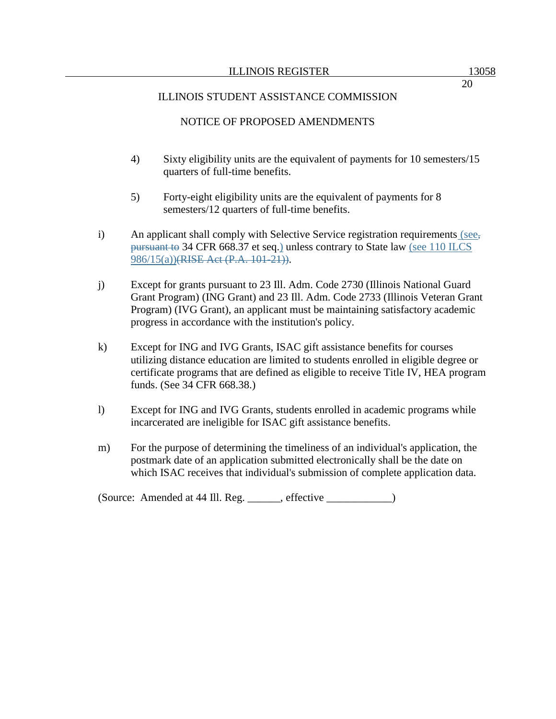- 4) Sixty eligibility units are the equivalent of payments for 10 semesters/15 quarters of full-time benefits.
- 5) Forty-eight eligibility units are the equivalent of payments for 8 semesters/12 quarters of full-time benefits.
- i) An applicant shall comply with Selective Service registration requirements (see, pursuant to 34 CFR 668.37 et seq.) unless contrary to State law (see 110 ILCS 986/15(a))(RISE Act (P.A. 101-21)).
- j) Except for grants pursuant to 23 Ill. Adm. Code 2730 (Illinois National Guard Grant Program) (ING Grant) and 23 Ill. Adm. Code 2733 (Illinois Veteran Grant Program) (IVG Grant), an applicant must be maintaining satisfactory academic progress in accordance with the institution's policy.
- k) Except for ING and IVG Grants, ISAC gift assistance benefits for courses utilizing distance education are limited to students enrolled in eligible degree or certificate programs that are defined as eligible to receive Title IV, HEA program funds. (See 34 CFR 668.38.)
- l) Except for ING and IVG Grants, students enrolled in academic programs while incarcerated are ineligible for ISAC gift assistance benefits.
- m) For the purpose of determining the timeliness of an individual's application, the postmark date of an application submitted electronically shall be the date on which ISAC receives that individual's submission of complete application data.

(Source: Amended at 44 Ill. Reg. \_\_\_\_\_\_, effective \_\_\_\_\_\_\_\_\_\_\_\_)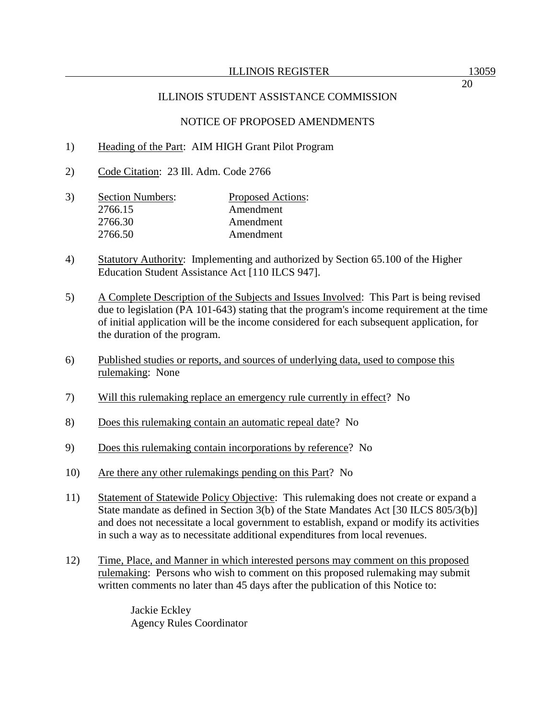- 1) Heading of the Part: AIM HIGH Grant Pilot Program
- 2) Code Citation: 23 Ill. Adm. Code 2766
- 3) Section Numbers: Proposed Actions: 2766.15 Amendment 2766.30 Amendment 2766.50 Amendment
- 4) Statutory Authority: Implementing and authorized by Section 65.100 of the Higher Education Student Assistance Act [110 ILCS 947].
- 5) A Complete Description of the Subjects and Issues Involved: This Part is being revised due to legislation (PA 101-643) stating that the program's income requirement at the time of initial application will be the income considered for each subsequent application, for the duration of the program.
- 6) Published studies or reports, and sources of underlying data, used to compose this rulemaking: None
- 7) Will this rulemaking replace an emergency rule currently in effect? No
- 8) Does this rulemaking contain an automatic repeal date? No
- 9) Does this rulemaking contain incorporations by reference? No
- 10) Are there any other rulemakings pending on this Part? No
- 11) Statement of Statewide Policy Objective: This rulemaking does not create or expand a State mandate as defined in Section 3(b) of the State Mandates Act [30 ILCS 805/3(b)] and does not necessitate a local government to establish, expand or modify its activities in such a way as to necessitate additional expenditures from local revenues.
- 12) Time, Place, and Manner in which interested persons may comment on this proposed rulemaking: Persons who wish to comment on this proposed rulemaking may submit written comments no later than 45 days after the publication of this Notice to:

Jackie Eckley Agency Rules Coordinator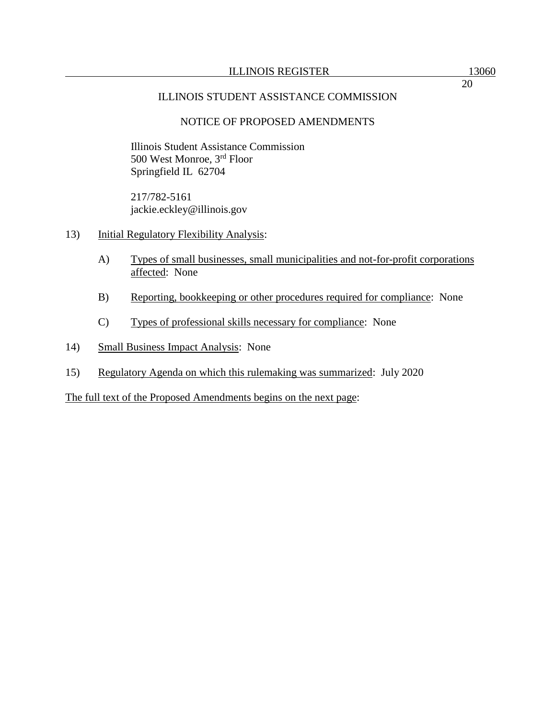# NOTICE OF PROPOSED AMENDMENTS

Illinois Student Assistance Commission 500 West Monroe, 3rd Floor Springfield IL 62704

217/782-5161 jackie.eckley@illinois.gov

- 13) Initial Regulatory Flexibility Analysis:
	- A) Types of small businesses, small municipalities and not-for-profit corporations affected: None
	- B) Reporting, bookkeeping or other procedures required for compliance: None
	- C) Types of professional skills necessary for compliance: None
- 14) Small Business Impact Analysis: None
- 15) Regulatory Agenda on which this rulemaking was summarized: July 2020

The full text of the Proposed Amendments begins on the next page: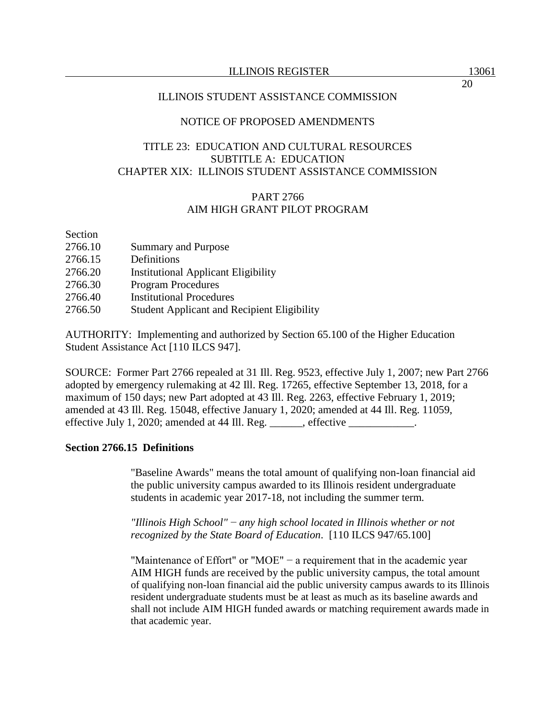### ILLINOIS STUDENT ASSISTANCE COMMISSION

### NOTICE OF PROPOSED AMENDMENTS

# TITLE 23: EDUCATION AND CULTURAL RESOURCES SUBTITLE A: EDUCATION CHAPTER XIX: ILLINOIS STUDENT ASSISTANCE COMMISSION

# PART 2766 AIM HIGH GRANT PILOT PROGRAM

Section

| 2766.10 | <b>Summary and Purpose</b>                         |
|---------|----------------------------------------------------|
| 2766.15 | Definitions                                        |
| 2766.20 | <b>Institutional Applicant Eligibility</b>         |
| 2766.30 | <b>Program Procedures</b>                          |
| 2766.40 | <b>Institutional Procedures</b>                    |
| 2766.50 | <b>Student Applicant and Recipient Eligibility</b> |

AUTHORITY: Implementing and authorized by Section 65.100 of the Higher Education Student Assistance Act [110 ILCS 947].

SOURCE: Former Part 2766 repealed at 31 Ill. Reg. 9523, effective July 1, 2007; new Part 2766 adopted by emergency rulemaking at 42 Ill. Reg. 17265, effective September 13, 2018, for a maximum of 150 days; new Part adopted at 43 Ill. Reg. 2263, effective February 1, 2019; amended at 43 Ill. Reg. 15048, effective January 1, 2020; amended at 44 Ill. Reg. 11059, effective July 1, 2020; amended at 44 Ill. Reg. \_\_\_\_\_\_, effective \_\_\_\_\_\_\_\_\_\_\_\_.

### **Section 2766.15 Definitions**

"Baseline Awards" means the total amount of qualifying non-loan financial aid the public university campus awarded to its Illinois resident undergraduate students in academic year 2017-18, not including the summer term*.*

*"Illinois High School"* − *any high school located in Illinois whether or not recognized by the State Board of Education*. [110 ILCS 947/65.100]

"Maintenance of Effort" or "MOE" − a requirement that in the academic year AIM HIGH funds are received by the public university campus, the total amount of qualifying non-loan financial aid the public university campus awards to its Illinois resident undergraduate students must be at least as much as its baseline awards and shall not include AIM HIGH funded awards or matching requirement awards made in that academic year.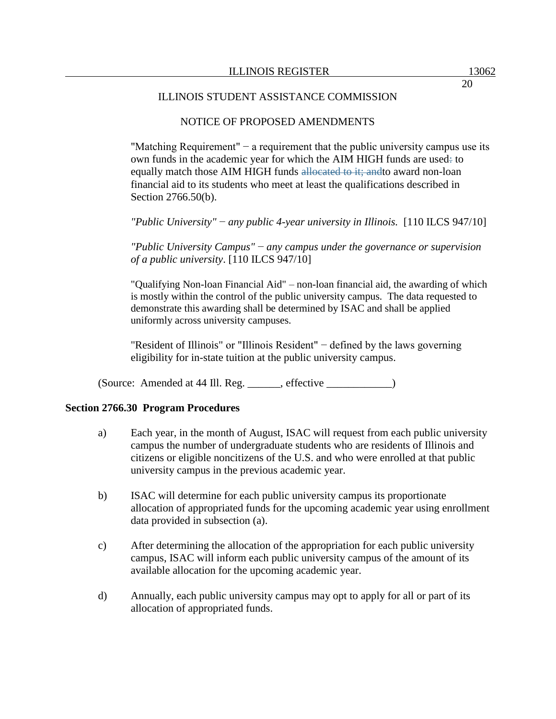### NOTICE OF PROPOSED AMENDMENTS

"Matching Requirement"  $-$  a requirement that the public university campus use its own funds in the academic year for which the AIM HIGH funds are used: to equally match those AIM HIGH funds allocated to it; andto award non-loan financial aid to its students who meet at least the qualifications described in Section 2766.50(b).

*"Public University"* − *any public 4-year university in Illinois.* [110 ILCS 947/10]

*"Public University Campus"* − *any campus under the governance or supervision of a public university*. [110 ILCS 947/10]

"Qualifying Non-loan Financial Aid" – non-loan financial aid, the awarding of which is mostly within the control of the public university campus. The data requested to demonstrate this awarding shall be determined by ISAC and shall be applied uniformly across university campuses.

"Resident of Illinois" or "Illinois Resident" − defined by the laws governing eligibility for in-state tuition at the public university campus.

 $(Source: Amented at 44 Ill. Reg. __________, effective __________)$ 

### **Section 2766.30 Program Procedures**

- a) Each year, in the month of August, ISAC will request from each public university campus the number of undergraduate students who are residents of Illinois and citizens or eligible noncitizens of the U.S. and who were enrolled at that public university campus in the previous academic year.
- b) ISAC will determine for each public university campus its proportionate allocation of appropriated funds for the upcoming academic year using enrollment data provided in subsection (a).
- c) After determining the allocation of the appropriation for each public university campus, ISAC will inform each public university campus of the amount of its available allocation for the upcoming academic year.
- d) Annually, each public university campus may opt to apply for all or part of its allocation of appropriated funds.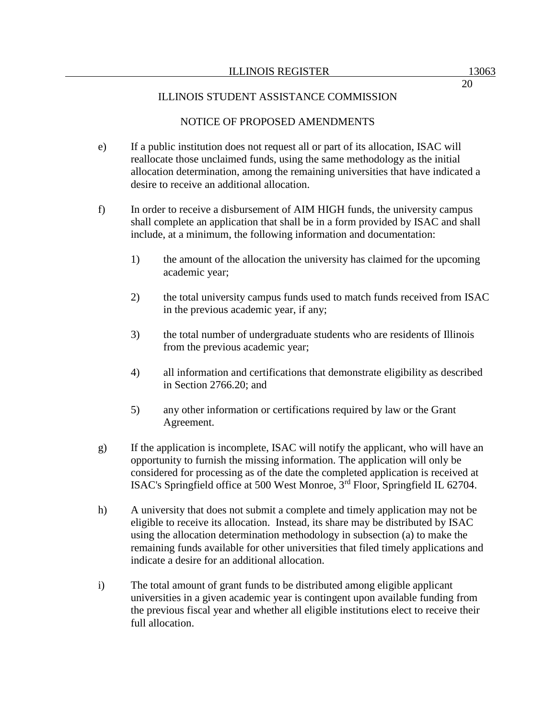### ILLINOIS STUDENT ASSISTANCE COMMISSION

### NOTICE OF PROPOSED AMENDMENTS

- e) If a public institution does not request all or part of its allocation, ISAC will reallocate those unclaimed funds, using the same methodology as the initial allocation determination, among the remaining universities that have indicated a desire to receive an additional allocation.
- f) In order to receive a disbursement of AIM HIGH funds, the university campus shall complete an application that shall be in a form provided by ISAC and shall include, at a minimum, the following information and documentation:
	- 1) the amount of the allocation the university has claimed for the upcoming academic year;
	- 2) the total university campus funds used to match funds received from ISAC in the previous academic year, if any;
	- 3) the total number of undergraduate students who are residents of Illinois from the previous academic year;
	- 4) all information and certifications that demonstrate eligibility as described in Section 2766.20; and
	- 5) any other information or certifications required by law or the Grant Agreement.
- g) If the application is incomplete, ISAC will notify the applicant, who will have an opportunity to furnish the missing information. The application will only be considered for processing as of the date the completed application is received at ISAC's Springfield office at 500 West Monroe, 3rd Floor, Springfield IL 62704.
- h) A university that does not submit a complete and timely application may not be eligible to receive its allocation. Instead, its share may be distributed by ISAC using the allocation determination methodology in subsection (a) to make the remaining funds available for other universities that filed timely applications and indicate a desire for an additional allocation.
- i) The total amount of grant funds to be distributed among eligible applicant universities in a given academic year is contingent upon available funding from the previous fiscal year and whether all eligible institutions elect to receive their full allocation.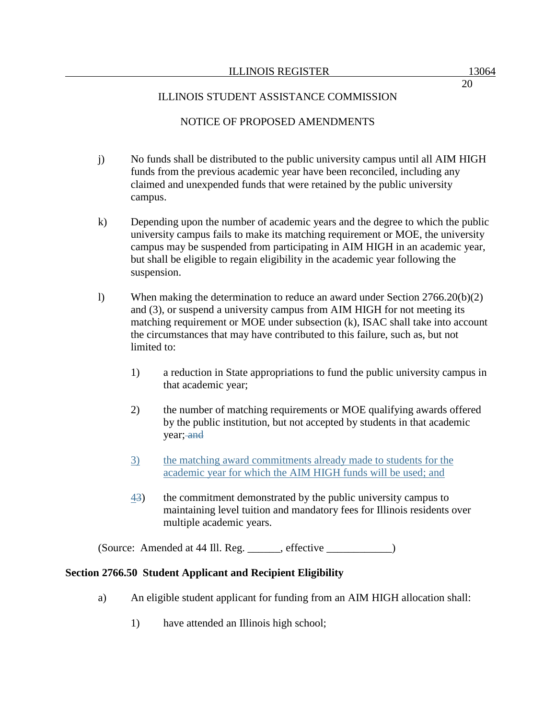20

### ILLINOIS STUDENT ASSISTANCE COMMISSION

### NOTICE OF PROPOSED AMENDMENTS

- j) No funds shall be distributed to the public university campus until all AIM HIGH funds from the previous academic year have been reconciled, including any claimed and unexpended funds that were retained by the public university campus.
- k) Depending upon the number of academic years and the degree to which the public university campus fails to make its matching requirement or MOE, the university campus may be suspended from participating in AIM HIGH in an academic year, but shall be eligible to regain eligibility in the academic year following the suspension.
- l) When making the determination to reduce an award under Section 2766.20(b)(2) and (3), or suspend a university campus from AIM HIGH for not meeting its matching requirement or MOE under subsection (k), ISAC shall take into account the circumstances that may have contributed to this failure, such as, but not limited to:
	- 1) a reduction in State appropriations to fund the public university campus in that academic year;
	- 2) the number of matching requirements or MOE qualifying awards offered by the public institution, but not accepted by students in that academic year; and
	- 3) the matching award commitments already made to students for the academic year for which the AIM HIGH funds will be used; and
	- 43) the commitment demonstrated by the public university campus to maintaining level tuition and mandatory fees for Illinois residents over multiple academic years.

(Source: Amended at 44 Ill. Reg. \_\_\_\_\_\_, effective \_\_\_\_\_\_\_\_\_\_\_\_)

### **Section 2766.50 Student Applicant and Recipient Eligibility**

- a) An eligible student applicant for funding from an AIM HIGH allocation shall:
	- 1) have attended an Illinois high school;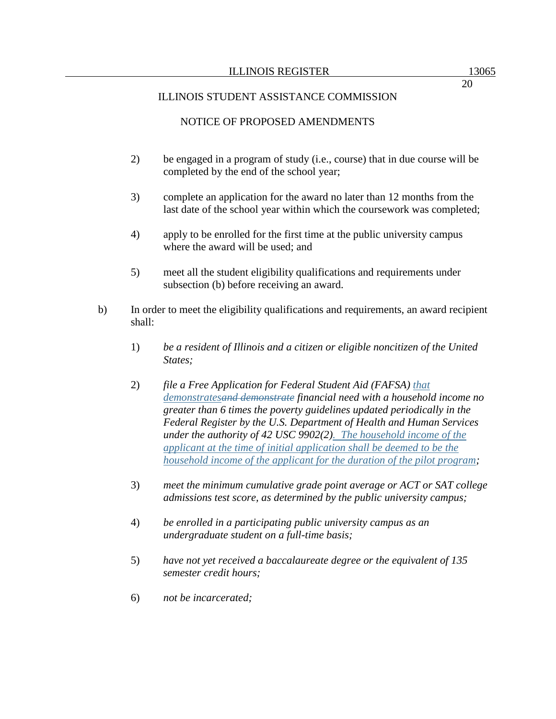### ILLINOIS STUDENT ASSISTANCE COMMISSION

## NOTICE OF PROPOSED AMENDMENTS

- 2) be engaged in a program of study (i.e., course) that in due course will be completed by the end of the school year;
- 3) complete an application for the award no later than 12 months from the last date of the school year within which the coursework was completed;
- 4) apply to be enrolled for the first time at the public university campus where the award will be used; and
- 5) meet all the student eligibility qualifications and requirements under subsection (b) before receiving an award.
- b) In order to meet the eligibility qualifications and requirements, an award recipient shall:
	- 1) *be a resident of Illinois and a citizen or eligible noncitizen of the United States;*
	- 2) *file a Free Application for Federal Student Aid (FAFSA) that demonstratesand demonstrate financial need with a household income no greater than 6 times the poverty guidelines updated periodically in the Federal Register by the U.S. Department of Health and Human Services under the authority of 42 USC 9902(2). The household income of the applicant at the time of initial application shall be deemed to be the household income of the applicant for the duration of the pilot program;*
	- 3) *meet the minimum cumulative grade point average or ACT or SAT college admissions test score, as determined by the public university campus;*
	- 4) *be enrolled in a participating public university campus as an undergraduate student on a full-time basis;*
	- 5) *have not yet received a baccalaureate degree or the equivalent of 135 semester credit hours;*
	- 6) *not be incarcerated;*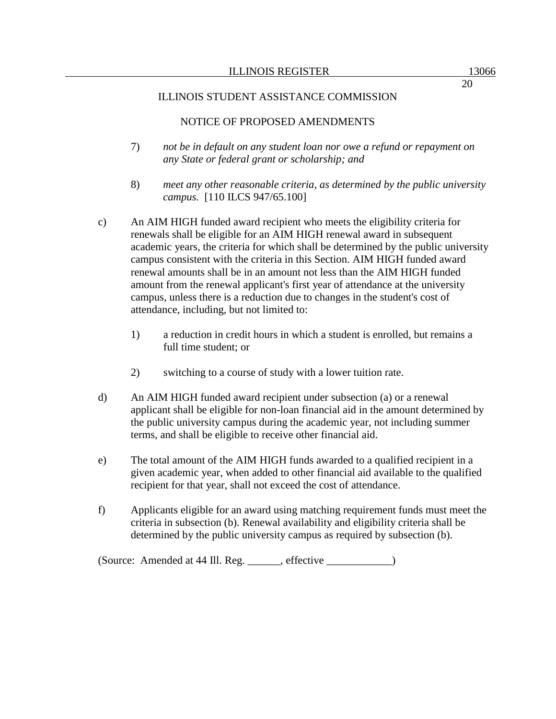### ILLINOIS STUDENT ASSISTANCE COMMISSION

### NOTICE OF PROPOSED AMENDMENTS

- 7) *not be in default on any student loan nor owe a refund or repayment on any State or federal grant or scholarship; and*
- 8) *meet any other reasonable criteria, as determined by the public university campus.* [110 ILCS 947/65.100]
- c) An AIM HIGH funded award recipient who meets the eligibility criteria for renewals shall be eligible for an AIM HIGH renewal award in subsequent academic years, the criteria for which shall be determined by the public university campus consistent with the criteria in this Section. AIM HIGH funded award renewal amounts shall be in an amount not less than the AIM HIGH funded amount from the renewal applicant's first year of attendance at the university campus, unless there is a reduction due to changes in the student's cost of attendance, including, but not limited to:
	- 1) a reduction in credit hours in which a student is enrolled, but remains a full time student; or
	- 2) switching to a course of study with a lower tuition rate.
- d) An AIM HIGH funded award recipient under subsection (a) or a renewal applicant shall be eligible for non-loan financial aid in the amount determined by the public university campus during the academic year, not including summer terms, and shall be eligible to receive other financial aid.
- e) The total amount of the AIM HIGH funds awarded to a qualified recipient in a given academic year, when added to other financial aid available to the qualified recipient for that year, shall not exceed the cost of attendance.
- f) Applicants eligible for an award using matching requirement funds must meet the criteria in subsection (b). Renewal availability and eligibility criteria shall be determined by the public university campus as required by subsection (b).

(Source: Amended at 44 Ill. Reg. \_\_\_\_\_\_, effective \_\_\_\_\_\_\_\_\_\_\_\_)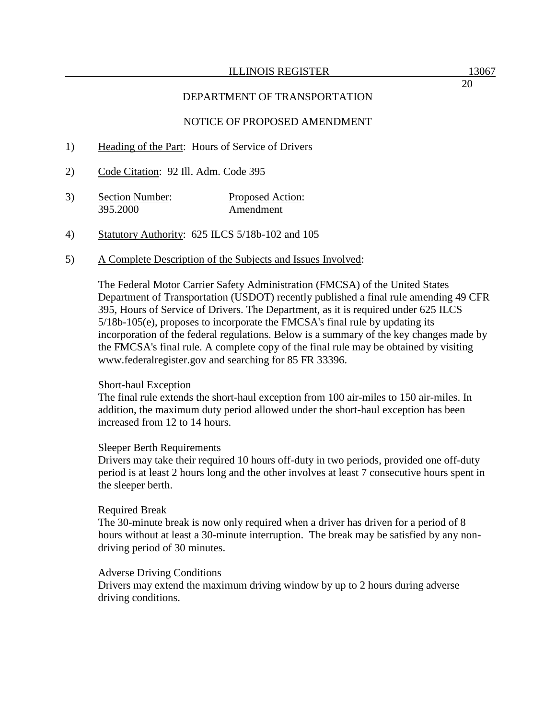#### ILLINOIS REGISTER 13067

### DEPARTMENT OF TRANSPORTATION

### NOTICE OF PROPOSED AMENDMENT

- 1) Heading of the Part: Hours of Service of Drivers
- 2) Code Citation: 92 Ill. Adm. Code 395
- 3) Section Number: Proposed Action: 395.2000 Amendment
- 4) Statutory Authority: 625 ILCS 5/18b-102 and 105
- 5) A Complete Description of the Subjects and Issues Involved:

The Federal Motor Carrier Safety Administration (FMCSA) of the United States Department of Transportation (USDOT) recently published a final rule amending 49 CFR 395, Hours of Service of Drivers. The Department, as it is required under 625 ILCS 5/18b-105(e), proposes to incorporate the FMCSA's final rule by updating its incorporation of the federal regulations. Below is a summary of the key changes made by the FMCSA's final rule. A complete copy of the final rule may be obtained by visiting www.federalregister.gov and searching for 85 FR 33396.

#### Short-haul Exception

The final rule extends the short-haul exception from 100 air-miles to 150 air-miles. In addition, the maximum duty period allowed under the short-haul exception has been increased from 12 to 14 hours.

#### Sleeper Berth Requirements

Drivers may take their required 10 hours off-duty in two periods, provided one off-duty period is at least 2 hours long and the other involves at least 7 consecutive hours spent in the sleeper berth.

#### Required Break

The 30-minute break is now only required when a driver has driven for a period of 8 hours without at least a 30-minute interruption. The break may be satisfied by any nondriving period of 30 minutes.

#### Adverse Driving Conditions

Drivers may extend the maximum driving window by up to 2 hours during adverse driving conditions.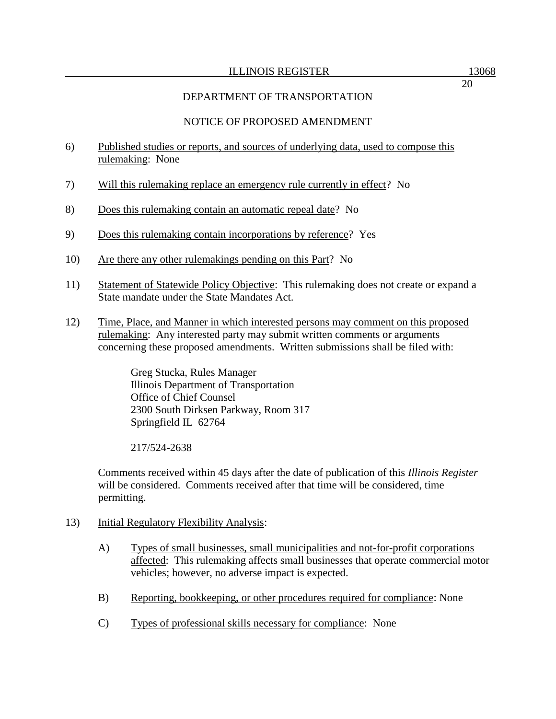# NOTICE OF PROPOSED AMENDMENT

- 6) Published studies or reports, and sources of underlying data, used to compose this rulemaking: None
- 7) Will this rulemaking replace an emergency rule currently in effect? No
- 8) Does this rulemaking contain an automatic repeal date? No
- 9) Does this rulemaking contain incorporations by reference? Yes
- 10) Are there any other rulemakings pending on this Part? No
- 11) Statement of Statewide Policy Objective: This rulemaking does not create or expand a State mandate under the State Mandates Act.
- 12) Time, Place, and Manner in which interested persons may comment on this proposed rulemaking: Any interested party may submit written comments or arguments concerning these proposed amendments. Written submissions shall be filed with:

Greg Stucka, Rules Manager Illinois Department of Transportation Office of Chief Counsel 2300 South Dirksen Parkway, Room 317 Springfield IL 62764

217/524-2638

Comments received within 45 days after the date of publication of this *Illinois Register* will be considered. Comments received after that time will be considered, time permitting.

- 13) Initial Regulatory Flexibility Analysis:
	- A) Types of small businesses, small municipalities and not-for-profit corporations affected: This rulemaking affects small businesses that operate commercial motor vehicles; however, no adverse impact is expected.
	- B) Reporting, bookkeeping, or other procedures required for compliance: None
	- C) Types of professional skills necessary for compliance: None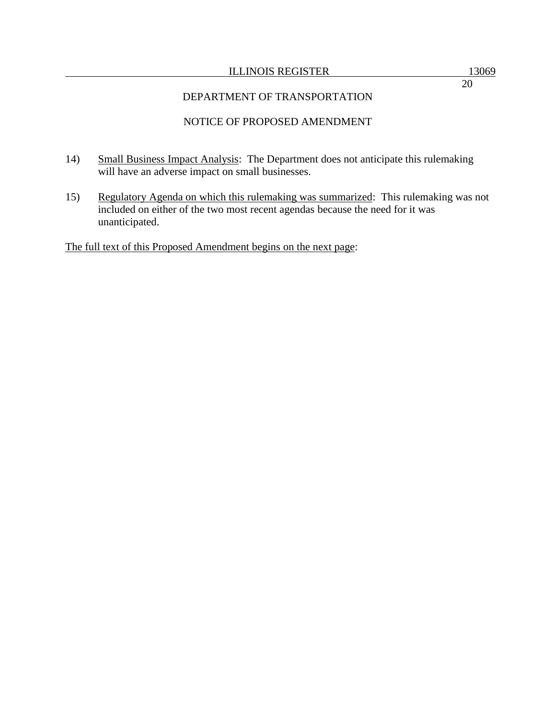#### ILLINOIS REGISTER 13069

20

## DEPARTMENT OF TRANSPORTATION

## NOTICE OF PROPOSED AMENDMENT

- 14) Small Business Impact Analysis: The Department does not anticipate this rulemaking will have an adverse impact on small businesses.
- 15) Regulatory Agenda on which this rulemaking was summarized: This rulemaking was not included on either of the two most recent agendas because the need for it was unanticipated.

The full text of this Proposed Amendment begins on the next page: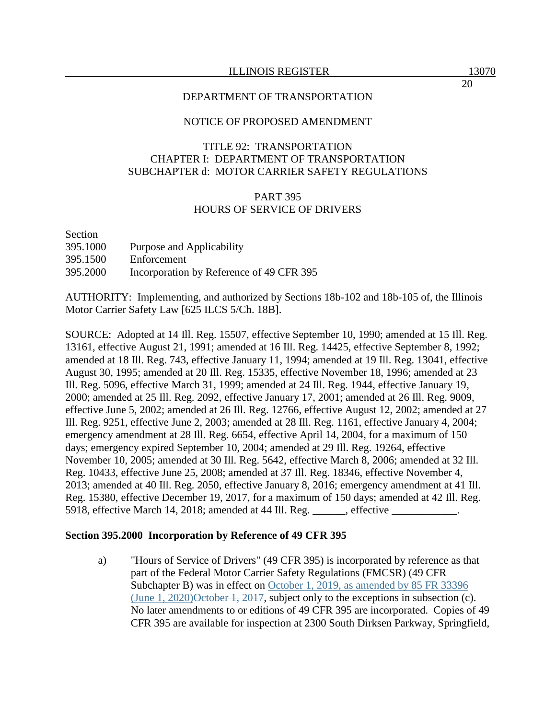### NOTICE OF PROPOSED AMENDMENT

### TITLE 92: TRANSPORTATION CHAPTER I: DEPARTMENT OF TRANSPORTATION SUBCHAPTER d: MOTOR CARRIER SAFETY REGULATIONS

### PART 395 HOURS OF SERVICE OF DRIVERS

# Section 395.1000 Purpose and Applicability 395.1500 Enforcement 395.2000 Incorporation by Reference of 49 CFR 395

AUTHORITY: Implementing, and authorized by Sections 18b-102 and 18b-105 of, the Illinois Motor Carrier Safety Law [625 ILCS 5/Ch. 18B].

SOURCE: Adopted at 14 Ill. Reg. 15507, effective September 10, 1990; amended at 15 Ill. Reg. 13161, effective August 21, 1991; amended at 16 Ill. Reg. 14425, effective September 8, 1992; amended at 18 Ill. Reg. 743, effective January 11, 1994; amended at 19 Ill. Reg. 13041, effective August 30, 1995; amended at 20 Ill. Reg. 15335, effective November 18, 1996; amended at 23 Ill. Reg. 5096, effective March 31, 1999; amended at 24 Ill. Reg. 1944, effective January 19, 2000; amended at 25 Ill. Reg. 2092, effective January 17, 2001; amended at 26 Ill. Reg. 9009, effective June 5, 2002; amended at 26 Ill. Reg. 12766, effective August 12, 2002; amended at 27 Ill. Reg. 9251, effective June 2, 2003; amended at 28 Ill. Reg. 1161, effective January 4, 2004; emergency amendment at 28 Ill. Reg. 6654, effective April 14, 2004, for a maximum of 150 days; emergency expired September 10, 2004; amended at 29 Ill. Reg. 19264, effective November 10, 2005; amended at 30 Ill. Reg. 5642, effective March 8, 2006; amended at 32 Ill. Reg. 10433, effective June 25, 2008; amended at 37 Ill. Reg. 18346, effective November 4, 2013; amended at 40 Ill. Reg. 2050, effective January 8, 2016; emergency amendment at 41 Ill. Reg. 15380, effective December 19, 2017, for a maximum of 150 days; amended at 42 Ill. Reg. 5918, effective March 14, 2018; amended at 44 Ill. Reg. effective

### **Section 395.2000 Incorporation by Reference of 49 CFR 395**

a) "Hours of Service of Drivers" (49 CFR 395) is incorporated by reference as that part of the Federal Motor Carrier Safety Regulations (FMCSR) (49 CFR Subchapter B) was in effect on October 1, 2019, as amended by 85 FR 33396 (June 1, 2020) $\Theta$ etober 1, 2017, subject only to the exceptions in subsection (c). No later amendments to or editions of 49 CFR 395 are incorporated. Copies of 49 CFR 395 are available for inspection at 2300 South Dirksen Parkway, Springfield,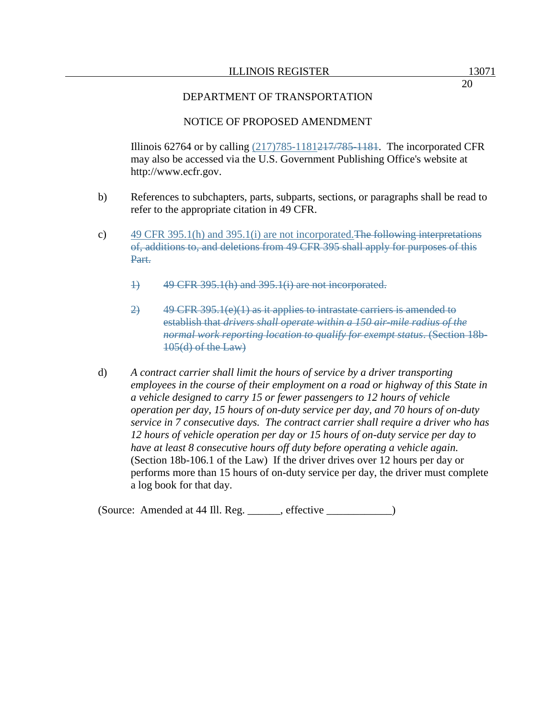20

### DEPARTMENT OF TRANSPORTATION

### NOTICE OF PROPOSED AMENDMENT

Illinois 62764 or by calling  $(217)785-1181217/785-1181$ . The incorporated CFR may also be accessed via the U.S. Government Publishing Office's website at http://www.ecfr.gov.

- b) References to subchapters, parts, subparts, sections, or paragraphs shall be read to refer to the appropriate citation in 49 CFR.
- c) 49 CFR 395.1(h) and 395.1(i) are not incorporated.The following interpretations of, additions to, and deletions from 49 CFR 395 shall apply for purposes of this Part.
	- 1) 49 CFR 395.1(h) and 395.1(i) are not incorporated.
	- 2)  $49$  CFR 395.1(e)(1) as it applies to intrastate carriers is amended to establish that *drivers shall operate within a 150 air-mile radius of the normal work reporting location to qualify for exempt status*. (Section 18b-105(d) of the Law)
- d) *A contract carrier shall limit the hours of service by a driver transporting employees in the course of their employment on a road or highway of this State in a vehicle designed to carry 15 or fewer passengers to 12 hours of vehicle operation per day, 15 hours of on-duty service per day, and 70 hours of on-duty service in 7 consecutive days. The contract carrier shall require a driver who has 12 hours of vehicle operation per day or 15 hours of on-duty service per day to have at least 8 consecutive hours off duty before operating a vehicle again.* (Section 18b-106.1 of the Law) If the driver drives over 12 hours per day or performs more than 15 hours of on-duty service per day, the driver must complete a log book for that day.

(Source: Amended at 44 Ill. Reg. effective )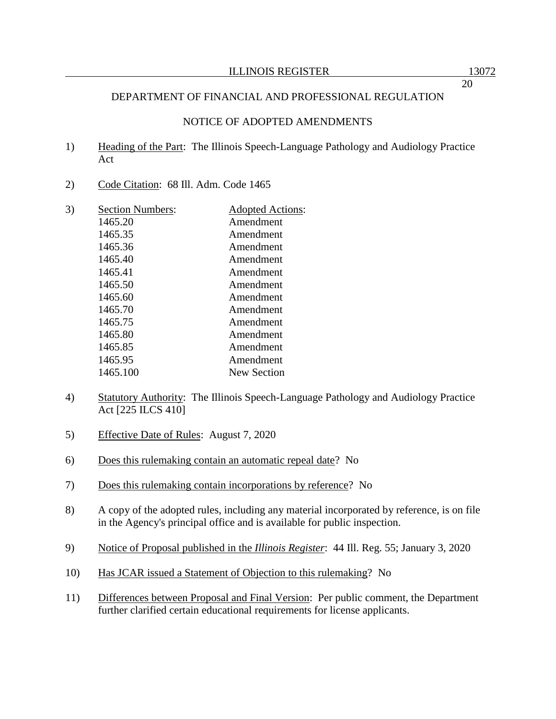### NOTICE OF ADOPTED AMENDMENTS

- 1) Heading of the Part: The Illinois Speech-Language Pathology and Audiology Practice Act
- 2) Code Citation: 68 Ill. Adm. Code 1465

| 3) | <b>Section Numbers:</b> | <b>Adopted Actions:</b> |
|----|-------------------------|-------------------------|
|    | 1465.20                 | Amendment               |
|    | 1465.35                 | Amendment               |
|    | 1465.36                 | Amendment               |
|    | 1465.40                 | Amendment               |
|    | 1465.41                 | Amendment               |
|    | 1465.50                 | Amendment               |
|    | 1465.60                 | Amendment               |
|    | 1465.70                 | Amendment               |
|    | 1465.75                 | Amendment               |
|    | 1465.80                 | Amendment               |
|    | 1465.85                 | Amendment               |
|    | 1465.95                 | Amendment               |
|    | 1465.100                | New Section             |
|    |                         |                         |

- 4) Statutory Authority: The Illinois Speech-Language Pathology and Audiology Practice Act [225 ILCS 410]
- 5) Effective Date of Rules: August 7, 2020
- 6) Does this rulemaking contain an automatic repeal date? No
- 7) Does this rulemaking contain incorporations by reference? No
- 8) A copy of the adopted rules, including any material incorporated by reference, is on file in the Agency's principal office and is available for public inspection.
- 9) Notice of Proposal published in the *Illinois Register*: 44 Ill. Reg. 55; January 3, 2020
- 10) Has JCAR issued a Statement of Objection to this rulemaking? No
- 11) Differences between Proposal and Final Version: Per public comment, the Department further clarified certain educational requirements for license applicants.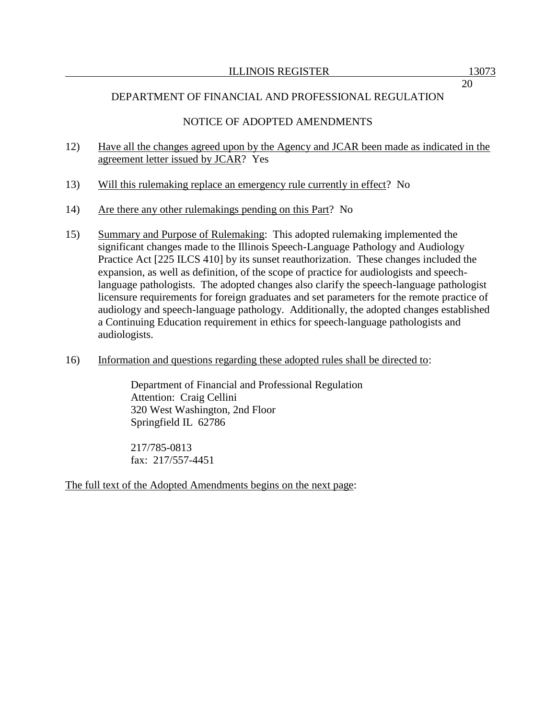## NOTICE OF ADOPTED AMENDMENTS

- 12) Have all the changes agreed upon by the Agency and JCAR been made as indicated in the agreement letter issued by JCAR? Yes
- 13) Will this rulemaking replace an emergency rule currently in effect? No
- 14) Are there any other rulemakings pending on this Part? No
- 15) Summary and Purpose of Rulemaking: This adopted rulemaking implemented the significant changes made to the Illinois Speech-Language Pathology and Audiology Practice Act [225 ILCS 410] by its sunset reauthorization. These changes included the expansion, as well as definition, of the scope of practice for audiologists and speechlanguage pathologists. The adopted changes also clarify the speech-language pathologist licensure requirements for foreign graduates and set parameters for the remote practice of audiology and speech-language pathology. Additionally, the adopted changes established a Continuing Education requirement in ethics for speech-language pathologists and audiologists.
- 16) Information and questions regarding these adopted rules shall be directed to:

Department of Financial and Professional Regulation Attention: Craig Cellini 320 West Washington, 2nd Floor Springfield IL 62786

217/785-0813 fax: 217/557-4451

The full text of the Adopted Amendments begins on the next page: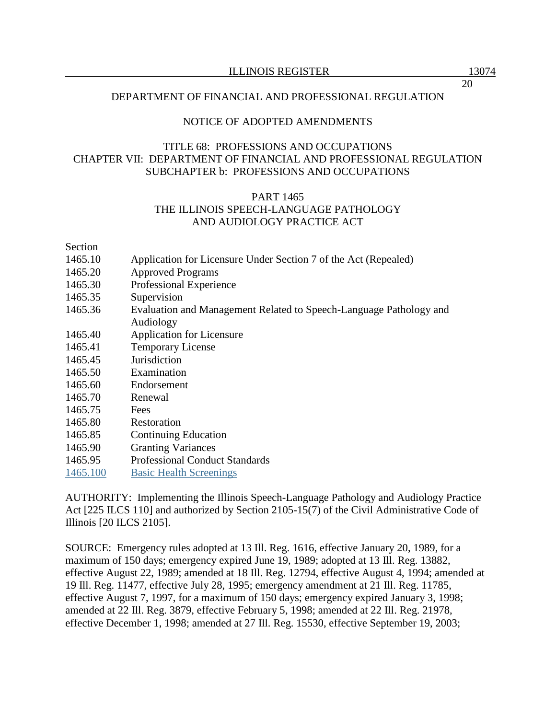### NOTICE OF ADOPTED AMENDMENTS

## TITLE 68: PROFESSIONS AND OCCUPATIONS CHAPTER VII: DEPARTMENT OF FINANCIAL AND PROFESSIONAL REGULATION SUBCHAPTER b: PROFESSIONS AND OCCUPATIONS

### PART 1465 THE ILLINOIS SPEECH-LANGUAGE PATHOLOGY AND AUDIOLOGY PRACTICE ACT

Section

- 1465.10 Application for Licensure Under Section 7 of the Act (Repealed)
- 1465.20 Approved Programs
- 1465.30 Professional Experience
- 1465.35 Supervision
- 1465.36 Evaluation and Management Related to Speech-Language Pathology and Audiology
- 1465.40 Application for Licensure
- 1465.41 Temporary License
- 1465.45 Jurisdiction
- 1465.50 Examination
- 1465.60 Endorsement
- 1465.70 Renewal
- 1465.75 Fees
- 1465.80 Restoration
- 1465.85 Continuing Education
- 1465.90 Granting Variances
- 1465.95 Professional Conduct Standards
- 1465.100 Basic Health Screenings

AUTHORITY: Implementing the Illinois Speech-Language Pathology and Audiology Practice Act [225 ILCS 110] and authorized by Section 2105-15(7) of the Civil Administrative Code of Illinois [20 ILCS 2105].

SOURCE: Emergency rules adopted at 13 Ill. Reg. 1616, effective January 20, 1989, for a maximum of 150 days; emergency expired June 19, 1989; adopted at 13 Ill. Reg. 13882, effective August 22, 1989; amended at 18 Ill. Reg. 12794, effective August 4, 1994; amended at 19 Ill. Reg. 11477, effective July 28, 1995; emergency amendment at 21 Ill. Reg. 11785, effective August 7, 1997, for a maximum of 150 days; emergency expired January 3, 1998; amended at 22 Ill. Reg. 3879, effective February 5, 1998; amended at 22 Ill. Reg. 21978, effective December 1, 1998; amended at 27 Ill. Reg. 15530, effective September 19, 2003;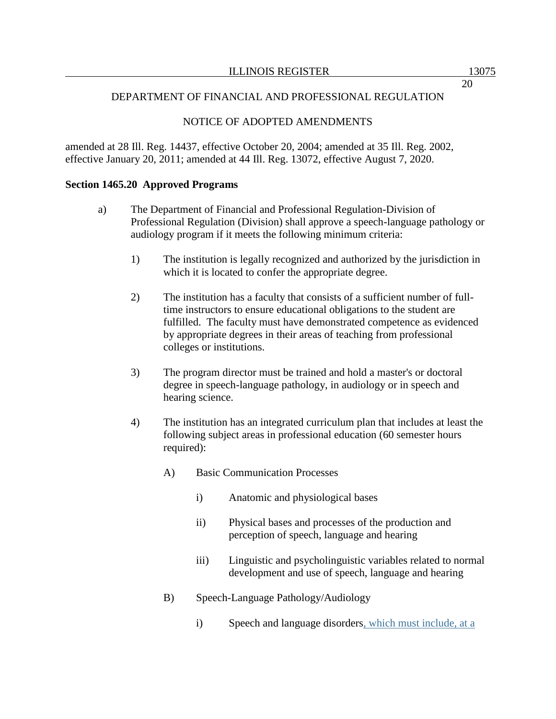# NOTICE OF ADOPTED AMENDMENTS

amended at 28 Ill. Reg. 14437, effective October 20, 2004; amended at 35 Ill. Reg. 2002, effective January 20, 2011; amended at 44 Ill. Reg. 13072, effective August 7, 2020.

### **Section 1465.20 Approved Programs**

- a) The Department of Financial and Professional Regulation-Division of Professional Regulation (Division) shall approve a speech-language pathology or audiology program if it meets the following minimum criteria:
	- 1) The institution is legally recognized and authorized by the jurisdiction in which it is located to confer the appropriate degree.
	- 2) The institution has a faculty that consists of a sufficient number of fulltime instructors to ensure educational obligations to the student are fulfilled. The faculty must have demonstrated competence as evidenced by appropriate degrees in their areas of teaching from professional colleges or institutions.
	- 3) The program director must be trained and hold a master's or doctoral degree in speech-language pathology, in audiology or in speech and hearing science.
	- 4) The institution has an integrated curriculum plan that includes at least the following subject areas in professional education (60 semester hours required):
		- A) Basic Communication Processes
			- i) Anatomic and physiological bases
			- ii) Physical bases and processes of the production and perception of speech, language and hearing
			- iii) Linguistic and psycholinguistic variables related to normal development and use of speech, language and hearing
		- B) Speech-Language Pathology/Audiology
			- i) Speech and language disorders, which must include, at a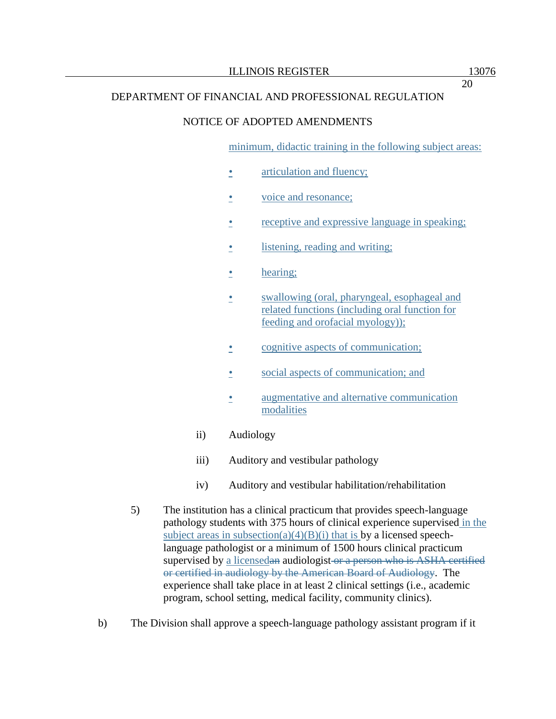### NOTICE OF ADOPTED AMENDMENTS

minimum, didactic training in the following subject areas:

- articulation and fluency;
- voice and resonance;
- receptive and expressive language in speaking;
- listening, reading and writing;
- hearing;
- swallowing (oral, pharyngeal, esophageal and related functions (including oral function for feeding and orofacial myology));
- cognitive aspects of communication;
- social aspects of communication; and
- augmentative and alternative communication modalities
- ii) Audiology
- iii) Auditory and vestibular pathology
- iv) Auditory and vestibular habilitation/rehabilitation
- 5) The institution has a clinical practicum that provides speech-language pathology students with 375 hours of clinical experience supervised in the subject areas in subsection(a)(4)(B)(i) that is by a licensed speechlanguage pathologist or a minimum of 1500 hours clinical practicum supervised by a licensedan audiologist or a person who is ASHA certified or certified in audiology by the American Board of Audiology. The experience shall take place in at least 2 clinical settings (i.e., academic program, school setting, medical facility, community clinics).
- b) The Division shall approve a speech-language pathology assistant program if it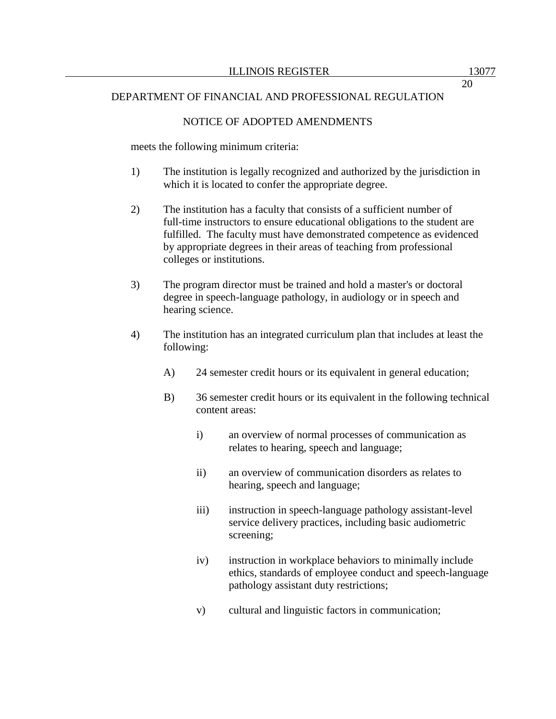### NOTICE OF ADOPTED AMENDMENTS

meets the following minimum criteria:

- 1) The institution is legally recognized and authorized by the jurisdiction in which it is located to confer the appropriate degree.
- 2) The institution has a faculty that consists of a sufficient number of full-time instructors to ensure educational obligations to the student are fulfilled. The faculty must have demonstrated competence as evidenced by appropriate degrees in their areas of teaching from professional colleges or institutions.
- 3) The program director must be trained and hold a master's or doctoral degree in speech-language pathology, in audiology or in speech and hearing science.
- 4) The institution has an integrated curriculum plan that includes at least the following:
	- A) 24 semester credit hours or its equivalent in general education;
	- B) 36 semester credit hours or its equivalent in the following technical content areas:
		- i) an overview of normal processes of communication as relates to hearing, speech and language;
		- ii) an overview of communication disorders as relates to hearing, speech and language;
		- iii) instruction in speech-language pathology assistant-level service delivery practices, including basic audiometric screening;
		- iv) instruction in workplace behaviors to minimally include ethics, standards of employee conduct and speech-language pathology assistant duty restrictions;
		- v) cultural and linguistic factors in communication;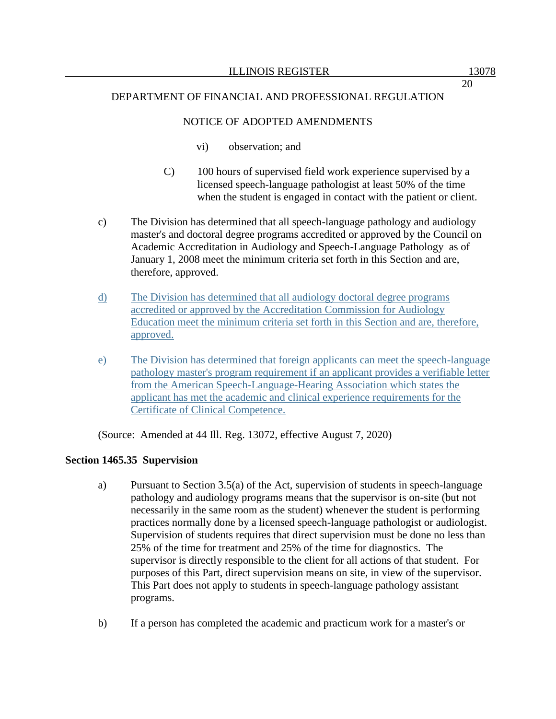### NOTICE OF ADOPTED AMENDMENTS

- vi) observation; and
- C) 100 hours of supervised field work experience supervised by a licensed speech-language pathologist at least 50% of the time when the student is engaged in contact with the patient or client.
- c) The Division has determined that all speech-language pathology and audiology master's and doctoral degree programs accredited or approved by the Council on Academic Accreditation in Audiology and Speech-Language Pathology as of January 1, 2008 meet the minimum criteria set forth in this Section and are, therefore, approved.
- d) The Division has determined that all audiology doctoral degree programs accredited or approved by the Accreditation Commission for Audiology Education meet the minimum criteria set forth in this Section and are, therefore, approved.
- e) The Division has determined that foreign applicants can meet the speech-language pathology master's program requirement if an applicant provides a verifiable letter from the American Speech-Language-Hearing Association which states the applicant has met the academic and clinical experience requirements for the Certificate of Clinical Competence.

(Source: Amended at 44 Ill. Reg. 13072, effective August 7, 2020)

### **Section 1465.35 Supervision**

- a) Pursuant to Section 3.5(a) of the Act, supervision of students in speech-language pathology and audiology programs means that the supervisor is on-site (but not necessarily in the same room as the student) whenever the student is performing practices normally done by a licensed speech-language pathologist or audiologist. Supervision of students requires that direct supervision must be done no less than 25% of the time for treatment and 25% of the time for diagnostics. The supervisor is directly responsible to the client for all actions of that student. For purposes of this Part, direct supervision means on site, in view of the supervisor. This Part does not apply to students in speech-language pathology assistant programs.
- b) If a person has completed the academic and practicum work for a master's or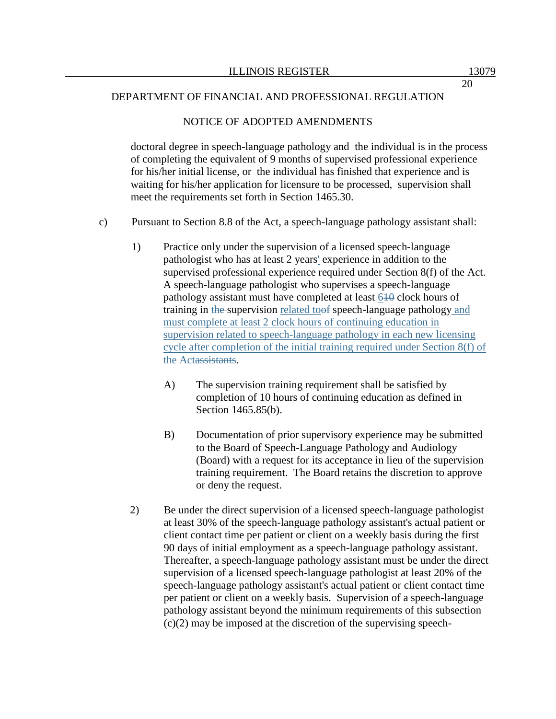#### NOTICE OF ADOPTED AMENDMENTS

doctoral degree in speech-language pathology and the individual is in the process of completing the equivalent of 9 months of supervised professional experience for his/her initial license, or the individual has finished that experience and is waiting for his/her application for licensure to be processed, supervision shall meet the requirements set forth in Section 1465.30.

- c) Pursuant to Section 8.8 of the Act, a speech-language pathology assistant shall:
	- 1) Practice only under the supervision of a licensed speech-language pathologist who has at least 2 years' experience in addition to the supervised professional experience required under Section 8(f) of the Act. A speech-language pathologist who supervises a speech-language pathology assistant must have completed at least 610 clock hours of training in the supervision related toof speech-language pathology and must complete at least 2 clock hours of continuing education in supervision related to speech-language pathology in each new licensing cycle after completion of the initial training required under Section 8(f) of the Actassistants.
		- A) The supervision training requirement shall be satisfied by completion of 10 hours of continuing education as defined in Section 1465.85(b).
		- B) Documentation of prior supervisory experience may be submitted to the Board of Speech-Language Pathology and Audiology (Board) with a request for its acceptance in lieu of the supervision training requirement. The Board retains the discretion to approve or deny the request.
	- 2) Be under the direct supervision of a licensed speech-language pathologist at least 30% of the speech-language pathology assistant's actual patient or client contact time per patient or client on a weekly basis during the first 90 days of initial employment as a speech-language pathology assistant. Thereafter, a speech-language pathology assistant must be under the direct supervision of a licensed speech-language pathologist at least 20% of the speech-language pathology assistant's actual patient or client contact time per patient or client on a weekly basis. Supervision of a speech-language pathology assistant beyond the minimum requirements of this subsection (c)(2) may be imposed at the discretion of the supervising speech-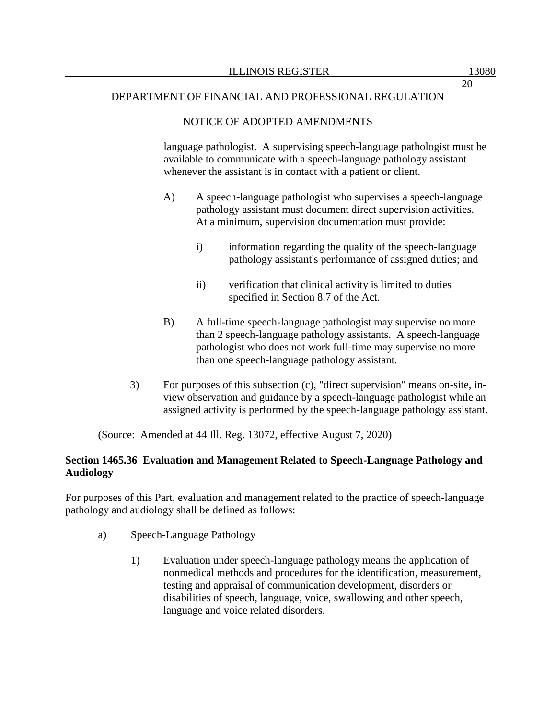# NOTICE OF ADOPTED AMENDMENTS

language pathologist. A supervising speech-language pathologist must be available to communicate with a speech-language pathology assistant whenever the assistant is in contact with a patient or client.

- A) A speech-language pathologist who supervises a speech-language pathology assistant must document direct supervision activities. At a minimum, supervision documentation must provide:
	- i) information regarding the quality of the speech-language pathology assistant's performance of assigned duties; and
	- ii) verification that clinical activity is limited to duties specified in Section 8.7 of the Act.
- B) A full-time speech-language pathologist may supervise no more than 2 speech-language pathology assistants. A speech-language pathologist who does not work full-time may supervise no more than one speech-language pathology assistant.
- 3) For purposes of this subsection (c), "direct supervision" means on-site, inview observation and guidance by a speech-language pathologist while an assigned activity is performed by the speech-language pathology assistant.

(Source: Amended at 44 Ill. Reg. 13072, effective August 7, 2020)

# **Section 1465.36 Evaluation and Management Related to Speech-Language Pathology and Audiology**

For purposes of this Part, evaluation and management related to the practice of speech-language pathology and audiology shall be defined as follows:

- a) Speech-Language Pathology
	- 1) Evaluation under speech-language pathology means the application of nonmedical methods and procedures for the identification, measurement, testing and appraisal of communication development, disorders or disabilities of speech, language, voice, swallowing and other speech, language and voice related disorders.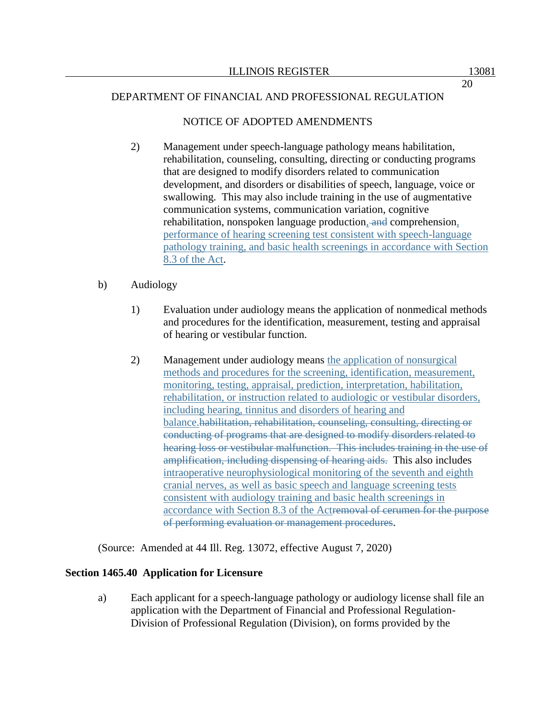## NOTICE OF ADOPTED AMENDMENTS

2) Management under speech-language pathology means habilitation, rehabilitation, counseling, consulting, directing or conducting programs that are designed to modify disorders related to communication development, and disorders or disabilities of speech, language, voice or swallowing. This may also include training in the use of augmentative communication systems, communication variation, cognitive rehabilitation, nonspoken language production, and comprehension, performance of hearing screening test consistent with speech-language pathology training, and basic health screenings in accordance with Section 8.3 of the Act.

## b) Audiology

- 1) Evaluation under audiology means the application of nonmedical methods and procedures for the identification, measurement, testing and appraisal of hearing or vestibular function.
- 2) Management under audiology means the application of nonsurgical methods and procedures for the screening, identification, measurement, monitoring, testing, appraisal, prediction, interpretation, habilitation, rehabilitation, or instruction related to audiologic or vestibular disorders, including hearing, tinnitus and disorders of hearing and balance.habilitation, rehabilitation, counseling, consulting, directing or conducting of programs that are designed to modify disorders related to hearing loss or vestibular malfunction. This includes training in the use of amplification, including dispensing of hearing aids. This also includes intraoperative neurophysiological monitoring of the seventh and eighth cranial nerves, as well as basic speech and language screening tests consistent with audiology training and basic health screenings in accordance with Section 8.3 of the Actremoval of cerumen for the purpose of performing evaluation or management procedures.

(Source: Amended at 44 Ill. Reg. 13072, effective August 7, 2020)

### **Section 1465.40 Application for Licensure**

a) Each applicant for a speech-language pathology or audiology license shall file an application with the Department of Financial and Professional Regulation-Division of Professional Regulation (Division), on forms provided by the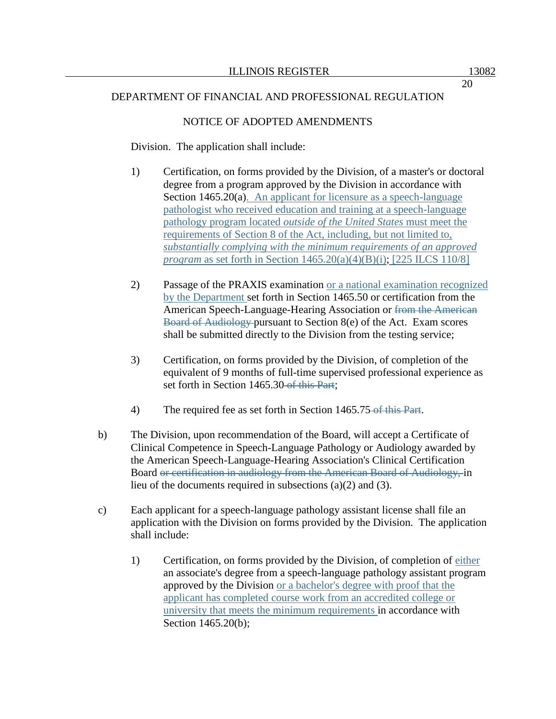### NOTICE OF ADOPTED AMENDMENTS

Division. The application shall include:

- 1) Certification, on forms provided by the Division, of a master's or doctoral degree from a program approved by the Division in accordance with Section 1465.20(a). An applicant for licensure as a speech-language pathologist who received education and training at a speech-language pathology program located *outside of the United States* must meet the requirements of Section 8 of the Act, including, but not limited to, *substantially complying with the minimum requirements of an approved program* as set forth in Section 1465.20(a)(4)(B)(i); [225 ILCS 110/8]
- 2) Passage of the PRAXIS examination or a national examination recognized by the Department set forth in Section 1465.50 or certification from the American Speech-Language-Hearing Association or from the American Board of Audiology pursuant to Section 8(e) of the Act. Exam scores shall be submitted directly to the Division from the testing service;
- 3) Certification, on forms provided by the Division, of completion of the equivalent of 9 months of full-time supervised professional experience as set forth in Section 1465.30-of this Part;
- 4) The required fee as set forth in Section 1465.75 of this Part.
- b) The Division, upon recommendation of the Board, will accept a Certificate of Clinical Competence in Speech-Language Pathology or Audiology awarded by the American Speech-Language-Hearing Association's Clinical Certification Board or certification in audiology from the American Board of Audiology, in lieu of the documents required in subsections (a)(2) and (3).
- c) Each applicant for a speech-language pathology assistant license shall file an application with the Division on forms provided by the Division. The application shall include:
	- 1) Certification, on forms provided by the Division, of completion of either an associate's degree from a speech-language pathology assistant program approved by the Division or a bachelor's degree with proof that the applicant has completed course work from an accredited college or university that meets the minimum requirements in accordance with Section 1465.20(b);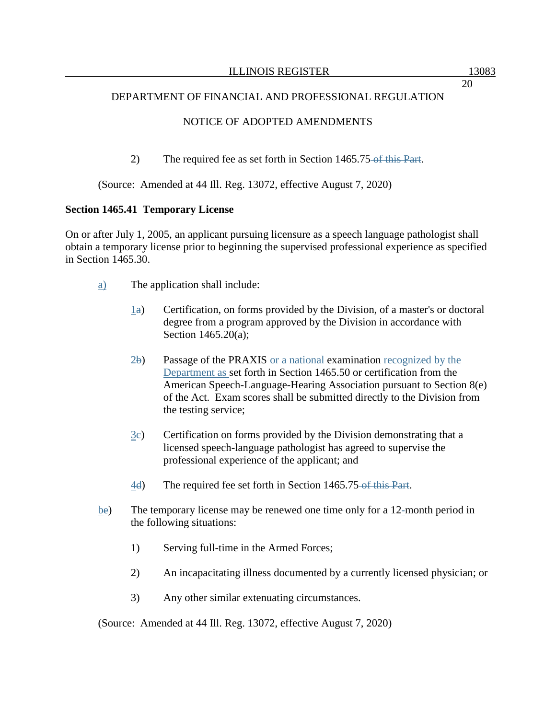# NOTICE OF ADOPTED AMENDMENTS

2) The required fee as set forth in Section 1465.75 of this Part.

### (Source: Amended at 44 Ill. Reg. 13072, effective August 7, 2020)

### **Section 1465.41 Temporary License**

On or after July 1, 2005, an applicant pursuing licensure as a speech language pathologist shall obtain a temporary license prior to beginning the supervised professional experience as specified in Section 1465.30.

- a) The application shall include:
	- $\perp$ a) Certification, on forms provided by the Division, of a master's or doctoral degree from a program approved by the Division in accordance with Section 1465.20(a);
	- $2b$  Passage of the PRAXIS or a national examination recognized by the Department as set forth in Section 1465.50 or certification from the American Speech-Language-Hearing Association pursuant to Section 8(e) of the Act. Exam scores shall be submitted directly to the Division from the testing service;
	- $3e$  Certification on forms provided by the Division demonstrating that a licensed speech-language pathologist has agreed to supervise the professional experience of the applicant; and
	- 4d) The required fee set forth in Section 1465.75 of this Part.
- be) The temporary license may be renewed one time only for a 12-month period in the following situations:
	- 1) Serving full-time in the Armed Forces;
	- 2) An incapacitating illness documented by a currently licensed physician; or
	- 3) Any other similar extenuating circumstances.

(Source: Amended at 44 Ill. Reg. 13072, effective August 7, 2020)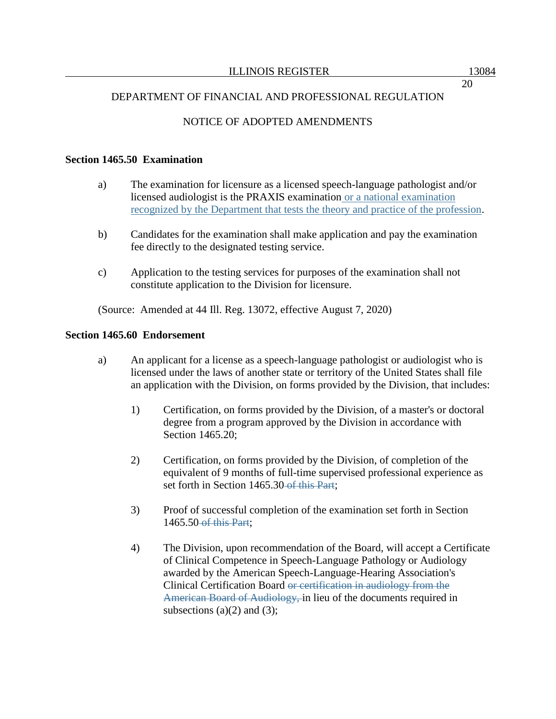20

## DEPARTMENT OF FINANCIAL AND PROFESSIONAL REGULATION

# NOTICE OF ADOPTED AMENDMENTS

#### **Section 1465.50 Examination**

- a) The examination for licensure as a licensed speech-language pathologist and/or licensed audiologist is the PRAXIS examination or a national examination recognized by the Department that tests the theory and practice of the profession.
- b) Candidates for the examination shall make application and pay the examination fee directly to the designated testing service.
- c) Application to the testing services for purposes of the examination shall not constitute application to the Division for licensure.

(Source: Amended at 44 Ill. Reg. 13072, effective August 7, 2020)

#### **Section 1465.60 Endorsement**

- a) An applicant for a license as a speech-language pathologist or audiologist who is licensed under the laws of another state or territory of the United States shall file an application with the Division, on forms provided by the Division, that includes:
	- 1) Certification, on forms provided by the Division, of a master's or doctoral degree from a program approved by the Division in accordance with Section 1465.20;
	- 2) Certification, on forms provided by the Division, of completion of the equivalent of 9 months of full-time supervised professional experience as set forth in Section 1465.30 of this Part;
	- 3) Proof of successful completion of the examination set forth in Section 1465.50 of this Part;
	- 4) The Division, upon recommendation of the Board, will accept a Certificate of Clinical Competence in Speech-Language Pathology or Audiology awarded by the American Speech-Language-Hearing Association's Clinical Certification Board or certification in audiology from the American Board of Audiology, in lieu of the documents required in subsections (a)(2) and (3);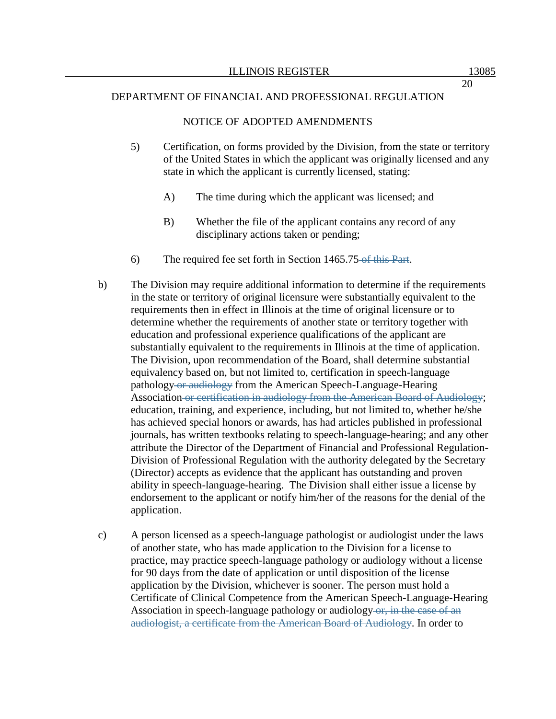#### NOTICE OF ADOPTED AMENDMENTS

- 5) Certification, on forms provided by the Division, from the state or territory of the United States in which the applicant was originally licensed and any state in which the applicant is currently licensed, stating:
	- A) The time during which the applicant was licensed; and
	- B) Whether the file of the applicant contains any record of any disciplinary actions taken or pending;
- 6) The required fee set forth in Section 1465.75 of this Part.
- b) The Division may require additional information to determine if the requirements in the state or territory of original licensure were substantially equivalent to the requirements then in effect in Illinois at the time of original licensure or to determine whether the requirements of another state or territory together with education and professional experience qualifications of the applicant are substantially equivalent to the requirements in Illinois at the time of application. The Division, upon recommendation of the Board, shall determine substantial equivalency based on, but not limited to, certification in speech-language pathology or audiology from the American Speech-Language-Hearing Association or certification in audiology from the American Board of Audiology; education, training, and experience, including, but not limited to, whether he/she has achieved special honors or awards, has had articles published in professional journals, has written textbooks relating to speech-language-hearing; and any other attribute the Director of the Department of Financial and Professional Regulation-Division of Professional Regulation with the authority delegated by the Secretary (Director) accepts as evidence that the applicant has outstanding and proven ability in speech-language-hearing. The Division shall either issue a license by endorsement to the applicant or notify him/her of the reasons for the denial of the application.
- c) A person licensed as a speech-language pathologist or audiologist under the laws of another state, who has made application to the Division for a license to practice, may practice speech-language pathology or audiology without a license for 90 days from the date of application or until disposition of the license application by the Division, whichever is sooner. The person must hold a Certificate of Clinical Competence from the American Speech-Language-Hearing Association in speech-language pathology or audiology or, in the case of an audiologist, a certificate from the American Board of Audiology. In order to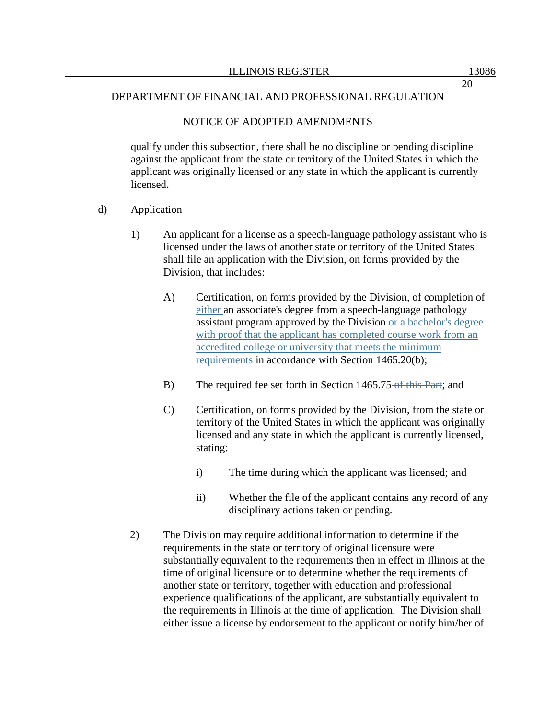### NOTICE OF ADOPTED AMENDMENTS

qualify under this subsection, there shall be no discipline or pending discipline against the applicant from the state or territory of the United States in which the applicant was originally licensed or any state in which the applicant is currently licensed.

- d) Application
	- 1) An applicant for a license as a speech-language pathology assistant who is licensed under the laws of another state or territory of the United States shall file an application with the Division, on forms provided by the Division, that includes:
		- A) Certification, on forms provided by the Division, of completion of either an associate's degree from a speech-language pathology assistant program approved by the Division or a bachelor's degree with proof that the applicant has completed course work from an accredited college or university that meets the minimum requirements in accordance with Section 1465.20(b);
		- B) The required fee set forth in Section 1465.75 of this Part; and
		- C) Certification, on forms provided by the Division, from the state or territory of the United States in which the applicant was originally licensed and any state in which the applicant is currently licensed, stating:
			- i) The time during which the applicant was licensed; and
			- ii) Whether the file of the applicant contains any record of any disciplinary actions taken or pending.
	- 2) The Division may require additional information to determine if the requirements in the state or territory of original licensure were substantially equivalent to the requirements then in effect in Illinois at the time of original licensure or to determine whether the requirements of another state or territory, together with education and professional experience qualifications of the applicant, are substantially equivalent to the requirements in Illinois at the time of application. The Division shall either issue a license by endorsement to the applicant or notify him/her of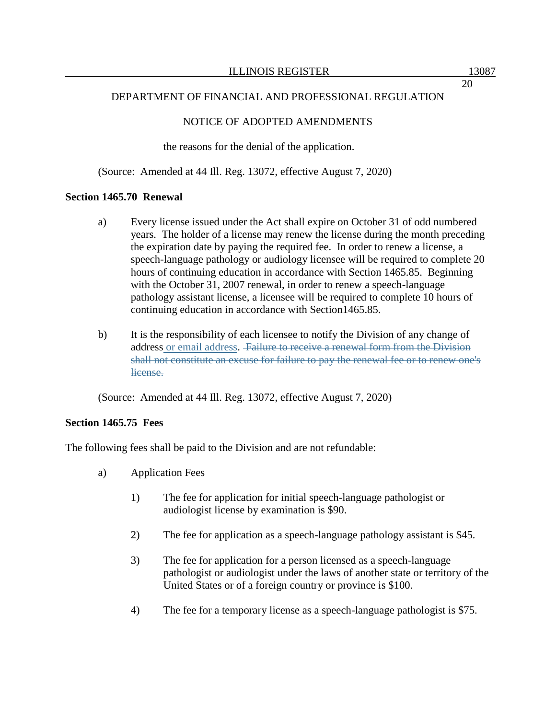### NOTICE OF ADOPTED AMENDMENTS

the reasons for the denial of the application.

(Source: Amended at 44 Ill. Reg. 13072, effective August 7, 2020)

#### **Section 1465.70 Renewal**

- a) Every license issued under the Act shall expire on October 31 of odd numbered years. The holder of a license may renew the license during the month preceding the expiration date by paying the required fee. In order to renew a license, a speech-language pathology or audiology licensee will be required to complete 20 hours of continuing education in accordance with Section 1465.85. Beginning with the October 31, 2007 renewal, in order to renew a speech-language pathology assistant license, a licensee will be required to complete 10 hours of continuing education in accordance with Section1465.85.
- b) It is the responsibility of each licensee to notify the Division of any change of address or email address. Failure to receive a renewal form from the Division shall not constitute an excuse for failure to pay the renewal fee or to renew one's license.

(Source: Amended at 44 Ill. Reg. 13072, effective August 7, 2020)

#### **Section 1465.75 Fees**

The following fees shall be paid to the Division and are not refundable:

- a) Application Fees
	- 1) The fee for application for initial speech-language pathologist or audiologist license by examination is \$90.
	- 2) The fee for application as a speech-language pathology assistant is \$45.
	- 3) The fee for application for a person licensed as a speech-language pathologist or audiologist under the laws of another state or territory of the United States or of a foreign country or province is \$100.
	- 4) The fee for a temporary license as a speech-language pathologist is \$75.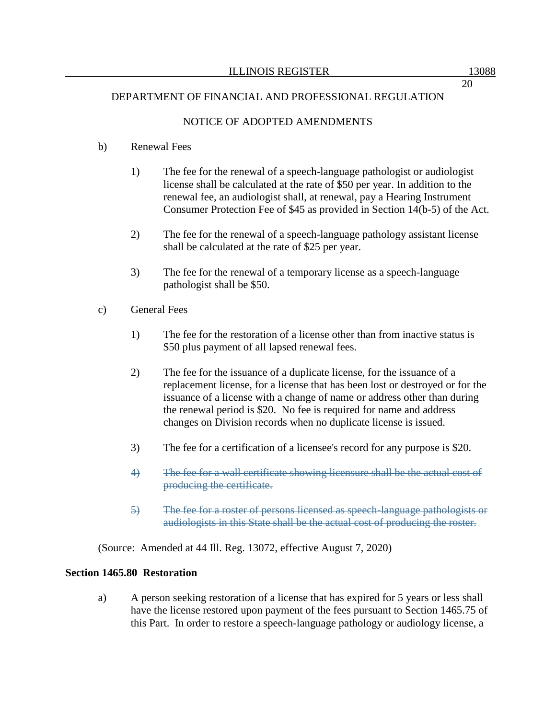### NOTICE OF ADOPTED AMENDMENTS

### b) Renewal Fees

- 1) The fee for the renewal of a speech-language pathologist or audiologist license shall be calculated at the rate of \$50 per year. In addition to the renewal fee, an audiologist shall, at renewal, pay a Hearing Instrument Consumer Protection Fee of \$45 as provided in Section 14(b-5) of the Act.
- 2) The fee for the renewal of a speech-language pathology assistant license shall be calculated at the rate of \$25 per year.
- 3) The fee for the renewal of a temporary license as a speech-language pathologist shall be \$50.
- c) General Fees
	- 1) The fee for the restoration of a license other than from inactive status is \$50 plus payment of all lapsed renewal fees.
	- 2) The fee for the issuance of a duplicate license, for the issuance of a replacement license, for a license that has been lost or destroyed or for the issuance of a license with a change of name or address other than during the renewal period is \$20. No fee is required for name and address changes on Division records when no duplicate license is issued.
	- 3) The fee for a certification of a licensee's record for any purpose is \$20.
	- 4) The fee for a wall certificate showing licensure shall be the actual cost of producing the certificate.
	- 5) The fee for a roster of persons licensed as speech-language pathologists or audiologists in this State shall be the actual cost of producing the roster.

(Source: Amended at 44 Ill. Reg. 13072, effective August 7, 2020)

#### **Section 1465.80 Restoration**

a) A person seeking restoration of a license that has expired for 5 years or less shall have the license restored upon payment of the fees pursuant to Section 1465.75 of this Part. In order to restore a speech-language pathology or audiology license, a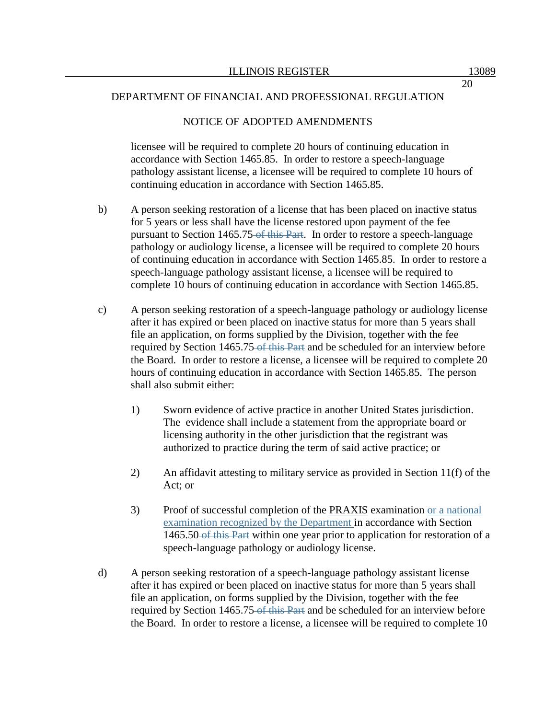#### NOTICE OF ADOPTED AMENDMENTS

licensee will be required to complete 20 hours of continuing education in accordance with Section 1465.85. In order to restore a speech-language pathology assistant license, a licensee will be required to complete 10 hours of continuing education in accordance with Section 1465.85.

- b) A person seeking restoration of a license that has been placed on inactive status for 5 years or less shall have the license restored upon payment of the fee pursuant to Section 1465.75 of this Part. In order to restore a speech-language pathology or audiology license, a licensee will be required to complete 20 hours of continuing education in accordance with Section 1465.85. In order to restore a speech-language pathology assistant license, a licensee will be required to complete 10 hours of continuing education in accordance with Section 1465.85.
- c) A person seeking restoration of a speech-language pathology or audiology license after it has expired or been placed on inactive status for more than 5 years shall file an application, on forms supplied by the Division, together with the fee required by Section 1465.75 of this Part and be scheduled for an interview before the Board. In order to restore a license, a licensee will be required to complete 20 hours of continuing education in accordance with Section 1465.85. The person shall also submit either:
	- 1) Sworn evidence of active practice in another United States jurisdiction. The evidence shall include a statement from the appropriate board or licensing authority in the other jurisdiction that the registrant was authorized to practice during the term of said active practice; or
	- 2) An affidavit attesting to military service as provided in Section 11(f) of the Act; or
	- 3) Proof of successful completion of the PRAXIS examination or a national examination recognized by the Department in accordance with Section 1465.50 of this Part within one year prior to application for restoration of a speech-language pathology or audiology license.
- d) A person seeking restoration of a speech-language pathology assistant license after it has expired or been placed on inactive status for more than 5 years shall file an application, on forms supplied by the Division, together with the fee required by Section 1465.75 of this Part and be scheduled for an interview before the Board. In order to restore a license, a licensee will be required to complete 10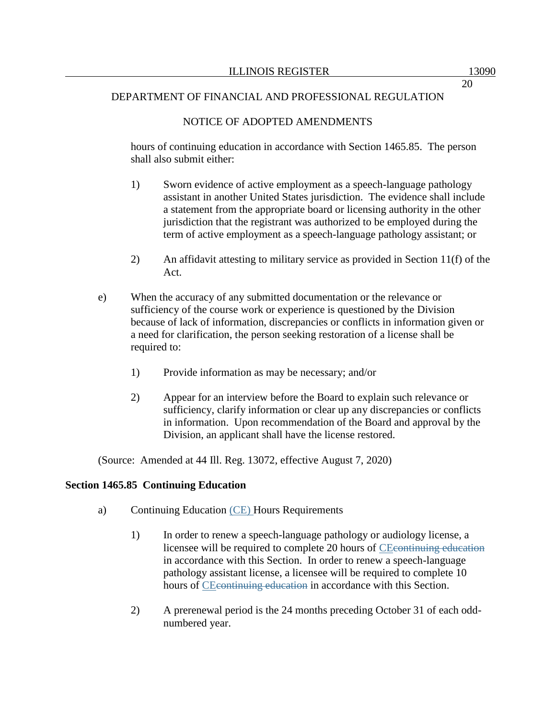## NOTICE OF ADOPTED AMENDMENTS

hours of continuing education in accordance with Section 1465.85. The person shall also submit either:

- 1) Sworn evidence of active employment as a speech-language pathology assistant in another United States jurisdiction. The evidence shall include a statement from the appropriate board or licensing authority in the other jurisdiction that the registrant was authorized to be employed during the term of active employment as a speech-language pathology assistant; or
- 2) An affidavit attesting to military service as provided in Section 11(f) of the Act.
- e) When the accuracy of any submitted documentation or the relevance or sufficiency of the course work or experience is questioned by the Division because of lack of information, discrepancies or conflicts in information given or a need for clarification, the person seeking restoration of a license shall be required to:
	- 1) Provide information as may be necessary; and/or
	- 2) Appear for an interview before the Board to explain such relevance or sufficiency, clarify information or clear up any discrepancies or conflicts in information. Upon recommendation of the Board and approval by the Division, an applicant shall have the license restored.

(Source: Amended at 44 Ill. Reg. 13072, effective August 7, 2020)

### **Section 1465.85 Continuing Education**

- a) Continuing Education (CE) Hours Requirements
	- 1) In order to renew a speech-language pathology or audiology license, a licensee will be required to complete 20 hours of CEcontinuing education in accordance with this Section. In order to renew a speech-language pathology assistant license, a licensee will be required to complete 10 hours of CE continuing education in accordance with this Section.
	- 2) A prerenewal period is the 24 months preceding October 31 of each oddnumbered year.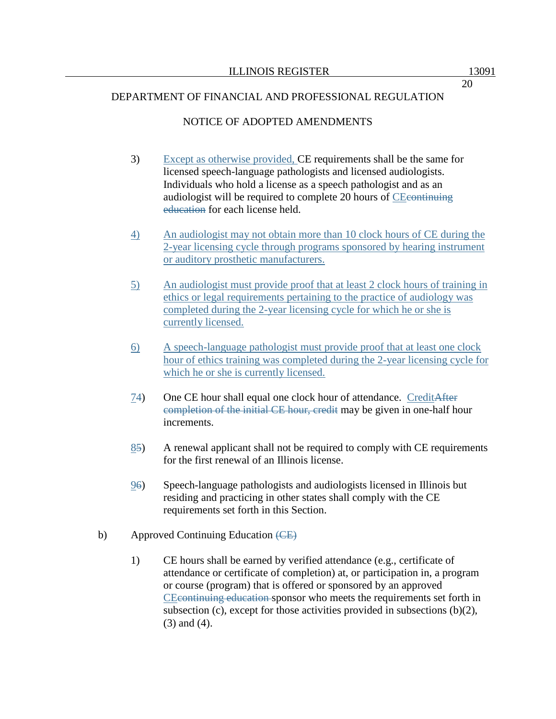# NOTICE OF ADOPTED AMENDMENTS

- 3) Except as otherwise provided, CE requirements shall be the same for licensed speech-language pathologists and licensed audiologists. Individuals who hold a license as a speech pathologist and as an audiologist will be required to complete 20 hours of CEcontinuing education for each license held.
- 4) An audiologist may not obtain more than 10 clock hours of CE during the 2-year licensing cycle through programs sponsored by hearing instrument or auditory prosthetic manufacturers.
- 5) An audiologist must provide proof that at least 2 clock hours of training in ethics or legal requirements pertaining to the practice of audiology was completed during the 2-year licensing cycle for which he or she is currently licensed.
- 6) A speech-language pathologist must provide proof that at least one clock hour of ethics training was completed during the 2-year licensing cycle for which he or she is currently licensed.
- 74) One CE hour shall equal one clock hour of attendance. CreditAfter completion of the initial CE hour, credit may be given in one-half hour increments.
- 85) A renewal applicant shall not be required to comply with CE requirements for the first renewal of an Illinois license.
- 96) Speech-language pathologists and audiologists licensed in Illinois but residing and practicing in other states shall comply with the CE requirements set forth in this Section.
- b) Approved Continuing Education  $(EE)$ 
	- 1) CE hours shall be earned by verified attendance (e.g., certificate of attendance or certificate of completion) at, or participation in, a program or course (program) that is offered or sponsored by an approved CEcontinuing education sponsor who meets the requirements set forth in subsection (c), except for those activities provided in subsections (b)(2), (3) and (4).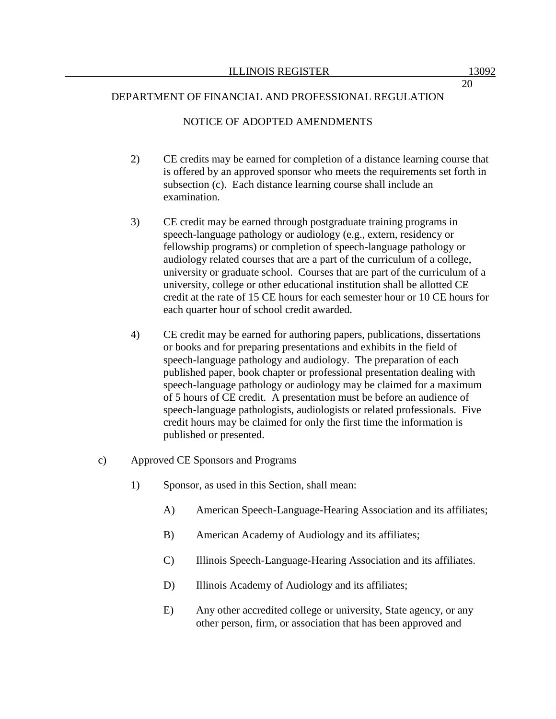### NOTICE OF ADOPTED AMENDMENTS

- 2) CE credits may be earned for completion of a distance learning course that is offered by an approved sponsor who meets the requirements set forth in subsection (c). Each distance learning course shall include an examination.
- 3) CE credit may be earned through postgraduate training programs in speech-language pathology or audiology (e.g., extern, residency or fellowship programs) or completion of speech-language pathology or audiology related courses that are a part of the curriculum of a college, university or graduate school. Courses that are part of the curriculum of a university, college or other educational institution shall be allotted CE credit at the rate of 15 CE hours for each semester hour or 10 CE hours for each quarter hour of school credit awarded.
- 4) CE credit may be earned for authoring papers, publications, dissertations or books and for preparing presentations and exhibits in the field of speech-language pathology and audiology. The preparation of each published paper, book chapter or professional presentation dealing with speech-language pathology or audiology may be claimed for a maximum of 5 hours of CE credit. A presentation must be before an audience of speech-language pathologists, audiologists or related professionals. Five credit hours may be claimed for only the first time the information is published or presented.
- c) Approved CE Sponsors and Programs
	- 1) Sponsor, as used in this Section, shall mean:
		- A) American Speech-Language-Hearing Association and its affiliates;
		- B) American Academy of Audiology and its affiliates;
		- C) Illinois Speech-Language-Hearing Association and its affiliates.
		- D) Illinois Academy of Audiology and its affiliates;
		- E) Any other accredited college or university, State agency, or any other person, firm, or association that has been approved and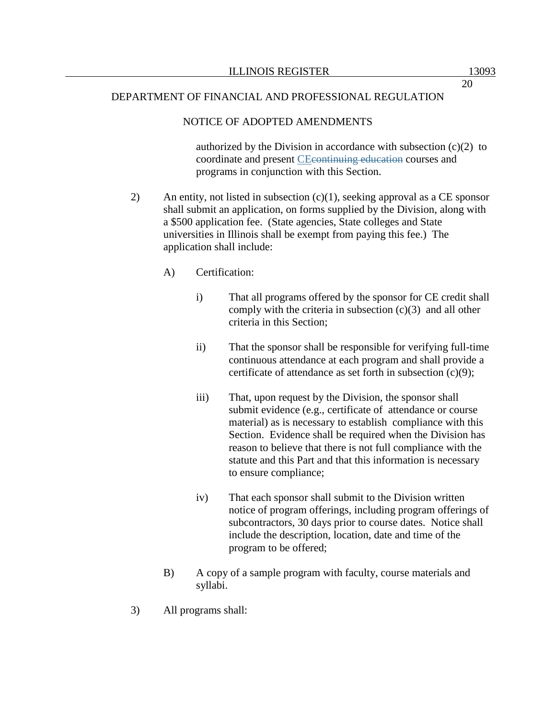### NOTICE OF ADOPTED AMENDMENTS

authorized by the Division in accordance with subsection  $(c)(2)$  to coordinate and present CEcontinuing education courses and programs in conjunction with this Section.

- 2) An entity, not listed in subsection (c)(1), seeking approval as a CE sponsor shall submit an application, on forms supplied by the Division, along with a \$500 application fee. (State agencies, State colleges and State universities in Illinois shall be exempt from paying this fee.) The application shall include:
	- A) Certification:
		- i) That all programs offered by the sponsor for CE credit shall comply with the criteria in subsection  $(c)(3)$  and all other criteria in this Section;
		- ii) That the sponsor shall be responsible for verifying full-time continuous attendance at each program and shall provide a certificate of attendance as set forth in subsection (c)(9);
		- iii) That, upon request by the Division, the sponsor shall submit evidence (e.g., certificate of attendance or course material) as is necessary to establish compliance with this Section. Evidence shall be required when the Division has reason to believe that there is not full compliance with the statute and this Part and that this information is necessary to ensure compliance;
		- iv) That each sponsor shall submit to the Division written notice of program offerings, including program offerings of subcontractors, 30 days prior to course dates. Notice shall include the description, location, date and time of the program to be offered;
	- B) A copy of a sample program with faculty, course materials and syllabi.
- 3) All programs shall: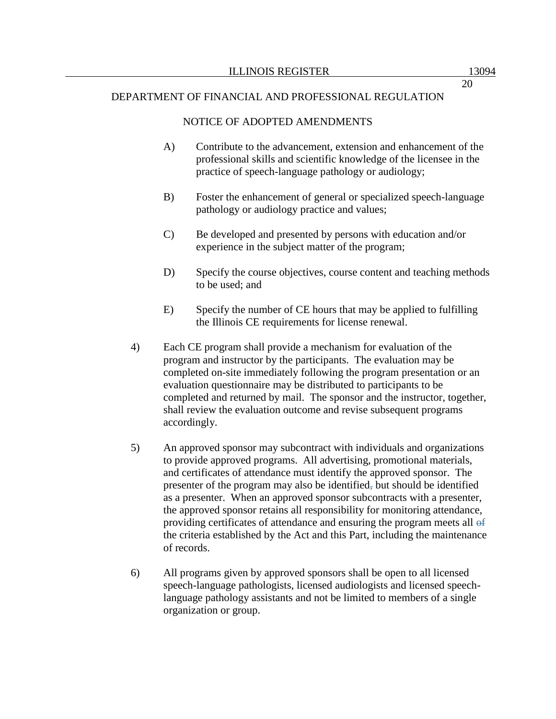#### NOTICE OF ADOPTED AMENDMENTS

- A) Contribute to the advancement, extension and enhancement of the professional skills and scientific knowledge of the licensee in the practice of speech-language pathology or audiology;
- B) Foster the enhancement of general or specialized speech-language pathology or audiology practice and values;
- C) Be developed and presented by persons with education and/or experience in the subject matter of the program;
- D) Specify the course objectives, course content and teaching methods to be used; and
- E) Specify the number of CE hours that may be applied to fulfilling the Illinois CE requirements for license renewal.
- 4) Each CE program shall provide a mechanism for evaluation of the program and instructor by the participants. The evaluation may be completed on-site immediately following the program presentation or an evaluation questionnaire may be distributed to participants to be completed and returned by mail. The sponsor and the instructor, together, shall review the evaluation outcome and revise subsequent programs accordingly.
- 5) An approved sponsor may subcontract with individuals and organizations to provide approved programs. All advertising, promotional materials, and certificates of attendance must identify the approved sponsor. The presenter of the program may also be identified, but should be identified as a presenter. When an approved sponsor subcontracts with a presenter, the approved sponsor retains all responsibility for monitoring attendance, providing certificates of attendance and ensuring the program meets all  $\theta$ the criteria established by the Act and this Part, including the maintenance of records.
- 6) All programs given by approved sponsors shall be open to all licensed speech-language pathologists, licensed audiologists and licensed speechlanguage pathology assistants and not be limited to members of a single organization or group.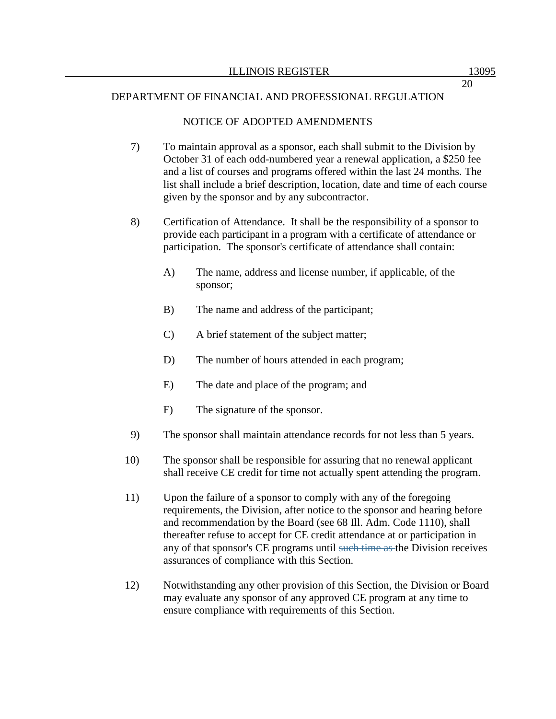### NOTICE OF ADOPTED AMENDMENTS

- 7) To maintain approval as a sponsor, each shall submit to the Division by October 31 of each odd-numbered year a renewal application, a \$250 fee and a list of courses and programs offered within the last 24 months. The list shall include a brief description, location, date and time of each course given by the sponsor and by any subcontractor.
- 8) Certification of Attendance. It shall be the responsibility of a sponsor to provide each participant in a program with a certificate of attendance or participation. The sponsor's certificate of attendance shall contain:
	- A) The name, address and license number, if applicable, of the sponsor;
	- B) The name and address of the participant;
	- C) A brief statement of the subject matter;
	- D) The number of hours attended in each program;
	- E) The date and place of the program; and
	- F) The signature of the sponsor.
- 9) The sponsor shall maintain attendance records for not less than 5 years.
- 10) The sponsor shall be responsible for assuring that no renewal applicant shall receive CE credit for time not actually spent attending the program.
- 11) Upon the failure of a sponsor to comply with any of the foregoing requirements, the Division, after notice to the sponsor and hearing before and recommendation by the Board (see 68 Ill. Adm. Code 1110), shall thereafter refuse to accept for CE credit attendance at or participation in any of that sponsor's CE programs until such time as the Division receives assurances of compliance with this Section.
- 12) Notwithstanding any other provision of this Section, the Division or Board may evaluate any sponsor of any approved CE program at any time to ensure compliance with requirements of this Section.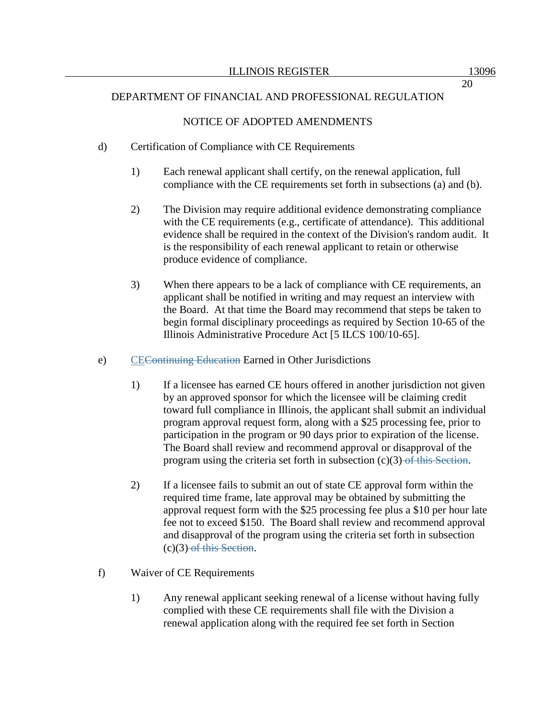### NOTICE OF ADOPTED AMENDMENTS

### d) Certification of Compliance with CE Requirements

- 1) Each renewal applicant shall certify, on the renewal application, full compliance with the CE requirements set forth in subsections (a) and (b).
- 2) The Division may require additional evidence demonstrating compliance with the CE requirements (e.g., certificate of attendance). This additional evidence shall be required in the context of the Division's random audit. It is the responsibility of each renewal applicant to retain or otherwise produce evidence of compliance.
- 3) When there appears to be a lack of compliance with CE requirements, an applicant shall be notified in writing and may request an interview with the Board. At that time the Board may recommend that steps be taken to begin formal disciplinary proceedings as required by Section 10-65 of the Illinois Administrative Procedure Act [5 ILCS 100/10-65].
- e) CEContinuing Education Earned in Other Jurisdictions
	- 1) If a licensee has earned CE hours offered in another jurisdiction not given by an approved sponsor for which the licensee will be claiming credit toward full compliance in Illinois, the applicant shall submit an individual program approval request form, along with a \$25 processing fee, prior to participation in the program or 90 days prior to expiration of the license. The Board shall review and recommend approval or disapproval of the program using the criteria set forth in subsection  $(c)(3)$  of this Section.
	- 2) If a licensee fails to submit an out of state CE approval form within the required time frame, late approval may be obtained by submitting the approval request form with the \$25 processing fee plus a \$10 per hour late fee not to exceed \$150. The Board shall review and recommend approval and disapproval of the program using the criteria set forth in subsection  $(c)(3)$  of this Section.
- f) Waiver of CE Requirements
	- 1) Any renewal applicant seeking renewal of a license without having fully complied with these CE requirements shall file with the Division a renewal application along with the required fee set forth in Section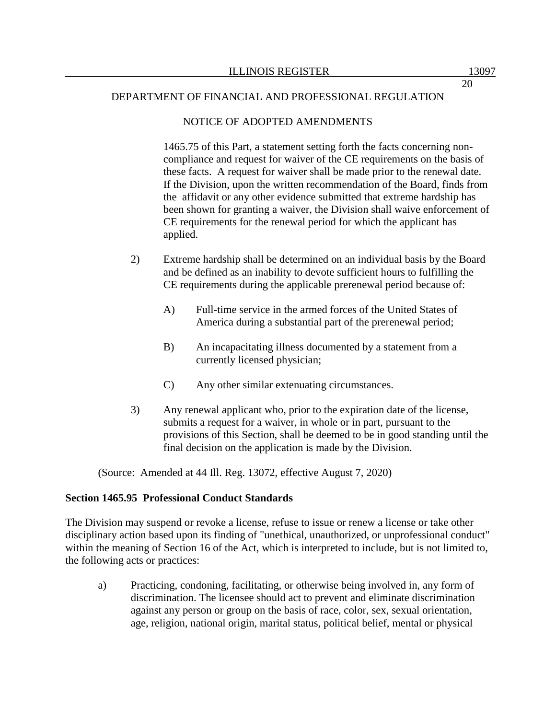### NOTICE OF ADOPTED AMENDMENTS

1465.75 of this Part, a statement setting forth the facts concerning noncompliance and request for waiver of the CE requirements on the basis of these facts. A request for waiver shall be made prior to the renewal date. If the Division, upon the written recommendation of the Board, finds from the affidavit or any other evidence submitted that extreme hardship has been shown for granting a waiver, the Division shall waive enforcement of CE requirements for the renewal period for which the applicant has applied.

- 2) Extreme hardship shall be determined on an individual basis by the Board and be defined as an inability to devote sufficient hours to fulfilling the CE requirements during the applicable prerenewal period because of:
	- A) Full-time service in the armed forces of the United States of America during a substantial part of the prerenewal period;
	- B) An incapacitating illness documented by a statement from a currently licensed physician;
	- C) Any other similar extenuating circumstances.
- 3) Any renewal applicant who, prior to the expiration date of the license, submits a request for a waiver, in whole or in part, pursuant to the provisions of this Section, shall be deemed to be in good standing until the final decision on the application is made by the Division.

(Source: Amended at 44 Ill. Reg. 13072, effective August 7, 2020)

### **Section 1465.95 Professional Conduct Standards**

The Division may suspend or revoke a license, refuse to issue or renew a license or take other disciplinary action based upon its finding of "unethical, unauthorized, or unprofessional conduct" within the meaning of Section 16 of the Act, which is interpreted to include, but is not limited to, the following acts or practices:

a) Practicing, condoning, facilitating, or otherwise being involved in, any form of discrimination. The licensee should act to prevent and eliminate discrimination against any person or group on the basis of race, color, sex, sexual orientation, age, religion, national origin, marital status, political belief, mental or physical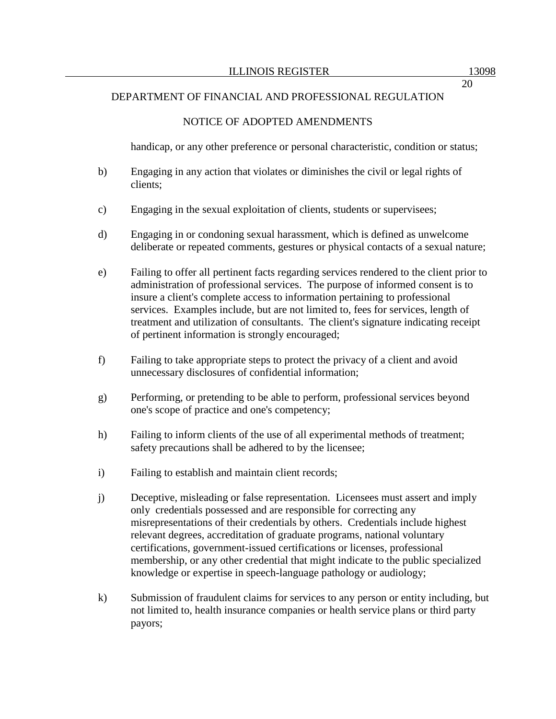### NOTICE OF ADOPTED AMENDMENTS

handicap, or any other preference or personal characteristic, condition or status;

- b) Engaging in any action that violates or diminishes the civil or legal rights of clients;
- c) Engaging in the sexual exploitation of clients, students or supervisees;
- d) Engaging in or condoning sexual harassment, which is defined as unwelcome deliberate or repeated comments, gestures or physical contacts of a sexual nature;
- e) Failing to offer all pertinent facts regarding services rendered to the client prior to administration of professional services. The purpose of informed consent is to insure a client's complete access to information pertaining to professional services. Examples include, but are not limited to, fees for services, length of treatment and utilization of consultants. The client's signature indicating receipt of pertinent information is strongly encouraged;
- f) Failing to take appropriate steps to protect the privacy of a client and avoid unnecessary disclosures of confidential information;
- g) Performing, or pretending to be able to perform, professional services beyond one's scope of practice and one's competency;
- h) Failing to inform clients of the use of all experimental methods of treatment; safety precautions shall be adhered to by the licensee;
- i) Failing to establish and maintain client records;
- j) Deceptive, misleading or false representation. Licensees must assert and imply only credentials possessed and are responsible for correcting any misrepresentations of their credentials by others. Credentials include highest relevant degrees, accreditation of graduate programs, national voluntary certifications, government-issued certifications or licenses, professional membership, or any other credential that might indicate to the public specialized knowledge or expertise in speech-language pathology or audiology;
- k) Submission of fraudulent claims for services to any person or entity including, but not limited to, health insurance companies or health service plans or third party payors;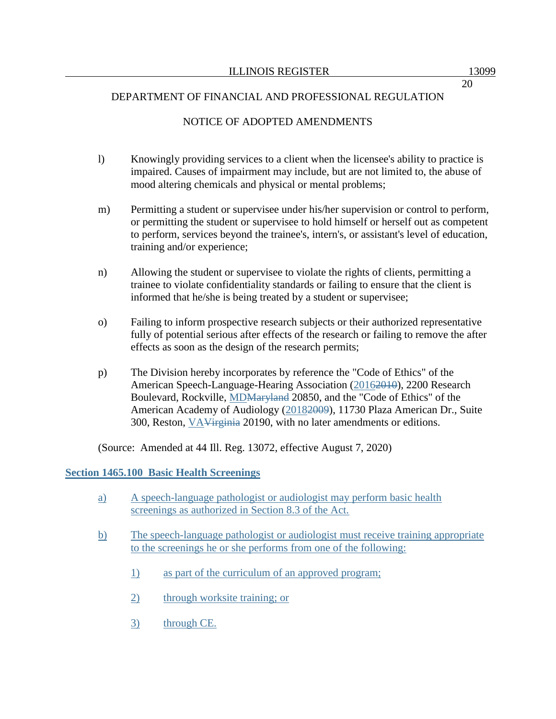# NOTICE OF ADOPTED AMENDMENTS

- l) Knowingly providing services to a client when the licensee's ability to practice is impaired. Causes of impairment may include, but are not limited to, the abuse of mood altering chemicals and physical or mental problems;
- m) Permitting a student or supervisee under his/her supervision or control to perform, or permitting the student or supervisee to hold himself or herself out as competent to perform, services beyond the trainee's, intern's, or assistant's level of education, training and/or experience;
- n) Allowing the student or supervisee to violate the rights of clients, permitting a trainee to violate confidentiality standards or failing to ensure that the client is informed that he/she is being treated by a student or supervisee;
- o) Failing to inform prospective research subjects or their authorized representative fully of potential serious after effects of the research or failing to remove the after effects as soon as the design of the research permits;
- p) The Division hereby incorporates by reference the "Code of Ethics" of the American Speech-Language-Hearing Association (2016<del>2010</del>), 2200 Research Boulevard, Rockville, MDMaryland 20850, and the "Code of Ethics" of the American Academy of Audiology (20182009), 11730 Plaza American Dr., Suite 300, Reston, VAVirginia 20190, with no later amendments or editions.

(Source: Amended at 44 Ill. Reg. 13072, effective August 7, 2020)

### **Section 1465.100 Basic Health Screenings**

- a) A speech-language pathologist or audiologist may perform basic health screenings as authorized in Section 8.3 of the Act.
- b) The speech-language pathologist or audiologist must receive training appropriate to the screenings he or she performs from one of the following:
	- 1) as part of the curriculum of an approved program;
	- 2) through worksite training; or
	- 3) through CE.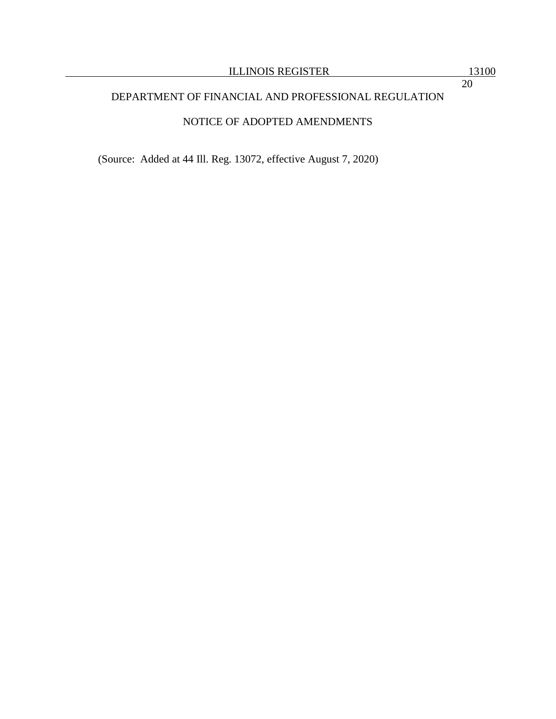# NOTICE OF ADOPTED AMENDMENTS

(Source: Added at 44 Ill. Reg. 13072, effective August 7, 2020)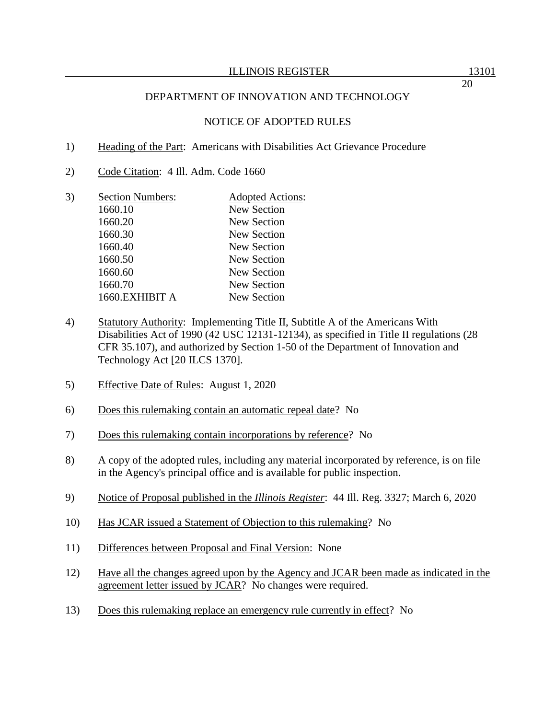### NOTICE OF ADOPTED RULES

- 1) Heading of the Part: Americans with Disabilities Act Grievance Procedure
- 2) Code Citation: 4 Ill. Adm. Code 1660
- 3) Section Numbers: Adopted Actions: 1660.10 New Section 1660.20 New Section 1660.30 New Section 1660.40 New Section 1660.50 New Section 1660.60 New Section 1660.70 New Section 1660.EXHIBIT A New Section
- 4) Statutory Authority: Implementing Title II, Subtitle A of the Americans With Disabilities Act of 1990 (42 USC 12131-12134), as specified in Title II regulations (28 CFR 35.107), and authorized by Section 1-50 of the Department of Innovation and Technology Act [20 ILCS 1370].
- 5) Effective Date of Rules: August 1, 2020
- 6) Does this rulemaking contain an automatic repeal date? No
- 7) Does this rulemaking contain incorporations by reference? No
- 8) A copy of the adopted rules, including any material incorporated by reference, is on file in the Agency's principal office and is available for public inspection.
- 9) Notice of Proposal published in the *Illinois Register*: 44 Ill. Reg. 3327; March 6, 2020
- 10) Has JCAR issued a Statement of Objection to this rulemaking? No
- 11) Differences between Proposal and Final Version: None
- 12) Have all the changes agreed upon by the Agency and JCAR been made as indicated in the agreement letter issued by JCAR? No changes were required.
- 13) Does this rulemaking replace an emergency rule currently in effect? No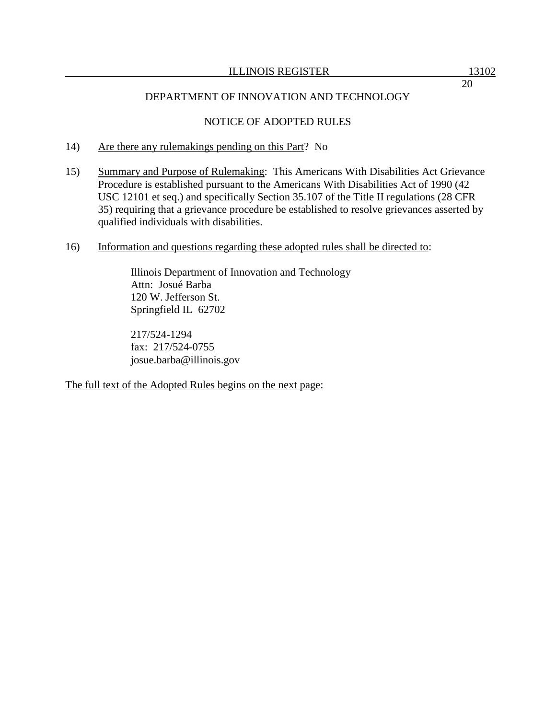# NOTICE OF ADOPTED RULES

- 14) Are there any rulemakings pending on this Part? No
- 15) Summary and Purpose of Rulemaking: This Americans With Disabilities Act Grievance Procedure is established pursuant to the Americans With Disabilities Act of 1990 (42 USC 12101 et seq.) and specifically Section 35.107 of the Title II regulations (28 CFR 35) requiring that a grievance procedure be established to resolve grievances asserted by qualified individuals with disabilities.
- 16) Information and questions regarding these adopted rules shall be directed to:

Illinois Department of Innovation and Technology Attn: Josué Barba 120 W. Jefferson St. Springfield IL 62702

217/524-1294 fax: 217/524-0755 josue.barba@illinois.gov

The full text of the Adopted Rules begins on the next page: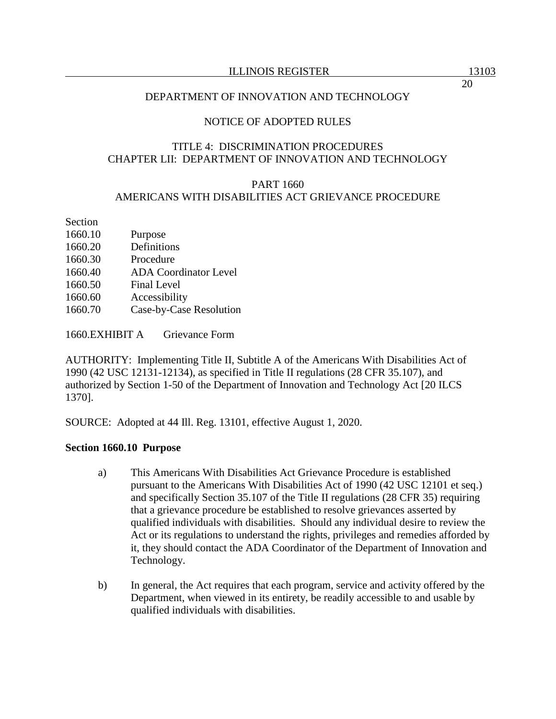### NOTICE OF ADOPTED RULES

### TITLE 4: DISCRIMINATION PROCEDURES CHAPTER LII: DEPARTMENT OF INNOVATION AND TECHNOLOGY

### PART 1660 AMERICANS WITH DISABILITIES ACT GRIEVANCE PROCEDURE

Section

- 1660.10 Purpose
- 1660.20 Definitions
- 1660.30 Procedure
- 1660.40 ADA Coordinator Level
- 1660.50 Final Level
- 1660.60 Accessibility
- 1660.70 Case-by-Case Resolution

1660.EXHIBIT A Grievance Form

AUTHORITY: Implementing Title II, Subtitle A of the Americans With Disabilities Act of 1990 (42 USC 12131-12134), as specified in Title II regulations (28 CFR 35.107), and authorized by Section 1-50 of the Department of Innovation and Technology Act [20 ILCS 1370].

SOURCE: Adopted at 44 Ill. Reg. 13101, effective August 1, 2020.

### **Section 1660.10 Purpose**

- a) This Americans With Disabilities Act Grievance Procedure is established pursuant to the Americans With Disabilities Act of 1990 (42 USC 12101 et seq.) and specifically Section 35.107 of the Title II regulations (28 CFR 35) requiring that a grievance procedure be established to resolve grievances asserted by qualified individuals with disabilities. Should any individual desire to review the Act or its regulations to understand the rights, privileges and remedies afforded by it, they should contact the ADA Coordinator of the Department of Innovation and Technology.
- b) In general, the Act requires that each program, service and activity offered by the Department, when viewed in its entirety, be readily accessible to and usable by qualified individuals with disabilities.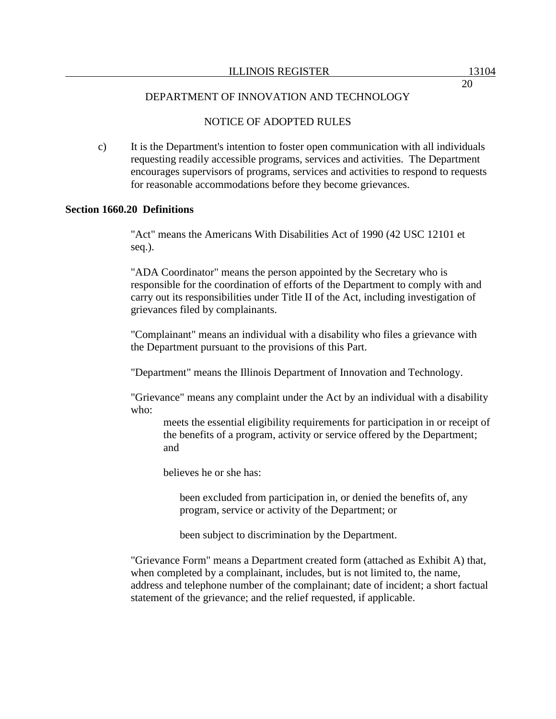# NOTICE OF ADOPTED RULES

c) It is the Department's intention to foster open communication with all individuals requesting readily accessible programs, services and activities. The Department encourages supervisors of programs, services and activities to respond to requests for reasonable accommodations before they become grievances.

### **Section 1660.20 Definitions**

"Act" means the Americans With Disabilities Act of 1990 (42 USC 12101 et seq.).

"ADA Coordinator" means the person appointed by the Secretary who is responsible for the coordination of efforts of the Department to comply with and carry out its responsibilities under Title II of the Act, including investigation of grievances filed by complainants.

"Complainant" means an individual with a disability who files a grievance with the Department pursuant to the provisions of this Part.

"Department" means the Illinois Department of Innovation and Technology.

"Grievance" means any complaint under the Act by an individual with a disability who:

meets the essential eligibility requirements for participation in or receipt of the benefits of a program, activity or service offered by the Department; and

believes he or she has:

been excluded from participation in, or denied the benefits of, any program, service or activity of the Department; or

been subject to discrimination by the Department.

"Grievance Form" means a Department created form (attached as Exhibit A) that, when completed by a complainant, includes, but is not limited to, the name, address and telephone number of the complainant; date of incident; a short factual statement of the grievance; and the relief requested, if applicable.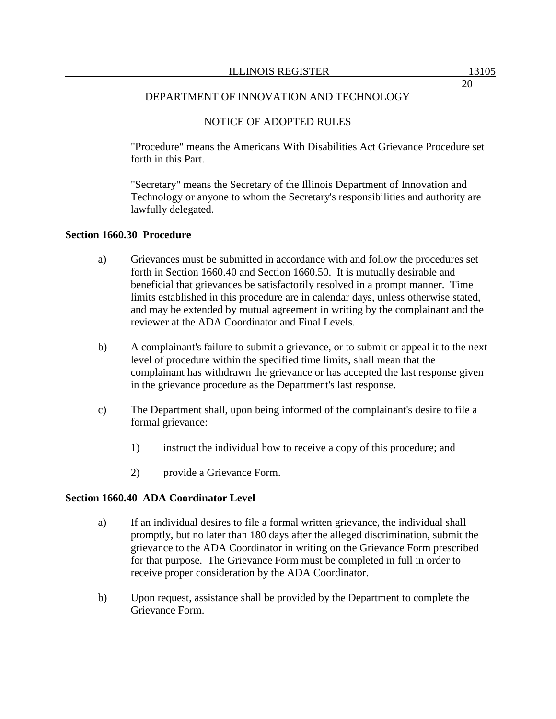### NOTICE OF ADOPTED RULES

"Procedure" means the Americans With Disabilities Act Grievance Procedure set forth in this Part.

"Secretary" means the Secretary of the Illinois Department of Innovation and Technology or anyone to whom the Secretary's responsibilities and authority are lawfully delegated.

#### **Section 1660.30 Procedure**

- a) Grievances must be submitted in accordance with and follow the procedures set forth in Section 1660.40 and Section 1660.50. It is mutually desirable and beneficial that grievances be satisfactorily resolved in a prompt manner. Time limits established in this procedure are in calendar days, unless otherwise stated, and may be extended by mutual agreement in writing by the complainant and the reviewer at the ADA Coordinator and Final Levels.
- b) A complainant's failure to submit a grievance, or to submit or appeal it to the next level of procedure within the specified time limits, shall mean that the complainant has withdrawn the grievance or has accepted the last response given in the grievance procedure as the Department's last response.
- c) The Department shall, upon being informed of the complainant's desire to file a formal grievance:
	- 1) instruct the individual how to receive a copy of this procedure; and
	- 2) provide a Grievance Form.

### **Section 1660.40 ADA Coordinator Level**

- a) If an individual desires to file a formal written grievance, the individual shall promptly, but no later than 180 days after the alleged discrimination, submit the grievance to the ADA Coordinator in writing on the Grievance Form prescribed for that purpose. The Grievance Form must be completed in full in order to receive proper consideration by the ADA Coordinator.
- b) Upon request, assistance shall be provided by the Department to complete the Grievance Form.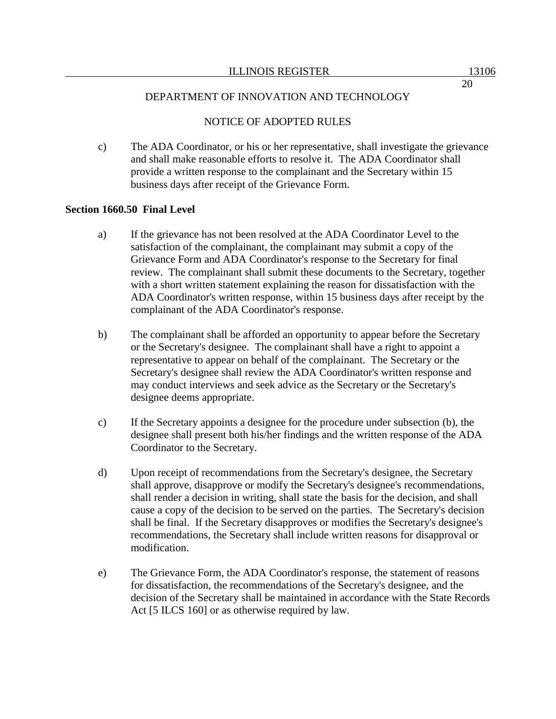# NOTICE OF ADOPTED RULES

c) The ADA Coordinator, or his or her representative, shall investigate the grievance and shall make reasonable efforts to resolve it. The ADA Coordinator shall provide a written response to the complainant and the Secretary within 15 business days after receipt of the Grievance Form.

### **Section 1660.50 Final Level**

- a) If the grievance has not been resolved at the ADA Coordinator Level to the satisfaction of the complainant, the complainant may submit a copy of the Grievance Form and ADA Coordinator's response to the Secretary for final review. The complainant shall submit these documents to the Secretary, together with a short written statement explaining the reason for dissatisfaction with the ADA Coordinator's written response, within 15 business days after receipt by the complainant of the ADA Coordinator's response.
- b) The complainant shall be afforded an opportunity to appear before the Secretary or the Secretary's designee. The complainant shall have a right to appoint a representative to appear on behalf of the complainant. The Secretary or the Secretary's designee shall review the ADA Coordinator's written response and may conduct interviews and seek advice as the Secretary or the Secretary's designee deems appropriate.
- c) If the Secretary appoints a designee for the procedure under subsection (b), the designee shall present both his/her findings and the written response of the ADA Coordinator to the Secretary.
- d) Upon receipt of recommendations from the Secretary's designee, the Secretary shall approve, disapprove or modify the Secretary's designee's recommendations, shall render a decision in writing, shall state the basis for the decision, and shall cause a copy of the decision to be served on the parties. The Secretary's decision shall be final. If the Secretary disapproves or modifies the Secretary's designee's recommendations, the Secretary shall include written reasons for disapproval or modification.
- e) The Grievance Form, the ADA Coordinator's response, the statement of reasons for dissatisfaction, the recommendations of the Secretary's designee, and the decision of the Secretary shall be maintained in accordance with the State Records Act [5 ILCS 160] or as otherwise required by law.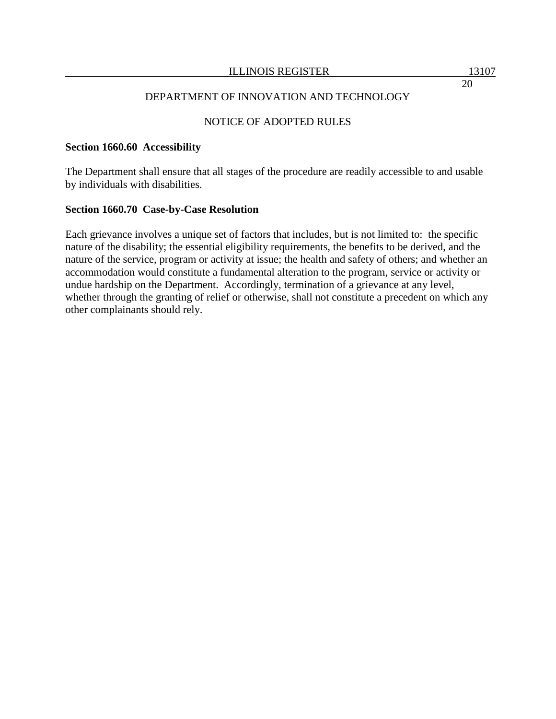### NOTICE OF ADOPTED RULES

#### **Section 1660.60 Accessibility**

The Department shall ensure that all stages of the procedure are readily accessible to and usable by individuals with disabilities.

#### **Section 1660.70 Case-by-Case Resolution**

Each grievance involves a unique set of factors that includes, but is not limited to: the specific nature of the disability; the essential eligibility requirements, the benefits to be derived, and the nature of the service, program or activity at issue; the health and safety of others; and whether an accommodation would constitute a fundamental alteration to the program, service or activity or undue hardship on the Department. Accordingly, termination of a grievance at any level, whether through the granting of relief or otherwise, shall not constitute a precedent on which any other complainants should rely.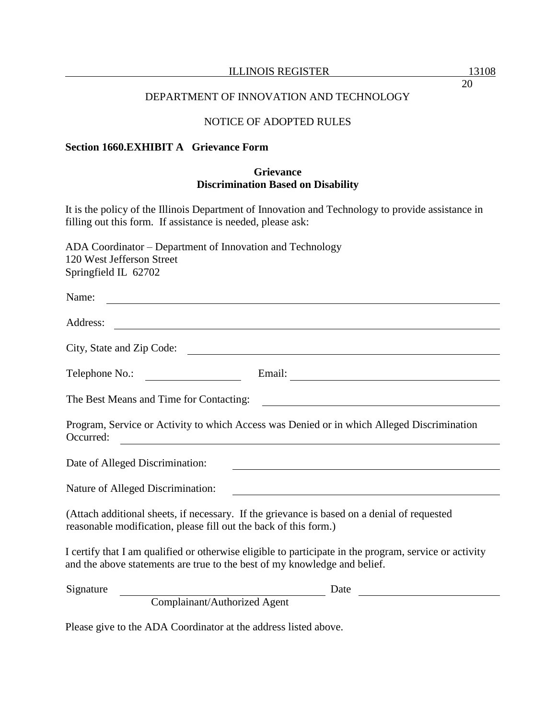#### ILLINOIS REGISTER 13108

### DEPARTMENT OF INNOVATION AND TECHNOLOGY

# NOTICE OF ADOPTED RULES

#### **Section 1660.EXHIBIT A Grievance Form**

### **Grievance Discrimination Based on Disability**

It is the policy of the Illinois Department of Innovation and Technology to provide assistance in filling out this form. If assistance is needed, please ask:

ADA Coordinator – Department of Innovation and Technology 120 West Jefferson Street Springfield IL 62702

| Name:                                                                                                                                                                               |  |  |  |  |
|-------------------------------------------------------------------------------------------------------------------------------------------------------------------------------------|--|--|--|--|
| Address:<br><u> 1989 - Johann Stoff, deutscher Stoffen und der Stoffen und der Stoffen und der Stoffen und der Stoffen und de</u>                                                   |  |  |  |  |
| City, State and Zip Code:                                                                                                                                                           |  |  |  |  |
| Telephone No.:                                                                                                                                                                      |  |  |  |  |
| The Best Means and Time for Contacting:                                                                                                                                             |  |  |  |  |
| Program, Service or Activity to which Access was Denied or in which Alleged Discrimination<br>Occurred:<br><u> 1989 - Johann Stein, fransk politik (f. 1989)</u>                    |  |  |  |  |
| Date of Alleged Discrimination:                                                                                                                                                     |  |  |  |  |
| Nature of Alleged Discrimination:                                                                                                                                                   |  |  |  |  |
| (Attach additional sheets, if necessary. If the grievance is based on a denial of requested<br>reasonable modification, please fill out the back of this form.)                     |  |  |  |  |
| I certify that I am qualified or otherwise eligible to participate in the program, service or activity<br>and the above statements are true to the best of my knowledge and belief. |  |  |  |  |
| Signature<br>Date<br>Complainant/Authorized Agent                                                                                                                                   |  |  |  |  |

Please give to the ADA Coordinator at the address listed above.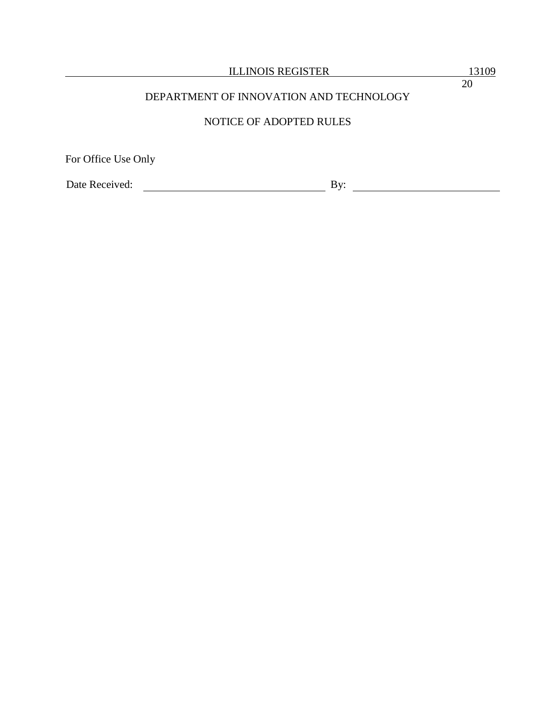# NOTICE OF ADOPTED RULES

For Office Use Only

Date Received: By: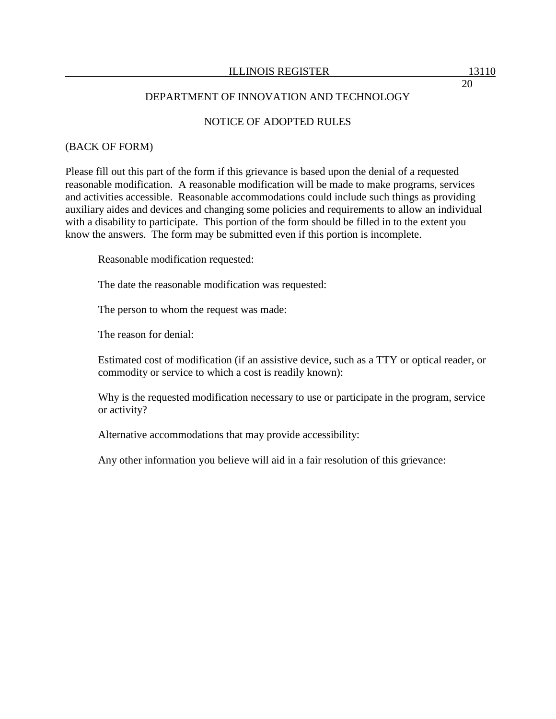### NOTICE OF ADOPTED RULES

#### (BACK OF FORM)

Please fill out this part of the form if this grievance is based upon the denial of a requested reasonable modification. A reasonable modification will be made to make programs, services and activities accessible. Reasonable accommodations could include such things as providing auxiliary aides and devices and changing some policies and requirements to allow an individual with a disability to participate. This portion of the form should be filled in to the extent you know the answers. The form may be submitted even if this portion is incomplete.

Reasonable modification requested:

The date the reasonable modification was requested:

The person to whom the request was made:

The reason for denial:

Estimated cost of modification (if an assistive device, such as a TTY or optical reader, or commodity or service to which a cost is readily known):

Why is the requested modification necessary to use or participate in the program, service or activity?

Alternative accommodations that may provide accessibility:

Any other information you believe will aid in a fair resolution of this grievance: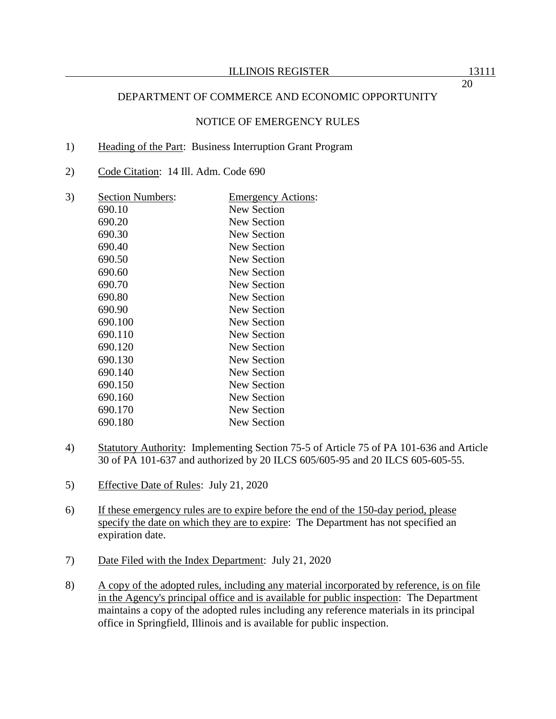### NOTICE OF EMERGENCY RULES

#### 1) Heading of the Part: Business Interruption Grant Program

2) Code Citation: 14 Ill. Adm. Code 690

| 3) | <b>Section Numbers:</b> | <u>Emergency Actions:</u> |
|----|-------------------------|---------------------------|
|    | 690.10                  | New Section               |
|    | 690.20                  | New Section               |
|    | 690.30                  | <b>New Section</b>        |
|    | 690.40                  | New Section               |
|    | 690.50                  | <b>New Section</b>        |
|    | 690.60                  | <b>New Section</b>        |
|    | 690.70                  | New Section               |
|    | 690.80                  | <b>New Section</b>        |
|    | 690.90                  | New Section               |
|    | 690.100                 | New Section               |
|    | 690.110                 | New Section               |
|    | 690.120                 | <b>New Section</b>        |
|    | 690.130                 | New Section               |
|    | 690.140                 | New Section               |
|    | 690.150                 | New Section               |
|    | 690.160                 | <b>New Section</b>        |
|    | 690.170                 | New Section               |
|    | 690.180                 | New Section               |
|    |                         |                           |

- 4) Statutory Authority: Implementing Section 75-5 of Article 75 of PA 101-636 and Article 30 of PA 101-637 and authorized by 20 ILCS 605/605-95 and 20 ILCS 605-605-55.
- 5) Effective Date of Rules: July 21, 2020
- 6) If these emergency rules are to expire before the end of the 150-day period, please specify the date on which they are to expire: The Department has not specified an expiration date.
- 7) Date Filed with the Index Department: July 21, 2020
- 8) A copy of the adopted rules, including any material incorporated by reference, is on file in the Agency's principal office and is available for public inspection: The Department maintains a copy of the adopted rules including any reference materials in its principal office in Springfield, Illinois and is available for public inspection.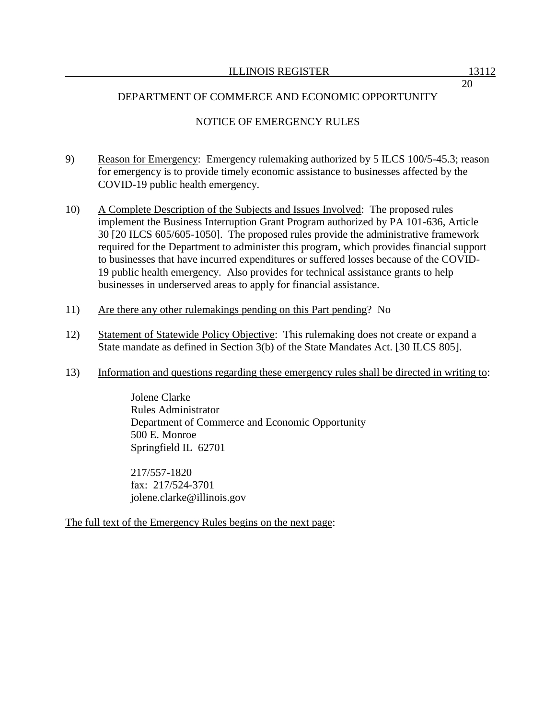# NOTICE OF EMERGENCY RULES

- 9) Reason for Emergency: Emergency rulemaking authorized by 5 ILCS 100/5-45.3; reason for emergency is to provide timely economic assistance to businesses affected by the COVID-19 public health emergency.
- 10) A Complete Description of the Subjects and Issues Involved: The proposed rules implement the Business Interruption Grant Program authorized by PA 101-636, Article 30 [20 ILCS 605/605-1050]. The proposed rules provide the administrative framework required for the Department to administer this program, which provides financial support to businesses that have incurred expenditures or suffered losses because of the COVID-19 public health emergency. Also provides for technical assistance grants to help businesses in underserved areas to apply for financial assistance.
- 11) Are there any other rulemakings pending on this Part pending? No
- 12) Statement of Statewide Policy Objective: This rulemaking does not create or expand a State mandate as defined in Section 3(b) of the State Mandates Act. [30 ILCS 805].
- 13) Information and questions regarding these emergency rules shall be directed in writing to:

Jolene Clarke Rules Administrator Department of Commerce and Economic Opportunity 500 E. Monroe Springfield IL 62701

217/557-1820 fax: 217/524-3701 jolene.clarke@illinois.gov

The full text of the Emergency Rules begins on the next page: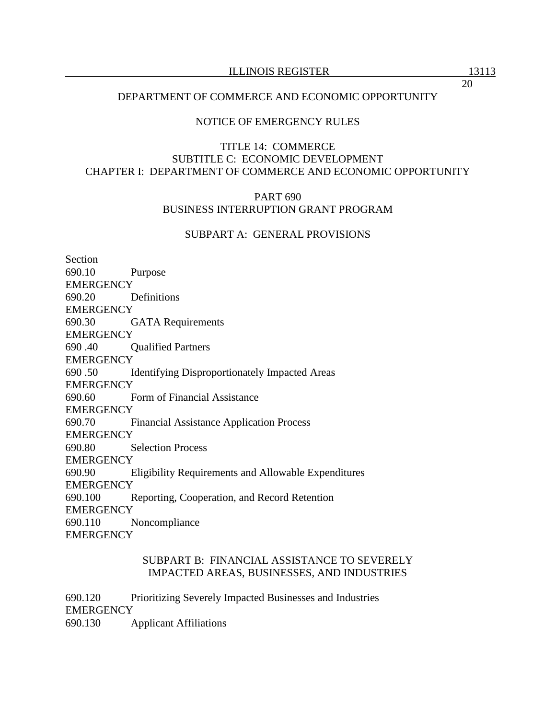### NOTICE OF EMERGENCY RULES

### TITLE 14: COMMERCE SUBTITLE C: ECONOMIC DEVELOPMENT CHAPTER I: DEPARTMENT OF COMMERCE AND ECONOMIC OPPORTUNITY

### PART 690 BUSINESS INTERRUPTION GRANT PROGRAM

### SUBPART A: GENERAL PROVISIONS

Section 690.10 Purpose **EMERGENCY** 690.20 Definitions **EMERGENCY** 690.30 GATA Requirements **EMERGENCY** 690 .40 Qualified Partners **EMERGENCY** 690 .50 Identifying Disproportionately Impacted Areas **EMERGENCY** 690.60 Form of Financial Assistance **EMERGENCY** 690.70 Financial Assistance Application Process **EMERGENCY** 690.80 Selection Process **EMERGENCY** 690.90 Eligibility Requirements and Allowable Expenditures **EMERGENCY** 690.100 Reporting, Cooperation, and Record Retention **EMERGENCY** 690.110 Noncompliance **EMERGENCY** 

### SUBPART B: FINANCIAL ASSISTANCE TO SEVERELY IMPACTED AREAS, BUSINESSES, AND INDUSTRIES

690.120 Prioritizing Severely Impacted Businesses and Industries **EMERGENCY** 690.130 Applicant Affiliations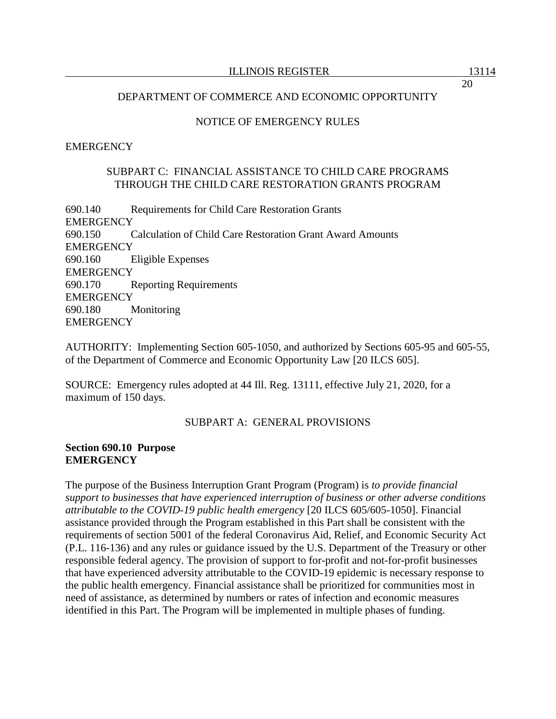### NOTICE OF EMERGENCY RULES

### **EMERGENCY**

### SUBPART C: FINANCIAL ASSISTANCE TO CHILD CARE PROGRAMS THROUGH THE CHILD CARE RESTORATION GRANTS PROGRAM

690.140 Requirements for Child Care Restoration Grants **EMERGENCY** 690.150 Calculation of Child Care Restoration Grant Award Amounts **EMERGENCY** 690.160 Eligible Expenses **EMERGENCY** 690.170 Reporting Requirements **EMERGENCY** 690.180 Monitoring **EMERGENCY** 

AUTHORITY: Implementing Section 605-1050, and authorized by Sections 605-95 and 605-55, of the Department of Commerce and Economic Opportunity Law [20 ILCS 605].

SOURCE: Emergency rules adopted at 44 Ill. Reg. 13111, effective July 21, 2020, for a maximum of 150 days.

### SUBPART A: GENERAL PROVISIONS

#### **Section 690.10 Purpose EMERGENCY**

The purpose of the Business Interruption Grant Program (Program) is *to provide financial support to businesses that have experienced interruption of business or other adverse conditions attributable to the COVID-19 public health emergency* [20 ILCS 605/605-1050]. Financial assistance provided through the Program established in this Part shall be consistent with the requirements of section 5001 of the federal Coronavirus Aid, Relief, and Economic Security Act (P.L. 116-136) and any rules or guidance issued by the U.S. Department of the Treasury or other responsible federal agency. The provision of support to for-profit and not-for-profit businesses that have experienced adversity attributable to the COVID-19 epidemic is necessary response to the public health emergency. Financial assistance shall be prioritized for communities most in need of assistance, as determined by numbers or rates of infection and economic measures identified in this Part. The Program will be implemented in multiple phases of funding.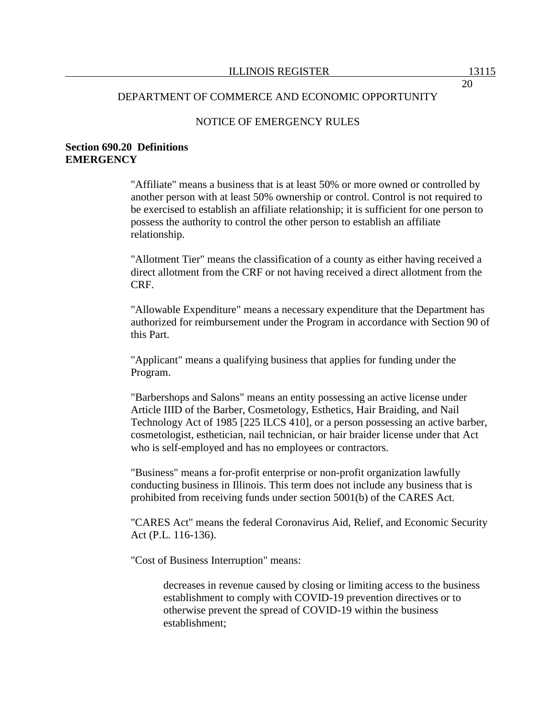### NOTICE OF EMERGENCY RULES

### **Section 690.20 Definitions EMERGENCY**

"Affiliate" means a business that is at least 50% or more owned or controlled by another person with at least 50% ownership or control. Control is not required to be exercised to establish an affiliate relationship; it is sufficient for one person to possess the authority to control the other person to establish an affiliate relationship.

"Allotment Tier" means the classification of a county as either having received a direct allotment from the CRF or not having received a direct allotment from the CRF.

"Allowable Expenditure" means a necessary expenditure that the Department has authorized for reimbursement under the Program in accordance with Section 90 of this Part.

"Applicant" means a qualifying business that applies for funding under the Program.

"Barbershops and Salons" means an entity possessing an active license under Article IIID of the Barber, Cosmetology, Esthetics, Hair Braiding, and Nail Technology Act of 1985 [225 ILCS 410], or a person possessing an active barber, cosmetologist, esthetician, nail technician, or hair braider license under that Act who is self-employed and has no employees or contractors.

"Business" means a for-profit enterprise or non-profit organization lawfully conducting business in Illinois. This term does not include any business that is prohibited from receiving funds under section 5001(b) of the CARES Act.

"CARES Act" means the federal Coronavirus Aid, Relief, and Economic Security Act (P.L. 116-136).

"Cost of Business Interruption" means:

decreases in revenue caused by closing or limiting access to the business establishment to comply with COVID-19 prevention directives or to otherwise prevent the spread of COVID-19 within the business establishment;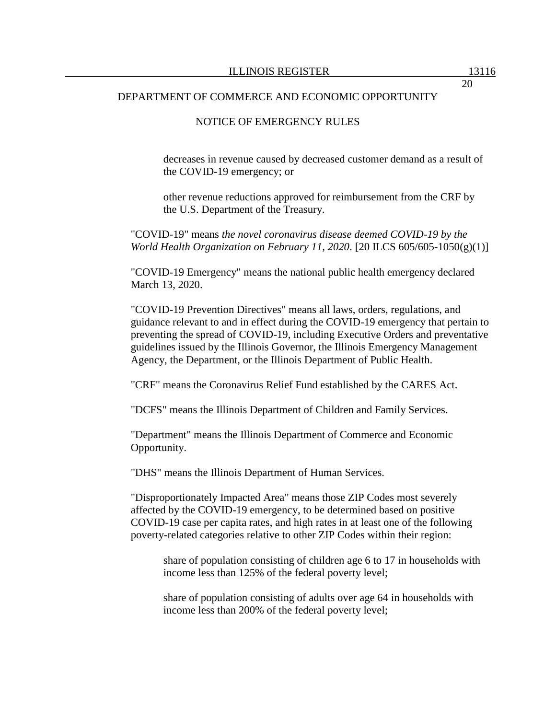### NOTICE OF EMERGENCY RULES

decreases in revenue caused by decreased customer demand as a result of the COVID-19 emergency; or

other revenue reductions approved for reimbursement from the CRF by the U.S. Department of the Treasury.

"COVID-19" means *the novel coronavirus disease deemed COVID-19 by the World Health Organization on February 11, 2020*. [20 ILCS 605/605-1050(g)(1)]

"COVID-19 Emergency" means the national public health emergency declared March 13, 2020.

"COVID-19 Prevention Directives" means all laws, orders, regulations, and guidance relevant to and in effect during the COVID-19 emergency that pertain to preventing the spread of COVID-19, including Executive Orders and preventative guidelines issued by the Illinois Governor, the Illinois Emergency Management Agency, the Department, or the Illinois Department of Public Health.

"CRF" means the Coronavirus Relief Fund established by the CARES Act.

"DCFS" means the Illinois Department of Children and Family Services.

"Department" means the Illinois Department of Commerce and Economic Opportunity.

"DHS" means the Illinois Department of Human Services.

"Disproportionately Impacted Area" means those ZIP Codes most severely affected by the COVID-19 emergency, to be determined based on positive COVID-19 case per capita rates, and high rates in at least one of the following poverty-related categories relative to other ZIP Codes within their region:

share of population consisting of children age 6 to 17 in households with income less than 125% of the federal poverty level;

share of population consisting of adults over age 64 in households with income less than 200% of the federal poverty level;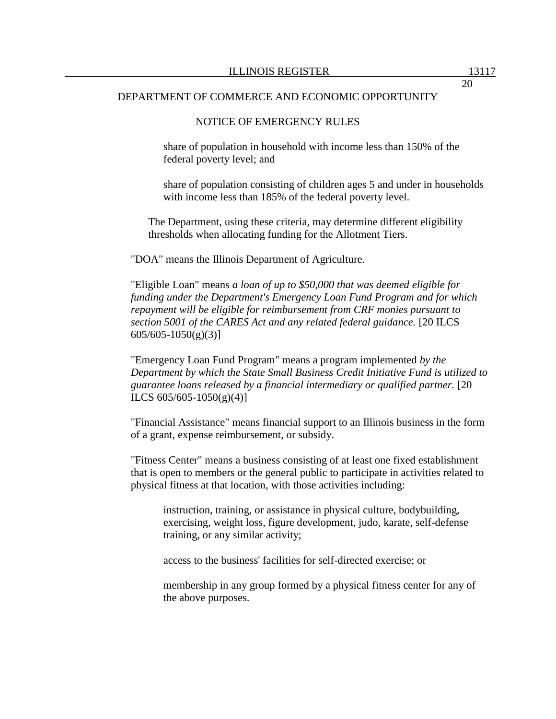### NOTICE OF EMERGENCY RULES

share of population in household with income less than 150% of the federal poverty level; and

share of population consisting of children ages 5 and under in households with income less than 185% of the federal poverty level.

The Department, using these criteria, may determine different eligibility thresholds when allocating funding for the Allotment Tiers.

"DOA" means the Illinois Department of Agriculture.

"Eligible Loan" means *a loan of up to \$50,000 that was deemed eligible for funding under the Department's Emergency Loan Fund Program and for which repayment will be eligible for reimbursement from CRF monies pursuant to section 5001 of the CARES Act and any related federal guidance.* [20 ILCS  $605/605-1050(g)(3)$ ]

"Emergency Loan Fund Program" means a program implemented *by the Department by which the State Small Business Credit Initiative Fund is utilized to guarantee loans released by a financial intermediary or qualified partner.* [20 ILCS  $605/605-1050(g)(4)$ ]

"Financial Assistance" means financial support to an Illinois business in the form of a grant, expense reimbursement, or subsidy.

"Fitness Center" means a business consisting of at least one fixed establishment that is open to members or the general public to participate in activities related to physical fitness at that location, with those activities including:

instruction, training, or assistance in physical culture, bodybuilding, exercising, weight loss, figure development, judo, karate, self-defense training, or any similar activity;

access to the business' facilities for self-directed exercise; or

membership in any group formed by a physical fitness center for any of the above purposes.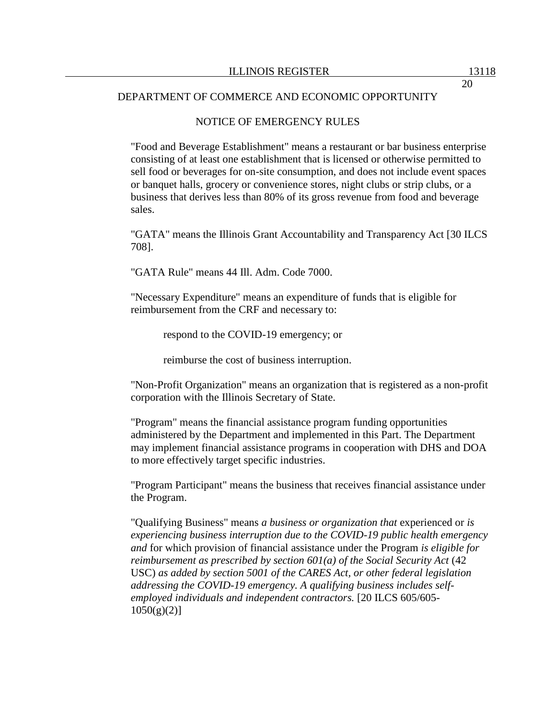### NOTICE OF EMERGENCY RULES

"Food and Beverage Establishment" means a restaurant or bar business enterprise consisting of at least one establishment that is licensed or otherwise permitted to sell food or beverages for on-site consumption, and does not include event spaces or banquet halls, grocery or convenience stores, night clubs or strip clubs, or a business that derives less than 80% of its gross revenue from food and beverage sales.

"GATA" means the Illinois Grant Accountability and Transparency Act [30 ILCS 708].

"GATA Rule" means 44 Ill. Adm. Code 7000.

"Necessary Expenditure" means an expenditure of funds that is eligible for reimbursement from the CRF and necessary to:

respond to the COVID-19 emergency; or

reimburse the cost of business interruption.

"Non-Profit Organization" means an organization that is registered as a non-profit corporation with the Illinois Secretary of State.

"Program" means the financial assistance program funding opportunities administered by the Department and implemented in this Part. The Department may implement financial assistance programs in cooperation with DHS and DOA to more effectively target specific industries.

"Program Participant" means the business that receives financial assistance under the Program.

"Qualifying Business" means *a business or organization that* experienced or *is experiencing business interruption due to the COVID-19 public health emergency and* for which provision of financial assistance under the Program *is eligible for reimbursement as prescribed by section 601(a) of the Social Security Act (42* USC) *as added by section 5001 of the CARES Act, or other federal legislation addressing the COVID-19 emergency. A qualifying business includes selfemployed individuals and independent contractors.* [20 ILCS 605/605-  $1050(g)(2)$ ]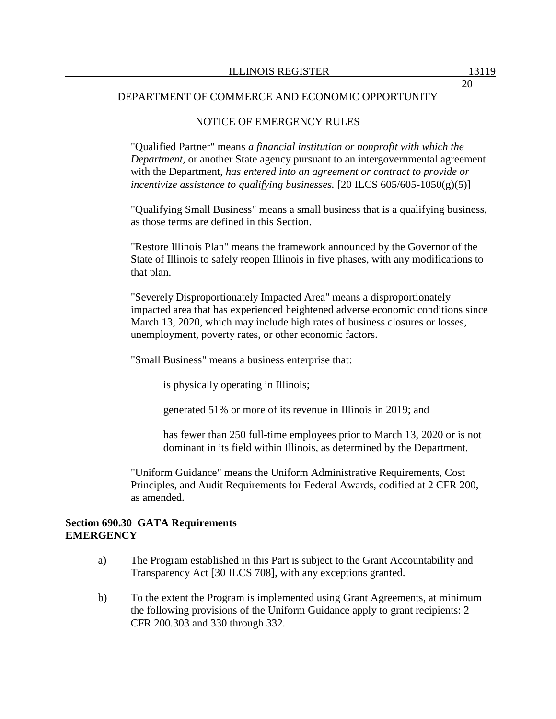### NOTICE OF EMERGENCY RULES

"Qualified Partner" means *a financial institution or nonprofit with which the Department,* or another State agency pursuant to an intergovernmental agreement with the Department, *has entered into an agreement or contract to provide or incentivize assistance to qualifying businesses.* [20 ILCS 605/605-1050(g)(5)]

"Qualifying Small Business" means a small business that is a qualifying business, as those terms are defined in this Section.

"Restore Illinois Plan" means the framework announced by the Governor of the State of Illinois to safely reopen Illinois in five phases, with any modifications to that plan.

"Severely Disproportionately Impacted Area" means a disproportionately impacted area that has experienced heightened adverse economic conditions since March 13, 2020, which may include high rates of business closures or losses, unemployment, poverty rates, or other economic factors.

"Small Business" means a business enterprise that:

is physically operating in Illinois;

generated 51% or more of its revenue in Illinois in 2019; and

has fewer than 250 full-time employees prior to March 13, 2020 or is not dominant in its field within Illinois, as determined by the Department.

"Uniform Guidance" means the Uniform Administrative Requirements, Cost Principles, and Audit Requirements for Federal Awards, codified at 2 CFR 200, as amended.

#### **Section 690.30 GATA Requirements EMERGENCY**

- a) The Program established in this Part is subject to the Grant Accountability and Transparency Act [30 ILCS 708], with any exceptions granted.
- b) To the extent the Program is implemented using Grant Agreements, at minimum the following provisions of the Uniform Guidance apply to grant recipients: 2 CFR 200.303 and 330 through 332.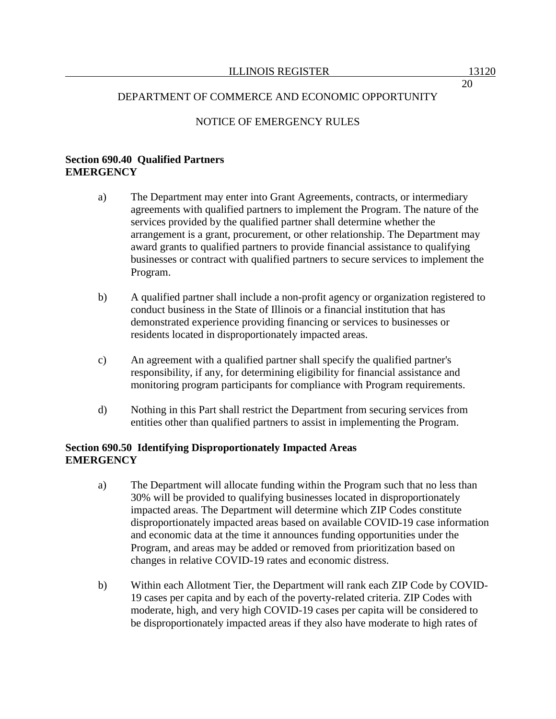### NOTICE OF EMERGENCY RULES

### **Section 690.40 Qualified Partners EMERGENCY**

- a) The Department may enter into Grant Agreements, contracts, or intermediary agreements with qualified partners to implement the Program. The nature of the services provided by the qualified partner shall determine whether the arrangement is a grant, procurement, or other relationship. The Department may award grants to qualified partners to provide financial assistance to qualifying businesses or contract with qualified partners to secure services to implement the Program.
- b) A qualified partner shall include a non-profit agency or organization registered to conduct business in the State of Illinois or a financial institution that has demonstrated experience providing financing or services to businesses or residents located in disproportionately impacted areas.
- c) An agreement with a qualified partner shall specify the qualified partner's responsibility, if any, for determining eligibility for financial assistance and monitoring program participants for compliance with Program requirements.
- d) Nothing in this Part shall restrict the Department from securing services from entities other than qualified partners to assist in implementing the Program.

### **Section 690.50 Identifying Disproportionately Impacted Areas EMERGENCY**

- a) The Department will allocate funding within the Program such that no less than 30% will be provided to qualifying businesses located in disproportionately impacted areas. The Department will determine which ZIP Codes constitute disproportionately impacted areas based on available COVID-19 case information and economic data at the time it announces funding opportunities under the Program, and areas may be added or removed from prioritization based on changes in relative COVID-19 rates and economic distress.
- b) Within each Allotment Tier, the Department will rank each ZIP Code by COVID-19 cases per capita and by each of the poverty-related criteria. ZIP Codes with moderate, high, and very high COVID-19 cases per capita will be considered to be disproportionately impacted areas if they also have moderate to high rates of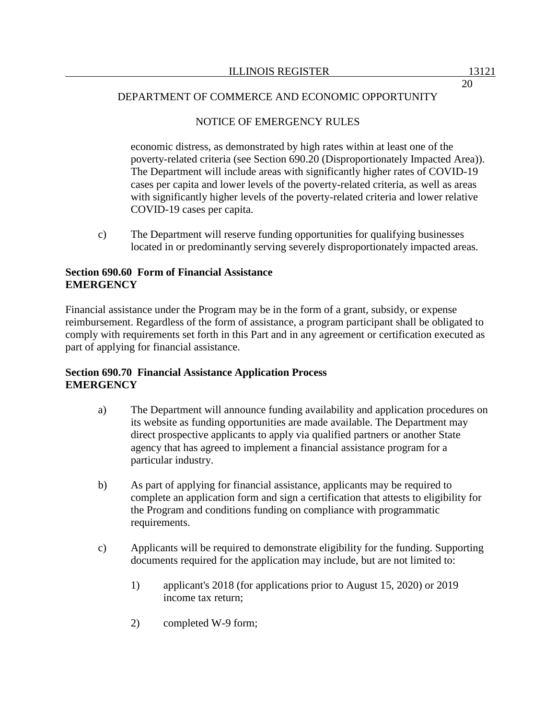# NOTICE OF EMERGENCY RULES

economic distress, as demonstrated by high rates within at least one of the poverty-related criteria (see Section 690.20 (Disproportionately Impacted Area)). The Department will include areas with significantly higher rates of COVID-19 cases per capita and lower levels of the poverty-related criteria, as well as areas with significantly higher levels of the poverty-related criteria and lower relative COVID-19 cases per capita.

c) The Department will reserve funding opportunities for qualifying businesses located in or predominantly serving severely disproportionately impacted areas.

# **Section 690.60 Form of Financial Assistance EMERGENCY**

Financial assistance under the Program may be in the form of a grant, subsidy, or expense reimbursement. Regardless of the form of assistance, a program participant shall be obligated to comply with requirements set forth in this Part and in any agreement or certification executed as part of applying for financial assistance.

# **Section 690.70 Financial Assistance Application Process EMERGENCY**

- a) The Department will announce funding availability and application procedures on its website as funding opportunities are made available. The Department may direct prospective applicants to apply via qualified partners or another State agency that has agreed to implement a financial assistance program for a particular industry.
- b) As part of applying for financial assistance, applicants may be required to complete an application form and sign a certification that attests to eligibility for the Program and conditions funding on compliance with programmatic requirements.
- c) Applicants will be required to demonstrate eligibility for the funding. Supporting documents required for the application may include, but are not limited to:
	- 1) applicant's 2018 (for applications prior to August 15, 2020) or 2019 income tax return;
	- 2) completed W-9 form;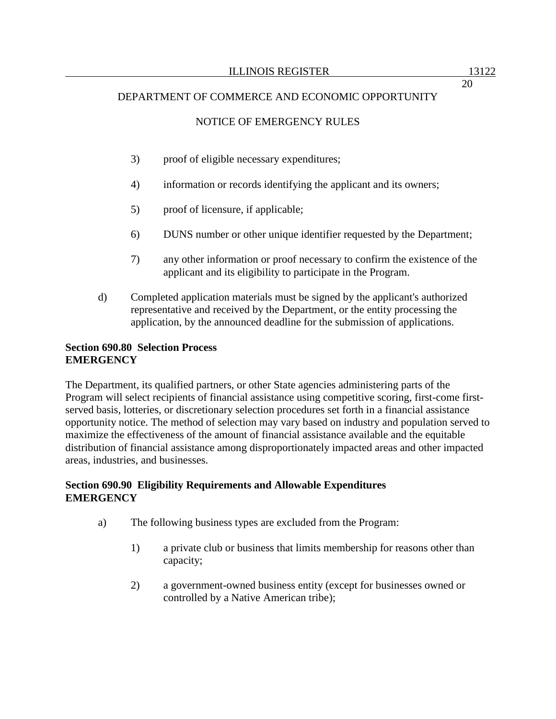# NOTICE OF EMERGENCY RULES

- 3) proof of eligible necessary expenditures;
- 4) information or records identifying the applicant and its owners;
- 5) proof of licensure, if applicable;
- 6) DUNS number or other unique identifier requested by the Department;
- 7) any other information or proof necessary to confirm the existence of the applicant and its eligibility to participate in the Program.
- d) Completed application materials must be signed by the applicant's authorized representative and received by the Department, or the entity processing the application, by the announced deadline for the submission of applications.

# **Section 690.80 Selection Process EMERGENCY**

The Department, its qualified partners, or other State agencies administering parts of the Program will select recipients of financial assistance using competitive scoring, first-come firstserved basis, lotteries, or discretionary selection procedures set forth in a financial assistance opportunity notice. The method of selection may vary based on industry and population served to maximize the effectiveness of the amount of financial assistance available and the equitable distribution of financial assistance among disproportionately impacted areas and other impacted areas, industries, and businesses.

### **Section 690.90 Eligibility Requirements and Allowable Expenditures EMERGENCY**

- a) The following business types are excluded from the Program:
	- 1) a private club or business that limits membership for reasons other than capacity;
	- 2) a government-owned business entity (except for businesses owned or controlled by a Native American tribe);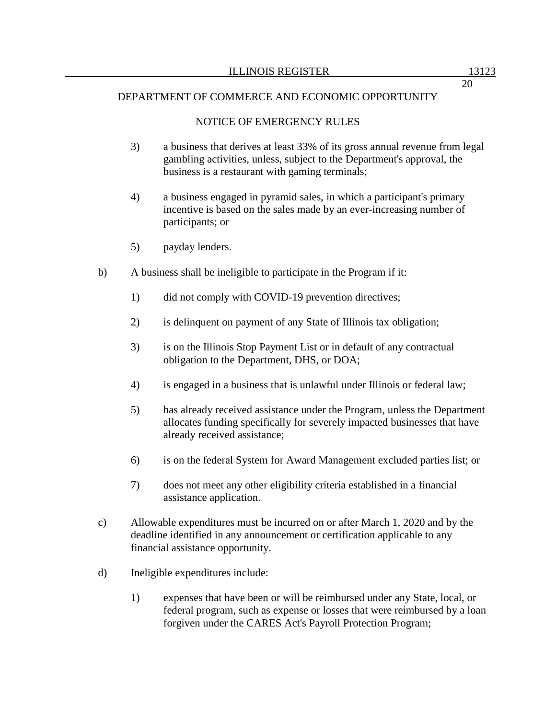# NOTICE OF EMERGENCY RULES

- 3) a business that derives at least 33% of its gross annual revenue from legal gambling activities, unless, subject to the Department's approval, the business is a restaurant with gaming terminals;
- 4) a business engaged in pyramid sales, in which a participant's primary incentive is based on the sales made by an ever-increasing number of participants; or
- 5) payday lenders.
- b) A business shall be ineligible to participate in the Program if it:
	- 1) did not comply with COVID-19 prevention directives;
	- 2) is delinquent on payment of any State of Illinois tax obligation;
	- 3) is on the Illinois Stop Payment List or in default of any contractual obligation to the Department, DHS, or DOA;
	- 4) is engaged in a business that is unlawful under Illinois or federal law;
	- 5) has already received assistance under the Program, unless the Department allocates funding specifically for severely impacted businesses that have already received assistance;
	- 6) is on the federal System for Award Management excluded parties list; or
	- 7) does not meet any other eligibility criteria established in a financial assistance application.
- c) Allowable expenditures must be incurred on or after March 1, 2020 and by the deadline identified in any announcement or certification applicable to any financial assistance opportunity.
- d) Ineligible expenditures include:
	- 1) expenses that have been or will be reimbursed under any State, local, or federal program, such as expense or losses that were reimbursed by a loan forgiven under the CARES Act's Payroll Protection Program;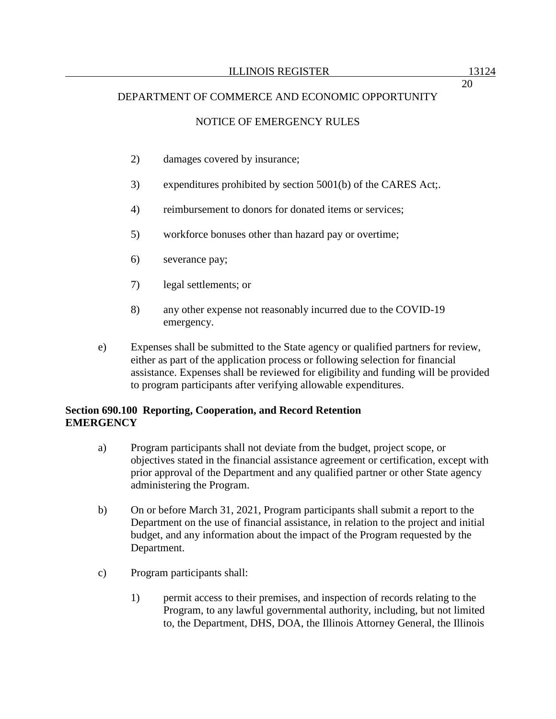# NOTICE OF EMERGENCY RULES

- 2) damages covered by insurance;
- 3) expenditures prohibited by section 5001(b) of the CARES Act;.
- 4) reimbursement to donors for donated items or services;
- 5) workforce bonuses other than hazard pay or overtime;
- 6) severance pay;
- 7) legal settlements; or
- 8) any other expense not reasonably incurred due to the COVID-19 emergency.
- e) Expenses shall be submitted to the State agency or qualified partners for review, either as part of the application process or following selection for financial assistance. Expenses shall be reviewed for eligibility and funding will be provided to program participants after verifying allowable expenditures.

### **Section 690.100 Reporting, Cooperation, and Record Retention EMERGENCY**

- a) Program participants shall not deviate from the budget, project scope, or objectives stated in the financial assistance agreement or certification, except with prior approval of the Department and any qualified partner or other State agency administering the Program.
- b) On or before March 31, 2021, Program participants shall submit a report to the Department on the use of financial assistance, in relation to the project and initial budget, and any information about the impact of the Program requested by the Department.
- c) Program participants shall:
	- 1) permit access to their premises, and inspection of records relating to the Program, to any lawful governmental authority, including, but not limited to, the Department, DHS, DOA, the Illinois Attorney General, the Illinois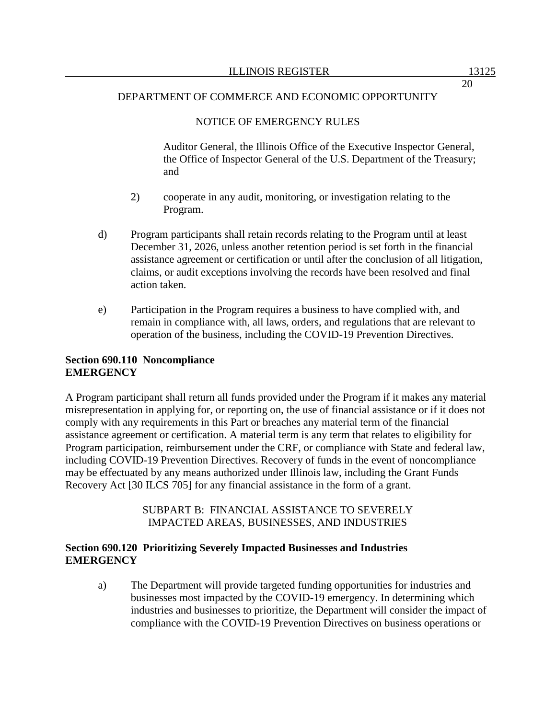# NOTICE OF EMERGENCY RULES

Auditor General, the Illinois Office of the Executive Inspector General, the Office of Inspector General of the U.S. Department of the Treasury; and

- 2) cooperate in any audit, monitoring, or investigation relating to the Program.
- d) Program participants shall retain records relating to the Program until at least December 31, 2026, unless another retention period is set forth in the financial assistance agreement or certification or until after the conclusion of all litigation, claims, or audit exceptions involving the records have been resolved and final action taken.
- e) Participation in the Program requires a business to have complied with, and remain in compliance with, all laws, orders, and regulations that are relevant to operation of the business, including the COVID-19 Prevention Directives.

### **Section 690.110 Noncompliance EMERGENCY**

A Program participant shall return all funds provided under the Program if it makes any material misrepresentation in applying for, or reporting on, the use of financial assistance or if it does not comply with any requirements in this Part or breaches any material term of the financial assistance agreement or certification. A material term is any term that relates to eligibility for Program participation, reimbursement under the CRF, or compliance with State and federal law, including COVID-19 Prevention Directives. Recovery of funds in the event of noncompliance may be effectuated by any means authorized under Illinois law, including the Grant Funds Recovery Act [30 ILCS 705] for any financial assistance in the form of a grant.

### SUBPART B: FINANCIAL ASSISTANCE TO SEVERELY IMPACTED AREAS, BUSINESSES, AND INDUSTRIES

# **Section 690.120 Prioritizing Severely Impacted Businesses and Industries EMERGENCY**

a) The Department will provide targeted funding opportunities for industries and businesses most impacted by the COVID-19 emergency. In determining which industries and businesses to prioritize, the Department will consider the impact of compliance with the COVID-19 Prevention Directives on business operations or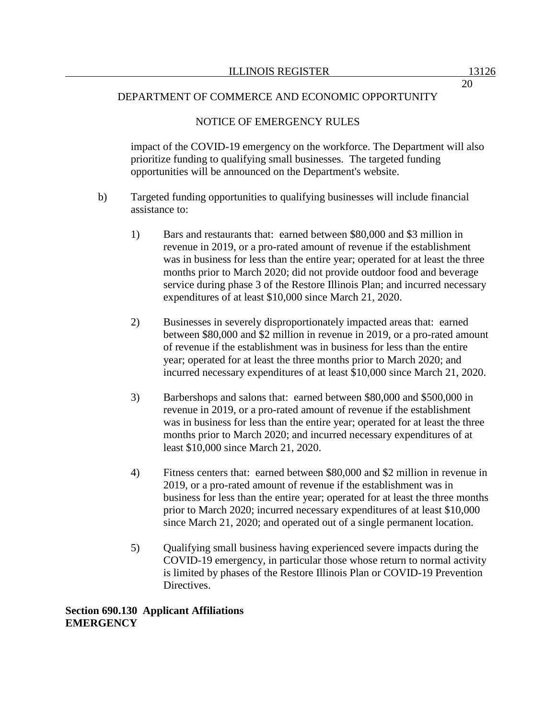### NOTICE OF EMERGENCY RULES

impact of the COVID-19 emergency on the workforce. The Department will also prioritize funding to qualifying small businesses. The targeted funding opportunities will be announced on the Department's website.

- b) Targeted funding opportunities to qualifying businesses will include financial assistance to:
	- 1) Bars and restaurants that: earned between \$80,000 and \$3 million in revenue in 2019, or a pro-rated amount of revenue if the establishment was in business for less than the entire year; operated for at least the three months prior to March 2020; did not provide outdoor food and beverage service during phase 3 of the Restore Illinois Plan; and incurred necessary expenditures of at least \$10,000 since March 21, 2020.
	- 2) Businesses in severely disproportionately impacted areas that: earned between \$80,000 and \$2 million in revenue in 2019, or a pro-rated amount of revenue if the establishment was in business for less than the entire year; operated for at least the three months prior to March 2020; and incurred necessary expenditures of at least \$10,000 since March 21, 2020.
	- 3) Barbershops and salons that: earned between \$80,000 and \$500,000 in revenue in 2019, or a pro-rated amount of revenue if the establishment was in business for less than the entire year; operated for at least the three months prior to March 2020; and incurred necessary expenditures of at least \$10,000 since March 21, 2020.
	- 4) Fitness centers that: earned between \$80,000 and \$2 million in revenue in 2019, or a pro-rated amount of revenue if the establishment was in business for less than the entire year; operated for at least the three months prior to March 2020; incurred necessary expenditures of at least \$10,000 since March 21, 2020; and operated out of a single permanent location.
	- 5) Qualifying small business having experienced severe impacts during the COVID-19 emergency, in particular those whose return to normal activity is limited by phases of the Restore Illinois Plan or COVID-19 Prevention Directives.

**Section 690.130 Applicant Affiliations EMERGENCY**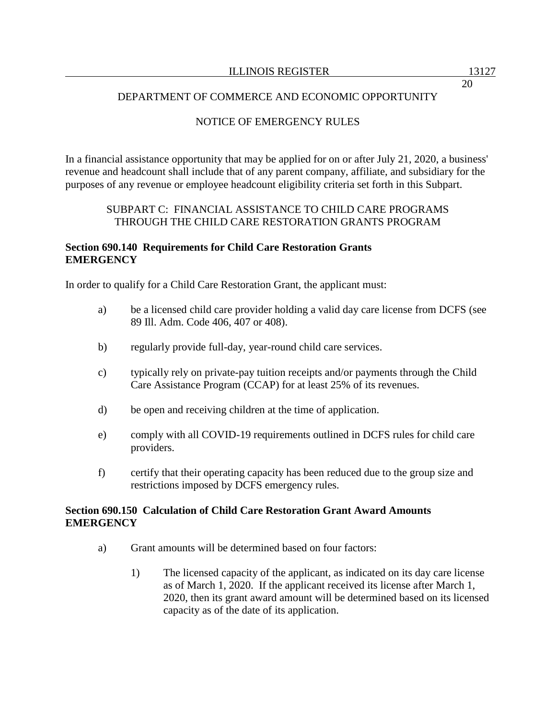# NOTICE OF EMERGENCY RULES

In a financial assistance opportunity that may be applied for on or after July 21, 2020, a business' revenue and headcount shall include that of any parent company, affiliate, and subsidiary for the purposes of any revenue or employee headcount eligibility criteria set forth in this Subpart.

### SUBPART C: FINANCIAL ASSISTANCE TO CHILD CARE PROGRAMS THROUGH THE CHILD CARE RESTORATION GRANTS PROGRAM

### **Section 690.140 Requirements for Child Care Restoration Grants EMERGENCY**

In order to qualify for a Child Care Restoration Grant, the applicant must:

- a) be a licensed child care provider holding a valid day care license from DCFS (see 89 Ill. Adm. Code 406, 407 or 408).
- b) regularly provide full-day, year-round child care services.
- c) typically rely on private-pay tuition receipts and/or payments through the Child Care Assistance Program (CCAP) for at least 25% of its revenues.
- d) be open and receiving children at the time of application.
- e) comply with all COVID-19 requirements outlined in DCFS rules for child care providers.
- f) certify that their operating capacity has been reduced due to the group size and restrictions imposed by DCFS emergency rules.

### **Section 690.150 Calculation of Child Care Restoration Grant Award Amounts EMERGENCY**

- a) Grant amounts will be determined based on four factors:
	- 1) The licensed capacity of the applicant, as indicated on its day care license as of March 1, 2020. If the applicant received its license after March 1, 2020, then its grant award amount will be determined based on its licensed capacity as of the date of its application.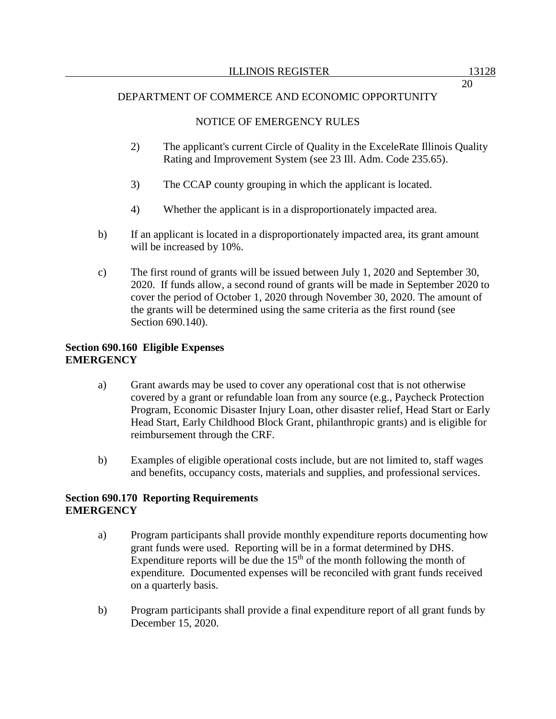# NOTICE OF EMERGENCY RULES

- 2) The applicant's current Circle of Quality in the ExceleRate Illinois Quality Rating and Improvement System (see 23 Ill. Adm. Code 235.65).
- 3) The CCAP county grouping in which the applicant is located.
- 4) Whether the applicant is in a disproportionately impacted area.
- b) If an applicant is located in a disproportionately impacted area, its grant amount will be increased by 10%.
- c) The first round of grants will be issued between July 1, 2020 and September 30, 2020. If funds allow, a second round of grants will be made in September 2020 to cover the period of October 1, 2020 through November 30, 2020. The amount of the grants will be determined using the same criteria as the first round (see Section 690.140).

### **Section 690.160 Eligible Expenses EMERGENCY**

- a) Grant awards may be used to cover any operational cost that is not otherwise covered by a grant or refundable loan from any source (e.g., Paycheck Protection Program, Economic Disaster Injury Loan, other disaster relief, Head Start or Early Head Start, Early Childhood Block Grant, philanthropic grants) and is eligible for reimbursement through the CRF.
- b) Examples of eligible operational costs include, but are not limited to, staff wages and benefits, occupancy costs, materials and supplies, and professional services.

# **Section 690.170 Reporting Requirements EMERGENCY**

- a) Program participants shall provide monthly expenditure reports documenting how grant funds were used. Reporting will be in a format determined by DHS. Expenditure reports will be due the  $15<sup>th</sup>$  of the month following the month of expenditure. Documented expenses will be reconciled with grant funds received on a quarterly basis.
- b) Program participants shall provide a final expenditure report of all grant funds by December 15, 2020.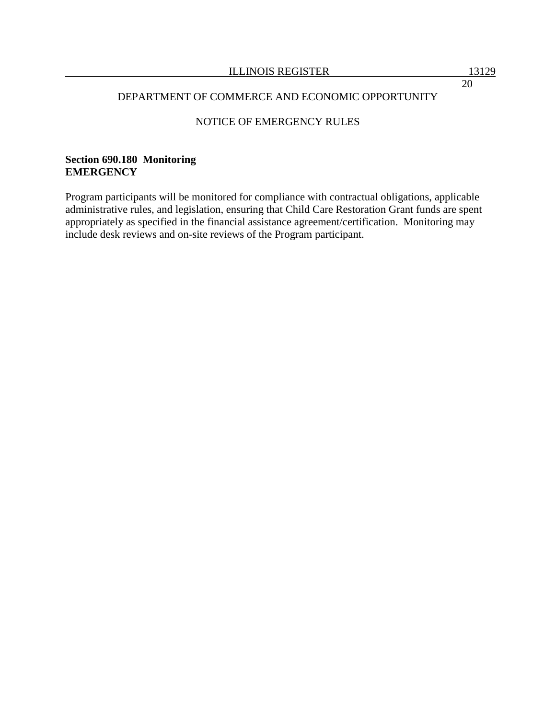# NOTICE OF EMERGENCY RULES

### **Section 690.180 Monitoring EMERGENCY**

Program participants will be monitored for compliance with contractual obligations, applicable administrative rules, and legislation, ensuring that Child Care Restoration Grant funds are spent appropriately as specified in the financial assistance agreement/certification. Monitoring may include desk reviews and on-site reviews of the Program participant.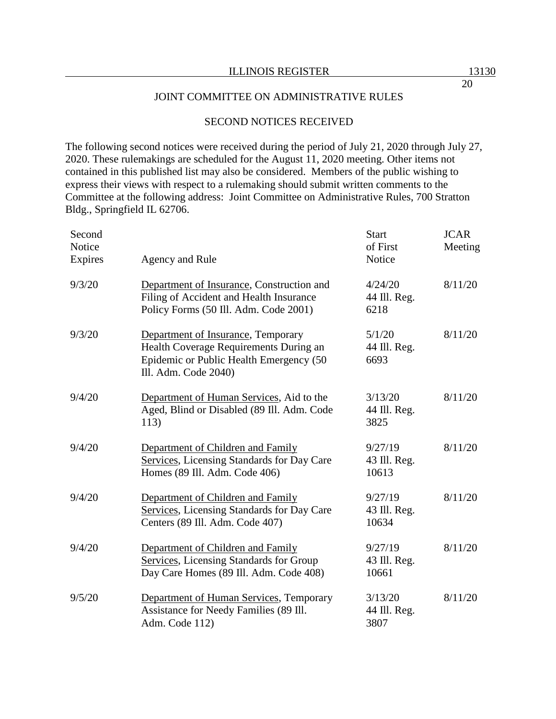### JOINT COMMITTEE ON ADMINISTRATIVE RULES

# SECOND NOTICES RECEIVED

The following second notices were received during the period of July 21, 2020 through July 27, 2020. These rulemakings are scheduled for the August 11, 2020 meeting. Other items not contained in this published list may also be considered. Members of the public wishing to express their views with respect to a rulemaking should submit written comments to the Committee at the following address: Joint Committee on Administrative Rules, 700 Stratton Bldg., Springfield IL 62706.

| Second<br>Notice<br>Expires | Agency and Rule                                                                                                                                 | <b>Start</b><br>of First<br>Notice | <b>JCAR</b><br>Meeting |
|-----------------------------|-------------------------------------------------------------------------------------------------------------------------------------------------|------------------------------------|------------------------|
| 9/3/20                      | Department of Insurance, Construction and<br>Filing of Accident and Health Insurance<br>Policy Forms (50 Ill. Adm. Code 2001)                   | 4/24/20<br>44 Ill. Reg.<br>6218    | 8/11/20                |
| 9/3/20                      | Department of Insurance, Temporary<br>Health Coverage Requirements During an<br>Epidemic or Public Health Emergency (50<br>Ill. Adm. Code 2040) | 5/1/20<br>44 Ill. Reg.<br>6693     | 8/11/20                |
| 9/4/20                      | Department of Human Services, Aid to the<br>Aged, Blind or Disabled (89 Ill. Adm. Code<br>113)                                                  | 3/13/20<br>44 Ill. Reg.<br>3825    | 8/11/20                |
| 9/4/20                      | Department of Children and Family<br>Services, Licensing Standards for Day Care<br>Homes (89 Ill. Adm. Code 406)                                | 9/27/19<br>43 Ill. Reg.<br>10613   | 8/11/20                |
| 9/4/20                      | Department of Children and Family<br>Services, Licensing Standards for Day Care<br>Centers (89 Ill. Adm. Code 407)                              | 9/27/19<br>43 Ill. Reg.<br>10634   | 8/11/20                |
| 9/4/20                      | Department of Children and Family<br>Services, Licensing Standards for Group<br>Day Care Homes (89 Ill. Adm. Code 408)                          | 9/27/19<br>43 Ill. Reg.<br>10661   | 8/11/20                |
| 9/5/20                      | Department of Human Services, Temporary<br>Assistance for Needy Families (89 Ill.<br>Adm. Code 112)                                             | 3/13/20<br>44 Ill. Reg.<br>3807    | 8/11/20                |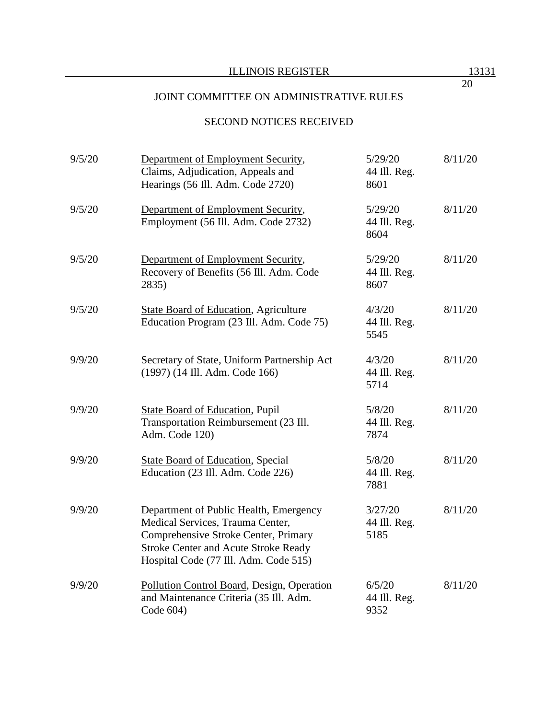# SECOND NOTICES RECEIVED

| 9/5/20 | Department of Employment Security,<br>Claims, Adjudication, Appeals and<br>Hearings (56 Ill. Adm. Code 2720)                                                                                               | 5/29/20<br>44 Ill. Reg.<br>8601 | 8/11/20 |
|--------|------------------------------------------------------------------------------------------------------------------------------------------------------------------------------------------------------------|---------------------------------|---------|
| 9/5/20 | Department of Employment Security,<br>Employment (56 Ill. Adm. Code 2732)                                                                                                                                  | 5/29/20<br>44 Ill. Reg.<br>8604 | 8/11/20 |
| 9/5/20 | Department of Employment Security,<br>Recovery of Benefits (56 Ill. Adm. Code<br>2835)                                                                                                                     | 5/29/20<br>44 Ill. Reg.<br>8607 | 8/11/20 |
| 9/5/20 | <b>State Board of Education, Agriculture</b><br>Education Program (23 Ill. Adm. Code 75)                                                                                                                   | 4/3/20<br>44 Ill. Reg.<br>5545  | 8/11/20 |
| 9/9/20 | Secretary of State, Uniform Partnership Act<br>(1997) (14 Ill. Adm. Code 166)                                                                                                                              | 4/3/20<br>44 Ill. Reg.<br>5714  | 8/11/20 |
| 9/9/20 | <b>State Board of Education, Pupil</b><br>Transportation Reimbursement (23 Ill.<br>Adm. Code 120)                                                                                                          | 5/8/20<br>44 Ill. Reg.<br>7874  | 8/11/20 |
| 9/9/20 | <b>State Board of Education, Special</b><br>Education (23 Ill. Adm. Code 226)                                                                                                                              | 5/8/20<br>44 Ill. Reg.<br>7881  | 8/11/20 |
| 9/9/20 | Department of Public Health, Emergency<br>Medical Services, Trauma Center,<br>Comprehensive Stroke Center, Primary<br><b>Stroke Center and Acute Stroke Ready</b><br>Hospital Code (77 Ill. Adm. Code 515) | 3/27/20<br>44 Ill. Reg.<br>5185 | 8/11/20 |
| 9/9/20 | Pollution Control Board, Design, Operation<br>and Maintenance Criteria (35 Ill. Adm.<br>Code 604)                                                                                                          | 6/5/20<br>44 Ill. Reg.<br>9352  | 8/11/20 |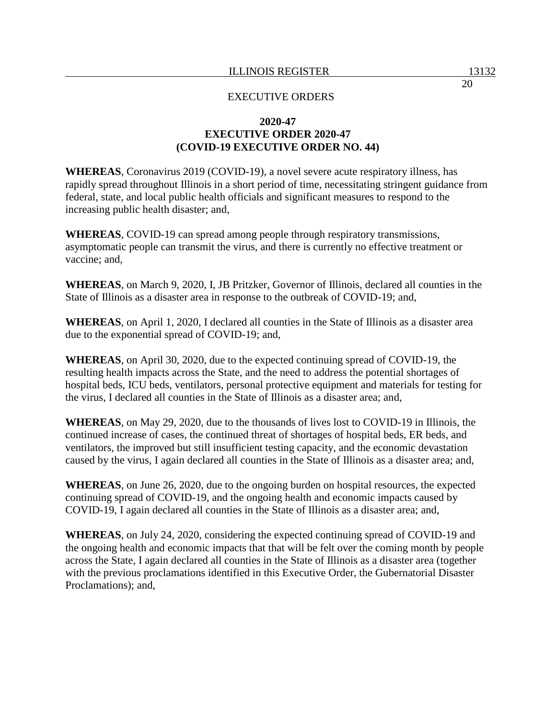## **2020-47 EXECUTIVE ORDER 2020-47 (COVID-19 EXECUTIVE ORDER NO. 44)**

**WHEREAS**, Coronavirus 2019 (COVID-19), a novel severe acute respiratory illness, has rapidly spread throughout Illinois in a short period of time, necessitating stringent guidance from federal, state, and local public health officials and significant measures to respond to the increasing public health disaster; and,

**WHEREAS**, COVID-19 can spread among people through respiratory transmissions, asymptomatic people can transmit the virus, and there is currently no effective treatment or vaccine; and,

**WHEREAS**, on March 9, 2020, I, JB Pritzker, Governor of Illinois, declared all counties in the State of Illinois as a disaster area in response to the outbreak of COVID-19; and,

**WHEREAS**, on April 1, 2020, I declared all counties in the State of Illinois as a disaster area due to the exponential spread of COVID-19; and,

**WHEREAS**, on April 30, 2020, due to the expected continuing spread of COVID-19, the resulting health impacts across the State, and the need to address the potential shortages of hospital beds, ICU beds, ventilators, personal protective equipment and materials for testing for the virus, I declared all counties in the State of Illinois as a disaster area; and,

**WHEREAS**, on May 29, 2020, due to the thousands of lives lost to COVID-19 in Illinois, the continued increase of cases, the continued threat of shortages of hospital beds, ER beds, and ventilators, the improved but still insufficient testing capacity, and the economic devastation caused by the virus, I again declared all counties in the State of Illinois as a disaster area; and,

**WHEREAS**, on June 26, 2020, due to the ongoing burden on hospital resources, the expected continuing spread of COVID-19, and the ongoing health and economic impacts caused by COVID-19, I again declared all counties in the State of Illinois as a disaster area; and,

**WHEREAS**, on July 24, 2020, considering the expected continuing spread of COVID-19 and the ongoing health and economic impacts that that will be felt over the coming month by people across the State, I again declared all counties in the State of Illinois as a disaster area (together with the previous proclamations identified in this Executive Order, the Gubernatorial Disaster Proclamations); and,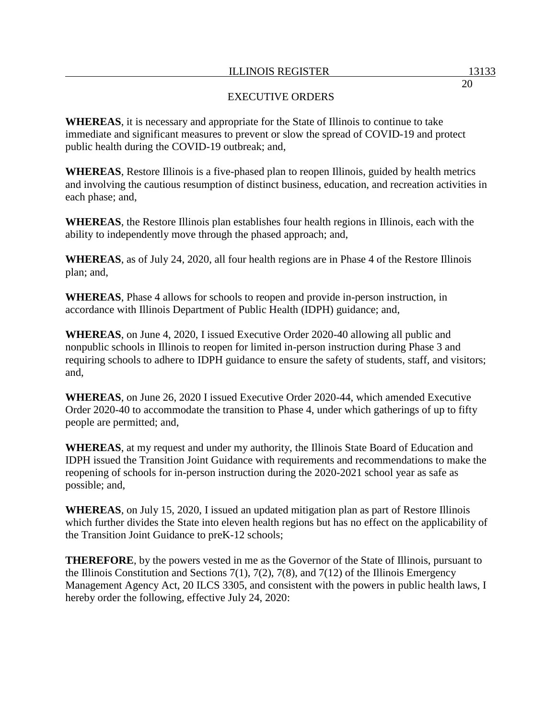## EXECUTIVE ORDERS

**WHEREAS**, it is necessary and appropriate for the State of Illinois to continue to take immediate and significant measures to prevent or slow the spread of COVID-19 and protect public health during the COVID-19 outbreak; and,

**WHEREAS**, Restore Illinois is a five-phased plan to reopen Illinois, guided by health metrics and involving the cautious resumption of distinct business, education, and recreation activities in each phase; and,

**WHEREAS**, the Restore Illinois plan establishes four health regions in Illinois, each with the ability to independently move through the phased approach; and,

**WHEREAS**, as of July 24, 2020, all four health regions are in Phase 4 of the Restore Illinois plan; and,

**WHEREAS**, Phase 4 allows for schools to reopen and provide in-person instruction, in accordance with Illinois Department of Public Health (IDPH) guidance; and,

**WHEREAS**, on June 4, 2020, I issued Executive Order 2020-40 allowing all public and nonpublic schools in Illinois to reopen for limited in-person instruction during Phase 3 and requiring schools to adhere to IDPH guidance to ensure the safety of students, staff, and visitors; and,

**WHEREAS**, on June 26, 2020 I issued Executive Order 2020-44, which amended Executive Order 2020-40 to accommodate the transition to Phase 4, under which gatherings of up to fifty people are permitted; and,

**WHEREAS**, at my request and under my authority, the Illinois State Board of Education and IDPH issued the Transition Joint Guidance with requirements and recommendations to make the reopening of schools for in-person instruction during the 2020-2021 school year as safe as possible; and,

**WHEREAS**, on July 15, 2020, I issued an updated mitigation plan as part of Restore Illinois which further divides the State into eleven health regions but has no effect on the applicability of the Transition Joint Guidance to preK-12 schools;

**THEREFORE**, by the powers vested in me as the Governor of the State of Illinois, pursuant to the Illinois Constitution and Sections 7(1), 7(2), 7(8), and 7(12) of the Illinois Emergency Management Agency Act, 20 ILCS 3305, and consistent with the powers in public health laws, I hereby order the following, effective July 24, 2020: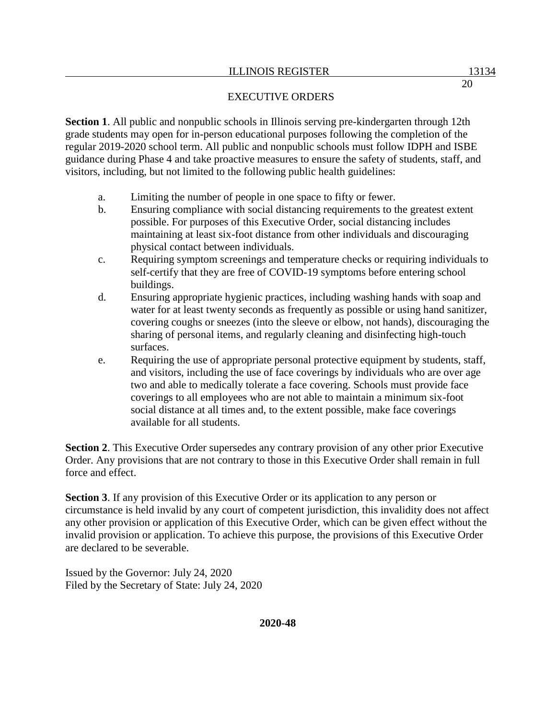**Section 1**. All public and nonpublic schools in Illinois serving pre-kindergarten through 12th grade students may open for in-person educational purposes following the completion of the regular 2019-2020 school term. All public and nonpublic schools must follow IDPH and ISBE guidance during Phase 4 and take proactive measures to ensure the safety of students, staff, and visitors, including, but not limited to the following public health guidelines:

- a. Limiting the number of people in one space to fifty or fewer.
- b. Ensuring compliance with social distancing requirements to the greatest extent possible. For purposes of this Executive Order, social distancing includes maintaining at least six-foot distance from other individuals and discouraging physical contact between individuals.
- c. Requiring symptom screenings and temperature checks or requiring individuals to self-certify that they are free of COVID-19 symptoms before entering school buildings.
- d. Ensuring appropriate hygienic practices, including washing hands with soap and water for at least twenty seconds as frequently as possible or using hand sanitizer, covering coughs or sneezes (into the sleeve or elbow, not hands), discouraging the sharing of personal items, and regularly cleaning and disinfecting high-touch surfaces.
- e. Requiring the use of appropriate personal protective equipment by students, staff, and visitors, including the use of face coverings by individuals who are over age two and able to medically tolerate a face covering. Schools must provide face coverings to all employees who are not able to maintain a minimum six-foot social distance at all times and, to the extent possible, make face coverings available for all students.

**Section 2**. This Executive Order supersedes any contrary provision of any other prior Executive Order. Any provisions that are not contrary to those in this Executive Order shall remain in full force and effect.

**Section 3**. If any provision of this Executive Order or its application to any person or circumstance is held invalid by any court of competent jurisdiction, this invalidity does not affect any other provision or application of this Executive Order, which can be given effect without the invalid provision or application. To achieve this purpose, the provisions of this Executive Order are declared to be severable.

Issued by the Governor: July 24, 2020 Filed by the Secretary of State: July 24, 2020

**2020-48**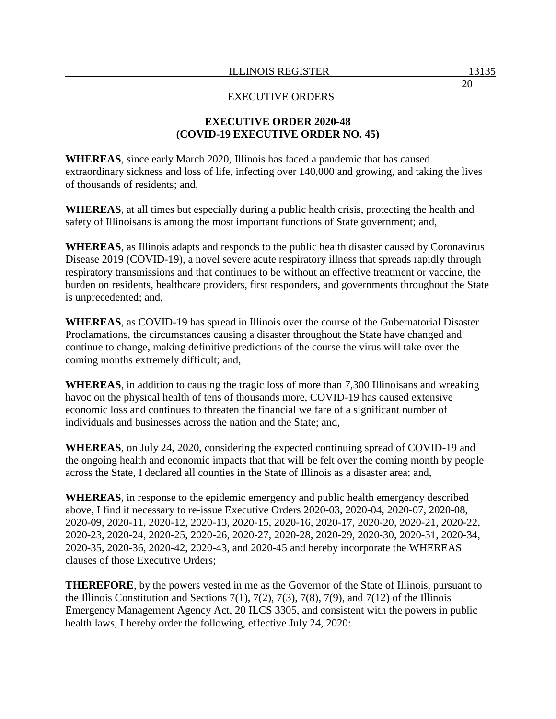# **EXECUTIVE ORDER 2020-48 (COVID-19 EXECUTIVE ORDER NO. 45)**

**WHEREAS**, since early March 2020, Illinois has faced a pandemic that has caused extraordinary sickness and loss of life, infecting over 140,000 and growing, and taking the lives of thousands of residents; and,

**WHEREAS**, at all times but especially during a public health crisis, protecting the health and safety of Illinoisans is among the most important functions of State government; and,

**WHEREAS**, as Illinois adapts and responds to the public health disaster caused by Coronavirus Disease 2019 (COVID-19), a novel severe acute respiratory illness that spreads rapidly through respiratory transmissions and that continues to be without an effective treatment or vaccine, the burden on residents, healthcare providers, first responders, and governments throughout the State is unprecedented; and,

**WHEREAS**, as COVID-19 has spread in Illinois over the course of the Gubernatorial Disaster Proclamations, the circumstances causing a disaster throughout the State have changed and continue to change, making definitive predictions of the course the virus will take over the coming months extremely difficult; and,

**WHEREAS**, in addition to causing the tragic loss of more than 7,300 Illinoisans and wreaking havoc on the physical health of tens of thousands more, COVID-19 has caused extensive economic loss and continues to threaten the financial welfare of a significant number of individuals and businesses across the nation and the State; and,

**WHEREAS**, on July 24, 2020, considering the expected continuing spread of COVID-19 and the ongoing health and economic impacts that that will be felt over the coming month by people across the State, I declared all counties in the State of Illinois as a disaster area; and,

**WHEREAS**, in response to the epidemic emergency and public health emergency described above, I find it necessary to re-issue Executive Orders 2020-03, 2020-04, 2020-07, 2020-08, 2020-09, 2020-11, 2020-12, 2020-13, 2020-15, 2020-16, 2020-17, 2020-20, 2020-21, 2020-22, 2020-23, 2020-24, 2020-25, 2020-26, 2020-27, 2020-28, 2020-29, 2020-30, 2020-31, 2020-34, 2020-35, 2020-36, 2020-42, 2020-43, and 2020-45 and hereby incorporate the WHEREAS clauses of those Executive Orders;

**THEREFORE**, by the powers vested in me as the Governor of the State of Illinois, pursuant to the Illinois Constitution and Sections 7(1), 7(2), 7(3), 7(8), 7(9), and 7(12) of the Illinois Emergency Management Agency Act, 20 ILCS 3305, and consistent with the powers in public health laws, I hereby order the following, effective July 24, 2020: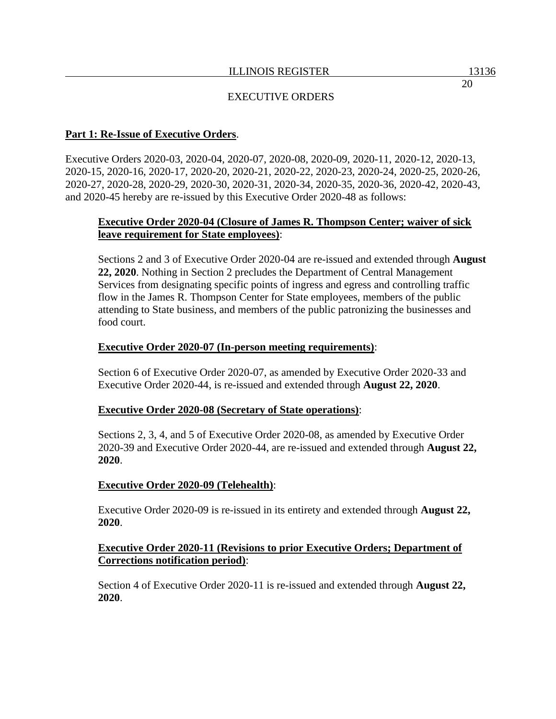## **Part 1: Re-Issue of Executive Orders**.

Executive Orders 2020-03, 2020-04, 2020-07, 2020-08, 2020-09, 2020-11, 2020-12, 2020-13, 2020-15, 2020-16, 2020-17, 2020-20, 2020-21, 2020-22, 2020-23, 2020-24, 2020-25, 2020-26, 2020-27, 2020-28, 2020-29, 2020-30, 2020-31, 2020-34, 2020-35, 2020-36, 2020-42, 2020-43, and 2020-45 hereby are re-issued by this Executive Order 2020-48 as follows:

## **Executive Order 2020-04 (Closure of James R. Thompson Center; waiver of sick leave requirement for State employees)**:

Sections 2 and 3 of Executive Order 2020-04 are re-issued and extended through **August 22, 2020**. Nothing in Section 2 precludes the Department of Central Management Services from designating specific points of ingress and egress and controlling traffic flow in the James R. Thompson Center for State employees, members of the public attending to State business, and members of the public patronizing the businesses and food court.

## **Executive Order 2020-07 (In-person meeting requirements)**:

Section 6 of Executive Order 2020-07, as amended by Executive Order 2020-33 and Executive Order 2020-44, is re-issued and extended through **August 22, 2020**.

### **Executive Order 2020-08 (Secretary of State operations)**:

Sections 2, 3, 4, and 5 of Executive Order 2020-08, as amended by Executive Order 2020-39 and Executive Order 2020-44, are re-issued and extended through **August 22, 2020**.

### **Executive Order 2020-09 (Telehealth)**:

Executive Order 2020-09 is re-issued in its entirety and extended through **August 22, 2020**.

### **Executive Order 2020-11 (Revisions to prior Executive Orders; Department of Corrections notification period)**:

Section 4 of Executive Order 2020-11 is re-issued and extended through **August 22, 2020**.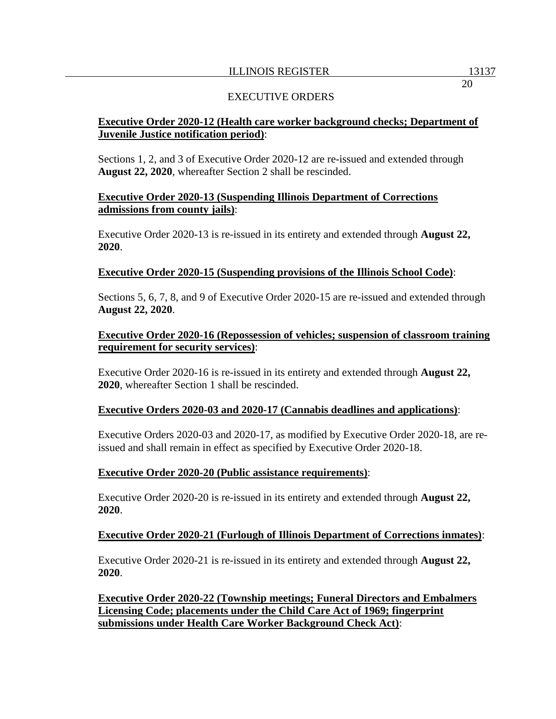## EXECUTIVE ORDERS

# **Executive Order 2020-12 (Health care worker background checks; Department of Juvenile Justice notification period)**:

Sections 1, 2, and 3 of Executive Order 2020-12 are re-issued and extended through **August 22, 2020**, whereafter Section 2 shall be rescinded.

### **Executive Order 2020-13 (Suspending Illinois Department of Corrections admissions from county jails)**:

Executive Order 2020-13 is re-issued in its entirety and extended through **August 22, 2020**.

### **Executive Order 2020-15 (Suspending provisions of the Illinois School Code)**:

Sections 5, 6, 7, 8, and 9 of Executive Order 2020-15 are re-issued and extended through **August 22, 2020**.

## **Executive Order 2020-16 (Repossession of vehicles; suspension of classroom training requirement for security services)**:

Executive Order 2020-16 is re-issued in its entirety and extended through **August 22, 2020**, whereafter Section 1 shall be rescinded.

### **Executive Orders 2020-03 and 2020-17 (Cannabis deadlines and applications)**:

Executive Orders 2020-03 and 2020-17, as modified by Executive Order 2020-18, are reissued and shall remain in effect as specified by Executive Order 2020-18.

#### **Executive Order 2020-20 (Public assistance requirements)**:

Executive Order 2020-20 is re-issued in its entirety and extended through **August 22, 2020**.

### **Executive Order 2020-21 (Furlough of Illinois Department of Corrections inmates)**:

Executive Order 2020-21 is re-issued in its entirety and extended through **August 22, 2020**.

**Executive Order 2020-22 (Township meetings; Funeral Directors and Embalmers Licensing Code; placements under the Child Care Act of 1969; fingerprint submissions under Health Care Worker Background Check Act)**: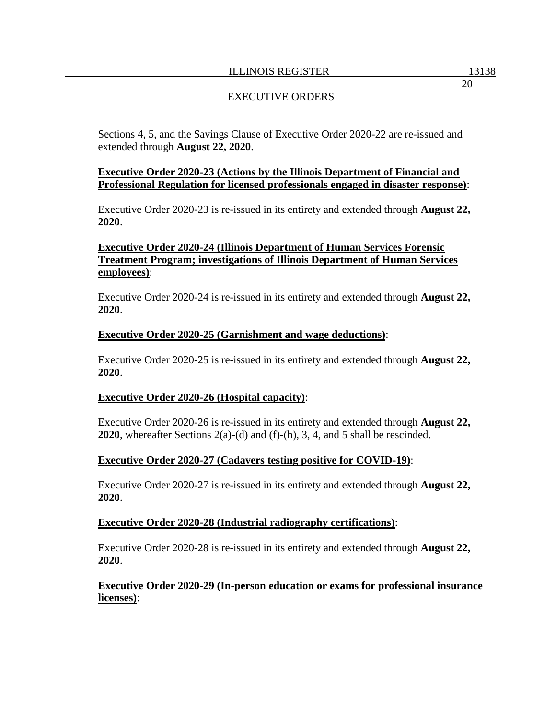Sections 4, 5, and the Savings Clause of Executive Order 2020-22 are re-issued and extended through **August 22, 2020**.

## **Executive Order 2020-23 (Actions by the Illinois Department of Financial and Professional Regulation for licensed professionals engaged in disaster response)**:

Executive Order 2020-23 is re-issued in its entirety and extended through **August 22, 2020**.

# **Executive Order 2020-24 (Illinois Department of Human Services Forensic Treatment Program; investigations of Illinois Department of Human Services employees)**:

Executive Order 2020-24 is re-issued in its entirety and extended through **August 22, 2020**.

### **Executive Order 2020-25 (Garnishment and wage deductions)**:

Executive Order 2020-25 is re-issued in its entirety and extended through **August 22, 2020**.

#### **Executive Order 2020-26 (Hospital capacity)**:

Executive Order 2020-26 is re-issued in its entirety and extended through **August 22, 2020**, whereafter Sections 2(a)-(d) and (f)-(h), 3, 4, and 5 shall be rescinded.

### **Executive Order 2020-27 (Cadavers testing positive for COVID-19)**:

Executive Order 2020-27 is re-issued in its entirety and extended through **August 22, 2020**.

#### **Executive Order 2020-28 (Industrial radiography certifications)**:

Executive Order 2020-28 is re-issued in its entirety and extended through **August 22, 2020**.

### **Executive Order 2020-29 (In-person education or exams for professional insurance licenses)**: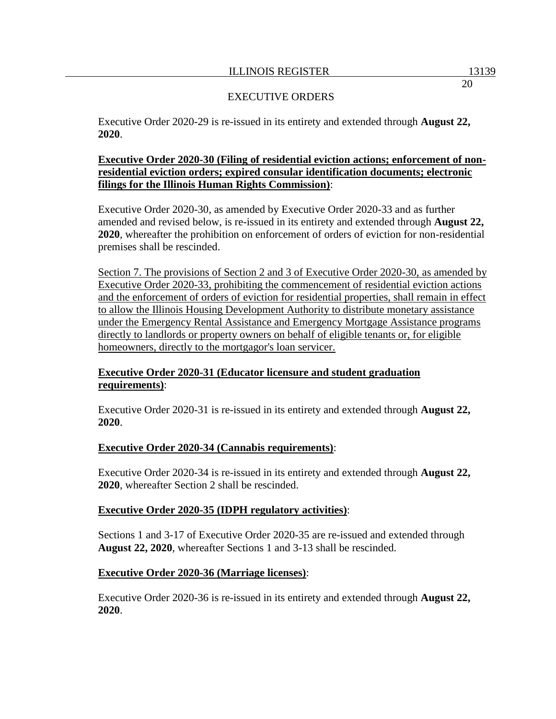Executive Order 2020-29 is re-issued in its entirety and extended through **August 22, 2020**.

## **Executive Order 2020-30 (Filing of residential eviction actions; enforcement of nonresidential eviction orders; expired consular identification documents; electronic filings for the Illinois Human Rights Commission)**:

Executive Order 2020-30, as amended by Executive Order 2020-33 and as further amended and revised below, is re-issued in its entirety and extended through **August 22, 2020**, whereafter the prohibition on enforcement of orders of eviction for non-residential premises shall be rescinded.

Section 7. The provisions of Section 2 and 3 of Executive Order 2020-30, as amended by Executive Order 2020-33, prohibiting the commencement of residential eviction actions and the enforcement of orders of eviction for residential properties, shall remain in effect to allow the Illinois Housing Development Authority to distribute monetary assistance under the Emergency Rental Assistance and Emergency Mortgage Assistance programs directly to landlords or property owners on behalf of eligible tenants or, for eligible homeowners, directly to the mortgagor's loan servicer.

# **Executive Order 2020-31 (Educator licensure and student graduation requirements)**:

Executive Order 2020-31 is re-issued in its entirety and extended through **August 22, 2020**.

# **Executive Order 2020-34 (Cannabis requirements)**:

Executive Order 2020-34 is re-issued in its entirety and extended through **August 22, 2020**, whereafter Section 2 shall be rescinded.

# **Executive Order 2020-35 (IDPH regulatory activities)**:

Sections 1 and 3-17 of Executive Order 2020-35 are re-issued and extended through **August 22, 2020**, whereafter Sections 1 and 3-13 shall be rescinded.

# **Executive Order 2020-36 (Marriage licenses)**:

Executive Order 2020-36 is re-issued in its entirety and extended through **August 22, 2020**.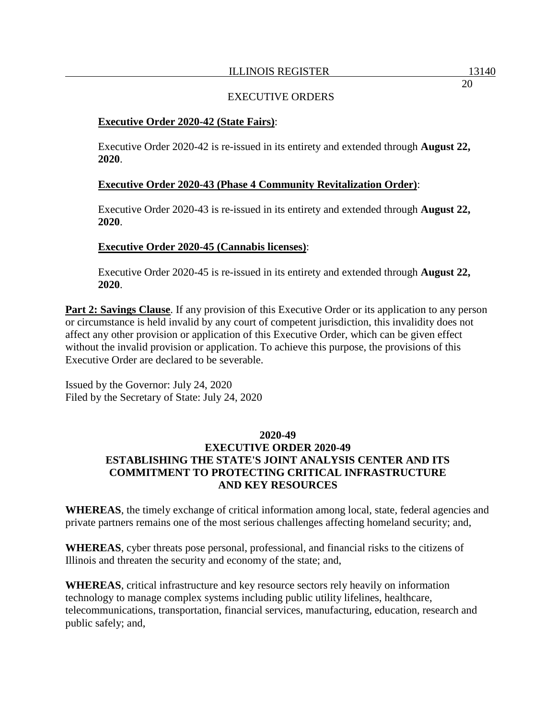## EXECUTIVE ORDERS

## **Executive Order 2020-42 (State Fairs)**:

Executive Order 2020-42 is re-issued in its entirety and extended through **August 22, 2020**.

## **Executive Order 2020-43 (Phase 4 Community Revitalization Order)**:

Executive Order 2020-43 is re-issued in its entirety and extended through **August 22, 2020**.

## **Executive Order 2020-45 (Cannabis licenses)**:

Executive Order 2020-45 is re-issued in its entirety and extended through **August 22, 2020**.

**Part 2: Savings Clause**. If any provision of this Executive Order or its application to any person or circumstance is held invalid by any court of competent jurisdiction, this invalidity does not affect any other provision or application of this Executive Order, which can be given effect without the invalid provision or application. To achieve this purpose, the provisions of this Executive Order are declared to be severable.

Issued by the Governor: July 24, 2020 Filed by the Secretary of State: July 24, 2020

# **2020-49**

# **EXECUTIVE ORDER 2020-49 ESTABLISHING THE STATE'S JOINT ANALYSIS CENTER AND ITS COMMITMENT TO PROTECTING CRITICAL INFRASTRUCTURE AND KEY RESOURCES**

**WHEREAS**, the timely exchange of critical information among local, state, federal agencies and private partners remains one of the most serious challenges affecting homeland security; and,

**WHEREAS**, cyber threats pose personal, professional, and financial risks to the citizens of Illinois and threaten the security and economy of the state; and,

**WHEREAS**, critical infrastructure and key resource sectors rely heavily on information technology to manage complex systems including public utility lifelines, healthcare, telecommunications, transportation, financial services, manufacturing, education, research and public safely; and,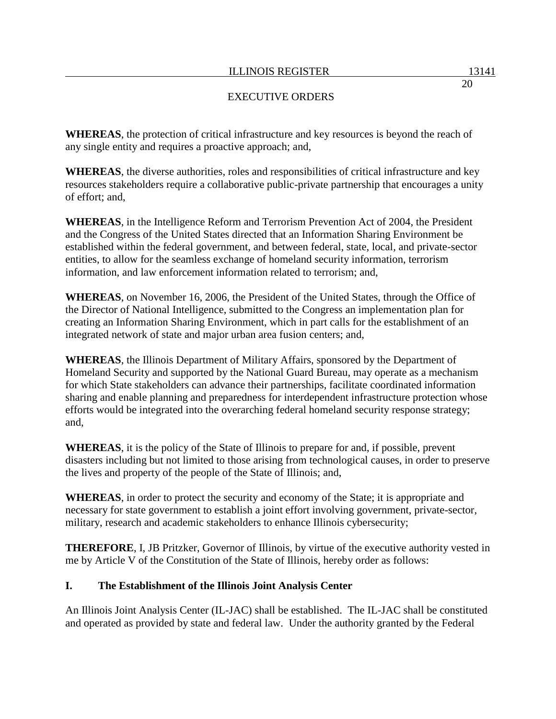**WHEREAS**, the protection of critical infrastructure and key resources is beyond the reach of any single entity and requires a proactive approach; and,

**WHEREAS**, the diverse authorities, roles and responsibilities of critical infrastructure and key resources stakeholders require a collaborative public-private partnership that encourages a unity of effort; and,

**WHEREAS**, in the Intelligence Reform and Terrorism Prevention Act of 2004, the President and the Congress of the United States directed that an Information Sharing Environment be established within the federal government, and between federal, state, local, and private-sector entities, to allow for the seamless exchange of homeland security information, terrorism information, and law enforcement information related to terrorism; and,

**WHEREAS**, on November 16, 2006, the President of the United States, through the Office of the Director of National Intelligence, submitted to the Congress an implementation plan for creating an Information Sharing Environment, which in part calls for the establishment of an integrated network of state and major urban area fusion centers; and,

**WHEREAS**, the Illinois Department of Military Affairs, sponsored by the Department of Homeland Security and supported by the National Guard Bureau, may operate as a mechanism for which State stakeholders can advance their partnerships, facilitate coordinated information sharing and enable planning and preparedness for interdependent infrastructure protection whose efforts would be integrated into the overarching federal homeland security response strategy; and,

**WHEREAS**, it is the policy of the State of Illinois to prepare for and, if possible, prevent disasters including but not limited to those arising from technological causes, in order to preserve the lives and property of the people of the State of Illinois; and,

**WHEREAS**, in order to protect the security and economy of the State; it is appropriate and necessary for state government to establish a joint effort involving government, private-sector, military, research and academic stakeholders to enhance Illinois cybersecurity;

**THEREFORE**, I, JB Pritzker, Governor of Illinois, by virtue of the executive authority vested in me by Article V of the Constitution of the State of Illinois, hereby order as follows:

# **I. The Establishment of the Illinois Joint Analysis Center**

An Illinois Joint Analysis Center (IL-JAC) shall be established. The IL-JAC shall be constituted and operated as provided by state and federal law. Under the authority granted by the Federal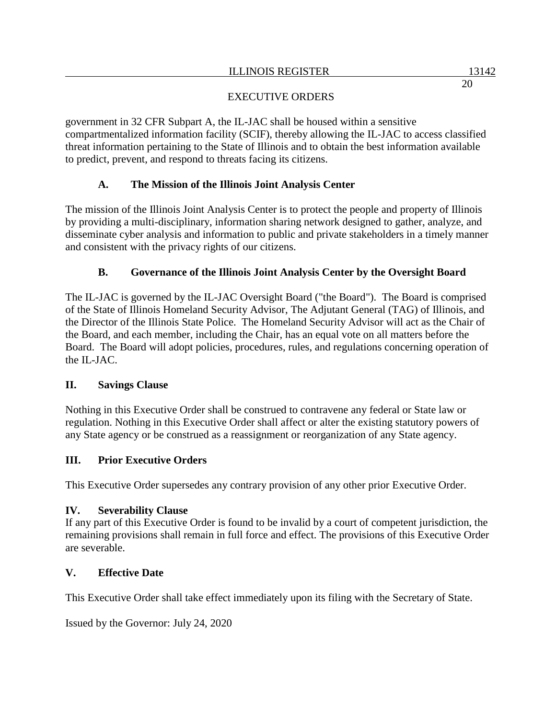government in 32 CFR Subpart A, the IL-JAC shall be housed within a sensitive compartmentalized information facility (SCIF), thereby allowing the IL-JAC to access classified threat information pertaining to the State of Illinois and to obtain the best information available to predict, prevent, and respond to threats facing its citizens.

# **A. The Mission of the Illinois Joint Analysis Center**

The mission of the Illinois Joint Analysis Center is to protect the people and property of Illinois by providing a multi-disciplinary, information sharing network designed to gather, analyze, and disseminate cyber analysis and information to public and private stakeholders in a timely manner and consistent with the privacy rights of our citizens.

# **B. Governance of the Illinois Joint Analysis Center by the Oversight Board**

The IL-JAC is governed by the IL-JAC Oversight Board ("the Board"). The Board is comprised of the State of Illinois Homeland Security Advisor, The Adjutant General (TAG) of Illinois, and the Director of the Illinois State Police. The Homeland Security Advisor will act as the Chair of the Board, and each member, including the Chair, has an equal vote on all matters before the Board. The Board will adopt policies, procedures, rules, and regulations concerning operation of the IL-JAC.

# **II. Savings Clause**

Nothing in this Executive Order shall be construed to contravene any federal or State law or regulation. Nothing in this Executive Order shall affect or alter the existing statutory powers of any State agency or be construed as a reassignment or reorganization of any State agency.

# **III. Prior Executive Orders**

This Executive Order supersedes any contrary provision of any other prior Executive Order.

### **IV. Severability Clause**

If any part of this Executive Order is found to be invalid by a court of competent jurisdiction, the remaining provisions shall remain in full force and effect. The provisions of this Executive Order are severable.

# **V. Effective Date**

This Executive Order shall take effect immediately upon its filing with the Secretary of State.

Issued by the Governor: July 24, 2020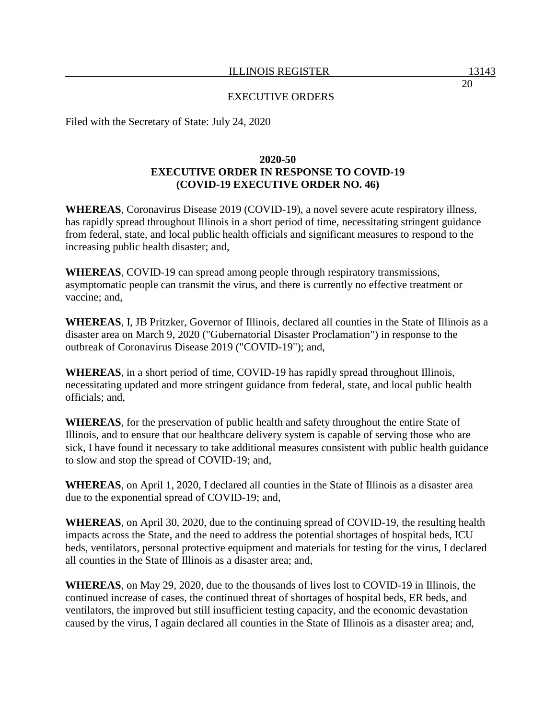Filed with the Secretary of State: July 24, 2020

## **2020-50 EXECUTIVE ORDER IN RESPONSE TO COVID-19 (COVID-19 EXECUTIVE ORDER NO. 46)**

**WHEREAS**, Coronavirus Disease 2019 (COVID-19), a novel severe acute respiratory illness, has rapidly spread throughout Illinois in a short period of time, necessitating stringent guidance from federal, state, and local public health officials and significant measures to respond to the increasing public health disaster; and,

**WHEREAS**, COVID-19 can spread among people through respiratory transmissions, asymptomatic people can transmit the virus, and there is currently no effective treatment or vaccine; and,

**WHEREAS**, I, JB Pritzker, Governor of Illinois, declared all counties in the State of Illinois as a disaster area on March 9, 2020 ("Gubernatorial Disaster Proclamation") in response to the outbreak of Coronavirus Disease 2019 ("COVID-19"); and,

**WHEREAS**, in a short period of time, COVID-19 has rapidly spread throughout Illinois, necessitating updated and more stringent guidance from federal, state, and local public health officials; and,

**WHEREAS**, for the preservation of public health and safety throughout the entire State of Illinois, and to ensure that our healthcare delivery system is capable of serving those who are sick, I have found it necessary to take additional measures consistent with public health guidance to slow and stop the spread of COVID-19; and,

**WHEREAS**, on April 1, 2020, I declared all counties in the State of Illinois as a disaster area due to the exponential spread of COVID-19; and,

**WHEREAS**, on April 30, 2020, due to the continuing spread of COVID-19, the resulting health impacts across the State, and the need to address the potential shortages of hospital beds, ICU beds, ventilators, personal protective equipment and materials for testing for the virus, I declared all counties in the State of Illinois as a disaster area; and,

**WHEREAS**, on May 29, 2020, due to the thousands of lives lost to COVID-19 in Illinois, the continued increase of cases, the continued threat of shortages of hospital beds, ER beds, and ventilators, the improved but still insufficient testing capacity, and the economic devastation caused by the virus, I again declared all counties in the State of Illinois as a disaster area; and,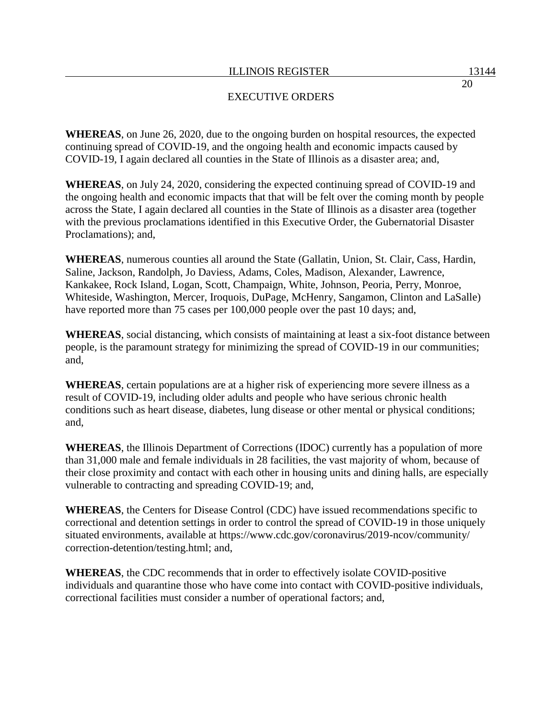**WHEREAS**, on June 26, 2020, due to the ongoing burden on hospital resources, the expected continuing spread of COVID-19, and the ongoing health and economic impacts caused by COVID-19, I again declared all counties in the State of Illinois as a disaster area; and,

**WHEREAS**, on July 24, 2020, considering the expected continuing spread of COVID-19 and the ongoing health and economic impacts that that will be felt over the coming month by people across the State, I again declared all counties in the State of Illinois as a disaster area (together with the previous proclamations identified in this Executive Order, the Gubernatorial Disaster Proclamations); and,

**WHEREAS**, numerous counties all around the State (Gallatin, Union, St. Clair, Cass, Hardin, Saline, Jackson, Randolph, Jo Daviess, Adams, Coles, Madison, Alexander, Lawrence, Kankakee, Rock Island, Logan, Scott, Champaign, White, Johnson, Peoria, Perry, Monroe, Whiteside, Washington, Mercer, Iroquois, DuPage, McHenry, Sangamon, Clinton and LaSalle) have reported more than 75 cases per 100,000 people over the past 10 days; and,

**WHEREAS**, social distancing, which consists of maintaining at least a six-foot distance between people, is the paramount strategy for minimizing the spread of COVID-19 in our communities; and,

**WHEREAS**, certain populations are at a higher risk of experiencing more severe illness as a result of COVID-19, including older adults and people who have serious chronic health conditions such as heart disease, diabetes, lung disease or other mental or physical conditions; and,

**WHEREAS**, the Illinois Department of Corrections (IDOC) currently has a population of more than 31,000 male and female individuals in 28 facilities, the vast majority of whom, because of their close proximity and contact with each other in housing units and dining halls, are especially vulnerable to contracting and spreading COVID-19; and,

**WHEREAS**, the Centers for Disease Control (CDC) have issued recommendations specific to correctional and detention settings in order to control the spread of COVID-19 in those uniquely situated environments, available at https://www.cdc.gov/coronavirus/2019-ncov/community/ correction-detention/testing.html; and,

**WHEREAS**, the CDC recommends that in order to effectively isolate COVID-positive individuals and quarantine those who have come into contact with COVID-positive individuals, correctional facilities must consider a number of operational factors; and,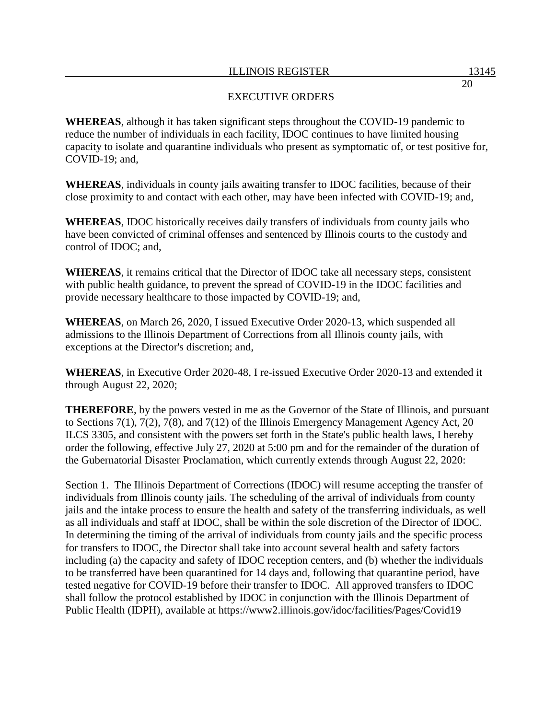**WHEREAS**, although it has taken significant steps throughout the COVID-19 pandemic to reduce the number of individuals in each facility, IDOC continues to have limited housing capacity to isolate and quarantine individuals who present as symptomatic of, or test positive for, COVID-19; and,

**WHEREAS**, individuals in county jails awaiting transfer to IDOC facilities, because of their close proximity to and contact with each other, may have been infected with COVID-19; and,

**WHEREAS**, IDOC historically receives daily transfers of individuals from county jails who have been convicted of criminal offenses and sentenced by Illinois courts to the custody and control of IDOC; and,

**WHEREAS**, it remains critical that the Director of IDOC take all necessary steps, consistent with public health guidance, to prevent the spread of COVID-19 in the IDOC facilities and provide necessary healthcare to those impacted by COVID-19; and,

**WHEREAS**, on March 26, 2020, I issued Executive Order 2020-13, which suspended all admissions to the Illinois Department of Corrections from all Illinois county jails, with exceptions at the Director's discretion; and,

**WHEREAS**, in Executive Order 2020-48, I re-issued Executive Order 2020-13 and extended it through August 22, 2020;

**THEREFORE**, by the powers vested in me as the Governor of the State of Illinois, and pursuant to Sections 7(1), 7(2), 7(8), and 7(12) of the Illinois Emergency Management Agency Act, 20 ILCS 3305, and consistent with the powers set forth in the State's public health laws, I hereby order the following, effective July 27, 2020 at 5:00 pm and for the remainder of the duration of the Gubernatorial Disaster Proclamation, which currently extends through August 22, 2020:

Section 1. The Illinois Department of Corrections (IDOC) will resume accepting the transfer of individuals from Illinois county jails. The scheduling of the arrival of individuals from county jails and the intake process to ensure the health and safety of the transferring individuals, as well as all individuals and staff at IDOC, shall be within the sole discretion of the Director of IDOC. In determining the timing of the arrival of individuals from county jails and the specific process for transfers to IDOC, the Director shall take into account several health and safety factors including (a) the capacity and safety of IDOC reception centers, and (b) whether the individuals to be transferred have been quarantined for 14 days and, following that quarantine period, have tested negative for COVID-19 before their transfer to IDOC. All approved transfers to IDOC shall follow the protocol established by IDOC in conjunction with the Illinois Department of Public Health (IDPH), available at https://www2.illinois.gov/idoc/facilities/Pages/Covid19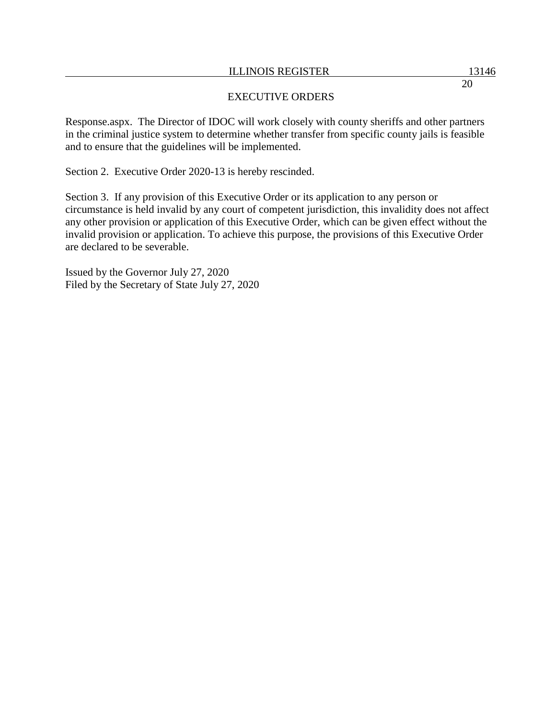## EXECUTIVE ORDERS

Response.aspx. The Director of IDOC will work closely with county sheriffs and other partners in the criminal justice system to determine whether transfer from specific county jails is feasible and to ensure that the guidelines will be implemented.

Section 2. Executive Order 2020-13 is hereby rescinded.

Section 3. If any provision of this Executive Order or its application to any person or circumstance is held invalid by any court of competent jurisdiction, this invalidity does not affect any other provision or application of this Executive Order, which can be given effect without the invalid provision or application. To achieve this purpose, the provisions of this Executive Order are declared to be severable.

Issued by the Governor July 27, 2020 Filed by the Secretary of State July 27, 2020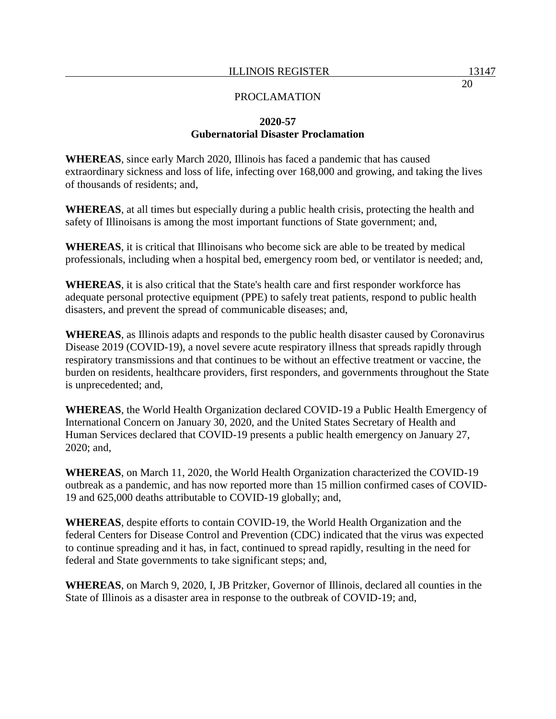## **2020-57 Gubernatorial Disaster Proclamation**

**WHEREAS**, since early March 2020, Illinois has faced a pandemic that has caused extraordinary sickness and loss of life, infecting over 168,000 and growing, and taking the lives of thousands of residents; and,

**WHEREAS**, at all times but especially during a public health crisis, protecting the health and safety of Illinoisans is among the most important functions of State government; and,

**WHEREAS**, it is critical that Illinoisans who become sick are able to be treated by medical professionals, including when a hospital bed, emergency room bed, or ventilator is needed; and,

**WHEREAS**, it is also critical that the State's health care and first responder workforce has adequate personal protective equipment (PPE) to safely treat patients, respond to public health disasters, and prevent the spread of communicable diseases; and,

**WHEREAS**, as Illinois adapts and responds to the public health disaster caused by Coronavirus Disease 2019 (COVID-19), a novel severe acute respiratory illness that spreads rapidly through respiratory transmissions and that continues to be without an effective treatment or vaccine, the burden on residents, healthcare providers, first responders, and governments throughout the State is unprecedented; and,

**WHEREAS**, the World Health Organization declared COVID-19 a Public Health Emergency of International Concern on January 30, 2020, and the United States Secretary of Health and Human Services declared that COVID-19 presents a public health emergency on January 27, 2020; and,

**WHEREAS**, on March 11, 2020, the World Health Organization characterized the COVID-19 outbreak as a pandemic, and has now reported more than 15 million confirmed cases of COVID-19 and 625,000 deaths attributable to COVID-19 globally; and,

**WHEREAS**, despite efforts to contain COVID-19, the World Health Organization and the federal Centers for Disease Control and Prevention (CDC) indicated that the virus was expected to continue spreading and it has, in fact, continued to spread rapidly, resulting in the need for federal and State governments to take significant steps; and,

**WHEREAS**, on March 9, 2020, I, JB Pritzker, Governor of Illinois, declared all counties in the State of Illinois as a disaster area in response to the outbreak of COVID-19; and,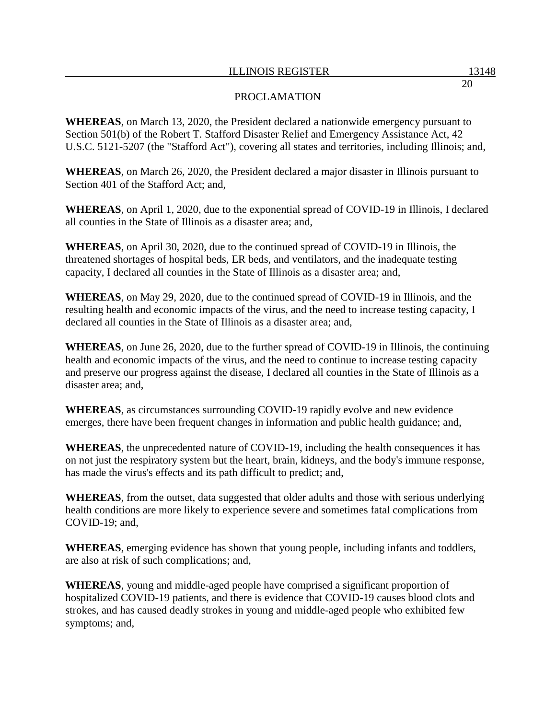## PROCLAMATION

**WHEREAS**, on March 13, 2020, the President declared a nationwide emergency pursuant to Section 501(b) of the Robert T. Stafford Disaster Relief and Emergency Assistance Act, 42 U.S.C. 5121-5207 (the "Stafford Act"), covering all states and territories, including Illinois; and,

**WHEREAS**, on March 26, 2020, the President declared a major disaster in Illinois pursuant to Section 401 of the Stafford Act; and,

**WHEREAS**, on April 1, 2020, due to the exponential spread of COVID-19 in Illinois, I declared all counties in the State of Illinois as a disaster area; and,

**WHEREAS**, on April 30, 2020, due to the continued spread of COVID-19 in Illinois, the threatened shortages of hospital beds, ER beds, and ventilators, and the inadequate testing capacity, I declared all counties in the State of Illinois as a disaster area; and,

**WHEREAS**, on May 29, 2020, due to the continued spread of COVID-19 in Illinois, and the resulting health and economic impacts of the virus, and the need to increase testing capacity, I declared all counties in the State of Illinois as a disaster area; and,

**WHEREAS**, on June 26, 2020, due to the further spread of COVID-19 in Illinois, the continuing health and economic impacts of the virus, and the need to continue to increase testing capacity and preserve our progress against the disease, I declared all counties in the State of Illinois as a disaster area; and,

**WHEREAS**, as circumstances surrounding COVID-19 rapidly evolve and new evidence emerges, there have been frequent changes in information and public health guidance; and,

**WHEREAS**, the unprecedented nature of COVID-19, including the health consequences it has on not just the respiratory system but the heart, brain, kidneys, and the body's immune response, has made the virus's effects and its path difficult to predict; and,

**WHEREAS**, from the outset, data suggested that older adults and those with serious underlying health conditions are more likely to experience severe and sometimes fatal complications from COVID-19; and,

**WHEREAS**, emerging evidence has shown that young people, including infants and toddlers, are also at risk of such complications; and,

**WHEREAS**, young and middle-aged people have comprised a significant proportion of hospitalized COVID-19 patients, and there is evidence that COVID-19 causes blood clots and strokes, and has caused deadly strokes in young and middle-aged people who exhibited few symptoms; and,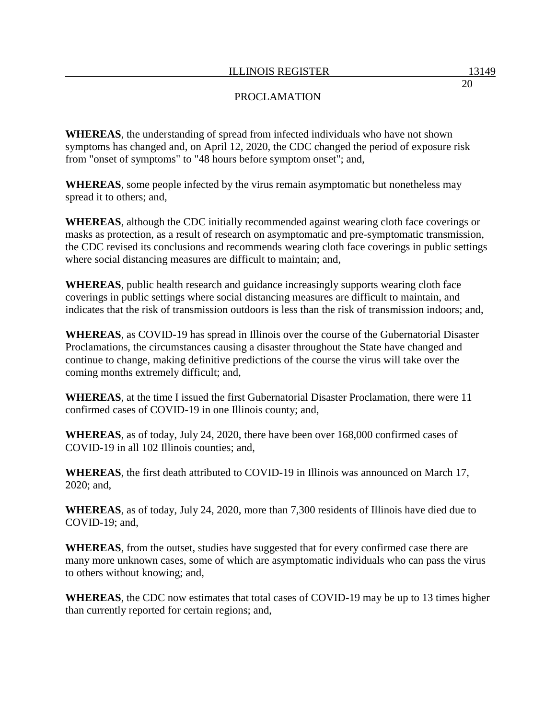**WHEREAS**, the understanding of spread from infected individuals who have not shown symptoms has changed and, on April 12, 2020, the CDC changed the period of exposure risk from "onset of symptoms" to "48 hours before symptom onset"; and,

**WHEREAS**, some people infected by the virus remain asymptomatic but nonetheless may spread it to others; and,

**WHEREAS**, although the CDC initially recommended against wearing cloth face coverings or masks as protection, as a result of research on asymptomatic and pre-symptomatic transmission, the CDC revised its conclusions and recommends wearing cloth face coverings in public settings where social distancing measures are difficult to maintain; and,

**WHEREAS**, public health research and guidance increasingly supports wearing cloth face coverings in public settings where social distancing measures are difficult to maintain, and indicates that the risk of transmission outdoors is less than the risk of transmission indoors; and,

**WHEREAS**, as COVID-19 has spread in Illinois over the course of the Gubernatorial Disaster Proclamations, the circumstances causing a disaster throughout the State have changed and continue to change, making definitive predictions of the course the virus will take over the coming months extremely difficult; and,

**WHEREAS**, at the time I issued the first Gubernatorial Disaster Proclamation, there were 11 confirmed cases of COVID-19 in one Illinois county; and,

**WHEREAS**, as of today, July 24, 2020, there have been over 168,000 confirmed cases of COVID-19 in all 102 Illinois counties; and,

**WHEREAS**, the first death attributed to COVID-19 in Illinois was announced on March 17, 2020; and,

**WHEREAS**, as of today, July 24, 2020, more than 7,300 residents of Illinois have died due to COVID-19; and,

**WHEREAS**, from the outset, studies have suggested that for every confirmed case there are many more unknown cases, some of which are asymptomatic individuals who can pass the virus to others without knowing; and,

**WHEREAS**, the CDC now estimates that total cases of COVID-19 may be up to 13 times higher than currently reported for certain regions; and,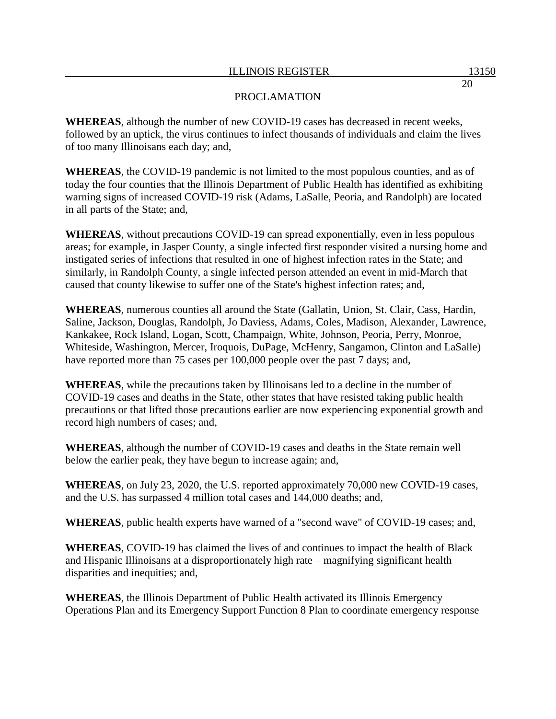**WHEREAS**, although the number of new COVID-19 cases has decreased in recent weeks, followed by an uptick, the virus continues to infect thousands of individuals and claim the lives of too many Illinoisans each day; and,

**WHEREAS**, the COVID-19 pandemic is not limited to the most populous counties, and as of today the four counties that the Illinois Department of Public Health has identified as exhibiting warning signs of increased COVID-19 risk (Adams, LaSalle, Peoria, and Randolph) are located in all parts of the State; and,

**WHEREAS**, without precautions COVID-19 can spread exponentially, even in less populous areas; for example, in Jasper County, a single infected first responder visited a nursing home and instigated series of infections that resulted in one of highest infection rates in the State; and similarly, in Randolph County, a single infected person attended an event in mid-March that caused that county likewise to suffer one of the State's highest infection rates; and,

**WHEREAS**, numerous counties all around the State (Gallatin, Union, St. Clair, Cass, Hardin, Saline, Jackson, Douglas, Randolph, Jo Daviess, Adams, Coles, Madison, Alexander, Lawrence, Kankakee, Rock Island, Logan, Scott, Champaign, White, Johnson, Peoria, Perry, Monroe, Whiteside, Washington, Mercer, Iroquois, DuPage, McHenry, Sangamon, Clinton and LaSalle) have reported more than 75 cases per 100,000 people over the past 7 days; and,

**WHEREAS**, while the precautions taken by Illinoisans led to a decline in the number of COVID-19 cases and deaths in the State, other states that have resisted taking public health precautions or that lifted those precautions earlier are now experiencing exponential growth and record high numbers of cases; and,

**WHEREAS**, although the number of COVID-19 cases and deaths in the State remain well below the earlier peak, they have begun to increase again; and,

**WHEREAS**, on July 23, 2020, the U.S. reported approximately 70,000 new COVID-19 cases, and the U.S. has surpassed 4 million total cases and 144,000 deaths; and,

**WHEREAS**, public health experts have warned of a "second wave" of COVID-19 cases; and,

**WHEREAS**, COVID-19 has claimed the lives of and continues to impact the health of Black and Hispanic Illinoisans at a disproportionately high rate – magnifying significant health disparities and inequities; and,

**WHEREAS**, the Illinois Department of Public Health activated its Illinois Emergency Operations Plan and its Emergency Support Function 8 Plan to coordinate emergency response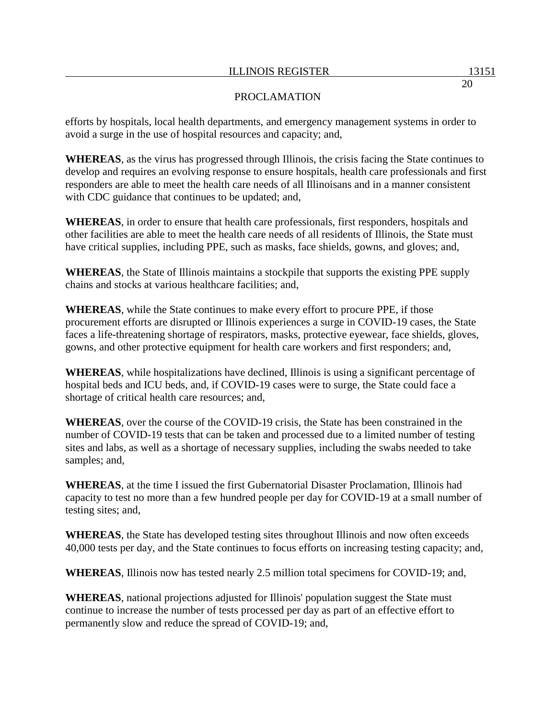### PROCLAMATION

efforts by hospitals, local health departments, and emergency management systems in order to avoid a surge in the use of hospital resources and capacity; and,

**WHEREAS**, as the virus has progressed through Illinois, the crisis facing the State continues to develop and requires an evolving response to ensure hospitals, health care professionals and first responders are able to meet the health care needs of all Illinoisans and in a manner consistent with CDC guidance that continues to be updated; and,

**WHEREAS**, in order to ensure that health care professionals, first responders, hospitals and other facilities are able to meet the health care needs of all residents of Illinois, the State must have critical supplies, including PPE, such as masks, face shields, gowns, and gloves; and,

**WHEREAS**, the State of Illinois maintains a stockpile that supports the existing PPE supply chains and stocks at various healthcare facilities; and,

**WHEREAS**, while the State continues to make every effort to procure PPE, if those procurement efforts are disrupted or Illinois experiences a surge in COVID-19 cases, the State faces a life-threatening shortage of respirators, masks, protective eyewear, face shields, gloves, gowns, and other protective equipment for health care workers and first responders; and,

**WHEREAS**, while hospitalizations have declined, Illinois is using a significant percentage of hospital beds and ICU beds, and, if COVID-19 cases were to surge, the State could face a shortage of critical health care resources; and,

**WHEREAS**, over the course of the COVID-19 crisis, the State has been constrained in the number of COVID-19 tests that can be taken and processed due to a limited number of testing sites and labs, as well as a shortage of necessary supplies, including the swabs needed to take samples; and,

**WHEREAS**, at the time I issued the first Gubernatorial Disaster Proclamation, Illinois had capacity to test no more than a few hundred people per day for COVID-19 at a small number of testing sites; and,

**WHEREAS**, the State has developed testing sites throughout Illinois and now often exceeds 40,000 tests per day, and the State continues to focus efforts on increasing testing capacity; and,

**WHEREAS**, Illinois now has tested nearly 2.5 million total specimens for COVID-19; and,

**WHEREAS**, national projections adjusted for Illinois' population suggest the State must continue to increase the number of tests processed per day as part of an effective effort to permanently slow and reduce the spread of COVID-19; and,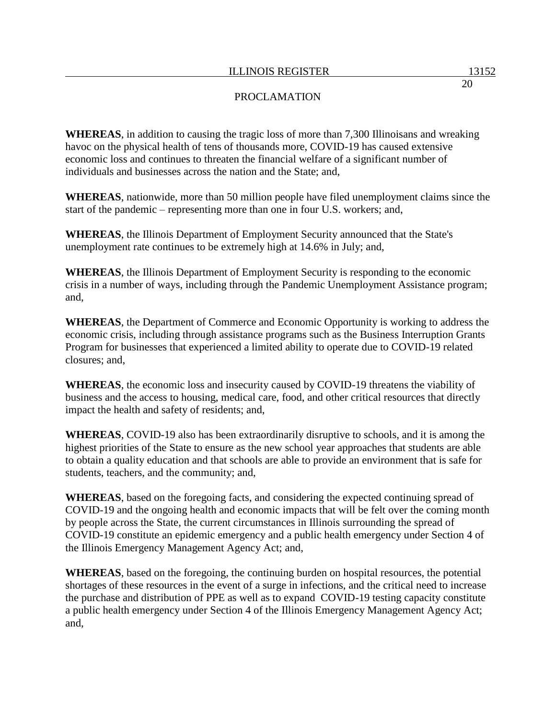**WHEREAS**, in addition to causing the tragic loss of more than 7,300 Illinoisans and wreaking havoc on the physical health of tens of thousands more, COVID-19 has caused extensive economic loss and continues to threaten the financial welfare of a significant number of individuals and businesses across the nation and the State; and,

**WHEREAS**, nationwide, more than 50 million people have filed unemployment claims since the start of the pandemic – representing more than one in four U.S. workers; and,

**WHEREAS**, the Illinois Department of Employment Security announced that the State's unemployment rate continues to be extremely high at 14.6% in July; and,

**WHEREAS**, the Illinois Department of Employment Security is responding to the economic crisis in a number of ways, including through the Pandemic Unemployment Assistance program; and,

**WHEREAS**, the Department of Commerce and Economic Opportunity is working to address the economic crisis, including through assistance programs such as the Business Interruption Grants Program for businesses that experienced a limited ability to operate due to COVID-19 related closures; and,

**WHEREAS**, the economic loss and insecurity caused by COVID-19 threatens the viability of business and the access to housing, medical care, food, and other critical resources that directly impact the health and safety of residents; and,

**WHEREAS**, COVID-19 also has been extraordinarily disruptive to schools, and it is among the highest priorities of the State to ensure as the new school year approaches that students are able to obtain a quality education and that schools are able to provide an environment that is safe for students, teachers, and the community; and,

**WHEREAS**, based on the foregoing facts, and considering the expected continuing spread of COVID-19 and the ongoing health and economic impacts that will be felt over the coming month by people across the State, the current circumstances in Illinois surrounding the spread of COVID-19 constitute an epidemic emergency and a public health emergency under Section 4 of the Illinois Emergency Management Agency Act; and,

**WHEREAS**, based on the foregoing, the continuing burden on hospital resources, the potential shortages of these resources in the event of a surge in infections, and the critical need to increase the purchase and distribution of PPE as well as to expand COVID-19 testing capacity constitute a public health emergency under Section 4 of the Illinois Emergency Management Agency Act; and,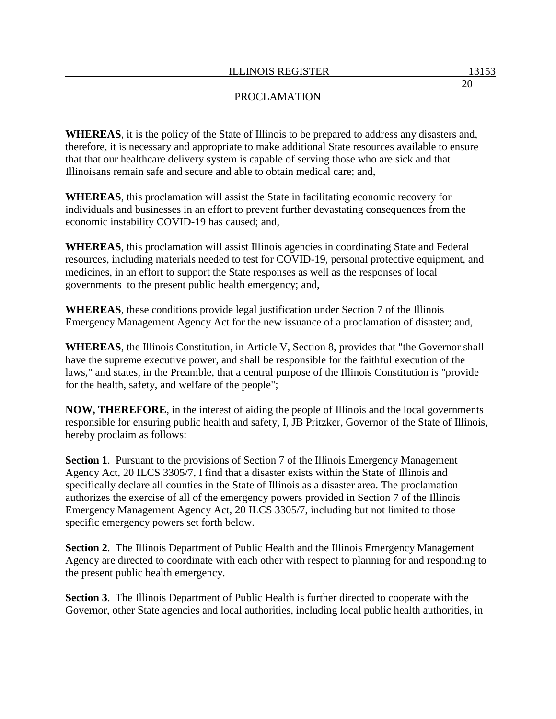**WHEREAS**, it is the policy of the State of Illinois to be prepared to address any disasters and, therefore, it is necessary and appropriate to make additional State resources available to ensure that that our healthcare delivery system is capable of serving those who are sick and that Illinoisans remain safe and secure and able to obtain medical care; and,

**WHEREAS**, this proclamation will assist the State in facilitating economic recovery for individuals and businesses in an effort to prevent further devastating consequences from the economic instability COVID-19 has caused; and,

**WHEREAS**, this proclamation will assist Illinois agencies in coordinating State and Federal resources, including materials needed to test for COVID-19, personal protective equipment, and medicines, in an effort to support the State responses as well as the responses of local governments to the present public health emergency; and,

**WHEREAS**, these conditions provide legal justification under Section 7 of the Illinois Emergency Management Agency Act for the new issuance of a proclamation of disaster; and,

**WHEREAS**, the Illinois Constitution, in Article V, Section 8, provides that "the Governor shall have the supreme executive power, and shall be responsible for the faithful execution of the laws," and states, in the Preamble, that a central purpose of the Illinois Constitution is "provide for the health, safety, and welfare of the people";

**NOW, THEREFORE**, in the interest of aiding the people of Illinois and the local governments responsible for ensuring public health and safety, I, JB Pritzker, Governor of the State of Illinois, hereby proclaim as follows:

**Section 1**. Pursuant to the provisions of Section 7 of the Illinois Emergency Management Agency Act, 20 ILCS 3305/7, I find that a disaster exists within the State of Illinois and specifically declare all counties in the State of Illinois as a disaster area. The proclamation authorizes the exercise of all of the emergency powers provided in Section 7 of the Illinois Emergency Management Agency Act, 20 ILCS 3305/7, including but not limited to those specific emergency powers set forth below.

**Section 2**. The Illinois Department of Public Health and the Illinois Emergency Management Agency are directed to coordinate with each other with respect to planning for and responding to the present public health emergency.

**Section 3**. The Illinois Department of Public Health is further directed to cooperate with the Governor, other State agencies and local authorities, including local public health authorities, in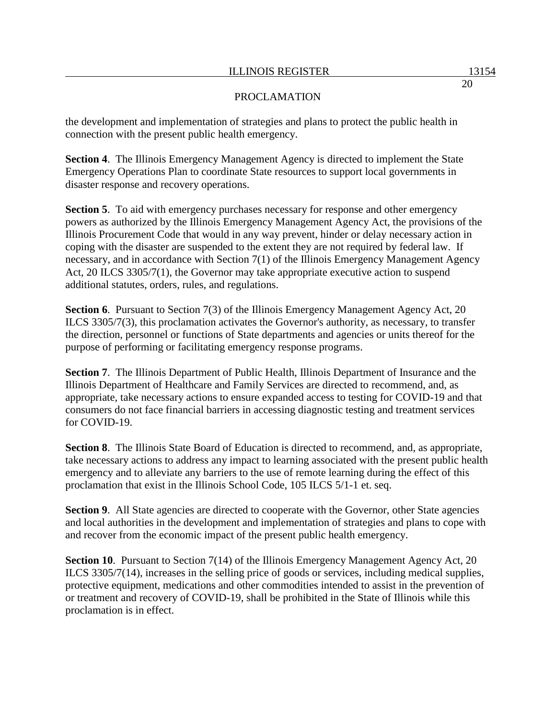the development and implementation of strategies and plans to protect the public health in connection with the present public health emergency.

**Section 4**. The Illinois Emergency Management Agency is directed to implement the State Emergency Operations Plan to coordinate State resources to support local governments in disaster response and recovery operations.

**Section 5**. To aid with emergency purchases necessary for response and other emergency powers as authorized by the Illinois Emergency Management Agency Act, the provisions of the Illinois Procurement Code that would in any way prevent, hinder or delay necessary action in coping with the disaster are suspended to the extent they are not required by federal law. If necessary, and in accordance with Section 7(1) of the Illinois Emergency Management Agency Act, 20 ILCS 3305/7(1), the Governor may take appropriate executive action to suspend additional statutes, orders, rules, and regulations.

**Section 6.** Pursuant to Section 7(3) of the Illinois Emergency Management Agency Act, 20 ILCS 3305/7(3), this proclamation activates the Governor's authority, as necessary, to transfer the direction, personnel or functions of State departments and agencies or units thereof for the purpose of performing or facilitating emergency response programs.

**Section 7**. The Illinois Department of Public Health, Illinois Department of Insurance and the Illinois Department of Healthcare and Family Services are directed to recommend, and, as appropriate, take necessary actions to ensure expanded access to testing for COVID-19 and that consumers do not face financial barriers in accessing diagnostic testing and treatment services for COVID-19.

**Section 8**. The Illinois State Board of Education is directed to recommend, and, as appropriate, take necessary actions to address any impact to learning associated with the present public health emergency and to alleviate any barriers to the use of remote learning during the effect of this proclamation that exist in the Illinois School Code, 105 ILCS 5/1-1 et. seq.

**Section 9.** All State agencies are directed to cooperate with the Governor, other State agencies and local authorities in the development and implementation of strategies and plans to cope with and recover from the economic impact of the present public health emergency.

**Section 10.** Pursuant to Section 7(14) of the Illinois Emergency Management Agency Act, 20 ILCS 3305/7(14), increases in the selling price of goods or services, including medical supplies, protective equipment, medications and other commodities intended to assist in the prevention of or treatment and recovery of COVID-19, shall be prohibited in the State of Illinois while this proclamation is in effect.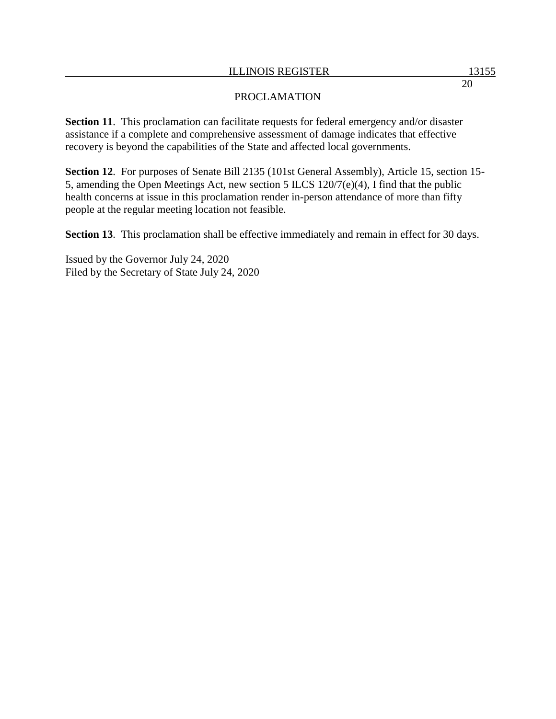**Section 11.** This proclamation can facilitate requests for federal emergency and/or disaster assistance if a complete and comprehensive assessment of damage indicates that effective recovery is beyond the capabilities of the State and affected local governments.

**Section 12**. For purposes of Senate Bill 2135 (101st General Assembly), Article 15, section 15- 5, amending the Open Meetings Act, new section 5 ILCS 120/7(e)(4), I find that the public health concerns at issue in this proclamation render in-person attendance of more than fifty people at the regular meeting location not feasible.

**Section 13**. This proclamation shall be effective immediately and remain in effect for 30 days.

Issued by the Governor July 24, 2020 Filed by the Secretary of State July 24, 2020